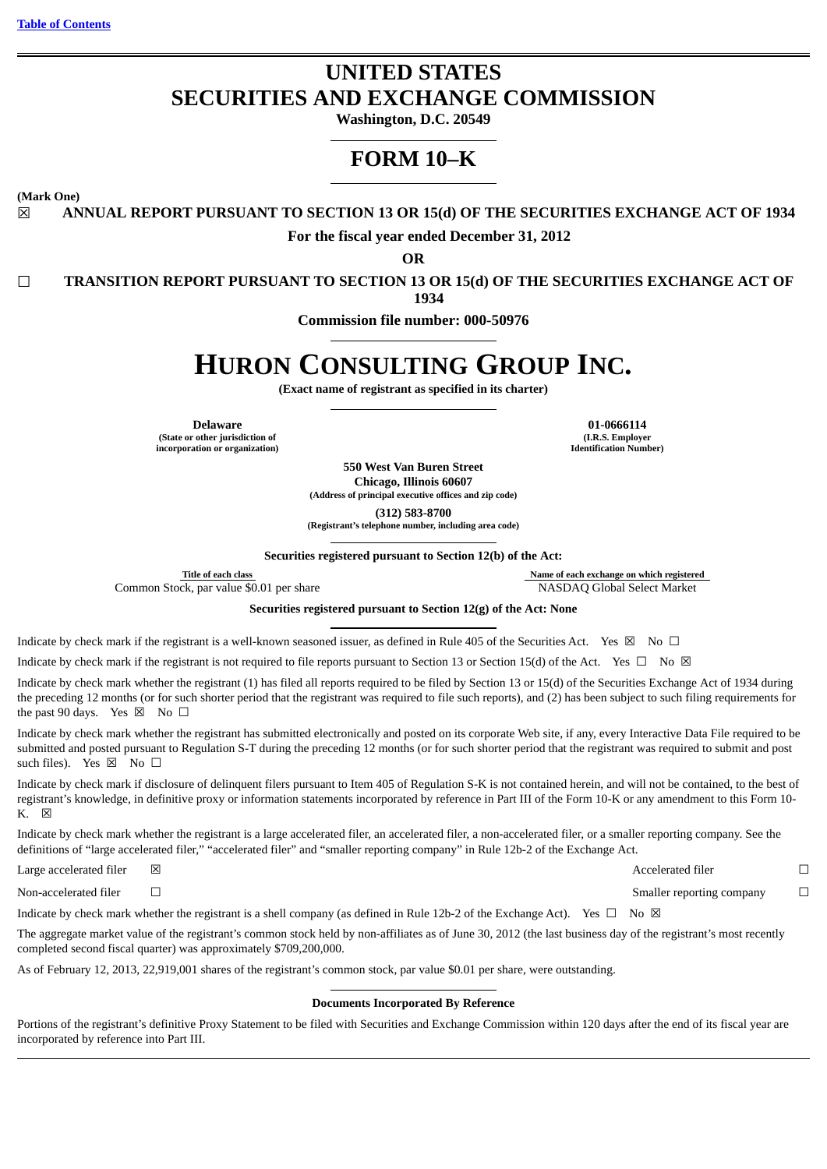# **UNITED STATES SECURITIES AND EXCHANGE COMMISSION**

**Washington, D.C. 20549**

# **FORM 10–K**

**(Mark One)**

☒ **ANNUAL REPORT PURSUANT TO SECTION 13 OR 15(d) OF THE SECURITIES EXCHANGE ACT OF 1934**

**For the fiscal year ended December 31, 2012**

**OR**

☐ **TRANSITION REPORT PURSUANT TO SECTION 13 OR 15(d) OF THE SECURITIES EXCHANGE ACT OF**

**1934**

**Commission file number: 000-50976**

# **HURON CONSULTING GROUP INC.**

**(Exact name of registrant as specified in its charter)**

**(State or other jurisdiction of**

**incorporation or organization)**

**Delaware 01-0666114 (I.R.S. Employer Identification Number)**

> **550 West Van Buren Street Chicago, Illinois 60607 (Address of principal executive offices and zip code) (312) 583-8700**

> **(Registrant's telephone number, including area code)**

**Securities registered pursuant to Section 12(b) of the Act:**

Common Stock, par value \$0.01 per share NASDAQ Global Select Market

**Title of each class Name of each exchange on which registered**

**Securities registered pursuant to Section 12(g) of the Act: None**

Indicate by check mark if the registrant is a well-known seasoned issuer, as defined in Rule 405 of the Securities Act. Yes  $\boxtimes$  No  $\Box$ 

Indicate by check mark if the registrant is not required to file reports pursuant to Section 13 or Section 15(d) of the Act. Yes  $\square$  No  $\boxtimes$ 

Indicate by check mark whether the registrant (1) has filed all reports required to be filed by Section 13 or 15(d) of the Securities Exchange Act of 1934 during the preceding 12 months (or for such shorter period that the registrant was required to file such reports), and (2) has been subject to such filing requirements for the past 90 days. Yes  $\boxtimes$  No  $\Box$ 

Indicate by check mark whether the registrant has submitted electronically and posted on its corporate Web site, if any, every Interactive Data File required to be submitted and posted pursuant to Regulation S-T during the preceding 12 months (or for such shorter period that the registrant was required to submit and post such files). Yes  $\boxtimes$  No  $\Box$ 

Indicate by check mark if disclosure of delinquent filers pursuant to Item 405 of Regulation S-K is not contained herein, and will not be contained, to the best of registrant's knowledge, in definitive proxy or information statements incorporated by reference in Part III of the Form 10-K or any amendment to this Form 10- K.  $\boxtimes$ 

Indicate by check mark whether the registrant is a large accelerated filer, an accelerated filer, a non-accelerated filer, or a smaller reporting company. See the definitions of "large accelerated filer," "accelerated filer" and "smaller reporting company" in Rule 12b-2 of the Exchange Act.

Large accelerated filer ☒ Accelerated filer ☐ Non-accelerated filer <del>□</del> Indicate by check mark whether the registrant is a shell company (as defined in Rule 12b-2 of the Exchange Act). Yes  $\Box$  No  $\boxtimes$ 

The aggregate market value of the registrant's common stock held by non-affiliates as of June 30, 2012 (the last business day of the registrant's most recently completed second fiscal quarter) was approximately \$709,200,000.

As of February 12, 2013, 22,919,001 shares of the registrant's common stock, par value \$0.01 per share, were outstanding.

#### **Documents Incorporated By Reference**

Portions of the registrant's definitive Proxy Statement to be filed with Securities and Exchange Commission within 120 days after the end of its fiscal year are incorporated by reference into Part III.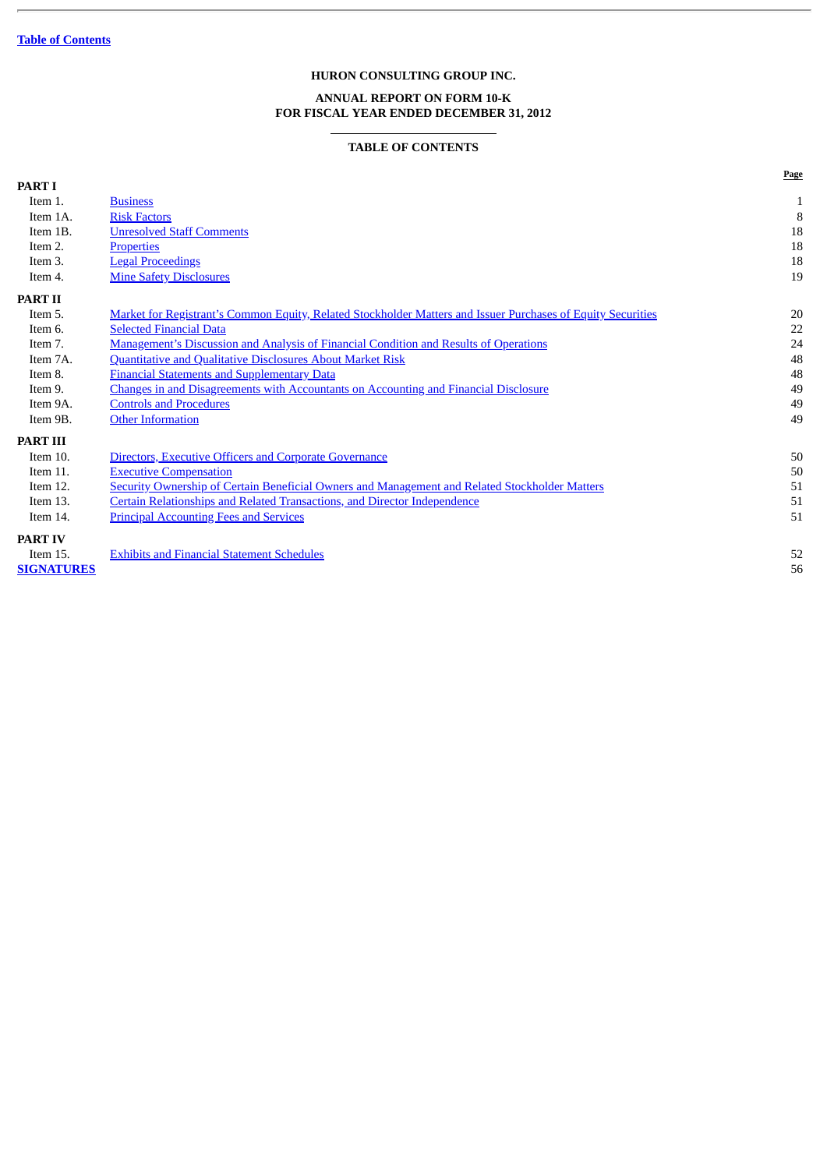# **HURON CONSULTING GROUP INC.**

# **ANNUAL REPORT ON FORM 10-K FOR FISCAL YEAR ENDED DECEMBER 31, 2012**

# **TABLE OF CONTENTS**

<span id="page-1-0"></span>

| <b>PART I</b>     |                                                                                                              | Page              |
|-------------------|--------------------------------------------------------------------------------------------------------------|-------------------|
| Item 1.           | <b>Business</b>                                                                                              |                   |
|                   |                                                                                                              | $\mathbf{1}$<br>8 |
| Item 1A.          | <b>Risk Factors</b>                                                                                          |                   |
| Item 1B.          | <b>Unresolved Staff Comments</b>                                                                             | 18                |
| Item 2.           | <b>Properties</b>                                                                                            | 18                |
| Item 3.           | <b>Legal Proceedings</b>                                                                                     | 18                |
| Item 4.           | <b>Mine Safety Disclosures</b>                                                                               | 19                |
| <b>PART II</b>    |                                                                                                              |                   |
| Item 5.           | Market for Registrant's Common Equity, Related Stockholder Matters and Issuer Purchases of Equity Securities | 20                |
| Item 6.           | <b>Selected Financial Data</b>                                                                               | 22                |
| Item 7.           | Management's Discussion and Analysis of Financial Condition and Results of Operations                        | 24                |
| Item 7A.          | <b>Quantitative and Qualitative Disclosures About Market Risk</b>                                            | 48                |
| Item 8.           | <b>Financial Statements and Supplementary Data</b>                                                           | 48                |
| Item 9.           | <b>Changes in and Disagreements with Accountants on Accounting and Financial Disclosure</b>                  | 49                |
| Item 9A.          | <b>Controls and Procedures</b>                                                                               | 49                |
| Item 9B.          | <b>Other Information</b>                                                                                     | 49                |
| <b>PART III</b>   |                                                                                                              |                   |
| Item 10.          | <b>Directors, Executive Officers and Corporate Governance</b>                                                | 50                |
| Item 11.          | <b>Executive Compensation</b>                                                                                | 50                |
| Item 12.          | <b>Security Ownership of Certain Beneficial Owners and Management and Related Stockholder Matters</b>        | 51                |
| Item 13.          | Certain Relationships and Related Transactions, and Director Independence                                    | 51                |
| Item 14.          | <b>Principal Accounting Fees and Services</b>                                                                | 51                |
| <b>PART IV</b>    |                                                                                                              |                   |
| Item 15.          | <b>Exhibits and Financial Statement Schedules</b>                                                            | 52                |
| <b>SIGNATURES</b> |                                                                                                              | 56                |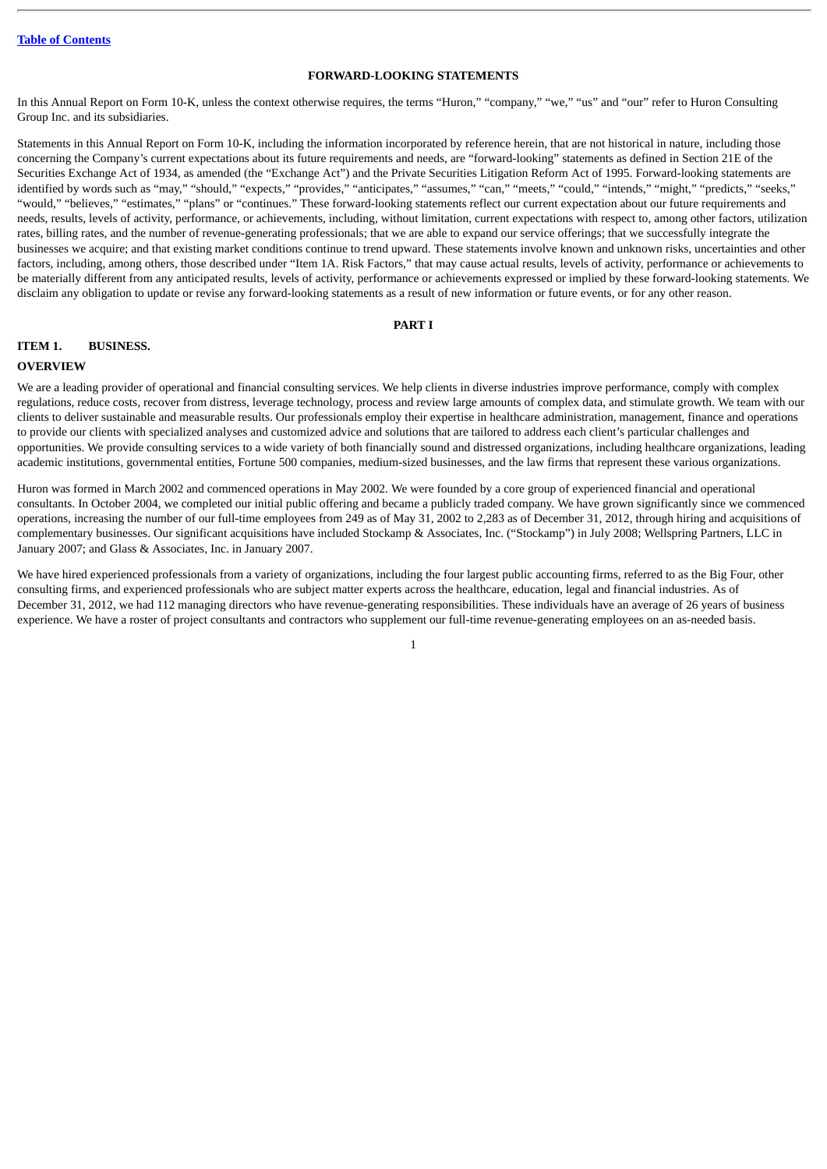#### **FORWARD-LOOKING STATEMENTS**

In this Annual Report on Form 10-K, unless the context otherwise requires, the terms "Huron," "company," "we," "us" and "our" refer to Huron Consulting Group Inc. and its subsidiaries.

Statements in this Annual Report on Form 10-K, including the information incorporated by reference herein, that are not historical in nature, including those concerning the Company's current expectations about its future requirements and needs, are "forward-looking" statements as defined in Section 21E of the Securities Exchange Act of 1934, as amended (the "Exchange Act") and the Private Securities Litigation Reform Act of 1995. Forward-looking statements are identified by words such as "may," "should," "expects," "provides," "anticipates," "assumes," "can," "meets," "could," "intends," "might," "predicts," "seeks," "would," "believes," "estimates," "plans" or "continues." These forward-looking statements reflect our current expectation about our future requirements and needs, results, levels of activity, performance, or achievements, including, without limitation, current expectations with respect to, among other factors, utilization rates, billing rates, and the number of revenue-generating professionals; that we are able to expand our service offerings; that we successfully integrate the businesses we acquire; and that existing market conditions continue to trend upward. These statements involve known and unknown risks, uncertainties and other factors, including, among others, those described under "Item 1A. Risk Factors," that may cause actual results, levels of activity, performance or achievements to be materially different from any anticipated results, levels of activity, performance or achievements expressed or implied by these forward-looking statements. We disclaim any obligation to update or revise any forward-looking statements as a result of new information or future events, or for any other reason.

#### **PART I**

# <span id="page-2-0"></span>**ITEM 1. BUSINESS.**

#### **OVERVIEW**

We are a leading provider of operational and financial consulting services. We help clients in diverse industries improve performance, comply with complex regulations, reduce costs, recover from distress, leverage technology, process and review large amounts of complex data, and stimulate growth. We team with our clients to deliver sustainable and measurable results. Our professionals employ their expertise in healthcare administration, management, finance and operations to provide our clients with specialized analyses and customized advice and solutions that are tailored to address each client's particular challenges and opportunities. We provide consulting services to a wide variety of both financially sound and distressed organizations, including healthcare organizations, leading academic institutions, governmental entities, Fortune 500 companies, medium-sized businesses, and the law firms that represent these various organizations.

Huron was formed in March 2002 and commenced operations in May 2002. We were founded by a core group of experienced financial and operational consultants. In October 2004, we completed our initial public offering and became a publicly traded company. We have grown significantly since we commenced operations, increasing the number of our full-time employees from 249 as of May 31, 2002 to 2,283 as of December 31, 2012, through hiring and acquisitions of complementary businesses. Our significant acquisitions have included Stockamp & Associates, Inc. ("Stockamp") in July 2008; Wellspring Partners, LLC in January 2007; and Glass & Associates, Inc. in January 2007.

We have hired experienced professionals from a variety of organizations, including the four largest public accounting firms, referred to as the Big Four, other consulting firms, and experienced professionals who are subject matter experts across the healthcare, education, legal and financial industries. As of December 31, 2012, we had 112 managing directors who have revenue-generating responsibilities. These individuals have an average of 26 years of business experience. We have a roster of project consultants and contractors who supplement our full-time revenue-generating employees on an as-needed basis.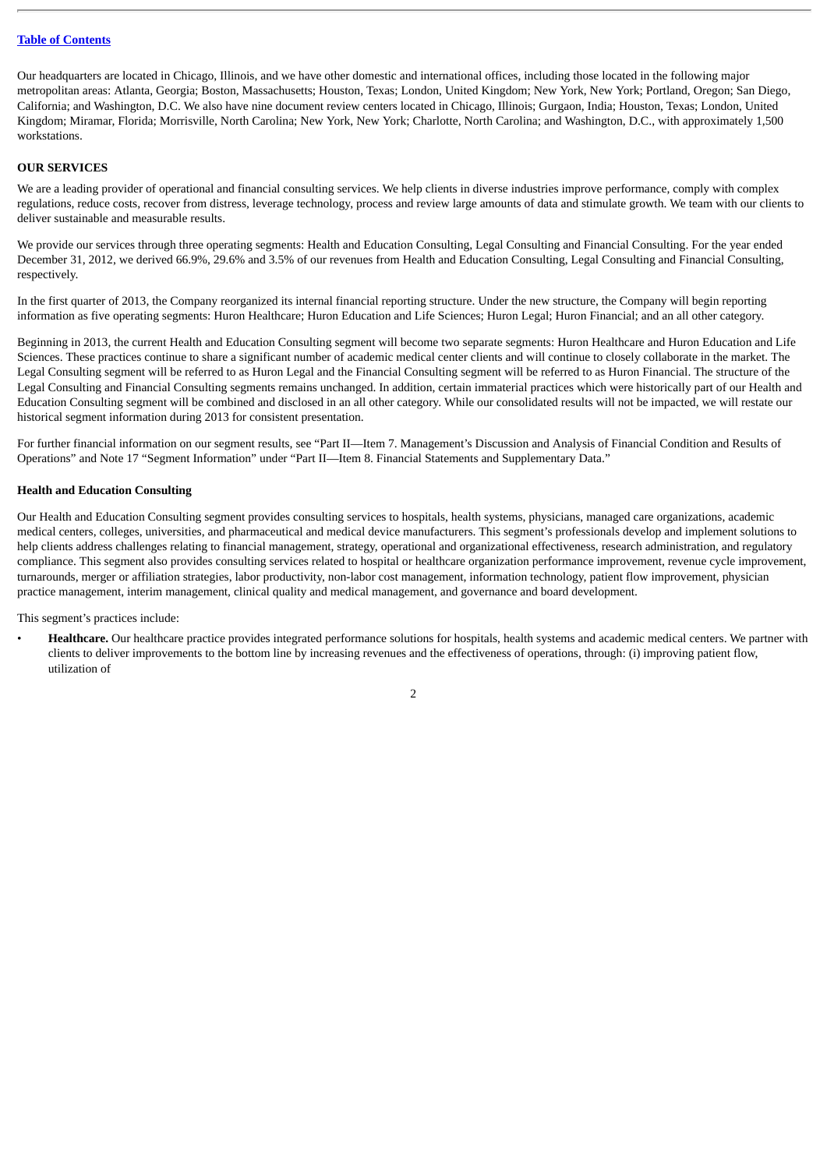Our headquarters are located in Chicago, Illinois, and we have other domestic and international offices, including those located in the following major metropolitan areas: Atlanta, Georgia; Boston, Massachusetts; Houston, Texas; London, United Kingdom; New York, New York; Portland, Oregon; San Diego, California; and Washington, D.C. We also have nine document review centers located in Chicago, Illinois; Gurgaon, India; Houston, Texas; London, United Kingdom; Miramar, Florida; Morrisville, North Carolina; New York, New York; Charlotte, North Carolina; and Washington, D.C., with approximately 1,500 workstations.

#### **OUR SERVICES**

We are a leading provider of operational and financial consulting services. We help clients in diverse industries improve performance, comply with complex regulations, reduce costs, recover from distress, leverage technology, process and review large amounts of data and stimulate growth. We team with our clients to deliver sustainable and measurable results.

We provide our services through three operating segments: Health and Education Consulting, Legal Consulting and Financial Consulting. For the year ended December 31, 2012, we derived 66.9%, 29.6% and 3.5% of our revenues from Health and Education Consulting, Legal Consulting and Financial Consulting, respectively.

In the first quarter of 2013, the Company reorganized its internal financial reporting structure. Under the new structure, the Company will begin reporting information as five operating segments: Huron Healthcare; Huron Education and Life Sciences; Huron Legal; Huron Financial; and an all other category.

Beginning in 2013, the current Health and Education Consulting segment will become two separate segments: Huron Healthcare and Huron Education and Life Sciences. These practices continue to share a significant number of academic medical center clients and will continue to closely collaborate in the market. The Legal Consulting segment will be referred to as Huron Legal and the Financial Consulting segment will be referred to as Huron Financial. The structure of the Legal Consulting and Financial Consulting segments remains unchanged. In addition, certain immaterial practices which were historically part of our Health and Education Consulting segment will be combined and disclosed in an all other category. While our consolidated results will not be impacted, we will restate our historical segment information during 2013 for consistent presentation.

For further financial information on our segment results, see "Part II—Item 7. Management's Discussion and Analysis of Financial Condition and Results of Operations" and Note 17 "Segment Information" under "Part II—Item 8. Financial Statements and Supplementary Data."

#### **Health and Education Consulting**

Our Health and Education Consulting segment provides consulting services to hospitals, health systems, physicians, managed care organizations, academic medical centers, colleges, universities, and pharmaceutical and medical device manufacturers. This segment's professionals develop and implement solutions to help clients address challenges relating to financial management, strategy, operational and organizational effectiveness, research administration, and regulatory compliance. This segment also provides consulting services related to hospital or healthcare organization performance improvement, revenue cycle improvement, turnarounds, merger or affiliation strategies, labor productivity, non-labor cost management, information technology, patient flow improvement, physician practice management, interim management, clinical quality and medical management, and governance and board development.

This segment's practices include:

• **Healthcare.** Our healthcare practice provides integrated performance solutions for hospitals, health systems and academic medical centers. We partner with clients to deliver improvements to the bottom line by increasing revenues and the effectiveness of operations, through: (i) improving patient flow, utilization of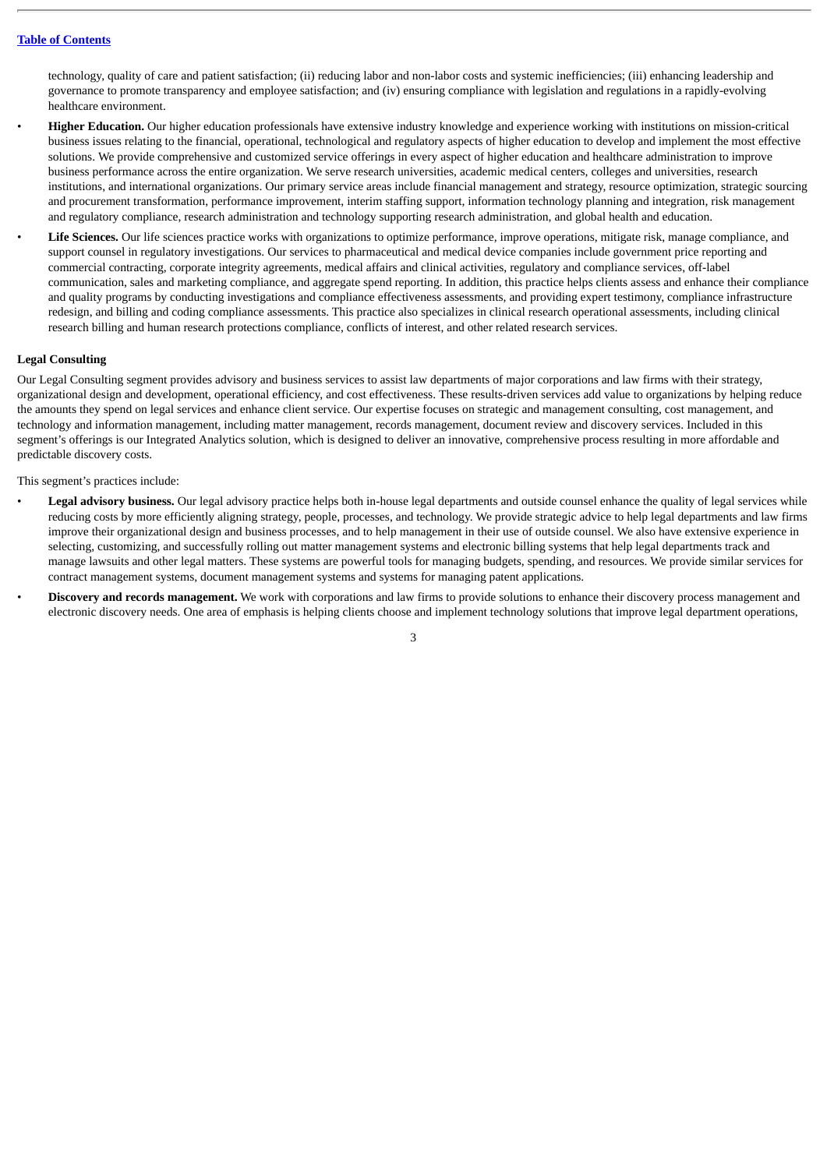technology, quality of care and patient satisfaction; (ii) reducing labor and non-labor costs and systemic inefficiencies; (iii) enhancing leadership and governance to promote transparency and employee satisfaction; and (iv) ensuring compliance with legislation and regulations in a rapidly-evolving healthcare environment.

- **Higher Education.** Our higher education professionals have extensive industry knowledge and experience working with institutions on mission-critical business issues relating to the financial, operational, technological and regulatory aspects of higher education to develop and implement the most effective solutions. We provide comprehensive and customized service offerings in every aspect of higher education and healthcare administration to improve business performance across the entire organization. We serve research universities, academic medical centers, colleges and universities, research institutions, and international organizations. Our primary service areas include financial management and strategy, resource optimization, strategic sourcing and procurement transformation, performance improvement, interim staffing support, information technology planning and integration, risk management and regulatory compliance, research administration and technology supporting research administration, and global health and education.
- **Life Sciences.** Our life sciences practice works with organizations to optimize performance, improve operations, mitigate risk, manage compliance, and support counsel in regulatory investigations. Our services to pharmaceutical and medical device companies include government price reporting and commercial contracting, corporate integrity agreements, medical affairs and clinical activities, regulatory and compliance services, off-label communication, sales and marketing compliance, and aggregate spend reporting. In addition, this practice helps clients assess and enhance their compliance and quality programs by conducting investigations and compliance effectiveness assessments, and providing expert testimony, compliance infrastructure redesign, and billing and coding compliance assessments. This practice also specializes in clinical research operational assessments, including clinical research billing and human research protections compliance, conflicts of interest, and other related research services.

# **Legal Consulting**

Our Legal Consulting segment provides advisory and business services to assist law departments of major corporations and law firms with their strategy, organizational design and development, operational efficiency, and cost effectiveness. These results-driven services add value to organizations by helping reduce the amounts they spend on legal services and enhance client service. Our expertise focuses on strategic and management consulting, cost management, and technology and information management, including matter management, records management, document review and discovery services. Included in this segment's offerings is our Integrated Analytics solution, which is designed to deliver an innovative, comprehensive process resulting in more affordable and predictable discovery costs.

This segment's practices include:

- **Legal advisory business.** Our legal advisory practice helps both in-house legal departments and outside counsel enhance the quality of legal services while reducing costs by more efficiently aligning strategy, people, processes, and technology. We provide strategic advice to help legal departments and law firms improve their organizational design and business processes, and to help management in their use of outside counsel. We also have extensive experience in selecting, customizing, and successfully rolling out matter management systems and electronic billing systems that help legal departments track and manage lawsuits and other legal matters. These systems are powerful tools for managing budgets, spending, and resources. We provide similar services for contract management systems, document management systems and systems for managing patent applications.
- **Discovery and records management.** We work with corporations and law firms to provide solutions to enhance their discovery process management and electronic discovery needs. One area of emphasis is helping clients choose and implement technology solutions that improve legal department operations,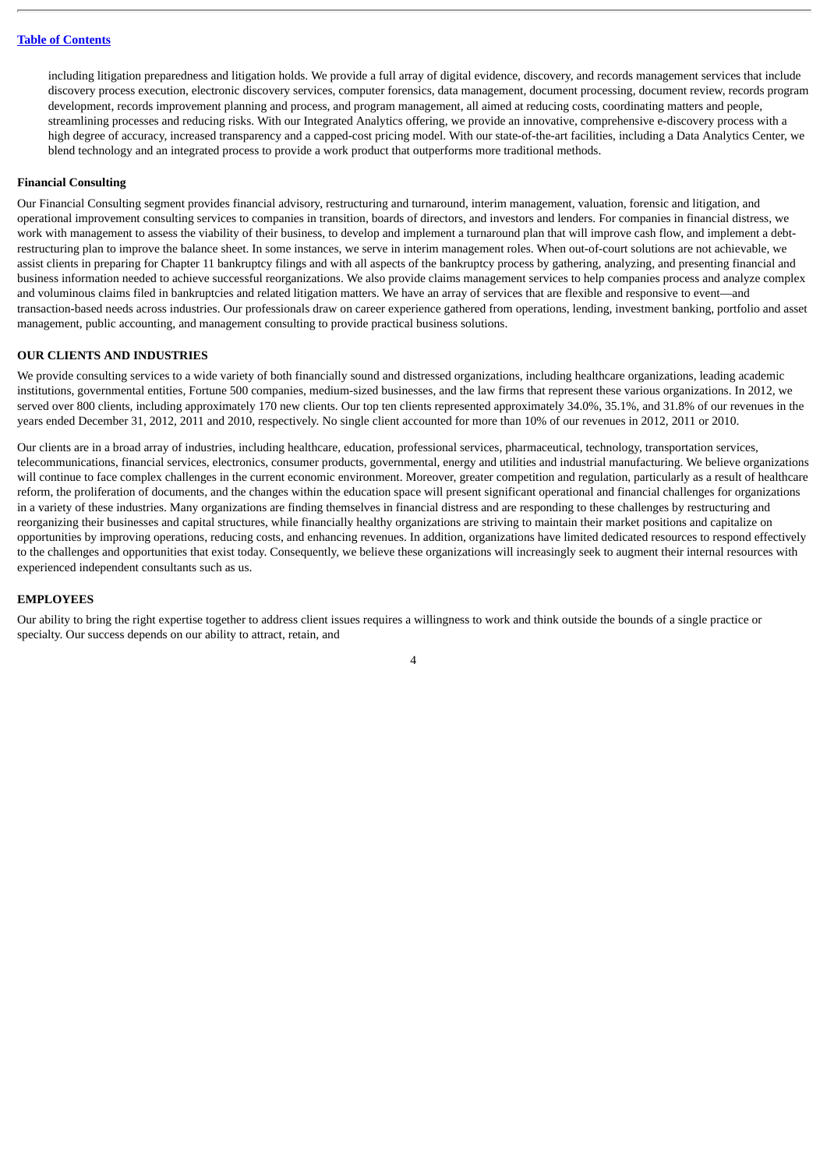including litigation preparedness and litigation holds. We provide a full array of digital evidence, discovery, and records management services that include discovery process execution, electronic discovery services, computer forensics, data management, document processing, document review, records program development, records improvement planning and process, and program management, all aimed at reducing costs, coordinating matters and people, streamlining processes and reducing risks. With our Integrated Analytics offering, we provide an innovative, comprehensive e-discovery process with a high degree of accuracy, increased transparency and a capped-cost pricing model. With our state-of-the-art facilities, including a Data Analytics Center, we blend technology and an integrated process to provide a work product that outperforms more traditional methods.

#### **Financial Consulting**

Our Financial Consulting segment provides financial advisory, restructuring and turnaround, interim management, valuation, forensic and litigation, and operational improvement consulting services to companies in transition, boards of directors, and investors and lenders. For companies in financial distress, we work with management to assess the viability of their business, to develop and implement a turnaround plan that will improve cash flow, and implement a debtrestructuring plan to improve the balance sheet. In some instances, we serve in interim management roles. When out-of-court solutions are not achievable, we assist clients in preparing for Chapter 11 bankruptcy filings and with all aspects of the bankruptcy process by gathering, analyzing, and presenting financial and business information needed to achieve successful reorganizations. We also provide claims management services to help companies process and analyze complex and voluminous claims filed in bankruptcies and related litigation matters. We have an array of services that are flexible and responsive to event—and transaction-based needs across industries. Our professionals draw on career experience gathered from operations, lending, investment banking, portfolio and asset management, public accounting, and management consulting to provide practical business solutions.

#### **OUR CLIENTS AND INDUSTRIES**

We provide consulting services to a wide variety of both financially sound and distressed organizations, including healthcare organizations, leading academic institutions, governmental entities, Fortune 500 companies, medium-sized businesses, and the law firms that represent these various organizations. In 2012, we served over 800 clients, including approximately 170 new clients. Our top ten clients represented approximately 34.0%, 35.1%, and 31.8% of our revenues in the years ended December 31, 2012, 2011 and 2010, respectively. No single client accounted for more than 10% of our revenues in 2012, 2011 or 2010.

Our clients are in a broad array of industries, including healthcare, education, professional services, pharmaceutical, technology, transportation services, telecommunications, financial services, electronics, consumer products, governmental, energy and utilities and industrial manufacturing. We believe organizations will continue to face complex challenges in the current economic environment. Moreover, greater competition and regulation, particularly as a result of healthcare reform, the proliferation of documents, and the changes within the education space will present significant operational and financial challenges for organizations in a variety of these industries. Many organizations are finding themselves in financial distress and are responding to these challenges by restructuring and reorganizing their businesses and capital structures, while financially healthy organizations are striving to maintain their market positions and capitalize on opportunities by improving operations, reducing costs, and enhancing revenues. In addition, organizations have limited dedicated resources to respond effectively to the challenges and opportunities that exist today. Consequently, we believe these organizations will increasingly seek to augment their internal resources with experienced independent consultants such as us.

#### **EMPLOYEES**

Our ability to bring the right expertise together to address client issues requires a willingness to work and think outside the bounds of a single practice or specialty. Our success depends on our ability to attract, retain, and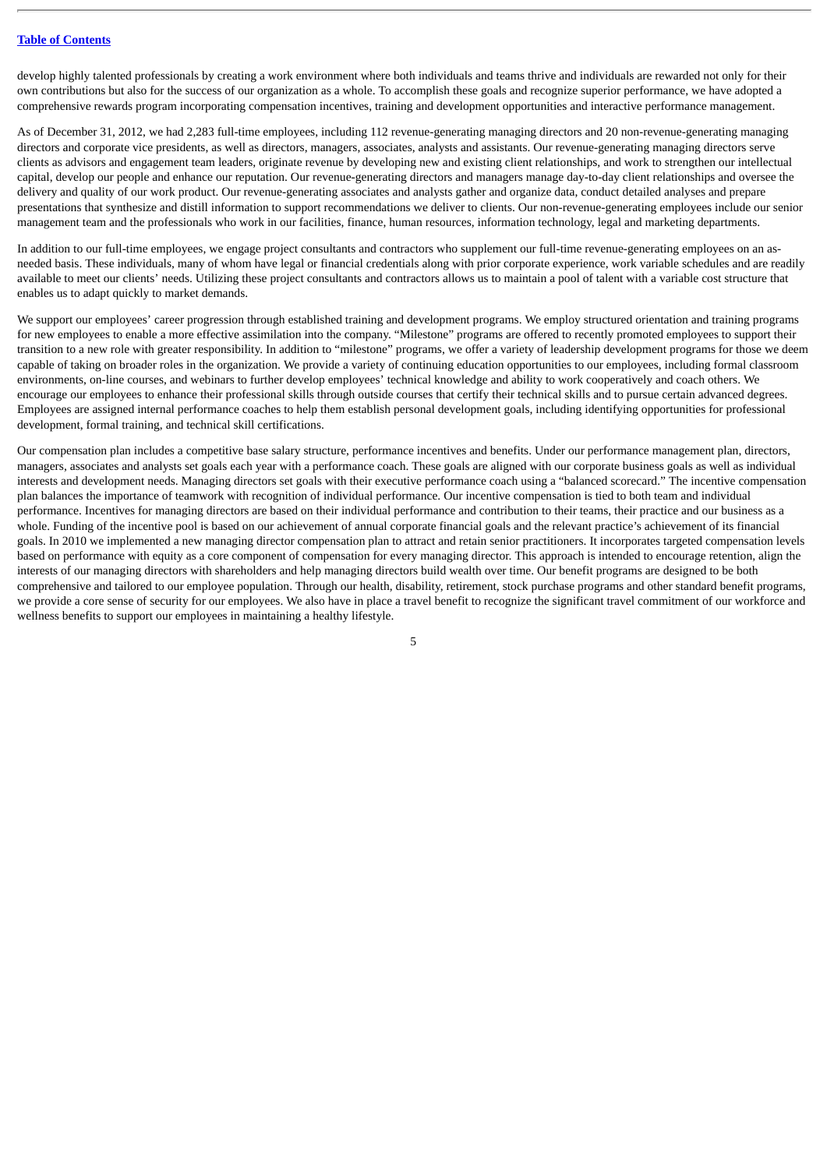develop highly talented professionals by creating a work environment where both individuals and teams thrive and individuals are rewarded not only for their own contributions but also for the success of our organization as a whole. To accomplish these goals and recognize superior performance, we have adopted a comprehensive rewards program incorporating compensation incentives, training and development opportunities and interactive performance management.

As of December 31, 2012, we had 2,283 full-time employees, including 112 revenue-generating managing directors and 20 non-revenue-generating managing directors and corporate vice presidents, as well as directors, managers, associates, analysts and assistants. Our revenue-generating managing directors serve clients as advisors and engagement team leaders, originate revenue by developing new and existing client relationships, and work to strengthen our intellectual capital, develop our people and enhance our reputation. Our revenue-generating directors and managers manage day-to-day client relationships and oversee the delivery and quality of our work product. Our revenue-generating associates and analysts gather and organize data, conduct detailed analyses and prepare presentations that synthesize and distill information to support recommendations we deliver to clients. Our non-revenue-generating employees include our senior management team and the professionals who work in our facilities, finance, human resources, information technology, legal and marketing departments.

In addition to our full-time employees, we engage project consultants and contractors who supplement our full-time revenue-generating employees on an asneeded basis. These individuals, many of whom have legal or financial credentials along with prior corporate experience, work variable schedules and are readily available to meet our clients' needs. Utilizing these project consultants and contractors allows us to maintain a pool of talent with a variable cost structure that enables us to adapt quickly to market demands.

We support our employees' career progression through established training and development programs. We employ structured orientation and training programs for new employees to enable a more effective assimilation into the company. "Milestone" programs are offered to recently promoted employees to support their transition to a new role with greater responsibility. In addition to "milestone" programs, we offer a variety of leadership development programs for those we deem capable of taking on broader roles in the organization. We provide a variety of continuing education opportunities to our employees, including formal classroom environments, on-line courses, and webinars to further develop employees' technical knowledge and ability to work cooperatively and coach others. We encourage our employees to enhance their professional skills through outside courses that certify their technical skills and to pursue certain advanced degrees. Employees are assigned internal performance coaches to help them establish personal development goals, including identifying opportunities for professional development, formal training, and technical skill certifications.

Our compensation plan includes a competitive base salary structure, performance incentives and benefits. Under our performance management plan, directors, managers, associates and analysts set goals each year with a performance coach. These goals are aligned with our corporate business goals as well as individual interests and development needs. Managing directors set goals with their executive performance coach using a "balanced scorecard." The incentive compensation plan balances the importance of teamwork with recognition of individual performance. Our incentive compensation is tied to both team and individual performance. Incentives for managing directors are based on their individual performance and contribution to their teams, their practice and our business as a whole. Funding of the incentive pool is based on our achievement of annual corporate financial goals and the relevant practice's achievement of its financial goals. In 2010 we implemented a new managing director compensation plan to attract and retain senior practitioners. It incorporates targeted compensation levels based on performance with equity as a core component of compensation for every managing director. This approach is intended to encourage retention, align the interests of our managing directors with shareholders and help managing directors build wealth over time. Our benefit programs are designed to be both comprehensive and tailored to our employee population. Through our health, disability, retirement, stock purchase programs and other standard benefit programs, we provide a core sense of security for our employees. We also have in place a travel benefit to recognize the significant travel commitment of our workforce and wellness benefits to support our employees in maintaining a healthy lifestyle.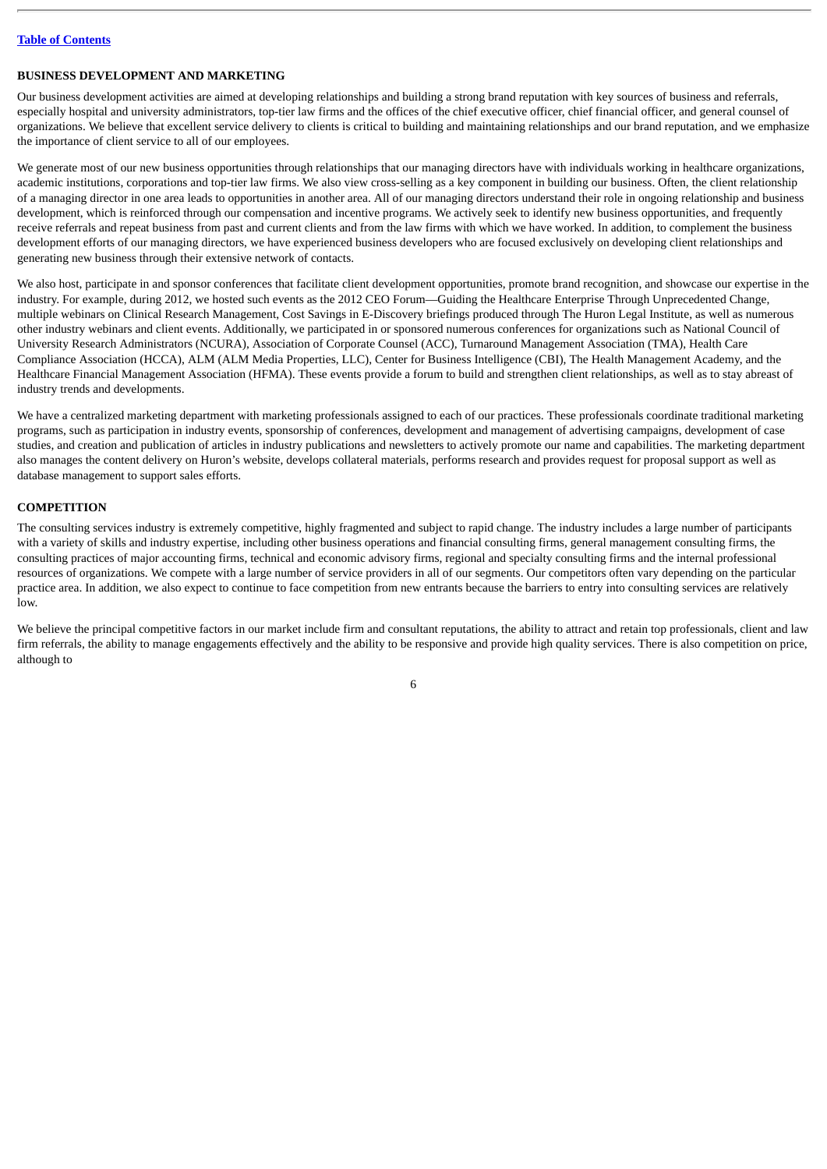# **BUSINESS DEVELOPMENT AND MARKETING**

Our business development activities are aimed at developing relationships and building a strong brand reputation with key sources of business and referrals, especially hospital and university administrators, top-tier law firms and the offices of the chief executive officer, chief financial officer, and general counsel of organizations. We believe that excellent service delivery to clients is critical to building and maintaining relationships and our brand reputation, and we emphasize the importance of client service to all of our employees.

We generate most of our new business opportunities through relationships that our managing directors have with individuals working in healthcare organizations, academic institutions, corporations and top-tier law firms. We also view cross-selling as a key component in building our business. Often, the client relationship of a managing director in one area leads to opportunities in another area. All of our managing directors understand their role in ongoing relationship and business development, which is reinforced through our compensation and incentive programs. We actively seek to identify new business opportunities, and frequently receive referrals and repeat business from past and current clients and from the law firms with which we have worked. In addition, to complement the business development efforts of our managing directors, we have experienced business developers who are focused exclusively on developing client relationships and generating new business through their extensive network of contacts.

We also host, participate in and sponsor conferences that facilitate client development opportunities, promote brand recognition, and showcase our expertise in the industry. For example, during 2012, we hosted such events as the 2012 CEO Forum—Guiding the Healthcare Enterprise Through Unprecedented Change, multiple webinars on Clinical Research Management, Cost Savings in E-Discovery briefings produced through The Huron Legal Institute, as well as numerous other industry webinars and client events. Additionally, we participated in or sponsored numerous conferences for organizations such as National Council of University Research Administrators (NCURA), Association of Corporate Counsel (ACC), Turnaround Management Association (TMA), Health Care Compliance Association (HCCA), ALM (ALM Media Properties, LLC), Center for Business Intelligence (CBI), The Health Management Academy, and the Healthcare Financial Management Association (HFMA). These events provide a forum to build and strengthen client relationships, as well as to stay abreast of industry trends and developments.

We have a centralized marketing department with marketing professionals assigned to each of our practices. These professionals coordinate traditional marketing programs, such as participation in industry events, sponsorship of conferences, development and management of advertising campaigns, development of case studies, and creation and publication of articles in industry publications and newsletters to actively promote our name and capabilities. The marketing department also manages the content delivery on Huron's website, develops collateral materials, performs research and provides request for proposal support as well as database management to support sales efforts.

#### **COMPETITION**

The consulting services industry is extremely competitive, highly fragmented and subject to rapid change. The industry includes a large number of participants with a variety of skills and industry expertise, including other business operations and financial consulting firms, general management consulting firms, the consulting practices of major accounting firms, technical and economic advisory firms, regional and specialty consulting firms and the internal professional resources of organizations. We compete with a large number of service providers in all of our segments. Our competitors often vary depending on the particular practice area. In addition, we also expect to continue to face competition from new entrants because the barriers to entry into consulting services are relatively low.

We believe the principal competitive factors in our market include firm and consultant reputations, the ability to attract and retain top professionals, client and law firm referrals, the ability to manage engagements effectively and the ability to be responsive and provide high quality services. There is also competition on price, although to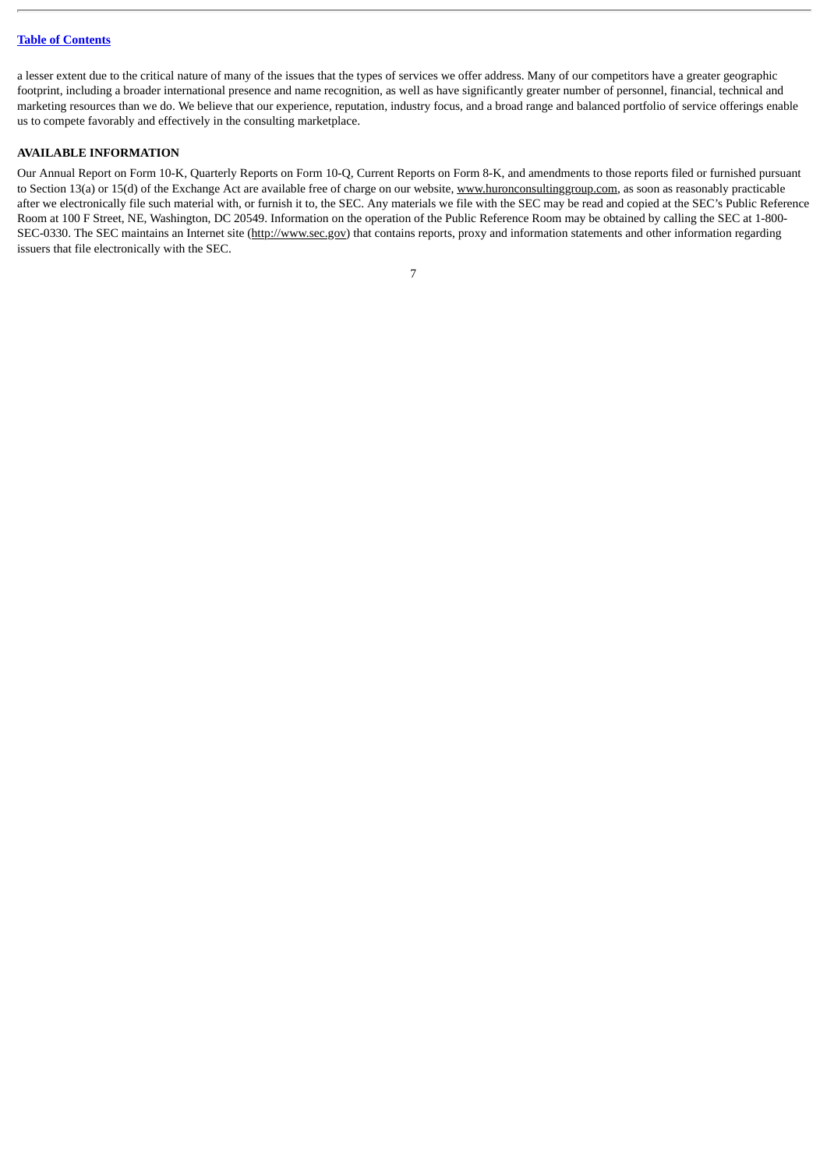a lesser extent due to the critical nature of many of the issues that the types of services we offer address. Many of our competitors have a greater geographic footprint, including a broader international presence and name recognition, as well as have significantly greater number of personnel, financial, technical and marketing resources than we do. We believe that our experience, reputation, industry focus, and a broad range and balanced portfolio of service offerings enable us to compete favorably and effectively in the consulting marketplace.

# **AVAILABLE INFORMATION**

Our Annual Report on Form 10-K, Quarterly Reports on Form 10-Q, Current Reports on Form 8-K, and amendments to those reports filed or furnished pursuant to Section 13(a) or 15(d) of the Exchange Act are available free of charge on our website, www.huronconsultinggroup.com, as soon as reasonably practicable after we electronically file such material with, or furnish it to, the SEC. Any materials we file with the SEC may be read and copied at the SEC's Public Reference Room at 100 F Street, NE, Washington, DC 20549. Information on the operation of the Public Reference Room may be obtained by calling the SEC at 1-800- SEC-0330. The SEC maintains an Internet site (http://www.sec.gov) that contains reports, proxy and information statements and other information regarding issuers that file electronically with the SEC.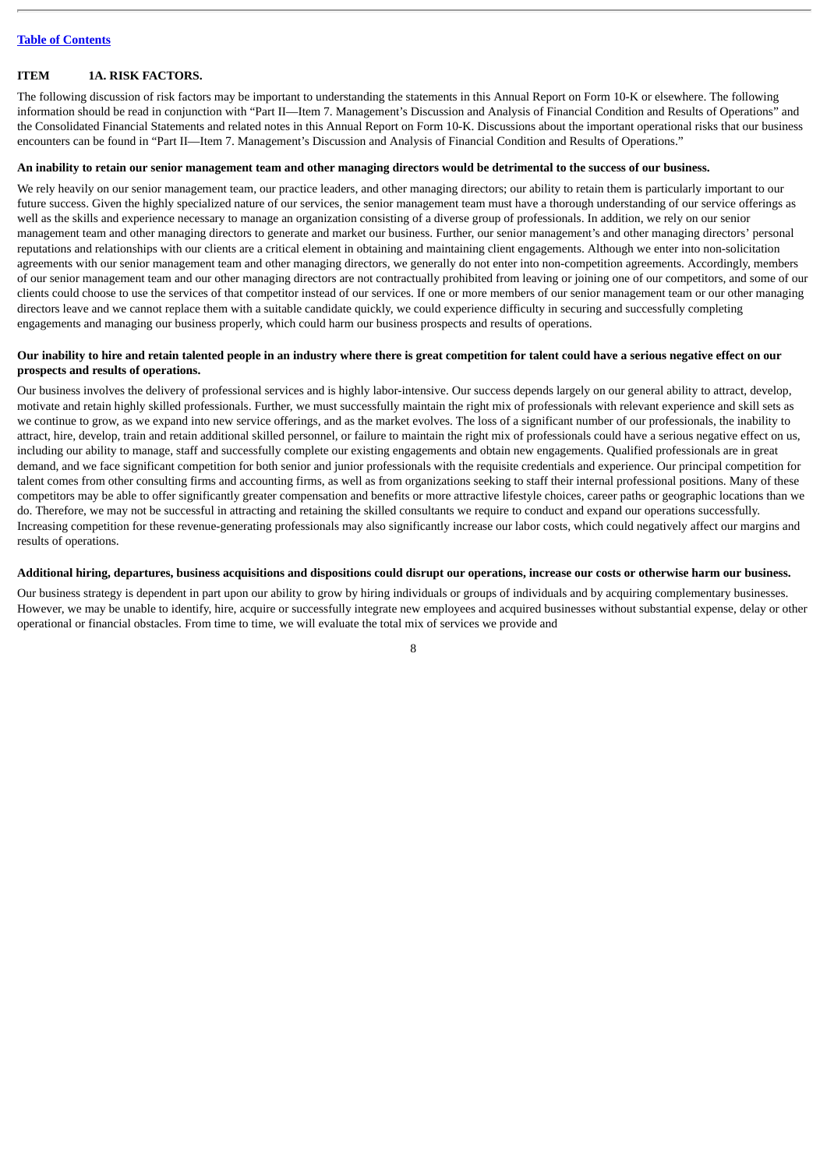#### <span id="page-9-0"></span>**ITEM 1A. RISK FACTORS.**

The following discussion of risk factors may be important to understanding the statements in this Annual Report on Form 10-K or elsewhere. The following information should be read in conjunction with "Part II—Item 7. Management's Discussion and Analysis of Financial Condition and Results of Operations" and the Consolidated Financial Statements and related notes in this Annual Report on Form 10-K. Discussions about the important operational risks that our business encounters can be found in "Part II—Item 7. Management's Discussion and Analysis of Financial Condition and Results of Operations."

#### **An inability to retain our senior management team and other managing directors would be detrimental to the success of our business.**

We rely heavily on our senior management team, our practice leaders, and other managing directors; our ability to retain them is particularly important to our future success. Given the highly specialized nature of our services, the senior management team must have a thorough understanding of our service offerings as well as the skills and experience necessary to manage an organization consisting of a diverse group of professionals. In addition, we rely on our senior management team and other managing directors to generate and market our business. Further, our senior management's and other managing directors' personal reputations and relationships with our clients are a critical element in obtaining and maintaining client engagements. Although we enter into non-solicitation agreements with our senior management team and other managing directors, we generally do not enter into non-competition agreements. Accordingly, members of our senior management team and our other managing directors are not contractually prohibited from leaving or joining one of our competitors, and some of our clients could choose to use the services of that competitor instead of our services. If one or more members of our senior management team or our other managing directors leave and we cannot replace them with a suitable candidate quickly, we could experience difficulty in securing and successfully completing engagements and managing our business properly, which could harm our business prospects and results of operations.

#### **Our inability to hire and retain talented people in an industry where there is great competition for talent could have a serious negative effect on our prospects and results of operations.**

Our business involves the delivery of professional services and is highly labor-intensive. Our success depends largely on our general ability to attract, develop, motivate and retain highly skilled professionals. Further, we must successfully maintain the right mix of professionals with relevant experience and skill sets as we continue to grow, as we expand into new service offerings, and as the market evolves. The loss of a significant number of our professionals, the inability to attract, hire, develop, train and retain additional skilled personnel, or failure to maintain the right mix of professionals could have a serious negative effect on us, including our ability to manage, staff and successfully complete our existing engagements and obtain new engagements. Qualified professionals are in great demand, and we face significant competition for both senior and junior professionals with the requisite credentials and experience. Our principal competition for talent comes from other consulting firms and accounting firms, as well as from organizations seeking to staff their internal professional positions. Many of these competitors may be able to offer significantly greater compensation and benefits or more attractive lifestyle choices, career paths or geographic locations than we do. Therefore, we may not be successful in attracting and retaining the skilled consultants we require to conduct and expand our operations successfully. Increasing competition for these revenue-generating professionals may also significantly increase our labor costs, which could negatively affect our margins and results of operations.

#### **Additional hiring, departures, business acquisitions and dispositions could disrupt our operations, increase our costs or otherwise harm our business.**

Our business strategy is dependent in part upon our ability to grow by hiring individuals or groups of individuals and by acquiring complementary businesses. However, we may be unable to identify, hire, acquire or successfully integrate new employees and acquired businesses without substantial expense, delay or other operational or financial obstacles. From time to time, we will evaluate the total mix of services we provide and

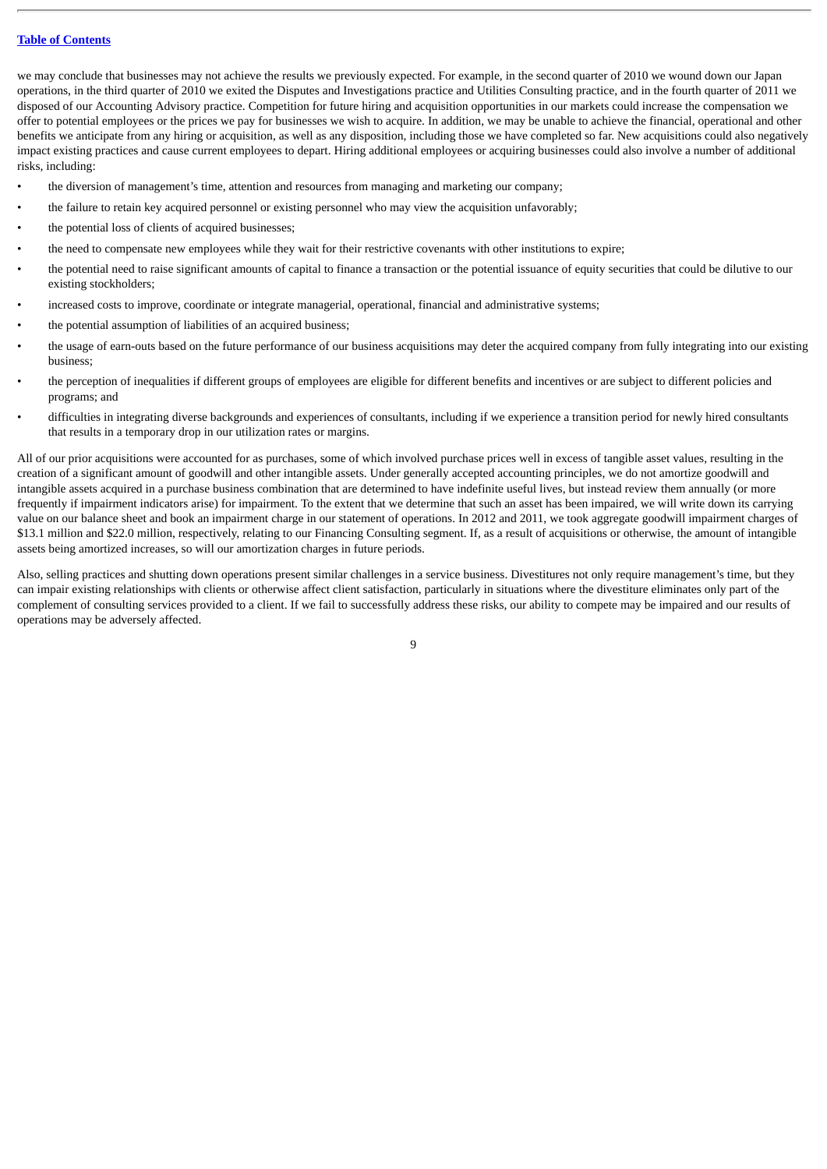we may conclude that businesses may not achieve the results we previously expected. For example, in the second quarter of 2010 we wound down our Japan operations, in the third quarter of 2010 we exited the Disputes and Investigations practice and Utilities Consulting practice, and in the fourth quarter of 2011 we disposed of our Accounting Advisory practice. Competition for future hiring and acquisition opportunities in our markets could increase the compensation we offer to potential employees or the prices we pay for businesses we wish to acquire. In addition, we may be unable to achieve the financial, operational and other benefits we anticipate from any hiring or acquisition, as well as any disposition, including those we have completed so far. New acquisitions could also negatively impact existing practices and cause current employees to depart. Hiring additional employees or acquiring businesses could also involve a number of additional risks, including:

- the diversion of management's time, attention and resources from managing and marketing our company;
- the failure to retain key acquired personnel or existing personnel who may view the acquisition unfavorably;
- the potential loss of clients of acquired businesses;
- the need to compensate new employees while they wait for their restrictive covenants with other institutions to expire;
- the potential need to raise significant amounts of capital to finance a transaction or the potential issuance of equity securities that could be dilutive to our existing stockholders;
- increased costs to improve, coordinate or integrate managerial, operational, financial and administrative systems;
- the potential assumption of liabilities of an acquired business;
- the usage of earn-outs based on the future performance of our business acquisitions may deter the acquired company from fully integrating into our existing business;
- the perception of inequalities if different groups of employees are eligible for different benefits and incentives or are subject to different policies and programs; and
- difficulties in integrating diverse backgrounds and experiences of consultants, including if we experience a transition period for newly hired consultants that results in a temporary drop in our utilization rates or margins.

All of our prior acquisitions were accounted for as purchases, some of which involved purchase prices well in excess of tangible asset values, resulting in the creation of a significant amount of goodwill and other intangible assets. Under generally accepted accounting principles, we do not amortize goodwill and intangible assets acquired in a purchase business combination that are determined to have indefinite useful lives, but instead review them annually (or more frequently if impairment indicators arise) for impairment. To the extent that we determine that such an asset has been impaired, we will write down its carrying value on our balance sheet and book an impairment charge in our statement of operations. In 2012 and 2011, we took aggregate goodwill impairment charges of \$13.1 million and \$22.0 million, respectively, relating to our Financing Consulting segment. If, as a result of acquisitions or otherwise, the amount of intangible assets being amortized increases, so will our amortization charges in future periods.

Also, selling practices and shutting down operations present similar challenges in a service business. Divestitures not only require management's time, but they can impair existing relationships with clients or otherwise affect client satisfaction, particularly in situations where the divestiture eliminates only part of the complement of consulting services provided to a client. If we fail to successfully address these risks, our ability to compete may be impaired and our results of operations may be adversely affected.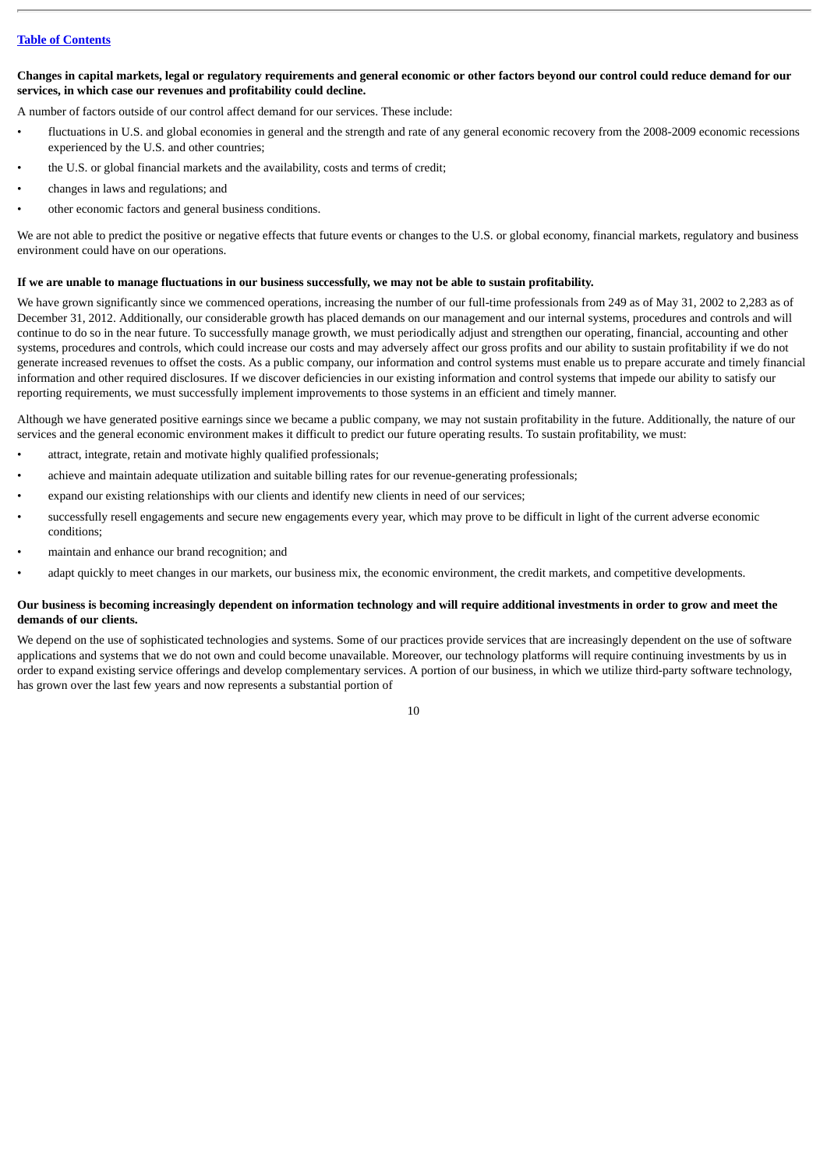# **Changes in capital markets, legal or regulatory requirements and general economic or other factors beyond our control could reduce demand for our services, in which case our revenues and profitability could decline.**

A number of factors outside of our control affect demand for our services. These include:

- fluctuations in U.S. and global economies in general and the strength and rate of any general economic recovery from the 2008-2009 economic recessions experienced by the U.S. and other countries;
- the U.S. or global financial markets and the availability, costs and terms of credit;
- changes in laws and regulations; and
- other economic factors and general business conditions.

We are not able to predict the positive or negative effects that future events or changes to the U.S. or global economy, financial markets, regulatory and business environment could have on our operations.

#### **If we are unable to manage fluctuations in our business successfully, we may not be able to sustain profitability.**

We have grown significantly since we commenced operations, increasing the number of our full-time professionals from 249 as of May 31, 2002 to 2,283 as of December 31, 2012. Additionally, our considerable growth has placed demands on our management and our internal systems, procedures and controls and will continue to do so in the near future. To successfully manage growth, we must periodically adjust and strengthen our operating, financial, accounting and other systems, procedures and controls, which could increase our costs and may adversely affect our gross profits and our ability to sustain profitability if we do not generate increased revenues to offset the costs. As a public company, our information and control systems must enable us to prepare accurate and timely financial information and other required disclosures. If we discover deficiencies in our existing information and control systems that impede our ability to satisfy our reporting requirements, we must successfully implement improvements to those systems in an efficient and timely manner.

Although we have generated positive earnings since we became a public company, we may not sustain profitability in the future. Additionally, the nature of our services and the general economic environment makes it difficult to predict our future operating results. To sustain profitability, we must:

- attract, integrate, retain and motivate highly qualified professionals;
- achieve and maintain adequate utilization and suitable billing rates for our revenue-generating professionals;
- expand our existing relationships with our clients and identify new clients in need of our services;
- successfully resell engagements and secure new engagements every year, which may prove to be difficult in light of the current adverse economic conditions;
- maintain and enhance our brand recognition; and
- adapt quickly to meet changes in our markets, our business mix, the economic environment, the credit markets, and competitive developments.

#### **Our business is becoming increasingly dependent on information technology and will require additional investments in order to grow and meet the demands of our clients.**

We depend on the use of sophisticated technologies and systems. Some of our practices provide services that are increasingly dependent on the use of software applications and systems that we do not own and could become unavailable. Moreover, our technology platforms will require continuing investments by us in order to expand existing service offerings and develop complementary services. A portion of our business, in which we utilize third-party software technology, has grown over the last few years and now represents a substantial portion of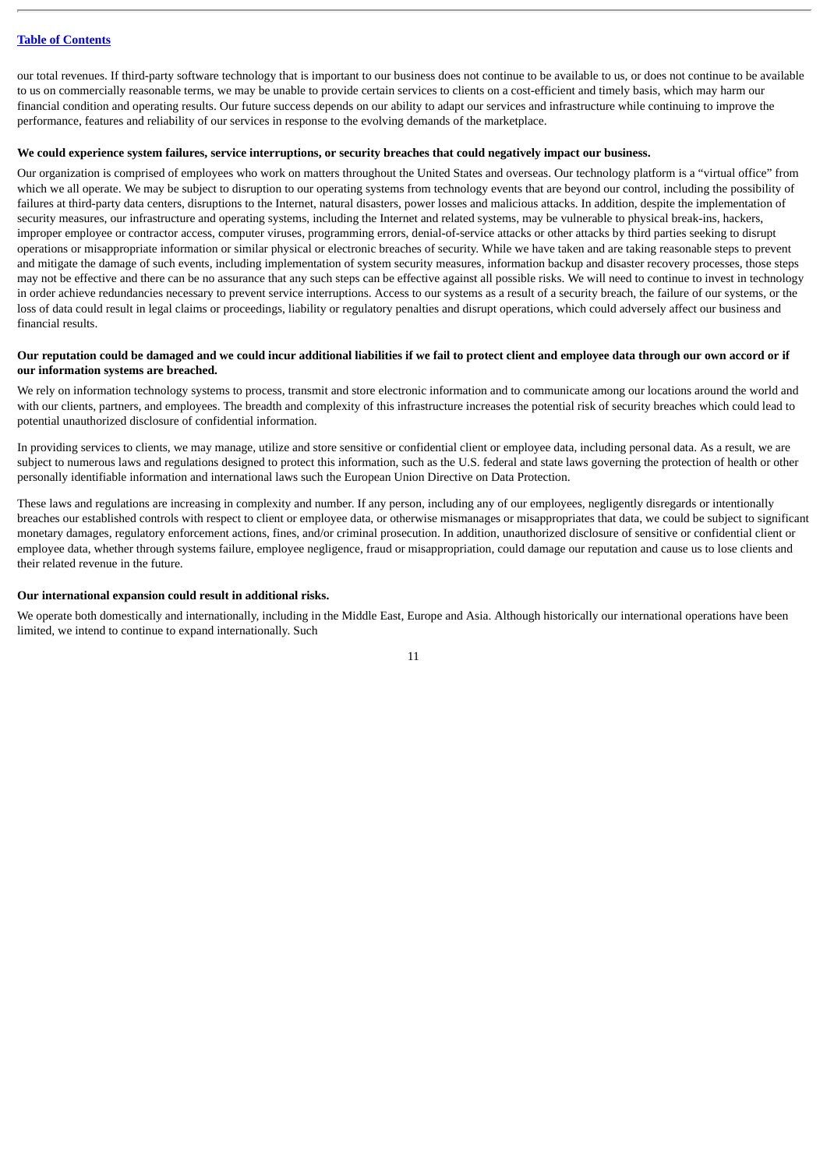our total revenues. If third-party software technology that is important to our business does not continue to be available to us, or does not continue to be available to us on commercially reasonable terms, we may be unable to provide certain services to clients on a cost-efficient and timely basis, which may harm our financial condition and operating results. Our future success depends on our ability to adapt our services and infrastructure while continuing to improve the performance, features and reliability of our services in response to the evolving demands of the marketplace.

#### **We could experience system failures, service interruptions, or security breaches that could negatively impact our business.**

Our organization is comprised of employees who work on matters throughout the United States and overseas. Our technology platform is a "virtual office" from which we all operate. We may be subject to disruption to our operating systems from technology events that are beyond our control, including the possibility of failures at third-party data centers, disruptions to the Internet, natural disasters, power losses and malicious attacks. In addition, despite the implementation of security measures, our infrastructure and operating systems, including the Internet and related systems, may be vulnerable to physical break-ins, hackers, improper employee or contractor access, computer viruses, programming errors, denial-of-service attacks or other attacks by third parties seeking to disrupt operations or misappropriate information or similar physical or electronic breaches of security. While we have taken and are taking reasonable steps to prevent and mitigate the damage of such events, including implementation of system security measures, information backup and disaster recovery processes, those steps may not be effective and there can be no assurance that any such steps can be effective against all possible risks. We will need to continue to invest in technology in order achieve redundancies necessary to prevent service interruptions. Access to our systems as a result of a security breach, the failure of our systems, or the loss of data could result in legal claims or proceedings, liability or regulatory penalties and disrupt operations, which could adversely affect our business and financial results.

#### **Our reputation could be damaged and we could incur additional liabilities if we fail to protect client and employee data through our own accord or if our information systems are breached.**

We rely on information technology systems to process, transmit and store electronic information and to communicate among our locations around the world and with our clients, partners, and employees. The breadth and complexity of this infrastructure increases the potential risk of security breaches which could lead to potential unauthorized disclosure of confidential information.

In providing services to clients, we may manage, utilize and store sensitive or confidential client or employee data, including personal data. As a result, we are subject to numerous laws and regulations designed to protect this information, such as the U.S. federal and state laws governing the protection of health or other personally identifiable information and international laws such the European Union Directive on Data Protection.

These laws and regulations are increasing in complexity and number. If any person, including any of our employees, negligently disregards or intentionally breaches our established controls with respect to client or employee data, or otherwise mismanages or misappropriates that data, we could be subject to significant monetary damages, regulatory enforcement actions, fines, and/or criminal prosecution. In addition, unauthorized disclosure of sensitive or confidential client or employee data, whether through systems failure, employee negligence, fraud or misappropriation, could damage our reputation and cause us to lose clients and their related revenue in the future.

#### **Our international expansion could result in additional risks.**

We operate both domestically and internationally, including in the Middle East, Europe and Asia. Although historically our international operations have been limited, we intend to continue to expand internationally. Such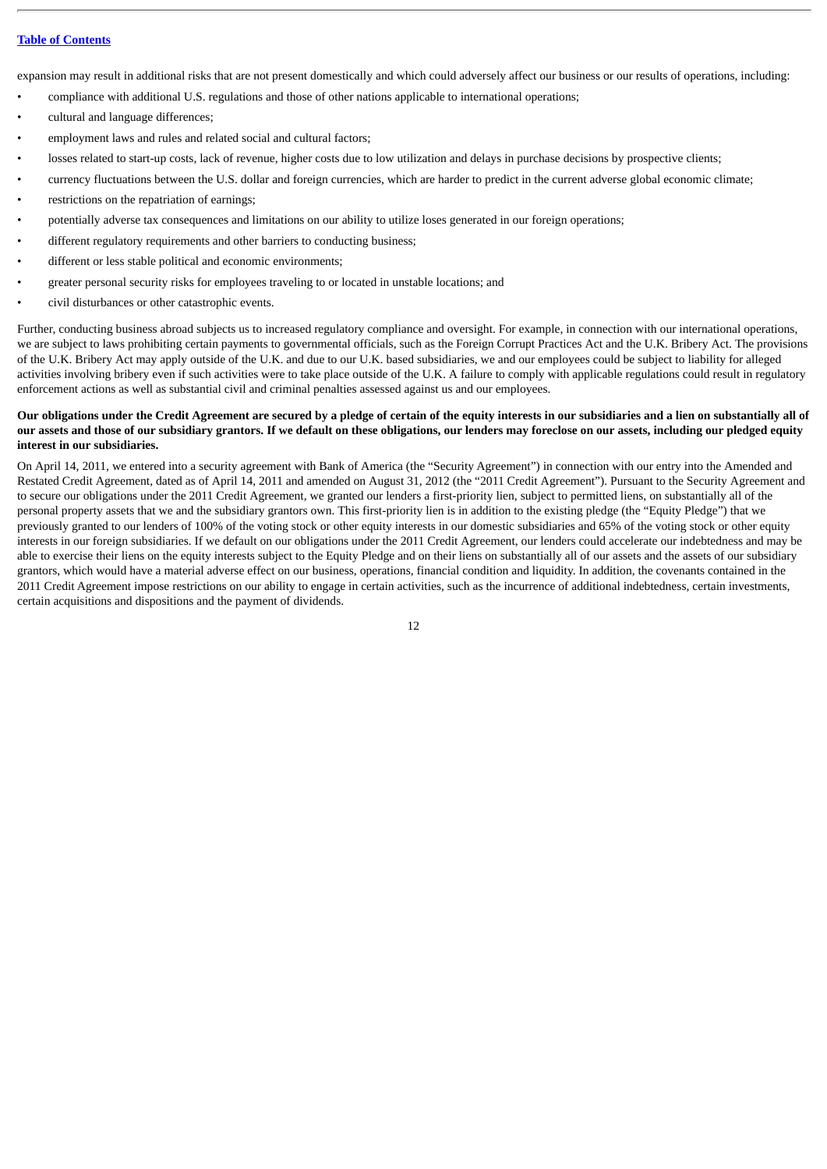expansion may result in additional risks that are not present domestically and which could adversely affect our business or our results of operations, including:

- compliance with additional U.S. regulations and those of other nations applicable to international operations;
- cultural and language differences;
- employment laws and rules and related social and cultural factors:
- losses related to start-up costs, lack of revenue, higher costs due to low utilization and delays in purchase decisions by prospective clients;
- currency fluctuations between the U.S. dollar and foreign currencies, which are harder to predict in the current adverse global economic climate;
- restrictions on the repatriation of earnings;
- potentially adverse tax consequences and limitations on our ability to utilize loses generated in our foreign operations;
- different regulatory requirements and other barriers to conducting business;
- different or less stable political and economic environments;
- greater personal security risks for employees traveling to or located in unstable locations; and
- civil disturbances or other catastrophic events.

Further, conducting business abroad subjects us to increased regulatory compliance and oversight. For example, in connection with our international operations, we are subject to laws prohibiting certain payments to governmental officials, such as the Foreign Corrupt Practices Act and the U.K. Bribery Act. The provisions of the U.K. Bribery Act may apply outside of the U.K. and due to our U.K. based subsidiaries, we and our employees could be subject to liability for alleged activities involving bribery even if such activities were to take place outside of the U.K. A failure to comply with applicable regulations could result in regulatory enforcement actions as well as substantial civil and criminal penalties assessed against us and our employees.

#### **Our obligations under the Credit Agreement are secured by a pledge of certain of the equity interests in our subsidiaries and a lien on substantially all of our assets and those of our subsidiary grantors. If we default on these obligations, our lenders may foreclose on our assets, including our pledged equity interest in our subsidiaries.**

On April 14, 2011, we entered into a security agreement with Bank of America (the "Security Agreement") in connection with our entry into the Amended and Restated Credit Agreement, dated as of April 14, 2011 and amended on August 31, 2012 (the "2011 Credit Agreement"). Pursuant to the Security Agreement and to secure our obligations under the 2011 Credit Agreement, we granted our lenders a first-priority lien, subject to permitted liens, on substantially all of the personal property assets that we and the subsidiary grantors own. This first-priority lien is in addition to the existing pledge (the "Equity Pledge") that we previously granted to our lenders of 100% of the voting stock or other equity interests in our domestic subsidiaries and 65% of the voting stock or other equity interests in our foreign subsidiaries. If we default on our obligations under the 2011 Credit Agreement, our lenders could accelerate our indebtedness and may be able to exercise their liens on the equity interests subject to the Equity Pledge and on their liens on substantially all of our assets and the assets of our subsidiary grantors, which would have a material adverse effect on our business, operations, financial condition and liquidity. In addition, the covenants contained in the 2011 Credit Agreement impose restrictions on our ability to engage in certain activities, such as the incurrence of additional indebtedness, certain investments, certain acquisitions and dispositions and the payment of dividends.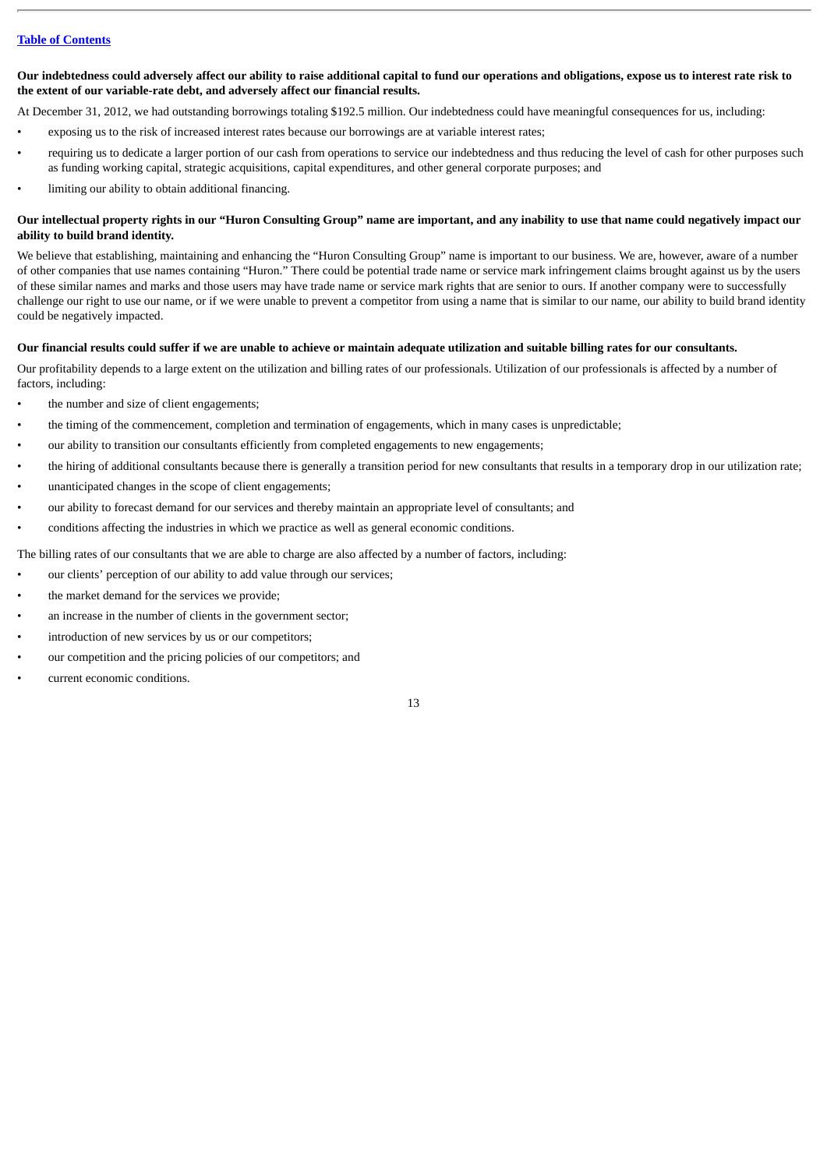#### **Our indebtedness could adversely affect our ability to raise additional capital to fund our operations and obligations, expose us to interest rate risk to the extent of our variable-rate debt, and adversely affect our financial results.**

At December 31, 2012, we had outstanding borrowings totaling \$192.5 million. Our indebtedness could have meaningful consequences for us, including:

- exposing us to the risk of increased interest rates because our borrowings are at variable interest rates;
- requiring us to dedicate a larger portion of our cash from operations to service our indebtedness and thus reducing the level of cash for other purposes such as funding working capital, strategic acquisitions, capital expenditures, and other general corporate purposes; and
- limiting our ability to obtain additional financing.

# **Our intellectual property rights in our "Huron Consulting Group" name are important, and any inability to use that name could negatively impact our ability to build brand identity.**

We believe that establishing, maintaining and enhancing the "Huron Consulting Group" name is important to our business. We are, however, aware of a number of other companies that use names containing "Huron." There could be potential trade name or service mark infringement claims brought against us by the users of these similar names and marks and those users may have trade name or service mark rights that are senior to ours. If another company were to successfully challenge our right to use our name, or if we were unable to prevent a competitor from using a name that is similar to our name, our ability to build brand identity could be negatively impacted.

### **Our financial results could suffer if we are unable to achieve or maintain adequate utilization and suitable billing rates for our consultants.**

Our profitability depends to a large extent on the utilization and billing rates of our professionals. Utilization of our professionals is affected by a number of factors, including:

- the number and size of client engagements;
- the timing of the commencement, completion and termination of engagements, which in many cases is unpredictable;
- our ability to transition our consultants efficiently from completed engagements to new engagements;
- the hiring of additional consultants because there is generally a transition period for new consultants that results in a temporary drop in our utilization rate;
- unanticipated changes in the scope of client engagements;
- our ability to forecast demand for our services and thereby maintain an appropriate level of consultants; and
- conditions affecting the industries in which we practice as well as general economic conditions.

The billing rates of our consultants that we are able to charge are also affected by a number of factors, including:

- our clients' perception of our ability to add value through our services;
- the market demand for the services we provide;
- an increase in the number of clients in the government sector;
- introduction of new services by us or our competitors;
- our competition and the pricing policies of our competitors; and
- current economic conditions.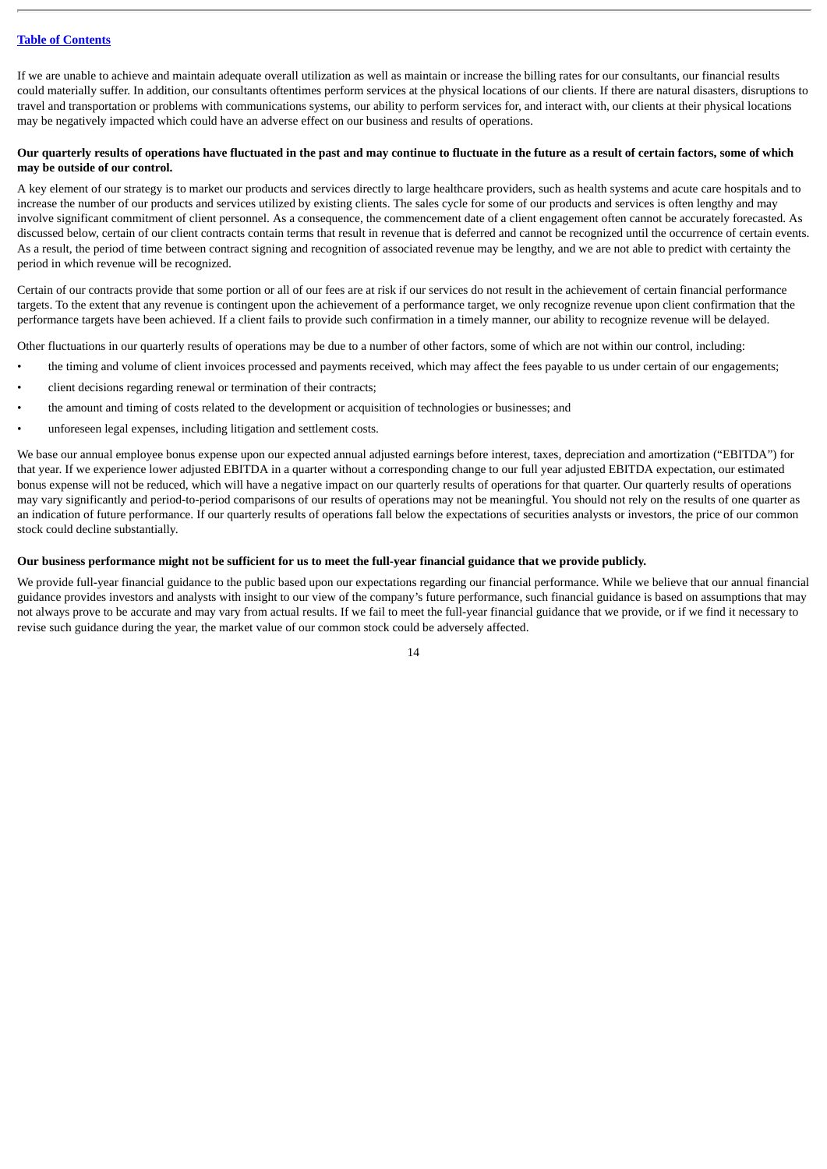If we are unable to achieve and maintain adequate overall utilization as well as maintain or increase the billing rates for our consultants, our financial results could materially suffer. In addition, our consultants oftentimes perform services at the physical locations of our clients. If there are natural disasters, disruptions to travel and transportation or problems with communications systems, our ability to perform services for, and interact with, our clients at their physical locations may be negatively impacted which could have an adverse effect on our business and results of operations.

#### **Our quarterly results of operations have fluctuated in the past and may continue to fluctuate in the future as a result of certain factors, some of which may be outside of our control.**

A key element of our strategy is to market our products and services directly to large healthcare providers, such as health systems and acute care hospitals and to increase the number of our products and services utilized by existing clients. The sales cycle for some of our products and services is often lengthy and may involve significant commitment of client personnel. As a consequence, the commencement date of a client engagement often cannot be accurately forecasted. As discussed below, certain of our client contracts contain terms that result in revenue that is deferred and cannot be recognized until the occurrence of certain events. As a result, the period of time between contract signing and recognition of associated revenue may be lengthy, and we are not able to predict with certainty the period in which revenue will be recognized.

Certain of our contracts provide that some portion or all of our fees are at risk if our services do not result in the achievement of certain financial performance targets. To the extent that any revenue is contingent upon the achievement of a performance target, we only recognize revenue upon client confirmation that the performance targets have been achieved. If a client fails to provide such confirmation in a timely manner, our ability to recognize revenue will be delayed.

Other fluctuations in our quarterly results of operations may be due to a number of other factors, some of which are not within our control, including:

- the timing and volume of client invoices processed and payments received, which may affect the fees payable to us under certain of our engagements;
- client decisions regarding renewal or termination of their contracts;
- the amount and timing of costs related to the development or acquisition of technologies or businesses; and
- unforeseen legal expenses, including litigation and settlement costs.

We base our annual employee bonus expense upon our expected annual adjusted earnings before interest, taxes, depreciation and amortization ("EBITDA") for that year. If we experience lower adjusted EBITDA in a quarter without a corresponding change to our full year adjusted EBITDA expectation, our estimated bonus expense will not be reduced, which will have a negative impact on our quarterly results of operations for that quarter. Our quarterly results of operations may vary significantly and period-to-period comparisons of our results of operations may not be meaningful. You should not rely on the results of one quarter as an indication of future performance. If our quarterly results of operations fall below the expectations of securities analysts or investors, the price of our common stock could decline substantially.

#### **Our business performance might not be sufficient for us to meet the full-year financial guidance that we provide publicly.**

We provide full-year financial guidance to the public based upon our expectations regarding our financial performance. While we believe that our annual financial guidance provides investors and analysts with insight to our view of the company's future performance, such financial guidance is based on assumptions that may not always prove to be accurate and may vary from actual results. If we fail to meet the full-year financial guidance that we provide, or if we find it necessary to revise such guidance during the year, the market value of our common stock could be adversely affected.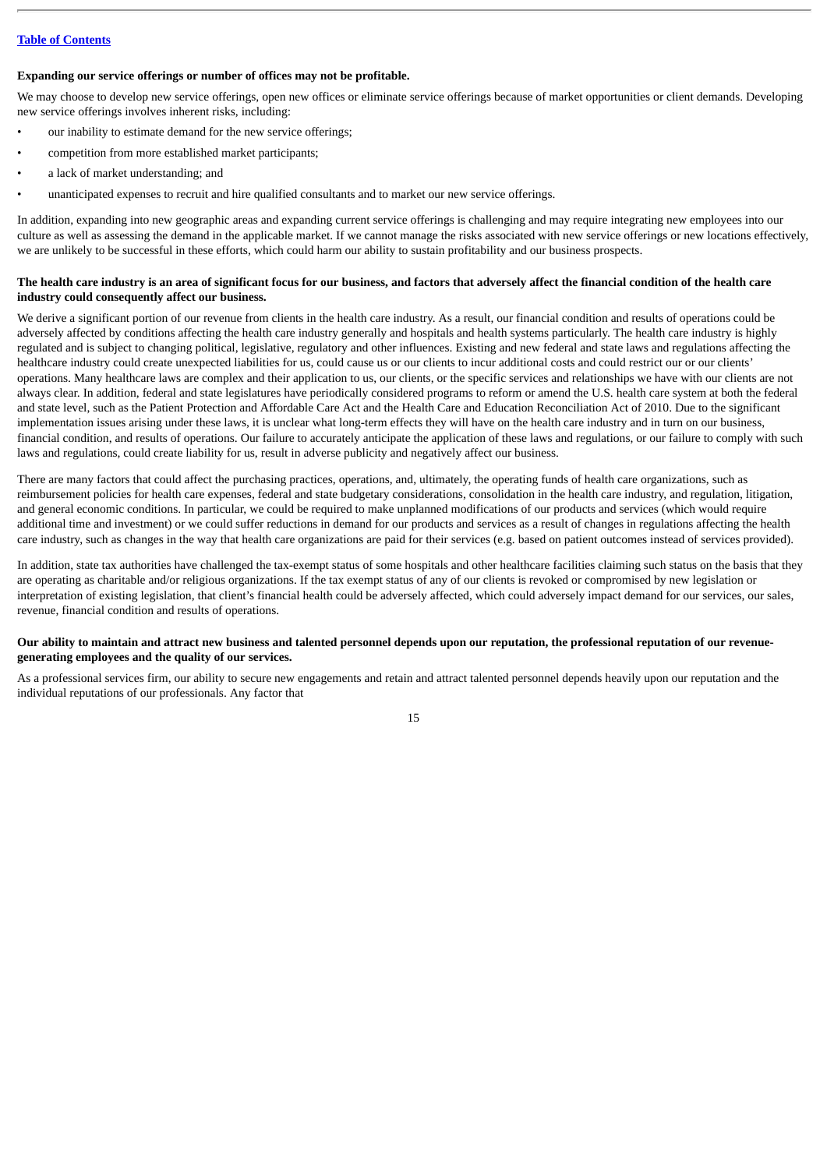#### **Expanding our service offerings or number of offices may not be profitable.**

We may choose to develop new service offerings, open new offices or eliminate service offerings because of market opportunities or client demands. Developing new service offerings involves inherent risks, including:

- our inability to estimate demand for the new service offerings;
- competition from more established market participants;
- a lack of market understanding; and
- unanticipated expenses to recruit and hire qualified consultants and to market our new service offerings.

In addition, expanding into new geographic areas and expanding current service offerings is challenging and may require integrating new employees into our culture as well as assessing the demand in the applicable market. If we cannot manage the risks associated with new service offerings or new locations effectively, we are unlikely to be successful in these efforts, which could harm our ability to sustain profitability and our business prospects.

#### **The health care industry is an area of significant focus for our business, and factors that adversely affect the financial condition of the health care industry could consequently affect our business.**

We derive a significant portion of our revenue from clients in the health care industry. As a result, our financial condition and results of operations could be adversely affected by conditions affecting the health care industry generally and hospitals and health systems particularly. The health care industry is highly regulated and is subject to changing political, legislative, regulatory and other influences. Existing and new federal and state laws and regulations affecting the healthcare industry could create unexpected liabilities for us, could cause us or our clients to incur additional costs and could restrict our or our clients' operations. Many healthcare laws are complex and their application to us, our clients, or the specific services and relationships we have with our clients are not always clear. In addition, federal and state legislatures have periodically considered programs to reform or amend the U.S. health care system at both the federal and state level, such as the Patient Protection and Affordable Care Act and the Health Care and Education Reconciliation Act of 2010. Due to the significant implementation issues arising under these laws, it is unclear what long-term effects they will have on the health care industry and in turn on our business, financial condition, and results of operations. Our failure to accurately anticipate the application of these laws and regulations, or our failure to comply with such laws and regulations, could create liability for us, result in adverse publicity and negatively affect our business.

There are many factors that could affect the purchasing practices, operations, and, ultimately, the operating funds of health care organizations, such as reimbursement policies for health care expenses, federal and state budgetary considerations, consolidation in the health care industry, and regulation, litigation, and general economic conditions. In particular, we could be required to make unplanned modifications of our products and services (which would require additional time and investment) or we could suffer reductions in demand for our products and services as a result of changes in regulations affecting the health care industry, such as changes in the way that health care organizations are paid for their services (e.g. based on patient outcomes instead of services provided).

In addition, state tax authorities have challenged the tax-exempt status of some hospitals and other healthcare facilities claiming such status on the basis that they are operating as charitable and/or religious organizations. If the tax exempt status of any of our clients is revoked or compromised by new legislation or interpretation of existing legislation, that client's financial health could be adversely affected, which could adversely impact demand for our services, our sales, revenue, financial condition and results of operations.

#### **Our ability to maintain and attract new business and talented personnel depends upon our reputation, the professional reputation of our revenuegenerating employees and the quality of our services.**

As a professional services firm, our ability to secure new engagements and retain and attract talented personnel depends heavily upon our reputation and the individual reputations of our professionals. Any factor that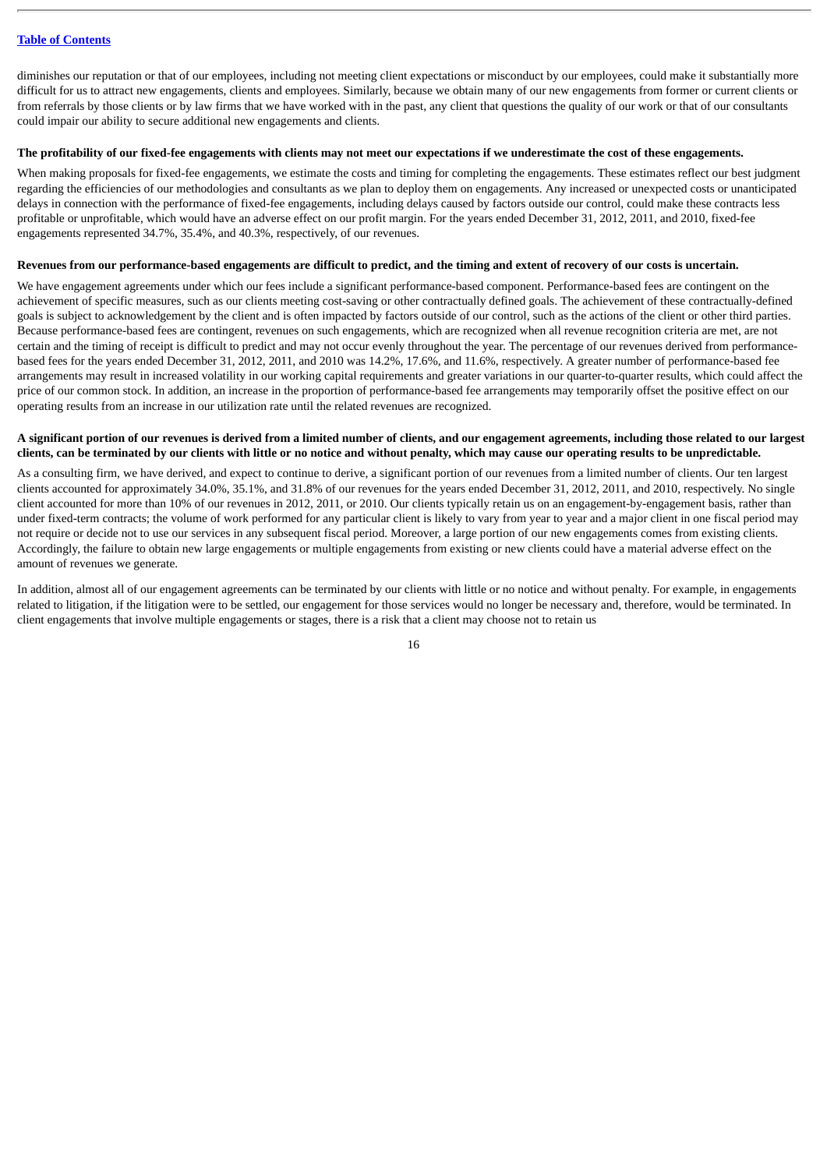diminishes our reputation or that of our employees, including not meeting client expectations or misconduct by our employees, could make it substantially more difficult for us to attract new engagements, clients and employees. Similarly, because we obtain many of our new engagements from former or current clients or from referrals by those clients or by law firms that we have worked with in the past, any client that questions the quality of our work or that of our consultants could impair our ability to secure additional new engagements and clients.

# **The profitability of our fixed-fee engagements with clients may not meet our expectations if we underestimate the cost of these engagements.**

When making proposals for fixed-fee engagements, we estimate the costs and timing for completing the engagements. These estimates reflect our best judgment regarding the efficiencies of our methodologies and consultants as we plan to deploy them on engagements. Any increased or unexpected costs or unanticipated delays in connection with the performance of fixed-fee engagements, including delays caused by factors outside our control, could make these contracts less profitable or unprofitable, which would have an adverse effect on our profit margin. For the years ended December 31, 2012, 2011, and 2010, fixed-fee engagements represented 34.7%, 35.4%, and 40.3%, respectively, of our revenues.

#### **Revenues from our performance-based engagements are difficult to predict, and the timing and extent of recovery of our costs is uncertain.**

We have engagement agreements under which our fees include a significant performance-based component. Performance-based fees are contingent on the achievement of specific measures, such as our clients meeting cost-saving or other contractually defined goals. The achievement of these contractually-defined goals is subject to acknowledgement by the client and is often impacted by factors outside of our control, such as the actions of the client or other third parties. Because performance-based fees are contingent, revenues on such engagements, which are recognized when all revenue recognition criteria are met, are not certain and the timing of receipt is difficult to predict and may not occur evenly throughout the year. The percentage of our revenues derived from performancebased fees for the years ended December 31, 2012, 2011, and 2010 was 14.2%, 17.6%, and 11.6%, respectively. A greater number of performance-based fee arrangements may result in increased volatility in our working capital requirements and greater variations in our quarter-to-quarter results, which could affect the price of our common stock. In addition, an increase in the proportion of performance-based fee arrangements may temporarily offset the positive effect on our operating results from an increase in our utilization rate until the related revenues are recognized.

#### **A significant portion of our revenues is derived from a limited number of clients, and our engagement agreements, including those related to our largest clients, can be terminated by our clients with little or no notice and without penalty, which may cause our operating results to be unpredictable.**

As a consulting firm, we have derived, and expect to continue to derive, a significant portion of our revenues from a limited number of clients. Our ten largest clients accounted for approximately 34.0%, 35.1%, and 31.8% of our revenues for the years ended December 31, 2012, 2011, and 2010, respectively. No single client accounted for more than 10% of our revenues in 2012, 2011, or 2010. Our clients typically retain us on an engagement-by-engagement basis, rather than under fixed-term contracts; the volume of work performed for any particular client is likely to vary from year to year and a major client in one fiscal period may not require or decide not to use our services in any subsequent fiscal period. Moreover, a large portion of our new engagements comes from existing clients. Accordingly, the failure to obtain new large engagements or multiple engagements from existing or new clients could have a material adverse effect on the amount of revenues we generate.

In addition, almost all of our engagement agreements can be terminated by our clients with little or no notice and without penalty. For example, in engagements related to litigation, if the litigation were to be settled, our engagement for those services would no longer be necessary and, therefore, would be terminated. In client engagements that involve multiple engagements or stages, there is a risk that a client may choose not to retain us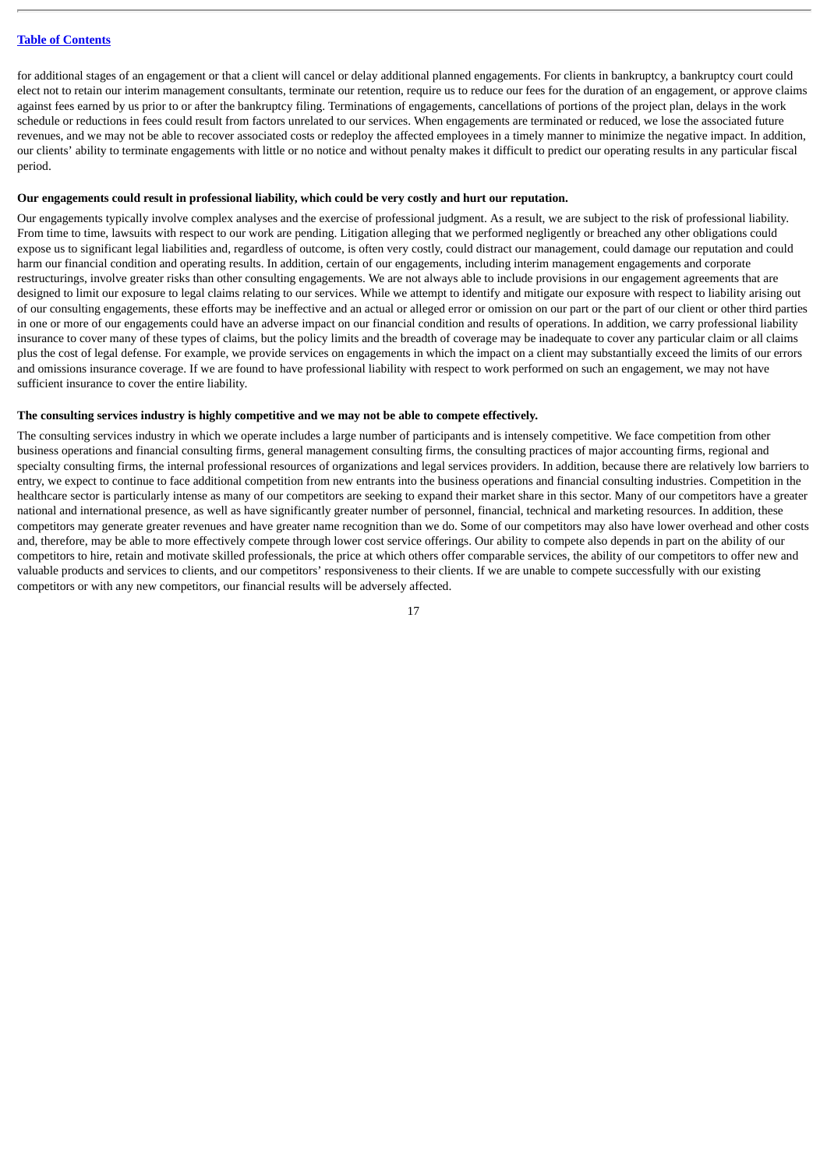for additional stages of an engagement or that a client will cancel or delay additional planned engagements. For clients in bankruptcy, a bankruptcy court could elect not to retain our interim management consultants, terminate our retention, require us to reduce our fees for the duration of an engagement, or approve claims against fees earned by us prior to or after the bankruptcy filing. Terminations of engagements, cancellations of portions of the project plan, delays in the work schedule or reductions in fees could result from factors unrelated to our services. When engagements are terminated or reduced, we lose the associated future revenues, and we may not be able to recover associated costs or redeploy the affected employees in a timely manner to minimize the negative impact. In addition, our clients' ability to terminate engagements with little or no notice and without penalty makes it difficult to predict our operating results in any particular fiscal period.

#### **Our engagements could result in professional liability, which could be very costly and hurt our reputation.**

Our engagements typically involve complex analyses and the exercise of professional judgment. As a result, we are subject to the risk of professional liability. From time to time, lawsuits with respect to our work are pending. Litigation alleging that we performed negligently or breached any other obligations could expose us to significant legal liabilities and, regardless of outcome, is often very costly, could distract our management, could damage our reputation and could harm our financial condition and operating results. In addition, certain of our engagements, including interim management engagements and corporate restructurings, involve greater risks than other consulting engagements. We are not always able to include provisions in our engagement agreements that are designed to limit our exposure to legal claims relating to our services. While we attempt to identify and mitigate our exposure with respect to liability arising out of our consulting engagements, these efforts may be ineffective and an actual or alleged error or omission on our part or the part of our client or other third parties in one or more of our engagements could have an adverse impact on our financial condition and results of operations. In addition, we carry professional liability insurance to cover many of these types of claims, but the policy limits and the breadth of coverage may be inadequate to cover any particular claim or all claims plus the cost of legal defense. For example, we provide services on engagements in which the impact on a client may substantially exceed the limits of our errors and omissions insurance coverage. If we are found to have professional liability with respect to work performed on such an engagement, we may not have sufficient insurance to cover the entire liability.

#### **The consulting services industry is highly competitive and we may not be able to compete effectively.**

The consulting services industry in which we operate includes a large number of participants and is intensely competitive. We face competition from other business operations and financial consulting firms, general management consulting firms, the consulting practices of major accounting firms, regional and specialty consulting firms, the internal professional resources of organizations and legal services providers. In addition, because there are relatively low barriers to entry, we expect to continue to face additional competition from new entrants into the business operations and financial consulting industries. Competition in the healthcare sector is particularly intense as many of our competitors are seeking to expand their market share in this sector. Many of our competitors have a greater national and international presence, as well as have significantly greater number of personnel, financial, technical and marketing resources. In addition, these competitors may generate greater revenues and have greater name recognition than we do. Some of our competitors may also have lower overhead and other costs and, therefore, may be able to more effectively compete through lower cost service offerings. Our ability to compete also depends in part on the ability of our competitors to hire, retain and motivate skilled professionals, the price at which others offer comparable services, the ability of our competitors to offer new and valuable products and services to clients, and our competitors' responsiveness to their clients. If we are unable to compete successfully with our existing competitors or with any new competitors, our financial results will be adversely affected.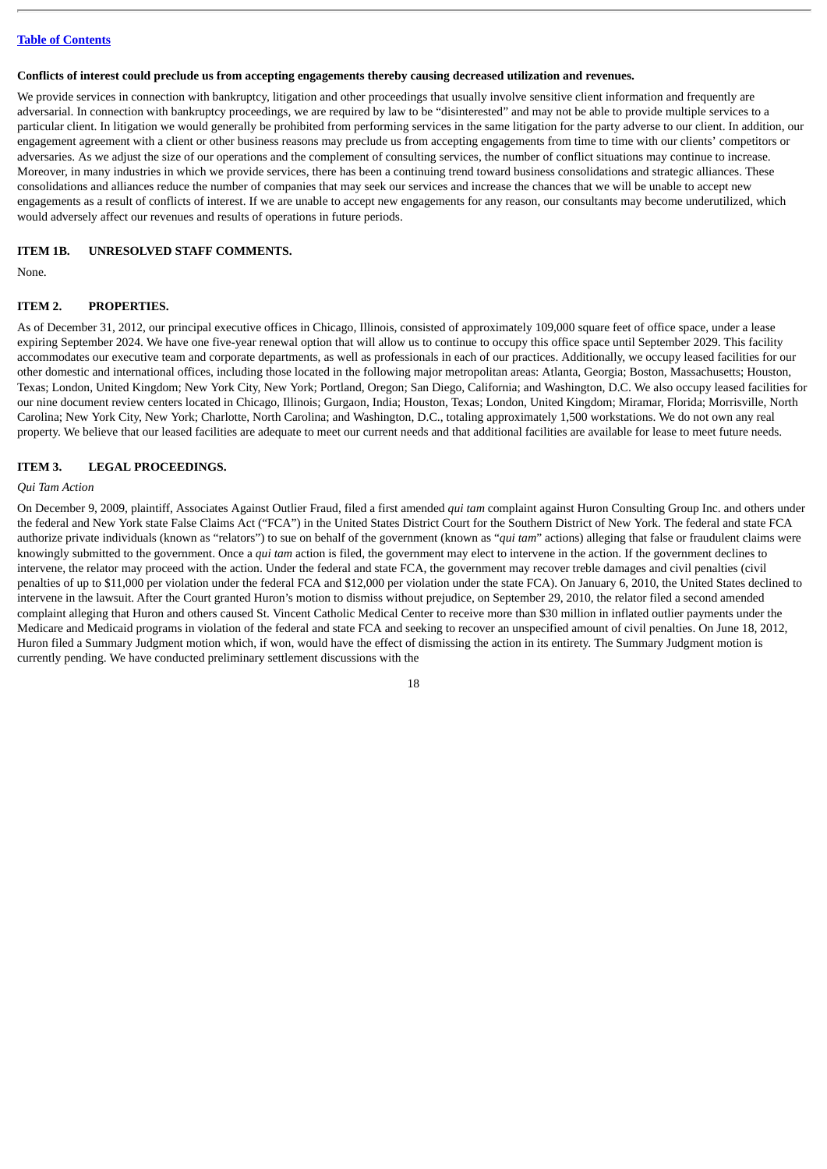#### **Conflicts of interest could preclude us from accepting engagements thereby causing decreased utilization and revenues.**

We provide services in connection with bankruptcy, litigation and other proceedings that usually involve sensitive client information and frequently are adversarial. In connection with bankruptcy proceedings, we are required by law to be "disinterested" and may not be able to provide multiple services to a particular client. In litigation we would generally be prohibited from performing services in the same litigation for the party adverse to our client. In addition, our engagement agreement with a client or other business reasons may preclude us from accepting engagements from time to time with our clients' competitors or adversaries. As we adjust the size of our operations and the complement of consulting services, the number of conflict situations may continue to increase. Moreover, in many industries in which we provide services, there has been a continuing trend toward business consolidations and strategic alliances. These consolidations and alliances reduce the number of companies that may seek our services and increase the chances that we will be unable to accept new engagements as a result of conflicts of interest. If we are unable to accept new engagements for any reason, our consultants may become underutilized, which would adversely affect our revenues and results of operations in future periods.

# <span id="page-19-0"></span>**ITEM 1B. UNRESOLVED STAFF COMMENTS.**

None.

#### <span id="page-19-1"></span>**ITEM 2. PROPERTIES.**

As of December 31, 2012, our principal executive offices in Chicago, Illinois, consisted of approximately 109,000 square feet of office space, under a lease expiring September 2024. We have one five-year renewal option that will allow us to continue to occupy this office space until September 2029. This facility accommodates our executive team and corporate departments, as well as professionals in each of our practices. Additionally, we occupy leased facilities for our other domestic and international offices, including those located in the following major metropolitan areas: Atlanta, Georgia; Boston, Massachusetts; Houston, Texas; London, United Kingdom; New York City, New York; Portland, Oregon; San Diego, California; and Washington, D.C. We also occupy leased facilities for our nine document review centers located in Chicago, Illinois; Gurgaon, India; Houston, Texas; London, United Kingdom; Miramar, Florida; Morrisville, North Carolina; New York City, New York; Charlotte, North Carolina; and Washington, D.C., totaling approximately 1,500 workstations. We do not own any real property. We believe that our leased facilities are adequate to meet our current needs and that additional facilities are available for lease to meet future needs.

#### <span id="page-19-2"></span>**ITEM 3. LEGAL PROCEEDINGS.**

#### *Qui Tam Action*

On December 9, 2009, plaintiff, Associates Against Outlier Fraud, filed a first amended *qui tam* complaint against Huron Consulting Group Inc. and others under the federal and New York state False Claims Act ("FCA") in the United States District Court for the Southern District of New York. The federal and state FCA authorize private individuals (known as "relators") to sue on behalf of the government (known as "*qui tam*" actions) alleging that false or fraudulent claims were knowingly submitted to the government. Once a *qui tam* action is filed, the government may elect to intervene in the action. If the government declines to intervene, the relator may proceed with the action. Under the federal and state FCA, the government may recover treble damages and civil penalties (civil penalties of up to \$11,000 per violation under the federal FCA and \$12,000 per violation under the state FCA). On January 6, 2010, the United States declined to intervene in the lawsuit. After the Court granted Huron's motion to dismiss without prejudice, on September 29, 2010, the relator filed a second amended complaint alleging that Huron and others caused St. Vincent Catholic Medical Center to receive more than \$30 million in inflated outlier payments under the Medicare and Medicaid programs in violation of the federal and state FCA and seeking to recover an unspecified amount of civil penalties. On June 18, 2012, Huron filed a Summary Judgment motion which, if won, would have the effect of dismissing the action in its entirety. The Summary Judgment motion is currently pending. We have conducted preliminary settlement discussions with the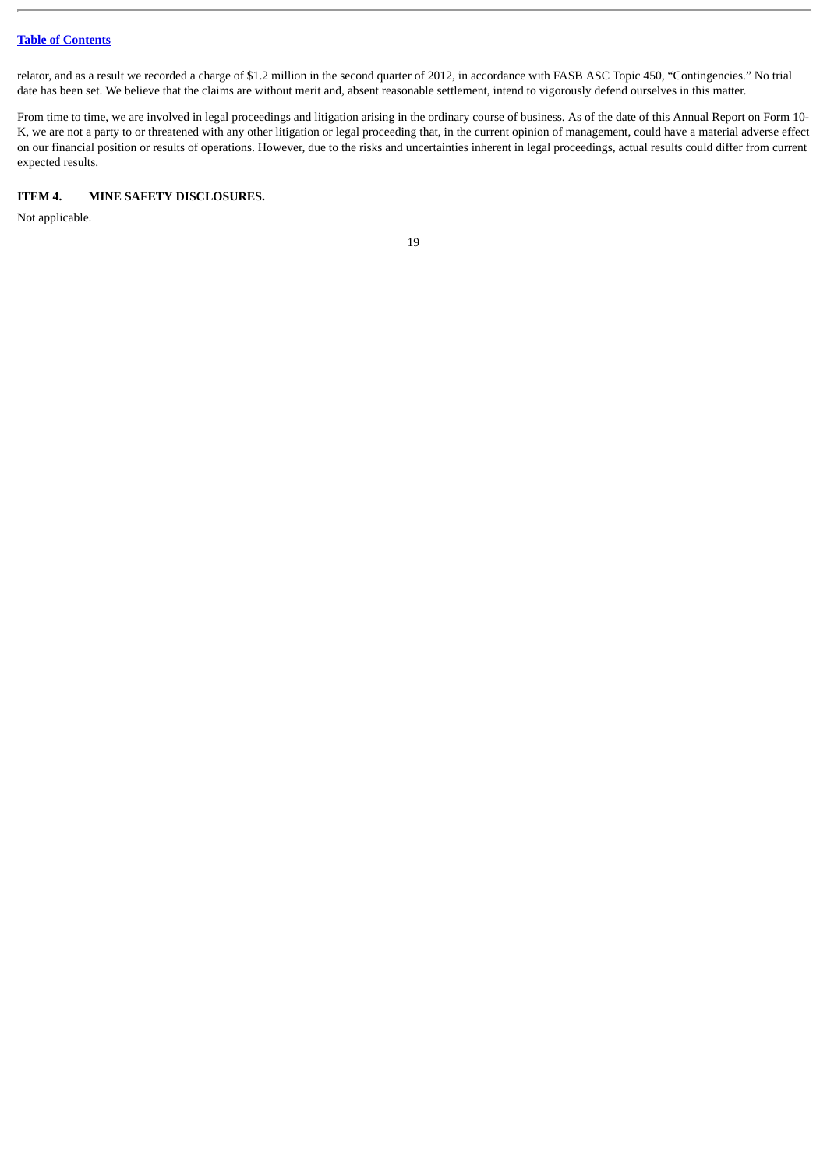relator, and as a result we recorded a charge of \$1.2 million in the second quarter of 2012, in accordance with FASB ASC Topic 450, "Contingencies." No trial date has been set. We believe that the claims are without merit and, absent reasonable settlement, intend to vigorously defend ourselves in this matter.

From time to time, we are involved in legal proceedings and litigation arising in the ordinary course of business. As of the date of this Annual Report on Form 10- K, we are not a party to or threatened with any other litigation or legal proceeding that, in the current opinion of management, could have a material adverse effect on our financial position or results of operations. However, due to the risks and uncertainties inherent in legal proceedings, actual results could differ from current expected results.

# <span id="page-20-0"></span>**ITEM 4. MINE SAFETY DISCLOSURES.**

Not applicable.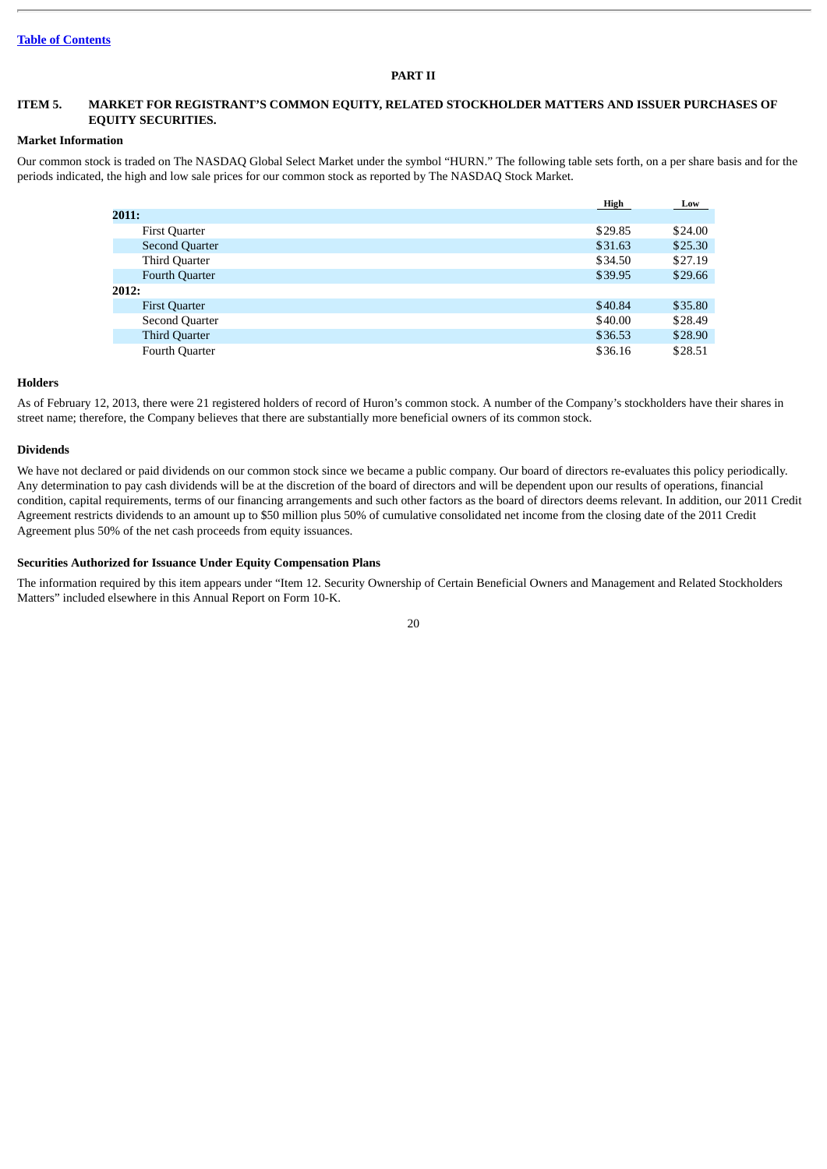# **PART II**

# <span id="page-21-0"></span>**ITEM 5. MARKET FOR REGISTRANT'S COMMON EQUITY, RELATED STOCKHOLDER MATTERS AND ISSUER PURCHASES OF EQUITY SECURITIES.**

#### **Market Information**

Our common stock is traded on The NASDAQ Global Select Market under the symbol "HURN." The following table sets forth, on a per share basis and for the periods indicated, the high and low sale prices for our common stock as reported by The NASDAQ Stock Market.

|                       | High    | Low     |
|-----------------------|---------|---------|
| 2011:                 |         |         |
| <b>First Quarter</b>  | \$29.85 | \$24.00 |
| <b>Second Quarter</b> | \$31.63 | \$25.30 |
| Third Quarter         | \$34.50 | \$27.19 |
| Fourth Quarter        | \$39.95 | \$29.66 |
| 2012:                 |         |         |
| <b>First Quarter</b>  | \$40.84 | \$35.80 |
| Second Quarter        | \$40.00 | \$28.49 |
| <b>Third Quarter</b>  | \$36.53 | \$28.90 |
| Fourth Quarter        | \$36.16 | \$28.51 |

# **Holders**

As of February 12, 2013, there were 21 registered holders of record of Huron's common stock. A number of the Company's stockholders have their shares in street name; therefore, the Company believes that there are substantially more beneficial owners of its common stock.

# **Dividends**

We have not declared or paid dividends on our common stock since we became a public company. Our board of directors re-evaluates this policy periodically. Any determination to pay cash dividends will be at the discretion of the board of directors and will be dependent upon our results of operations, financial condition, capital requirements, terms of our financing arrangements and such other factors as the board of directors deems relevant. In addition, our 2011 Credit Agreement restricts dividends to an amount up to \$50 million plus 50% of cumulative consolidated net income from the closing date of the 2011 Credit Agreement plus 50% of the net cash proceeds from equity issuances.

#### **Securities Authorized for Issuance Under Equity Compensation Plans**

The information required by this item appears under "Item 12. Security Ownership of Certain Beneficial Owners and Management and Related Stockholders Matters" included elsewhere in this Annual Report on Form 10-K.

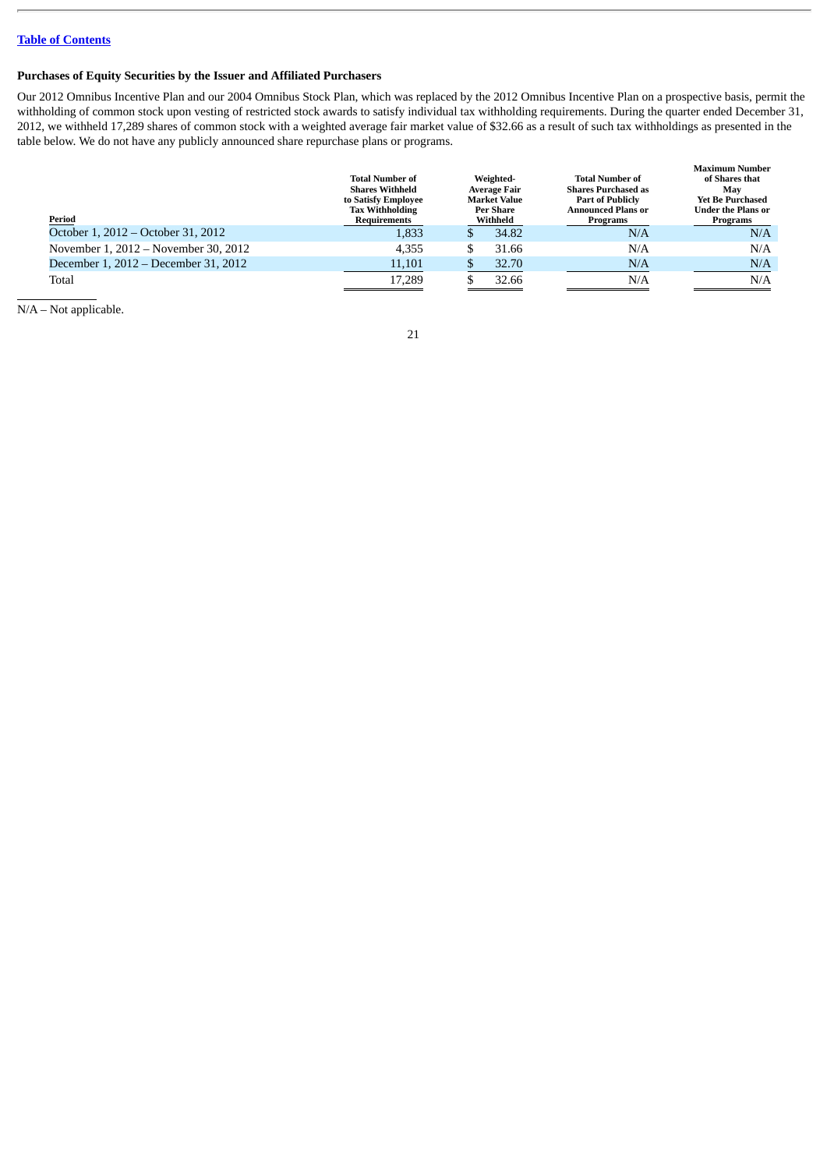#### **Purchases of Equity Securities by the Issuer and Affiliated Purchasers**

Our 2012 Omnibus Incentive Plan and our 2004 Omnibus Stock Plan, which was replaced by the 2012 Omnibus Incentive Plan on a prospective basis, permit the withholding of common stock upon vesting of restricted stock awards to satisfy individual tax withholding requirements. During the quarter ended December 31, 2012, we withheld 17,289 shares of common stock with a weighted average fair market value of \$32.66 as a result of such tax withholdings as presented in the table below. We do not have any publicly announced share repurchase plans or programs.

| <b>Period</b>                        | <b>Total Number of</b><br><b>Shares Withheld</b><br>to Satisfy Employee<br><b>Tax Withholding</b><br>Requirements | Weighted-<br><b>Average Fair</b><br><b>Market Value</b><br>Per Share<br>Withheld | <b>Total Number of</b><br><b>Shares Purchased as</b><br><b>Part of Publicly</b><br><b>Announced Plans or</b><br>Programs | <b>Maximum Number</b><br>of Shares that<br>May<br><b>Yet Be Purchased</b><br><b>Under the Plans or</b><br>Programs |
|--------------------------------------|-------------------------------------------------------------------------------------------------------------------|----------------------------------------------------------------------------------|--------------------------------------------------------------------------------------------------------------------------|--------------------------------------------------------------------------------------------------------------------|
| October 1, 2012 – October 31, 2012   | 1,833                                                                                                             | 34.82                                                                            | N/A                                                                                                                      | N/A                                                                                                                |
| November 1, 2012 – November 30, 2012 | 4.355                                                                                                             | 31.66                                                                            | N/A                                                                                                                      | N/A                                                                                                                |
| December 1, 2012 – December 31, 2012 | 11,101                                                                                                            | 32.70                                                                            | N/A                                                                                                                      | N/A                                                                                                                |
| Total                                | 17.289                                                                                                            | 32.66                                                                            | N/A                                                                                                                      | N/A                                                                                                                |

N/A – Not applicable.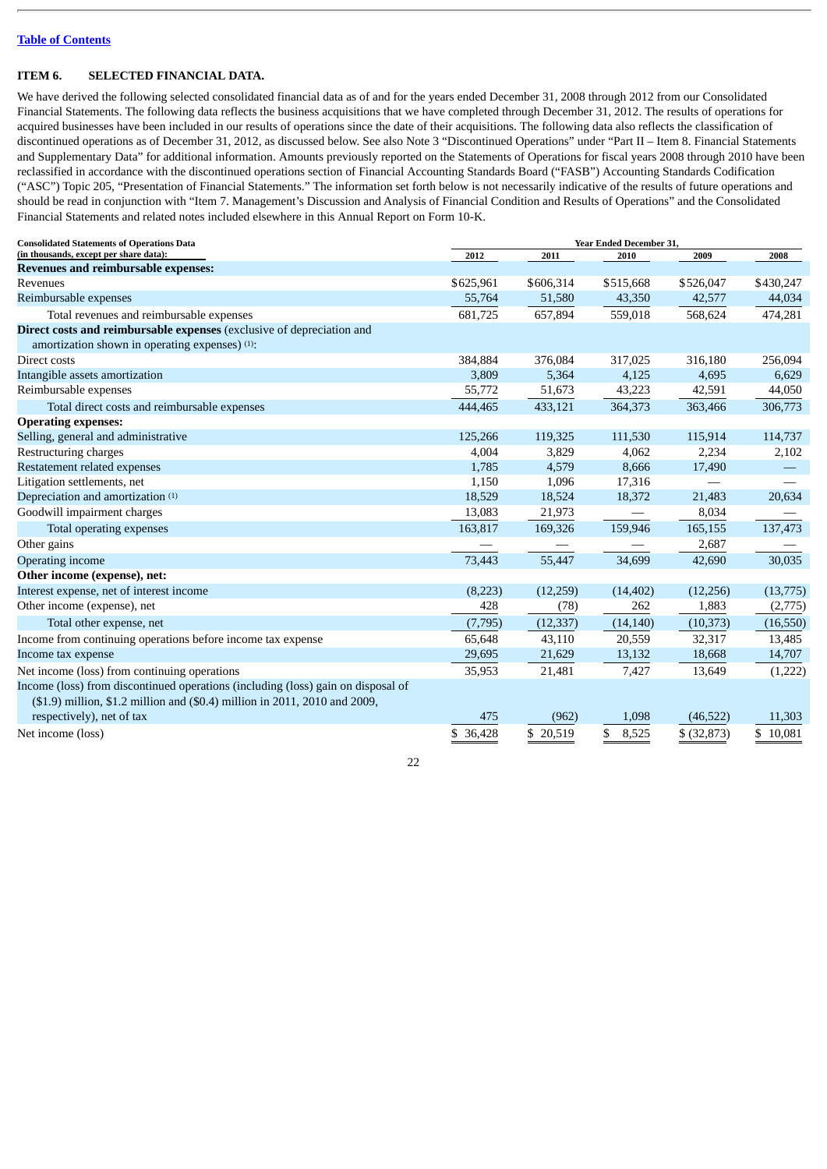# <span id="page-23-0"></span>**ITEM 6. SELECTED FINANCIAL DATA.**

We have derived the following selected consolidated financial data as of and for the years ended December 31, 2008 through 2012 from our Consolidated Financial Statements. The following data reflects the business acquisitions that we have completed through December 31, 2012. The results of operations for acquired businesses have been included in our results of operations since the date of their acquisitions. The following data also reflects the classification of discontinued operations as of December 31, 2012, as discussed below. See also Note 3 "Discontinued Operations" under "Part II – Item 8. Financial Statements and Supplementary Data" for additional information. Amounts previously reported on the Statements of Operations for fiscal years 2008 through 2010 have been reclassified in accordance with the discontinued operations section of Financial Accounting Standards Board ("FASB") Accounting Standards Codification ("ASC") Topic 205, "Presentation of Financial Statements." The information set forth below is not necessarily indicative of the results of future operations and should be read in conjunction with "Item 7. Management's Discussion and Analysis of Financial Condition and Results of Operations" and the Consolidated Financial Statements and related notes included elsewhere in this Annual Report on Form 10-K.

| <b>Consolidated Statements of Operations Data</b>                                                                                                                                           |           | Year Ended December 31, |             |              |           |  |  |  |
|---------------------------------------------------------------------------------------------------------------------------------------------------------------------------------------------|-----------|-------------------------|-------------|--------------|-----------|--|--|--|
| (in thousands, except per share data):                                                                                                                                                      | 2012      | 2011                    | 2010        | 2009         | 2008      |  |  |  |
| <b>Revenues and reimbursable expenses:</b>                                                                                                                                                  |           |                         |             |              |           |  |  |  |
| Revenues                                                                                                                                                                                    | \$625,961 | \$606,314               | \$515,668   | \$526,047    | \$430,247 |  |  |  |
| Reimbursable expenses                                                                                                                                                                       | 55,764    | 51,580                  | 43,350      | 42,577       | 44,034    |  |  |  |
| Total revenues and reimbursable expenses                                                                                                                                                    | 681,725   | 657,894                 | 559,018     | 568,624      | 474,281   |  |  |  |
| Direct costs and reimbursable expenses (exclusive of depreciation and<br>amortization shown in operating expenses) (1):                                                                     |           |                         |             |              |           |  |  |  |
| Direct costs                                                                                                                                                                                | 384,884   | 376,084                 | 317,025     | 316.180      | 256,094   |  |  |  |
| Intangible assets amortization                                                                                                                                                              | 3,809     | 5,364                   | 4,125       | 4,695        | 6,629     |  |  |  |
| Reimbursable expenses                                                                                                                                                                       | 55,772    | 51,673                  | 43,223      | 42,591       | 44,050    |  |  |  |
| Total direct costs and reimbursable expenses                                                                                                                                                | 444,465   | 433,121                 | 364,373     | 363,466      | 306,773   |  |  |  |
| <b>Operating expenses:</b>                                                                                                                                                                  |           |                         |             |              |           |  |  |  |
| Selling, general and administrative                                                                                                                                                         | 125,266   | 119,325                 | 111,530     | 115,914      | 114,737   |  |  |  |
| Restructuring charges                                                                                                                                                                       | 4,004     | 3,829                   | 4,062       | 2,234        | 2,102     |  |  |  |
| Restatement related expenses                                                                                                                                                                | 1,785     | 4,579                   | 8,666       | 17,490       |           |  |  |  |
| Litigation settlements, net                                                                                                                                                                 | 1,150     | 1,096                   | 17,316      |              |           |  |  |  |
| Depreciation and amortization (1)                                                                                                                                                           | 18,529    | 18,524                  | 18,372      | 21,483       | 20,634    |  |  |  |
| Goodwill impairment charges                                                                                                                                                                 | 13,083    | 21,973                  |             | 8,034        |           |  |  |  |
| Total operating expenses                                                                                                                                                                    | 163,817   | 169,326                 | 159,946     | 165,155      | 137,473   |  |  |  |
| Other gains                                                                                                                                                                                 |           |                         |             | 2,687        |           |  |  |  |
| Operating income                                                                                                                                                                            | 73,443    | 55,447                  | 34,699      | 42,690       | 30,035    |  |  |  |
| Other income (expense), net:                                                                                                                                                                |           |                         |             |              |           |  |  |  |
| Interest expense, net of interest income                                                                                                                                                    | (8,223)   | (12, 259)               | (14, 402)   | (12,256)     | (13,775)  |  |  |  |
| Other income (expense), net                                                                                                                                                                 | 428       | (78)                    | 262         | 1,883        | (2,775)   |  |  |  |
| Total other expense, net                                                                                                                                                                    | (7,795)   | (12, 337)               | (14, 140)   | (10, 373)    | (16, 550) |  |  |  |
| Income from continuing operations before income tax expense                                                                                                                                 | 65,648    | 43,110                  | 20,559      | 32,317       | 13,485    |  |  |  |
| Income tax expense                                                                                                                                                                          | 29,695    | 21,629                  | 13,132      | 18,668       | 14,707    |  |  |  |
| Net income (loss) from continuing operations                                                                                                                                                | 35,953    | 21,481                  | 7,427       | 13,649       | (1,222)   |  |  |  |
| Income (loss) from discontinued operations (including (loss) gain on disposal of<br>(\$1.9) million, \$1.2 million and (\$0.4) million in 2011, 2010 and 2009,<br>respectively), net of tax | 475       | (962)                   | 1,098       | (46, 522)    | 11,303    |  |  |  |
|                                                                                                                                                                                             |           |                         |             |              |           |  |  |  |
| Net income (loss)                                                                                                                                                                           | \$ 36,428 | \$ 20,519               | 8,525<br>\$ | \$ (32, 873) | \$10,081  |  |  |  |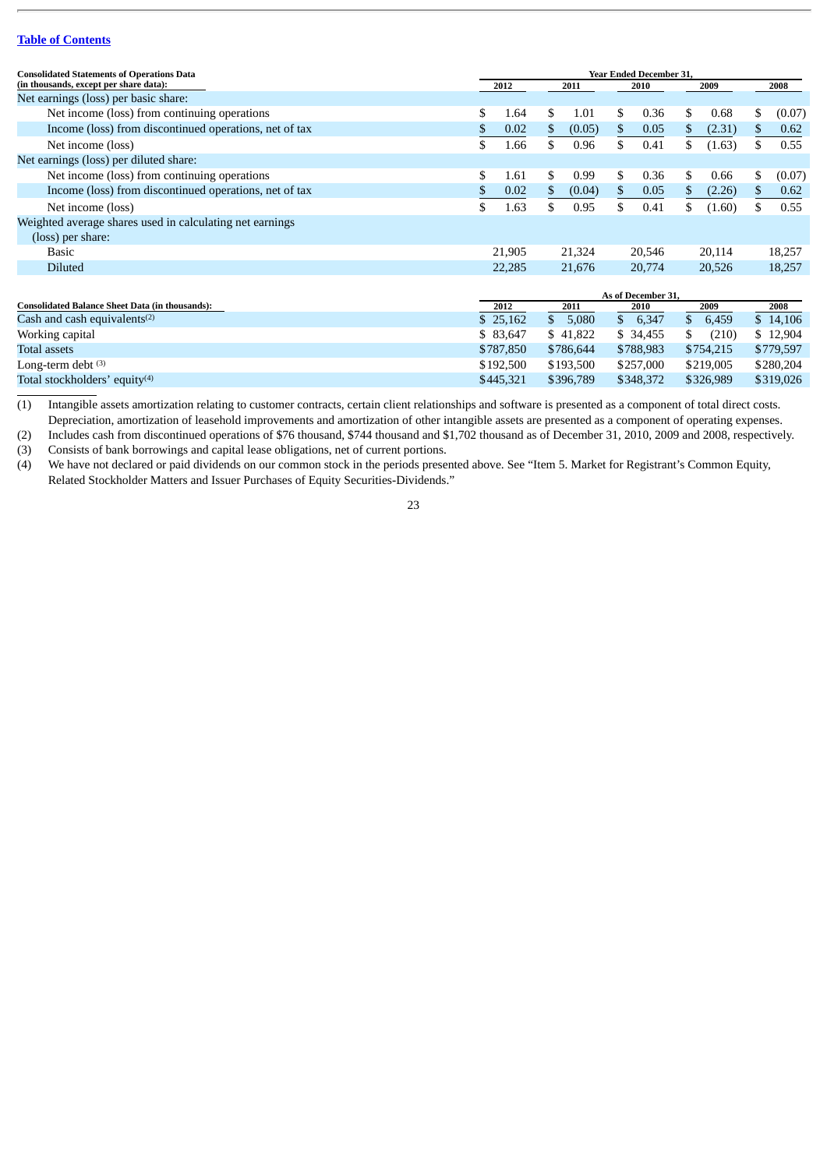| <b>Consolidated Statements of Operations Data</b>        |            |              |           |     | <b>Year Ended December 31,</b> |              |    |           |
|----------------------------------------------------------|------------|--------------|-----------|-----|--------------------------------|--------------|----|-----------|
| (in thousands, except per share data):                   | 2012       |              | 2011      |     | 2010                           | 2009         |    | 2008      |
| Net earnings (loss) per basic share:                     |            |              |           |     |                                |              |    |           |
| Net income (loss) from continuing operations             | \$<br>1.64 | \$           | 1.01      | S   | 0.36                           | \$<br>0.68   | S. | (0.07)    |
| Income (loss) from discontinued operations, net of tax   | \$<br>0.02 | \$           | (0.05)    | \$. | 0.05                           | \$<br>(2.31) | \$ | 0.62      |
| Net income (loss)                                        | \$<br>1.66 | \$           | 0.96      | \$  | 0.41                           | \$<br>(1.63) | \$ | 0.55      |
| Net earnings (loss) per diluted share:                   |            |              |           |     |                                |              |    |           |
| Net income (loss) from continuing operations             | \$<br>1.61 | \$           | 0.99      | \$  | 0.36                           | \$<br>0.66   | \$ | (0.07)    |
| Income (loss) from discontinued operations, net of tax   | \$<br>0.02 | \$           | (0.04)    | \$  | 0.05                           | \$<br>(2.26) | \$ | 0.62      |
| Net income (loss)                                        | \$<br>1.63 | \$           | 0.95      | \$  | 0.41                           | \$<br>(1.60) | \$ | 0.55      |
| Weighted average shares used in calculating net earnings |            |              |           |     |                                |              |    |           |
| (loss) per share:                                        |            |              |           |     |                                |              |    |           |
| Basic                                                    | 21,905     |              | 21,324    |     | 20,546                         | 20,114       |    | 18,257    |
| <b>Diluted</b>                                           | 22,285     |              | 21,676    |     | 20,774                         | 20,526       |    | 18,257    |
|                                                          |            |              |           |     |                                |              |    |           |
|                                                          |            |              |           |     | As of December 31,             |              |    |           |
| <b>Consolidated Balance Sheet Data (in thousands):</b>   | 2012       |              | 2011      |     | 2010                           | 2009         |    | 2008      |
| Cash and cash equivalents <sup>(2)</sup>                 | \$25,162   | $\mathbb{S}$ | 5,080     | \$  | 6,347                          | \$<br>6,459  |    | \$14,106  |
| Working capital                                          | \$ 83,647  |              | \$41,822  |     | \$34,455                       | \$<br>(210)  |    | \$12,904  |
| <b>Total assets</b>                                      | \$787,850  |              | \$786,644 |     | \$788,983                      | \$754,215    |    | \$779,597 |
| Long-term debt $(3)$                                     | \$192,500  |              | \$193,500 |     | \$257,000                      | \$219,005    |    | \$280,204 |
| Total stockholders' equity <sup>(4)</sup>                | \$445,321  |              | \$396,789 |     | \$348,372                      | \$326,989    |    | \$319,026 |

(1) Intangible assets amortization relating to customer contracts, certain client relationships and software is presented as a component of total direct costs. Depreciation, amortization of leasehold improvements and amortization of other intangible assets are presented as a component of operating expenses.

(2) Includes cash from discontinued operations of \$76 thousand, \$744 thousand and \$1,702 thousand as of December 31, 2010, 2009 and 2008, respectively.<br>(3) Consists of bank borrowings and capital lease obligations, net of Consists of bank borrowings and capital lease obligations, net of current portions.

(4) We have not declared or paid dividends on our common stock in the periods presented above. See "Item 5. Market for Registrant's Common Equity, Related Stockholder Matters and Issuer Purchases of Equity Securities-Dividends."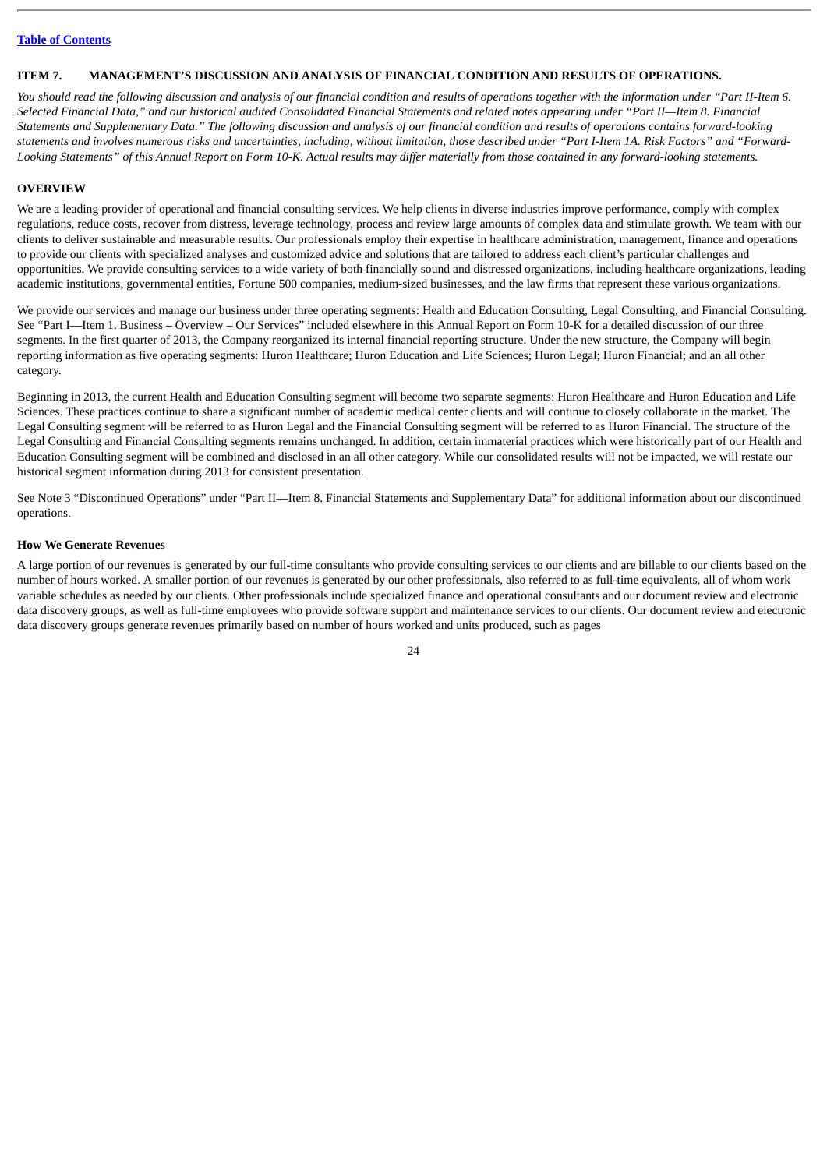#### <span id="page-25-0"></span>**ITEM 7. MANAGEMENT'S DISCUSSION AND ANALYSIS OF FINANCIAL CONDITION AND RESULTS OF OPERATIONS.**

*You should read the following discussion and analysis of our financial condition and results of operations together with the information under "Part II-Item 6. Selected Financial Data," and our historical audited Consolidated Financial Statements and related notes appearing under "Part II—Item 8. Financial Statements and Supplementary Data." The following discussion and analysis of our financial condition and results of operations contains forward-looking statements and involves numerous risks and uncertainties, including, without limitation, those described under "Part I-Item 1A. Risk Factors" and "Forward-Looking Statements" of this Annual Report on Form 10-K. Actual results may differ materially from those contained in any forward-looking statements.*

#### **OVERVIEW**

We are a leading provider of operational and financial consulting services. We help clients in diverse industries improve performance, comply with complex regulations, reduce costs, recover from distress, leverage technology, process and review large amounts of complex data and stimulate growth. We team with our clients to deliver sustainable and measurable results. Our professionals employ their expertise in healthcare administration, management, finance and operations to provide our clients with specialized analyses and customized advice and solutions that are tailored to address each client's particular challenges and opportunities. We provide consulting services to a wide variety of both financially sound and distressed organizations, including healthcare organizations, leading academic institutions, governmental entities, Fortune 500 companies, medium-sized businesses, and the law firms that represent these various organizations.

We provide our services and manage our business under three operating segments: Health and Education Consulting, Legal Consulting, and Financial Consulting. See "Part I—Item 1. Business – Overview – Our Services" included elsewhere in this Annual Report on Form 10-K for a detailed discussion of our three segments. In the first quarter of 2013, the Company reorganized its internal financial reporting structure. Under the new structure, the Company will begin reporting information as five operating segments: Huron Healthcare; Huron Education and Life Sciences; Huron Legal; Huron Financial; and an all other category.

Beginning in 2013, the current Health and Education Consulting segment will become two separate segments: Huron Healthcare and Huron Education and Life Sciences. These practices continue to share a significant number of academic medical center clients and will continue to closely collaborate in the market. The Legal Consulting segment will be referred to as Huron Legal and the Financial Consulting segment will be referred to as Huron Financial. The structure of the Legal Consulting and Financial Consulting segments remains unchanged. In addition, certain immaterial practices which were historically part of our Health and Education Consulting segment will be combined and disclosed in an all other category. While our consolidated results will not be impacted, we will restate our historical segment information during 2013 for consistent presentation.

See Note 3 "Discontinued Operations" under "Part II—Item 8. Financial Statements and Supplementary Data" for additional information about our discontinued operations.

#### **How We Generate Revenues**

A large portion of our revenues is generated by our full-time consultants who provide consulting services to our clients and are billable to our clients based on the number of hours worked. A smaller portion of our revenues is generated by our other professionals, also referred to as full-time equivalents, all of whom work variable schedules as needed by our clients. Other professionals include specialized finance and operational consultants and our document review and electronic data discovery groups, as well as full-time employees who provide software support and maintenance services to our clients. Our document review and electronic data discovery groups generate revenues primarily based on number of hours worked and units produced, such as pages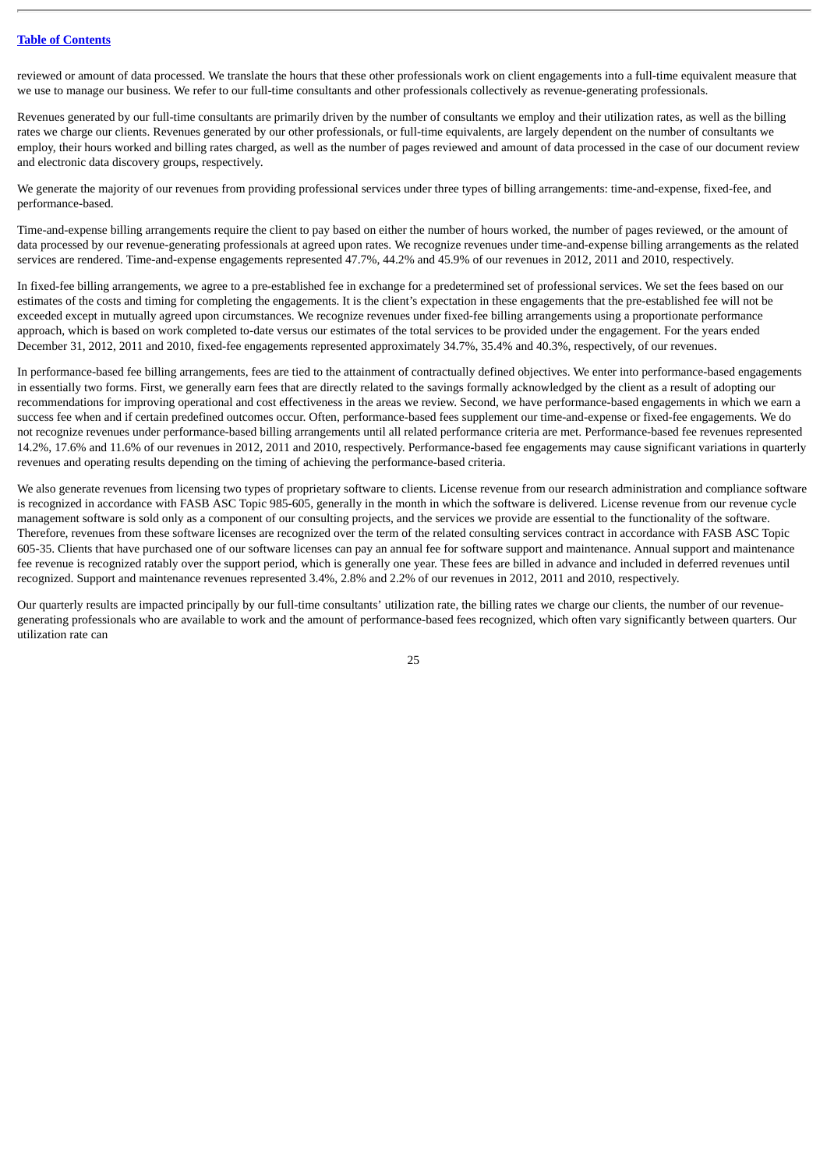reviewed or amount of data processed. We translate the hours that these other professionals work on client engagements into a full-time equivalent measure that we use to manage our business. We refer to our full-time consultants and other professionals collectively as revenue-generating professionals.

Revenues generated by our full-time consultants are primarily driven by the number of consultants we employ and their utilization rates, as well as the billing rates we charge our clients. Revenues generated by our other professionals, or full-time equivalents, are largely dependent on the number of consultants we employ, their hours worked and billing rates charged, as well as the number of pages reviewed and amount of data processed in the case of our document review and electronic data discovery groups, respectively.

We generate the majority of our revenues from providing professional services under three types of billing arrangements: time-and-expense, fixed-fee, and performance-based.

Time-and-expense billing arrangements require the client to pay based on either the number of hours worked, the number of pages reviewed, or the amount of data processed by our revenue-generating professionals at agreed upon rates. We recognize revenues under time-and-expense billing arrangements as the related services are rendered. Time-and-expense engagements represented 47.7%, 44.2% and 45.9% of our revenues in 2012, 2011 and 2010, respectively.

In fixed-fee billing arrangements, we agree to a pre-established fee in exchange for a predetermined set of professional services. We set the fees based on our estimates of the costs and timing for completing the engagements. It is the client's expectation in these engagements that the pre-established fee will not be exceeded except in mutually agreed upon circumstances. We recognize revenues under fixed-fee billing arrangements using a proportionate performance approach, which is based on work completed to-date versus our estimates of the total services to be provided under the engagement. For the years ended December 31, 2012, 2011 and 2010, fixed-fee engagements represented approximately 34.7%, 35.4% and 40.3%, respectively, of our revenues.

In performance-based fee billing arrangements, fees are tied to the attainment of contractually defined objectives. We enter into performance-based engagements in essentially two forms. First, we generally earn fees that are directly related to the savings formally acknowledged by the client as a result of adopting our recommendations for improving operational and cost effectiveness in the areas we review. Second, we have performance-based engagements in which we earn a success fee when and if certain predefined outcomes occur. Often, performance-based fees supplement our time-and-expense or fixed-fee engagements. We do not recognize revenues under performance-based billing arrangements until all related performance criteria are met. Performance-based fee revenues represented 14.2%, 17.6% and 11.6% of our revenues in 2012, 2011 and 2010, respectively. Performance-based fee engagements may cause significant variations in quarterly revenues and operating results depending on the timing of achieving the performance-based criteria.

We also generate revenues from licensing two types of proprietary software to clients. License revenue from our research administration and compliance software is recognized in accordance with FASB ASC Topic 985-605, generally in the month in which the software is delivered. License revenue from our revenue cycle management software is sold only as a component of our consulting projects, and the services we provide are essential to the functionality of the software. Therefore, revenues from these software licenses are recognized over the term of the related consulting services contract in accordance with FASB ASC Topic 605-35. Clients that have purchased one of our software licenses can pay an annual fee for software support and maintenance. Annual support and maintenance fee revenue is recognized ratably over the support period, which is generally one year. These fees are billed in advance and included in deferred revenues until recognized. Support and maintenance revenues represented 3.4%, 2.8% and 2.2% of our revenues in 2012, 2011 and 2010, respectively.

Our quarterly results are impacted principally by our full-time consultants' utilization rate, the billing rates we charge our clients, the number of our revenuegenerating professionals who are available to work and the amount of performance-based fees recognized, which often vary significantly between quarters. Our utilization rate can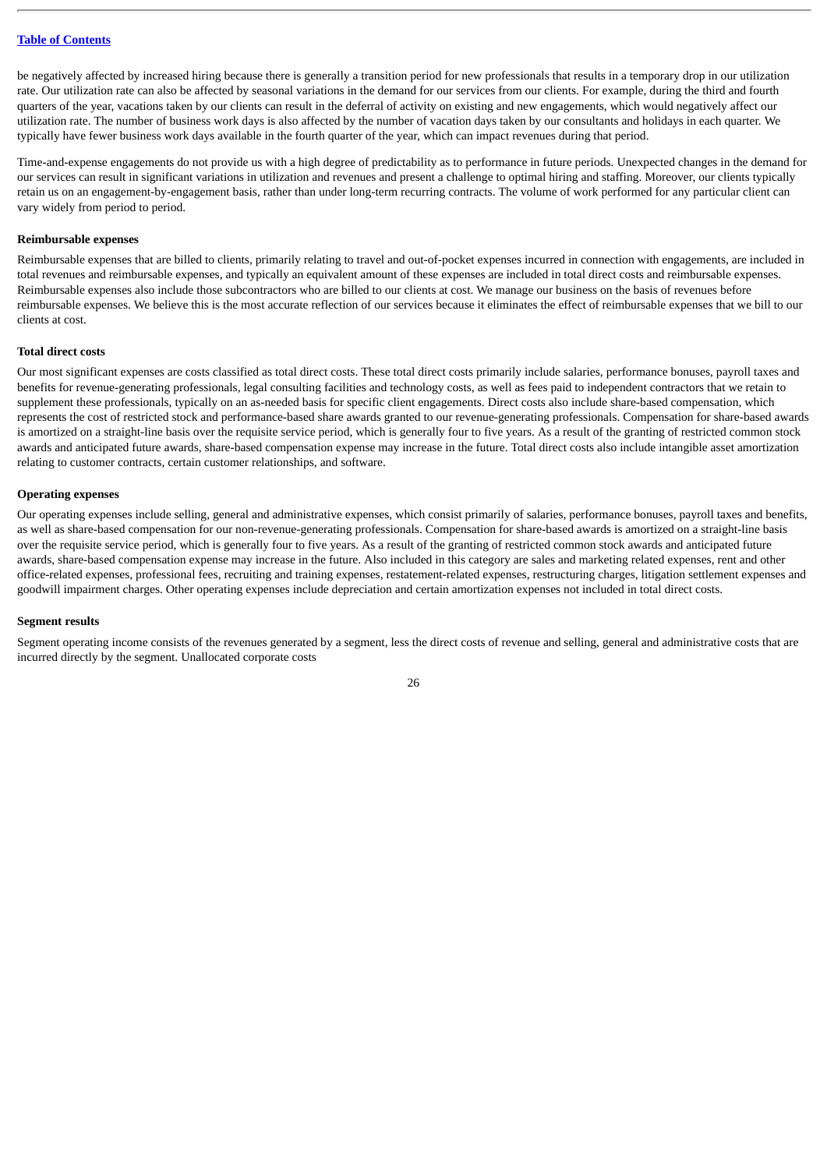be negatively affected by increased hiring because there is generally a transition period for new professionals that results in a temporary drop in our utilization rate. Our utilization rate can also be affected by seasonal variations in the demand for our services from our clients. For example, during the third and fourth quarters of the year, vacations taken by our clients can result in the deferral of activity on existing and new engagements, which would negatively affect our utilization rate. The number of business work days is also affected by the number of vacation days taken by our consultants and holidays in each quarter. We typically have fewer business work days available in the fourth quarter of the year, which can impact revenues during that period.

Time-and-expense engagements do not provide us with a high degree of predictability as to performance in future periods. Unexpected changes in the demand for our services can result in significant variations in utilization and revenues and present a challenge to optimal hiring and staffing. Moreover, our clients typically retain us on an engagement-by-engagement basis, rather than under long-term recurring contracts. The volume of work performed for any particular client can vary widely from period to period.

#### **Reimbursable expenses**

Reimbursable expenses that are billed to clients, primarily relating to travel and out-of-pocket expenses incurred in connection with engagements, are included in total revenues and reimbursable expenses, and typically an equivalent amount of these expenses are included in total direct costs and reimbursable expenses. Reimbursable expenses also include those subcontractors who are billed to our clients at cost. We manage our business on the basis of revenues before reimbursable expenses. We believe this is the most accurate reflection of our services because it eliminates the effect of reimbursable expenses that we bill to our clients at cost.

#### **Total direct costs**

Our most significant expenses are costs classified as total direct costs. These total direct costs primarily include salaries, performance bonuses, payroll taxes and benefits for revenue-generating professionals, legal consulting facilities and technology costs, as well as fees paid to independent contractors that we retain to supplement these professionals, typically on an as-needed basis for specific client engagements. Direct costs also include share-based compensation, which represents the cost of restricted stock and performance-based share awards granted to our revenue-generating professionals. Compensation for share-based awards is amortized on a straight-line basis over the requisite service period, which is generally four to five years. As a result of the granting of restricted common stock awards and anticipated future awards, share-based compensation expense may increase in the future. Total direct costs also include intangible asset amortization relating to customer contracts, certain customer relationships, and software.

#### **Operating expenses**

Our operating expenses include selling, general and administrative expenses, which consist primarily of salaries, performance bonuses, payroll taxes and benefits, as well as share-based compensation for our non-revenue-generating professionals. Compensation for share-based awards is amortized on a straight-line basis over the requisite service period, which is generally four to five years. As a result of the granting of restricted common stock awards and anticipated future awards, share-based compensation expense may increase in the future. Also included in this category are sales and marketing related expenses, rent and other office-related expenses, professional fees, recruiting and training expenses, restatement-related expenses, restructuring charges, litigation settlement expenses and goodwill impairment charges. Other operating expenses include depreciation and certain amortization expenses not included in total direct costs.

#### **Segment results**

Segment operating income consists of the revenues generated by a segment, less the direct costs of revenue and selling, general and administrative costs that are incurred directly by the segment. Unallocated corporate costs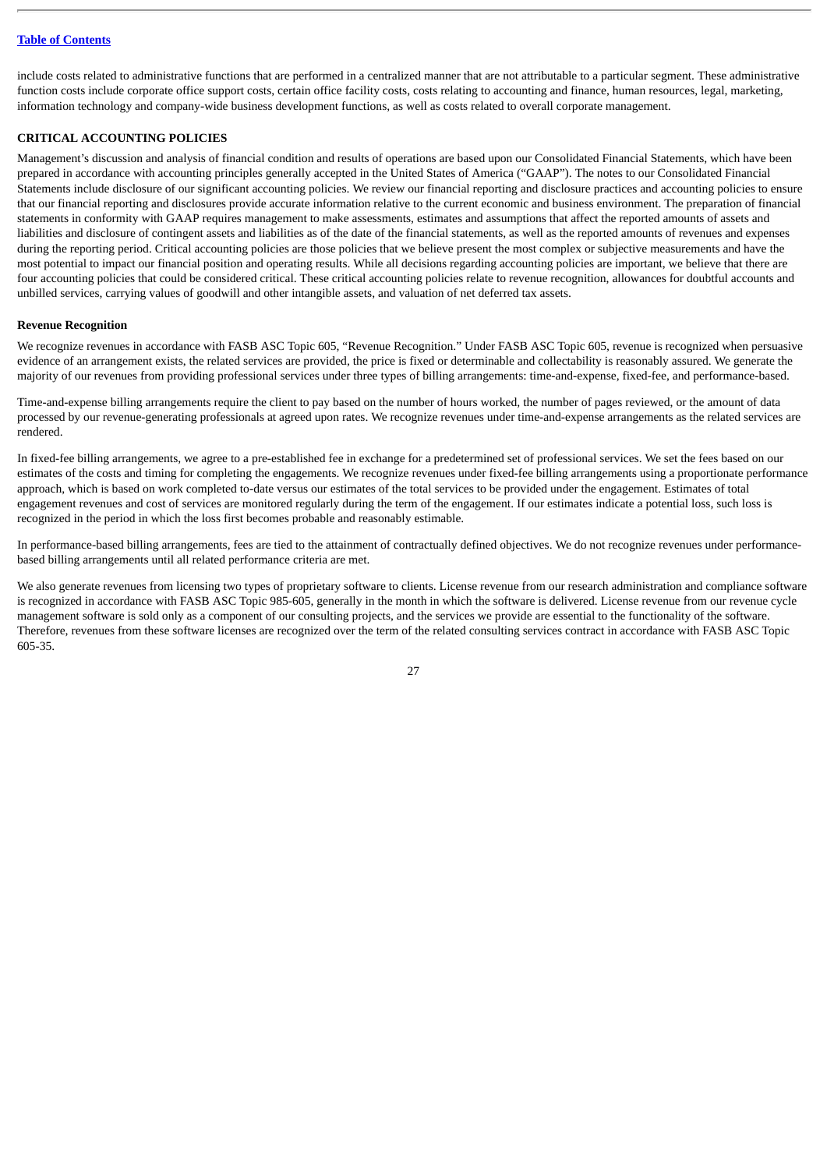include costs related to administrative functions that are performed in a centralized manner that are not attributable to a particular segment. These administrative function costs include corporate office support costs, certain office facility costs, costs relating to accounting and finance, human resources, legal, marketing, information technology and company-wide business development functions, as well as costs related to overall corporate management.

#### **CRITICAL ACCOUNTING POLICIES**

Management's discussion and analysis of financial condition and results of operations are based upon our Consolidated Financial Statements, which have been prepared in accordance with accounting principles generally accepted in the United States of America ("GAAP"). The notes to our Consolidated Financial Statements include disclosure of our significant accounting policies. We review our financial reporting and disclosure practices and accounting policies to ensure that our financial reporting and disclosures provide accurate information relative to the current economic and business environment. The preparation of financial statements in conformity with GAAP requires management to make assessments, estimates and assumptions that affect the reported amounts of assets and liabilities and disclosure of contingent assets and liabilities as of the date of the financial statements, as well as the reported amounts of revenues and expenses during the reporting period. Critical accounting policies are those policies that we believe present the most complex or subjective measurements and have the most potential to impact our financial position and operating results. While all decisions regarding accounting policies are important, we believe that there are four accounting policies that could be considered critical. These critical accounting policies relate to revenue recognition, allowances for doubtful accounts and unbilled services, carrying values of goodwill and other intangible assets, and valuation of net deferred tax assets.

#### **Revenue Recognition**

We recognize revenues in accordance with FASB ASC Topic 605, "Revenue Recognition." Under FASB ASC Topic 605, revenue is recognized when persuasive evidence of an arrangement exists, the related services are provided, the price is fixed or determinable and collectability is reasonably assured. We generate the majority of our revenues from providing professional services under three types of billing arrangements: time-and-expense, fixed-fee, and performance-based.

Time-and-expense billing arrangements require the client to pay based on the number of hours worked, the number of pages reviewed, or the amount of data processed by our revenue-generating professionals at agreed upon rates. We recognize revenues under time-and-expense arrangements as the related services are rendered.

In fixed-fee billing arrangements, we agree to a pre-established fee in exchange for a predetermined set of professional services. We set the fees based on our estimates of the costs and timing for completing the engagements. We recognize revenues under fixed-fee billing arrangements using a proportionate performance approach, which is based on work completed to-date versus our estimates of the total services to be provided under the engagement. Estimates of total engagement revenues and cost of services are monitored regularly during the term of the engagement. If our estimates indicate a potential loss, such loss is recognized in the period in which the loss first becomes probable and reasonably estimable.

In performance-based billing arrangements, fees are tied to the attainment of contractually defined objectives. We do not recognize revenues under performancebased billing arrangements until all related performance criteria are met.

We also generate revenues from licensing two types of proprietary software to clients. License revenue from our research administration and compliance software is recognized in accordance with FASB ASC Topic 985-605, generally in the month in which the software is delivered. License revenue from our revenue cycle management software is sold only as a component of our consulting projects, and the services we provide are essential to the functionality of the software. Therefore, revenues from these software licenses are recognized over the term of the related consulting services contract in accordance with FASB ASC Topic 605-35.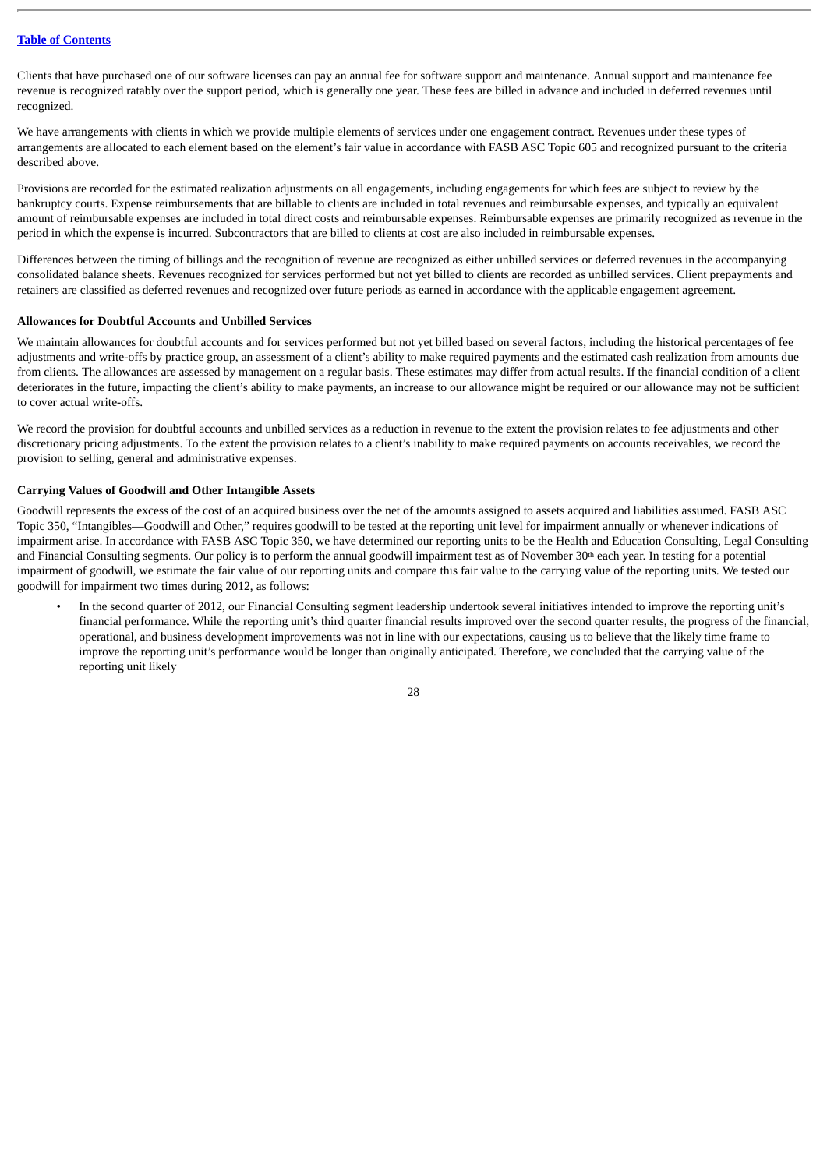Clients that have purchased one of our software licenses can pay an annual fee for software support and maintenance. Annual support and maintenance fee revenue is recognized ratably over the support period, which is generally one year. These fees are billed in advance and included in deferred revenues until recognized.

We have arrangements with clients in which we provide multiple elements of services under one engagement contract. Revenues under these types of arrangements are allocated to each element based on the element's fair value in accordance with FASB ASC Topic 605 and recognized pursuant to the criteria described above.

Provisions are recorded for the estimated realization adjustments on all engagements, including engagements for which fees are subject to review by the bankruptcy courts. Expense reimbursements that are billable to clients are included in total revenues and reimbursable expenses, and typically an equivalent amount of reimbursable expenses are included in total direct costs and reimbursable expenses. Reimbursable expenses are primarily recognized as revenue in the period in which the expense is incurred. Subcontractors that are billed to clients at cost are also included in reimbursable expenses.

Differences between the timing of billings and the recognition of revenue are recognized as either unbilled services or deferred revenues in the accompanying consolidated balance sheets. Revenues recognized for services performed but not yet billed to clients are recorded as unbilled services. Client prepayments and retainers are classified as deferred revenues and recognized over future periods as earned in accordance with the applicable engagement agreement.

#### **Allowances for Doubtful Accounts and Unbilled Services**

We maintain allowances for doubtful accounts and for services performed but not yet billed based on several factors, including the historical percentages of fee adjustments and write-offs by practice group, an assessment of a client's ability to make required payments and the estimated cash realization from amounts due from clients. The allowances are assessed by management on a regular basis. These estimates may differ from actual results. If the financial condition of a client deteriorates in the future, impacting the client's ability to make payments, an increase to our allowance might be required or our allowance may not be sufficient to cover actual write-offs.

We record the provision for doubtful accounts and unbilled services as a reduction in revenue to the extent the provision relates to fee adjustments and other discretionary pricing adjustments. To the extent the provision relates to a client's inability to make required payments on accounts receivables, we record the provision to selling, general and administrative expenses.

#### **Carrying Values of Goodwill and Other Intangible Assets**

Goodwill represents the excess of the cost of an acquired business over the net of the amounts assigned to assets acquired and liabilities assumed. FASB ASC Topic 350, "Intangibles—Goodwill and Other," requires goodwill to be tested at the reporting unit level for impairment annually or whenever indications of impairment arise. In accordance with FASB ASC Topic 350, we have determined our reporting units to be the Health and Education Consulting, Legal Consulting and Financial Consulting segments. Our policy is to perform the annual goodwill impairment test as of November  $30<sup>th</sup>$  each year. In testing for a potential impairment of goodwill, we estimate the fair value of our reporting units and compare this fair value to the carrying value of the reporting units. We tested our goodwill for impairment two times during 2012, as follows:

• In the second quarter of 2012, our Financial Consulting segment leadership undertook several initiatives intended to improve the reporting unit's financial performance. While the reporting unit's third quarter financial results improved over the second quarter results, the progress of the financial, operational, and business development improvements was not in line with our expectations, causing us to believe that the likely time frame to improve the reporting unit's performance would be longer than originally anticipated. Therefore, we concluded that the carrying value of the reporting unit likely

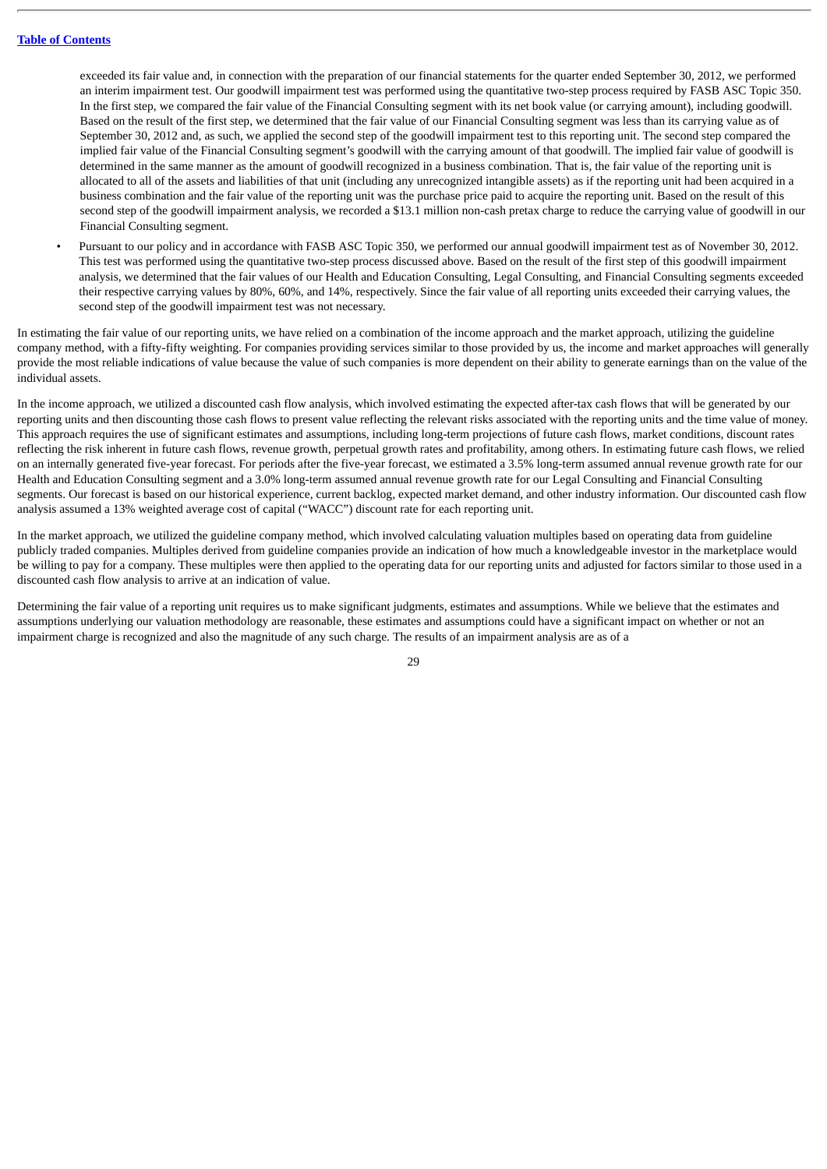exceeded its fair value and, in connection with the preparation of our financial statements for the quarter ended September 30, 2012, we performed an interim impairment test. Our goodwill impairment test was performed using the quantitative two-step process required by FASB ASC Topic 350. In the first step, we compared the fair value of the Financial Consulting segment with its net book value (or carrying amount), including goodwill. Based on the result of the first step, we determined that the fair value of our Financial Consulting segment was less than its carrying value as of September 30, 2012 and, as such, we applied the second step of the goodwill impairment test to this reporting unit. The second step compared the implied fair value of the Financial Consulting segment's goodwill with the carrying amount of that goodwill. The implied fair value of goodwill is determined in the same manner as the amount of goodwill recognized in a business combination. That is, the fair value of the reporting unit is allocated to all of the assets and liabilities of that unit (including any unrecognized intangible assets) as if the reporting unit had been acquired in a business combination and the fair value of the reporting unit was the purchase price paid to acquire the reporting unit. Based on the result of this second step of the goodwill impairment analysis, we recorded a \$13.1 million non-cash pretax charge to reduce the carrying value of goodwill in our Financial Consulting segment.

• Pursuant to our policy and in accordance with FASB ASC Topic 350, we performed our annual goodwill impairment test as of November 30, 2012. This test was performed using the quantitative two-step process discussed above. Based on the result of the first step of this goodwill impairment analysis, we determined that the fair values of our Health and Education Consulting, Legal Consulting, and Financial Consulting segments exceeded their respective carrying values by 80%, 60%, and 14%, respectively. Since the fair value of all reporting units exceeded their carrying values, the second step of the goodwill impairment test was not necessary.

In estimating the fair value of our reporting units, we have relied on a combination of the income approach and the market approach, utilizing the guideline company method, with a fifty-fifty weighting. For companies providing services similar to those provided by us, the income and market approaches will generally provide the most reliable indications of value because the value of such companies is more dependent on their ability to generate earnings than on the value of the individual assets.

In the income approach, we utilized a discounted cash flow analysis, which involved estimating the expected after-tax cash flows that will be generated by our reporting units and then discounting those cash flows to present value reflecting the relevant risks associated with the reporting units and the time value of money. This approach requires the use of significant estimates and assumptions, including long-term projections of future cash flows, market conditions, discount rates reflecting the risk inherent in future cash flows, revenue growth, perpetual growth rates and profitability, among others. In estimating future cash flows, we relied on an internally generated five-year forecast. For periods after the five-year forecast, we estimated a 3.5% long-term assumed annual revenue growth rate for our Health and Education Consulting segment and a 3.0% long-term assumed annual revenue growth rate for our Legal Consulting and Financial Consulting segments. Our forecast is based on our historical experience, current backlog, expected market demand, and other industry information. Our discounted cash flow analysis assumed a 13% weighted average cost of capital ("WACC") discount rate for each reporting unit.

In the market approach, we utilized the guideline company method, which involved calculating valuation multiples based on operating data from guideline publicly traded companies. Multiples derived from guideline companies provide an indication of how much a knowledgeable investor in the marketplace would be willing to pay for a company. These multiples were then applied to the operating data for our reporting units and adjusted for factors similar to those used in a discounted cash flow analysis to arrive at an indication of value.

Determining the fair value of a reporting unit requires us to make significant judgments, estimates and assumptions. While we believe that the estimates and assumptions underlying our valuation methodology are reasonable, these estimates and assumptions could have a significant impact on whether or not an impairment charge is recognized and also the magnitude of any such charge. The results of an impairment analysis are as of a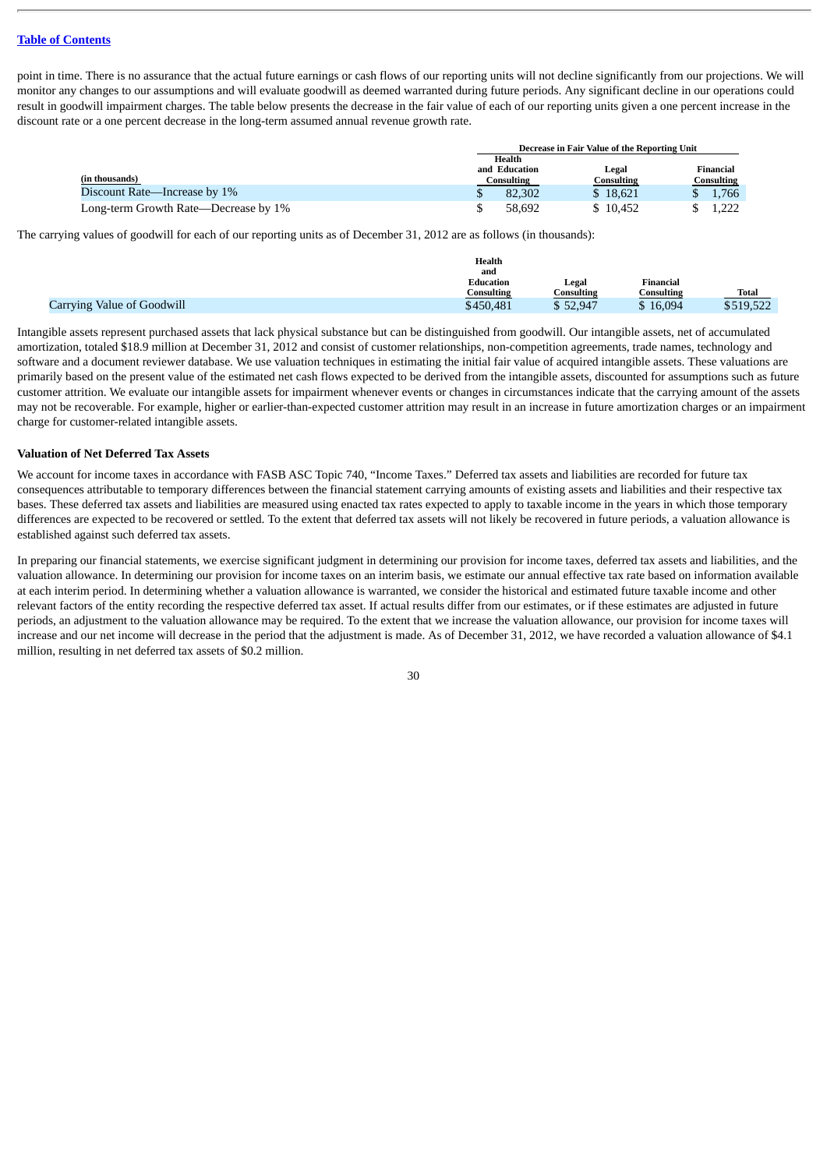point in time. There is no assurance that the actual future earnings or cash flows of our reporting units will not decline significantly from our projections. We will monitor any changes to our assumptions and will evaluate goodwill as deemed warranted during future periods. Any significant decline in our operations could result in goodwill impairment charges. The table below presents the decrease in the fair value of each of our reporting units given a one percent increase in the discount rate or a one percent decrease in the long-term assumed annual revenue growth rate.

|                                      | Decrease in Fair Value of the Reporting Unit |            |                   |  |
|--------------------------------------|----------------------------------------------|------------|-------------------|--|
|                                      | Health                                       |            |                   |  |
|                                      | and Education                                | Legal      | Financial         |  |
| (in thousands)                       | Consulting                                   | Consulting | <b>Consulting</b> |  |
| Discount Rate—Increase by 1%         | 82,302                                       | \$18.621   | 1.766             |  |
| Long-term Growth Rate—Decrease by 1% | 58.692                                       | \$10.452   | L.222             |  |

The carrying values of goodwill for each of our reporting units as of December 31, 2012 are as follows (in thousands):

|                            | Health     |                   |            |              |
|----------------------------|------------|-------------------|------------|--------------|
|                            | and        |                   |            |              |
|                            | Education  | Legal             | Financial  |              |
|                            | Consulting | <b>Consulting</b> | Consulting | <b>Total</b> |
| Carrying Value of Goodwill | \$450,481  | \$52,947          | \$16.094   | \$519,522    |

Intangible assets represent purchased assets that lack physical substance but can be distinguished from goodwill. Our intangible assets, net of accumulated amortization, totaled \$18.9 million at December 31, 2012 and consist of customer relationships, non-competition agreements, trade names, technology and software and a document reviewer database. We use valuation techniques in estimating the initial fair value of acquired intangible assets. These valuations are primarily based on the present value of the estimated net cash flows expected to be derived from the intangible assets, discounted for assumptions such as future customer attrition. We evaluate our intangible assets for impairment whenever events or changes in circumstances indicate that the carrying amount of the assets may not be recoverable. For example, higher or earlier-than-expected customer attrition may result in an increase in future amortization charges or an impairment charge for customer-related intangible assets.

#### **Valuation of Net Deferred Tax Assets**

We account for income taxes in accordance with FASB ASC Topic 740, "Income Taxes." Deferred tax assets and liabilities are recorded for future tax consequences attributable to temporary differences between the financial statement carrying amounts of existing assets and liabilities and their respective tax bases. These deferred tax assets and liabilities are measured using enacted tax rates expected to apply to taxable income in the years in which those temporary differences are expected to be recovered or settled. To the extent that deferred tax assets will not likely be recovered in future periods, a valuation allowance is established against such deferred tax assets.

In preparing our financial statements, we exercise significant judgment in determining our provision for income taxes, deferred tax assets and liabilities, and the valuation allowance. In determining our provision for income taxes on an interim basis, we estimate our annual effective tax rate based on information available at each interim period. In determining whether a valuation allowance is warranted, we consider the historical and estimated future taxable income and other relevant factors of the entity recording the respective deferred tax asset. If actual results differ from our estimates, or if these estimates are adjusted in future periods, an adjustment to the valuation allowance may be required. To the extent that we increase the valuation allowance, our provision for income taxes will increase and our net income will decrease in the period that the adjustment is made. As of December 31, 2012, we have recorded a valuation allowance of \$4.1 million, resulting in net deferred tax assets of \$0.2 million.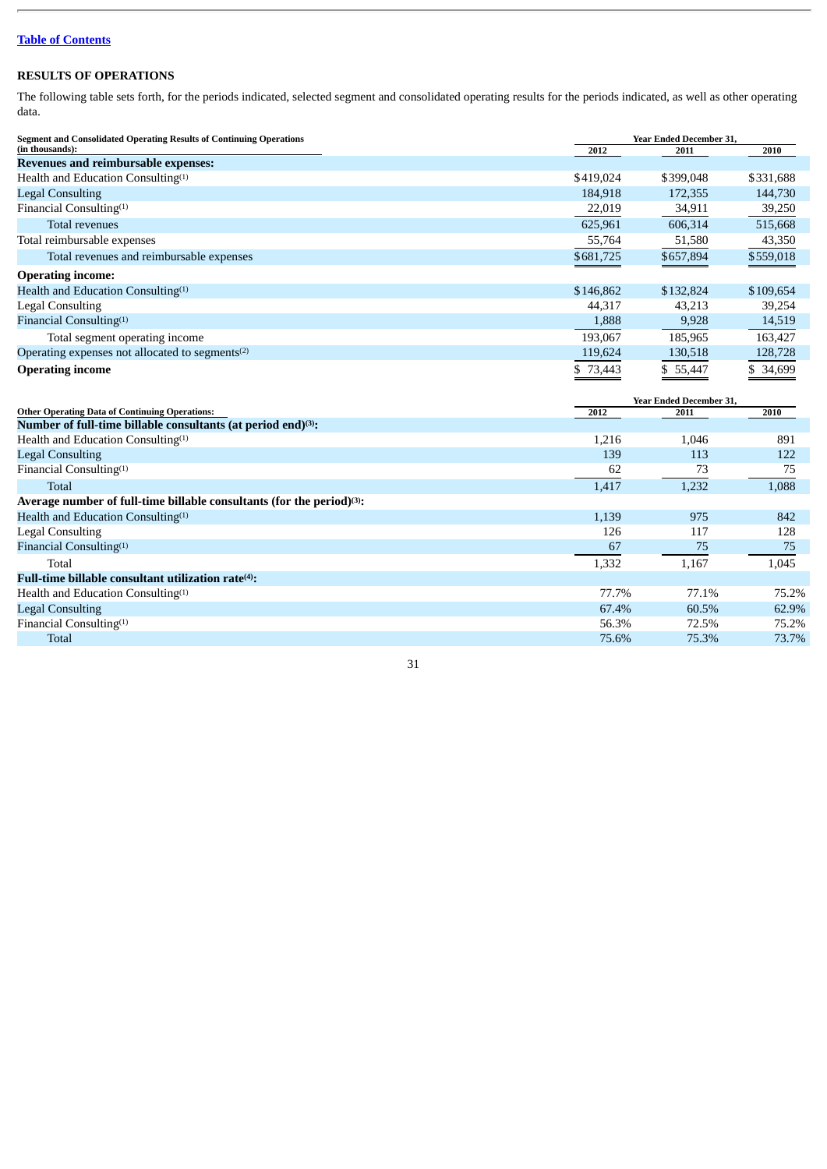# **RESULTS OF OPERATIONS**

The following table sets forth, for the periods indicated, selected segment and consolidated operating results for the periods indicated, as well as other operating data.

| <b>Segment and Consolidated Operating Results of Continuing Operations</b> |           |                                | <b>Year Ended December 31,</b> |
|----------------------------------------------------------------------------|-----------|--------------------------------|--------------------------------|
| (in thousands):                                                            | 2012      | 2011                           | 2010                           |
| <b>Revenues and reimbursable expenses:</b>                                 |           |                                |                                |
| Health and Education Consulting <sup>(1)</sup>                             | \$419,024 | \$399,048                      | \$331,688                      |
| Legal Consulting                                                           | 184,918   | 172,355                        | 144,730                        |
| Financial Consulting <sup>(1)</sup>                                        | 22,019    | 34,911                         | 39,250                         |
| <b>Total revenues</b>                                                      | 625,961   | 606,314                        | 515,668                        |
| Total reimbursable expenses                                                | 55,764    | 51,580                         | 43,350                         |
| Total revenues and reimbursable expenses                                   | \$681,725 | \$657,894                      | \$559,018                      |
| <b>Operating income:</b>                                                   |           |                                |                                |
| Health and Education Consulting <sup>(1)</sup>                             | \$146,862 | \$132,824                      | \$109,654                      |
| Legal Consulting                                                           | 44,317    | 43,213                         | 39,254                         |
| Financial Consulting <sup>(1)</sup>                                        | 1,888     | 9,928                          | 14,519                         |
| Total segment operating income                                             | 193,067   | 185,965                        | 163,427                        |
| Operating expenses not allocated to segments <sup>(2)</sup>                | 119,624   | 130,518                        | 128,728                        |
| <b>Operating income</b>                                                    | \$73,443  | \$55,447                       | \$ 34,699                      |
|                                                                            |           | <b>Year Ended December 31,</b> |                                |
| <b>Other Operating Data of Continuing Operations:</b>                      | 2012      | 2011                           | 2010                           |

| <b>Other Operating Data of Continuing Operations:</b>                              | 2012  | 2011  | 2010  |
|------------------------------------------------------------------------------------|-------|-------|-------|
| Number of full-time billable consultants (at period end) <sup>(3)</sup> :          |       |       |       |
| Health and Education Consulting <sup>(1)</sup>                                     | 1,216 | 1.046 | 891   |
| <b>Legal Consulting</b>                                                            | 139   | 113   | 122   |
| Financial Consulting <sup>(1)</sup>                                                | 62    | 73    | 75    |
| <b>Total</b>                                                                       | 1,417 | 1,232 | 1,088 |
| Average number of full-time billable consultants (for the period) <sup>(3)</sup> : |       |       |       |
| Health and Education Consulting <sup>(1)</sup>                                     | 1,139 | 975   | 842   |
| <b>Legal Consulting</b>                                                            | 126   | 117   | 128   |
| Financial Consulting <sup>(1)</sup>                                                | 67    | 75    | 75    |
| Total                                                                              | 1,332 | 1,167 | 1,045 |
| Full-time billable consultant utilization rate <sup>(4)</sup> :                    |       |       |       |
| Health and Education Consulting <sup>(1)</sup>                                     | 77.7% | 77.1% | 75.2% |
| <b>Legal Consulting</b>                                                            | 67.4% | 60.5% | 62.9% |
| Financial Consulting $(1)$                                                         | 56.3% | 72.5% | 75.2% |
| <b>Total</b>                                                                       | 75.6% | 75.3% | 73.7% |
|                                                                                    |       |       |       |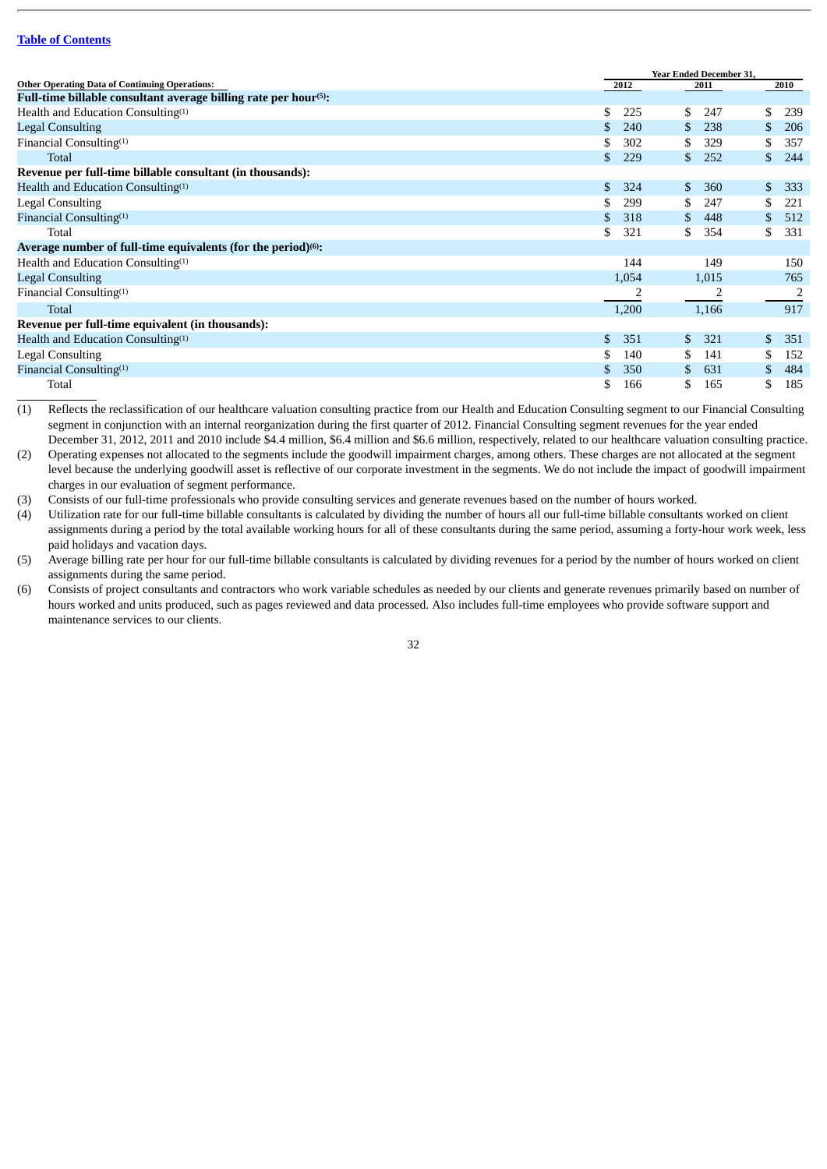|                                                                              |            | <b>Year Ended December 31.</b> |
|------------------------------------------------------------------------------|------------|--------------------------------|
| <b>Other Operating Data of Continuing Operations:</b>                        | 2012       | 2010<br>2011                   |
| Full-time billable consultant average billing rate per hour <sup>(5)</sup> : |            |                                |
| Health and Education Consulting <sup>(1)</sup>                               | \$<br>225  | \$<br>247<br>\$.<br>239        |
| <b>Legal Consulting</b>                                                      | 240        | \$<br>238<br>206<br>\$         |
| Financial Consulting <sup>(1)</sup>                                          | 302        | \$<br>329<br>357<br>\$         |
| Total                                                                        | \$.<br>229 | \$<br>\$<br>252<br>244         |
| Revenue per full-time billable consultant (in thousands):                    |            |                                |
| Health and Education Consulting <sup>(1)</sup>                               | \$.<br>324 | \$<br>360<br>333<br>\$         |
| <b>Legal Consulting</b>                                                      | 299        | \$<br>247<br>221<br>S.         |
| Financial Consulting <sup>(1)</sup>                                          | 318        | \$<br>\$.<br>512<br>448        |
| Total                                                                        | 321        | \$<br>\$.<br>331<br>354        |
| Average number of full-time equivalents (for the period) <sup>(6)</sup> :    |            |                                |
| Health and Education Consulting <sup>(1)</sup>                               | 144        | 149<br>150                     |
| <b>Legal Consulting</b>                                                      | 1,054      | 765<br>1,015                   |
| Financial Consulting <sup>(1)</sup>                                          |            | 2                              |
| <b>Total</b>                                                                 | 1,200      | 917<br>1,166                   |
| Revenue per full-time equivalent (in thousands):                             |            |                                |
| Health and Education Consulting <sup>(1)</sup>                               | \$.<br>351 | \$<br>321<br>\$.<br>351        |
| Legal Consulting                                                             | 140        | 152<br>\$<br>141<br>S.         |
| Financial Consulting <sup>(1)</sup>                                          | 350        | \$<br>631<br>484<br>\$         |
| Total                                                                        | 166        | \$<br>\$<br>185<br>165         |

(1) Reflects the reclassification of our healthcare valuation consulting practice from our Health and Education Consulting segment to our Financial Consulting segment in conjunction with an internal reorganization during the first quarter of 2012. Financial Consulting segment revenues for the year ended December 31, 2012, 2011 and 2010 include \$4.4 million, \$6.4 million and \$6.6 million, respectively, related to our healthcare valuation consulting practice.

(2) Operating expenses not allocated to the segments include the goodwill impairment charges, among others. These charges are not allocated at the segment level because the underlying goodwill asset is reflective of our corporate investment in the segments. We do not include the impact of goodwill impairment charges in our evaluation of segment performance.

(3) Consists of our full-time professionals who provide consulting services and generate revenues based on the number of hours worked.

(4) Utilization rate for our full-time billable consultants is calculated by dividing the number of hours all our full-time billable consultants worked on client assignments during a period by the total available working hours for all of these consultants during the same period, assuming a forty-hour work week, less paid holidays and vacation days.

(5) Average billing rate per hour for our full-time billable consultants is calculated by dividing revenues for a period by the number of hours worked on client assignments during the same period.

(6) Consists of project consultants and contractors who work variable schedules as needed by our clients and generate revenues primarily based on number of hours worked and units produced, such as pages reviewed and data processed. Also includes full-time employees who provide software support and maintenance services to our clients.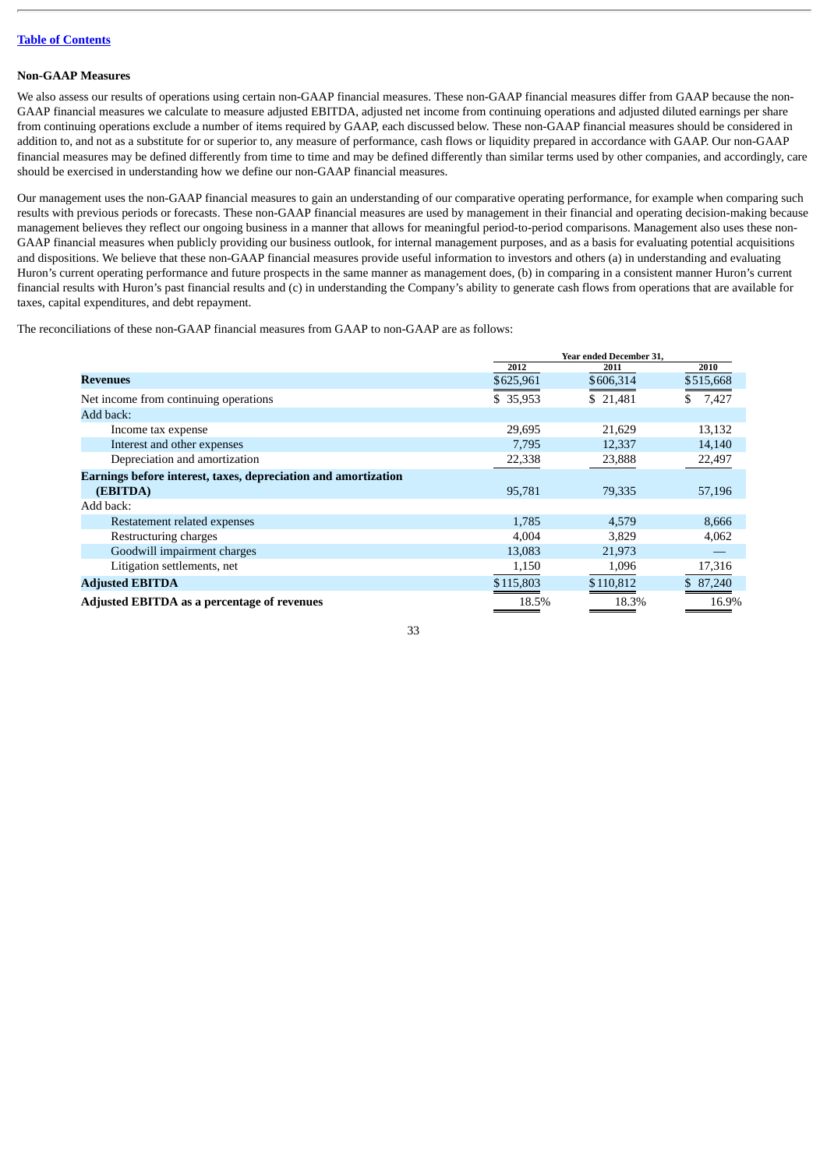#### **Non-GAAP Measures**

We also assess our results of operations using certain non-GAAP financial measures. These non-GAAP financial measures differ from GAAP because the non-GAAP financial measures we calculate to measure adjusted EBITDA, adjusted net income from continuing operations and adjusted diluted earnings per share from continuing operations exclude a number of items required by GAAP, each discussed below. These non-GAAP financial measures should be considered in addition to, and not as a substitute for or superior to, any measure of performance, cash flows or liquidity prepared in accordance with GAAP. Our non-GAAP financial measures may be defined differently from time to time and may be defined differently than similar terms used by other companies, and accordingly, care should be exercised in understanding how we define our non-GAAP financial measures.

Our management uses the non-GAAP financial measures to gain an understanding of our comparative operating performance, for example when comparing such results with previous periods or forecasts. These non-GAAP financial measures are used by management in their financial and operating decision-making because management believes they reflect our ongoing business in a manner that allows for meaningful period-to-period comparisons. Management also uses these non-GAAP financial measures when publicly providing our business outlook, for internal management purposes, and as a basis for evaluating potential acquisitions and dispositions. We believe that these non-GAAP financial measures provide useful information to investors and others (a) in understanding and evaluating Huron's current operating performance and future prospects in the same manner as management does, (b) in comparing in a consistent manner Huron's current financial results with Huron's past financial results and (c) in understanding the Company's ability to generate cash flows from operations that are available for taxes, capital expenditures, and debt repayment.

The reconciliations of these non-GAAP financial measures from GAAP to non-GAAP are as follows:

|                                                                |           | Year ended December 31, |           |  |  |
|----------------------------------------------------------------|-----------|-------------------------|-----------|--|--|
|                                                                | 2012      | 2011                    | 2010      |  |  |
| <b>Revenues</b>                                                | \$625,961 | \$606,314               | \$515,668 |  |  |
| Net income from continuing operations                          | \$ 35,953 | \$ 21,481               | 7,427     |  |  |
| Add back:                                                      |           |                         |           |  |  |
| Income tax expense                                             | 29,695    | 21,629                  | 13,132    |  |  |
| Interest and other expenses                                    | 7,795     | 12,337                  | 14,140    |  |  |
| Depreciation and amortization                                  | 22,338    | 23,888                  | 22,497    |  |  |
| Earnings before interest, taxes, depreciation and amortization |           |                         |           |  |  |
| (EBITDA)                                                       | 95,781    | 79,335                  | 57,196    |  |  |
| Add back:                                                      |           |                         |           |  |  |
| Restatement related expenses                                   | 1,785     | 4,579                   | 8,666     |  |  |
| Restructuring charges                                          | 4,004     | 3,829                   | 4,062     |  |  |
| Goodwill impairment charges                                    | 13,083    | 21,973                  |           |  |  |
| Litigation settlements, net                                    | 1,150     | 1,096                   | 17,316    |  |  |
| <b>Adjusted EBITDA</b>                                         | \$115,803 | \$110,812               | \$87,240  |  |  |
| Adjusted EBITDA as a percentage of revenues                    | 18.5%     | 18.3%                   | 16.9%     |  |  |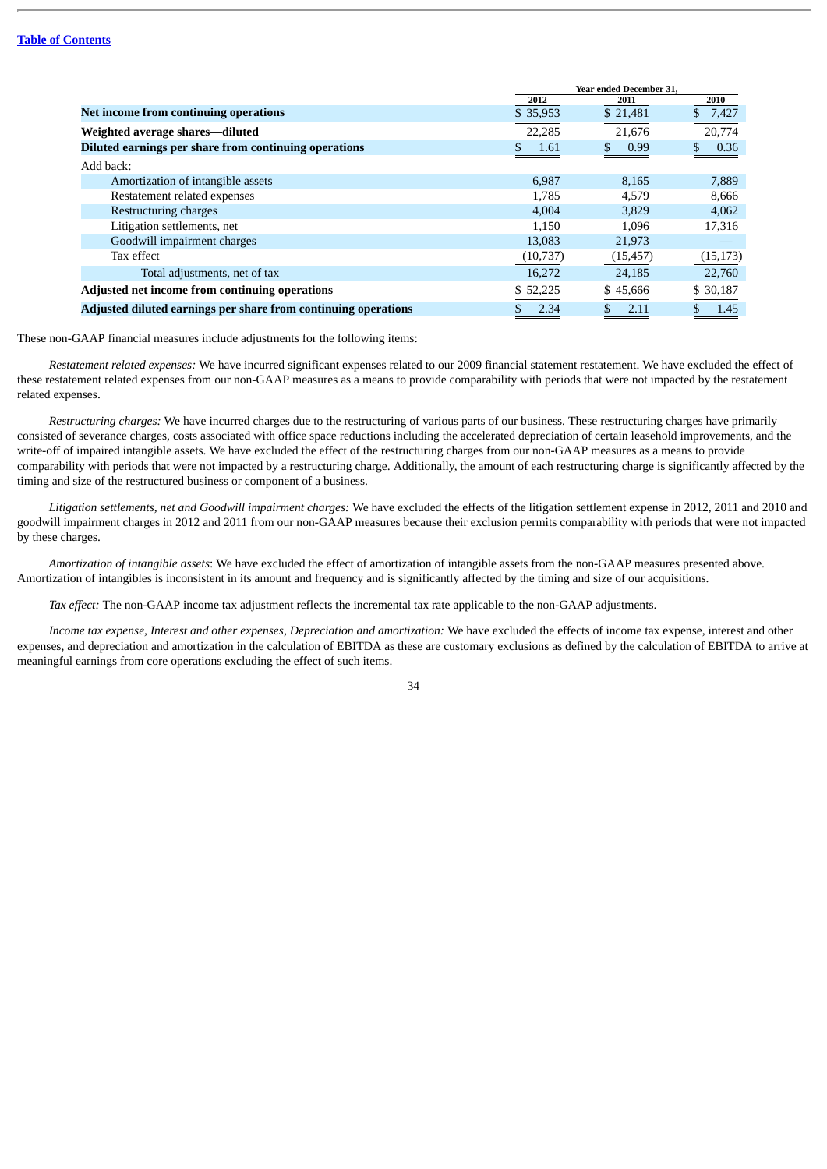|                                                                |          | Year ended December 31, |           |
|----------------------------------------------------------------|----------|-------------------------|-----------|
|                                                                | 2012     | 2011                    | 2010      |
| Net income from continuing operations                          | \$35,953 | \$21,481                | 7,427     |
| Weighted average shares—diluted                                | 22,285   | 21,676                  | 20,774    |
| Diluted earnings per share from continuing operations          | 1.61     | 0.99                    | 0.36      |
| Add back:                                                      |          |                         |           |
| Amortization of intangible assets                              | 6.987    | 8.165                   | 7,889     |
| Restatement related expenses                                   | 1,785    | 4,579                   | 8,666     |
| Restructuring charges                                          | 4.004    | 3.829                   | 4.062     |
| Litigation settlements, net                                    | 1.150    | 1.096                   | 17,316    |
| Goodwill impairment charges                                    | 13,083   | 21,973                  |           |
| Tax effect                                                     | (10,737) | (15, 457)               | (15, 173) |
| Total adjustments, net of tax                                  | 16,272   | 24,185                  | 22,760    |
| Adjusted net income from continuing operations                 | \$52,225 | \$45,666                | \$ 30,187 |
| Adjusted diluted earnings per share from continuing operations | 2.34     | 2.11                    | 1.45      |
|                                                                |          |                         |           |

These non-GAAP financial measures include adjustments for the following items:

*Restatement related expenses:* We have incurred significant expenses related to our 2009 financial statement restatement. We have excluded the effect of these restatement related expenses from our non-GAAP measures as a means to provide comparability with periods that were not impacted by the restatement related expenses.

*Restructuring charges:* We have incurred charges due to the restructuring of various parts of our business. These restructuring charges have primarily consisted of severance charges, costs associated with office space reductions including the accelerated depreciation of certain leasehold improvements, and the write-off of impaired intangible assets. We have excluded the effect of the restructuring charges from our non-GAAP measures as a means to provide comparability with periods that were not impacted by a restructuring charge. Additionally, the amount of each restructuring charge is significantly affected by the timing and size of the restructured business or component of a business.

*Litigation settlements, net and Goodwill impairment charges:* We have excluded the effects of the litigation settlement expense in 2012, 2011 and 2010 and goodwill impairment charges in 2012 and 2011 from our non-GAAP measures because their exclusion permits comparability with periods that were not impacted by these charges.

*Amortization of intangible assets*: We have excluded the effect of amortization of intangible assets from the non-GAAP measures presented above. Amortization of intangibles is inconsistent in its amount and frequency and is significantly affected by the timing and size of our acquisitions.

*Tax effect:* The non-GAAP income tax adjustment reflects the incremental tax rate applicable to the non-GAAP adjustments.

*Income tax expense, Interest and other expenses, Depreciation and amortization:* We have excluded the effects of income tax expense, interest and other expenses, and depreciation and amortization in the calculation of EBITDA as these are customary exclusions as defined by the calculation of EBITDA to arrive at meaningful earnings from core operations excluding the effect of such items.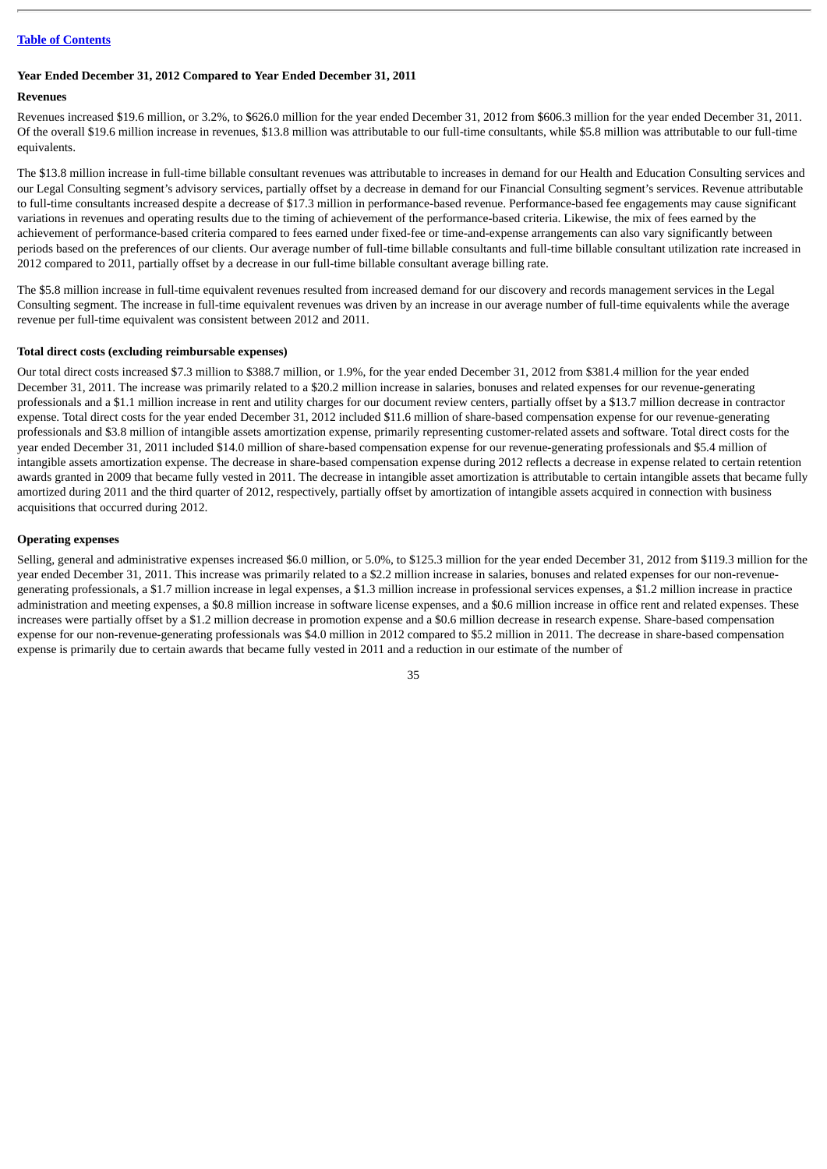## **Year Ended December 31, 2012 Compared to Year Ended December 31, 2011**

## **Revenues**

Revenues increased \$19.6 million, or 3.2%, to \$626.0 million for the year ended December 31, 2012 from \$606.3 million for the year ended December 31, 2011. Of the overall \$19.6 million increase in revenues, \$13.8 million was attributable to our full-time consultants, while \$5.8 million was attributable to our full-time equivalents.

The \$13.8 million increase in full-time billable consultant revenues was attributable to increases in demand for our Health and Education Consulting services and our Legal Consulting segment's advisory services, partially offset by a decrease in demand for our Financial Consulting segment's services. Revenue attributable to full-time consultants increased despite a decrease of \$17.3 million in performance-based revenue. Performance-based fee engagements may cause significant variations in revenues and operating results due to the timing of achievement of the performance-based criteria. Likewise, the mix of fees earned by the achievement of performance-based criteria compared to fees earned under fixed-fee or time-and-expense arrangements can also vary significantly between periods based on the preferences of our clients. Our average number of full-time billable consultants and full-time billable consultant utilization rate increased in 2012 compared to 2011, partially offset by a decrease in our full-time billable consultant average billing rate.

The \$5.8 million increase in full-time equivalent revenues resulted from increased demand for our discovery and records management services in the Legal Consulting segment. The increase in full-time equivalent revenues was driven by an increase in our average number of full-time equivalents while the average revenue per full-time equivalent was consistent between 2012 and 2011.

## **Total direct costs (excluding reimbursable expenses)**

Our total direct costs increased \$7.3 million to \$388.7 million, or 1.9%, for the year ended December 31, 2012 from \$381.4 million for the year ended December 31, 2011. The increase was primarily related to a \$20.2 million increase in salaries, bonuses and related expenses for our revenue-generating professionals and a \$1.1 million increase in rent and utility charges for our document review centers, partially offset by a \$13.7 million decrease in contractor expense. Total direct costs for the year ended December 31, 2012 included \$11.6 million of share-based compensation expense for our revenue-generating professionals and \$3.8 million of intangible assets amortization expense, primarily representing customer-related assets and software. Total direct costs for the year ended December 31, 2011 included \$14.0 million of share-based compensation expense for our revenue-generating professionals and \$5.4 million of intangible assets amortization expense. The decrease in share-based compensation expense during 2012 reflects a decrease in expense related to certain retention awards granted in 2009 that became fully vested in 2011. The decrease in intangible asset amortization is attributable to certain intangible assets that became fully amortized during 2011 and the third quarter of 2012, respectively, partially offset by amortization of intangible assets acquired in connection with business acquisitions that occurred during 2012.

## **Operating expenses**

Selling, general and administrative expenses increased \$6.0 million, or 5.0%, to \$125.3 million for the year ended December 31, 2012 from \$119.3 million for the year ended December 31, 2011. This increase was primarily related to a \$2.2 million increase in salaries, bonuses and related expenses for our non-revenuegenerating professionals, a \$1.7 million increase in legal expenses, a \$1.3 million increase in professional services expenses, a \$1.2 million increase in practice administration and meeting expenses, a \$0.8 million increase in software license expenses, and a \$0.6 million increase in office rent and related expenses. These increases were partially offset by a \$1.2 million decrease in promotion expense and a \$0.6 million decrease in research expense. Share-based compensation expense for our non-revenue-generating professionals was \$4.0 million in 2012 compared to \$5.2 million in 2011. The decrease in share-based compensation expense is primarily due to certain awards that became fully vested in 2011 and a reduction in our estimate of the number of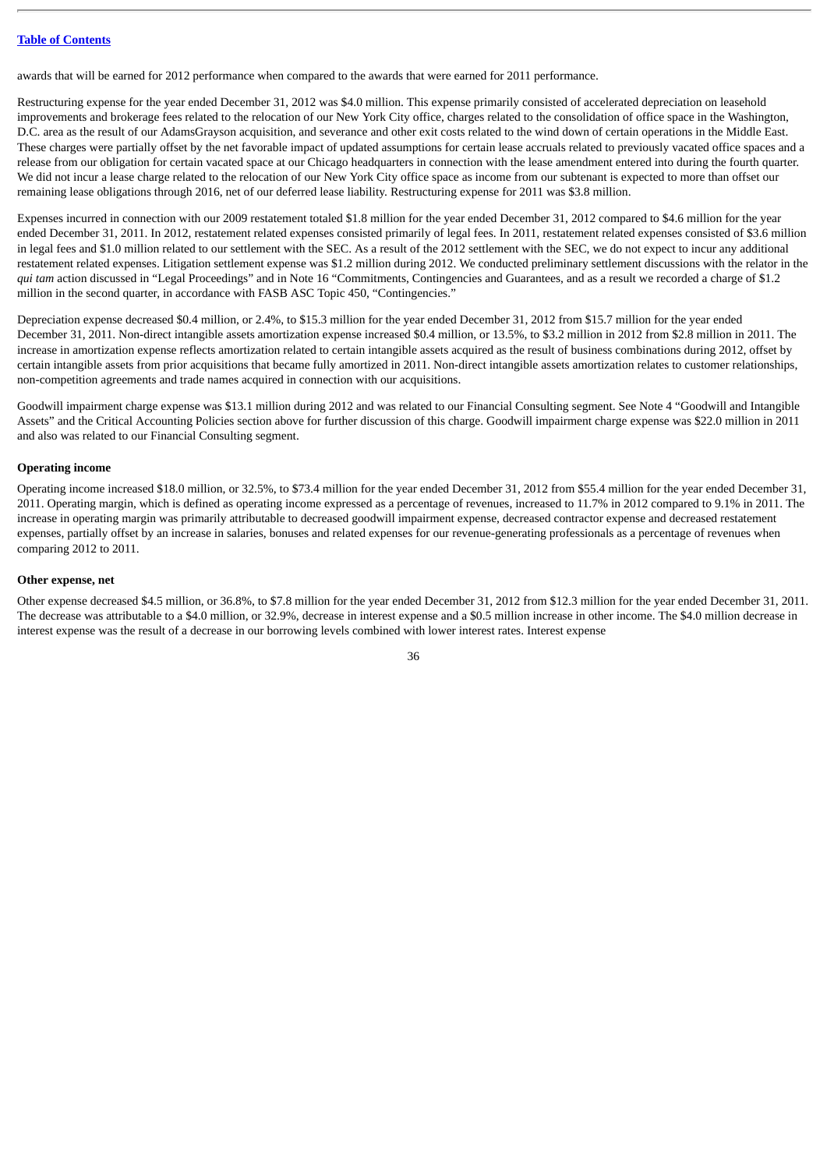awards that will be earned for 2012 performance when compared to the awards that were earned for 2011 performance.

Restructuring expense for the year ended December 31, 2012 was \$4.0 million. This expense primarily consisted of accelerated depreciation on leasehold improvements and brokerage fees related to the relocation of our New York City office, charges related to the consolidation of office space in the Washington, D.C. area as the result of our AdamsGrayson acquisition, and severance and other exit costs related to the wind down of certain operations in the Middle East. These charges were partially offset by the net favorable impact of updated assumptions for certain lease accruals related to previously vacated office spaces and a release from our obligation for certain vacated space at our Chicago headquarters in connection with the lease amendment entered into during the fourth quarter. We did not incur a lease charge related to the relocation of our New York City office space as income from our subtenant is expected to more than offset our remaining lease obligations through 2016, net of our deferred lease liability. Restructuring expense for 2011 was \$3.8 million.

Expenses incurred in connection with our 2009 restatement totaled \$1.8 million for the year ended December 31, 2012 compared to \$4.6 million for the year ended December 31, 2011. In 2012, restatement related expenses consisted primarily of legal fees. In 2011, restatement related expenses consisted of \$3.6 million in legal fees and \$1.0 million related to our settlement with the SEC. As a result of the 2012 settlement with the SEC, we do not expect to incur any additional restatement related expenses. Litigation settlement expense was \$1.2 million during 2012. We conducted preliminary settlement discussions with the relator in the *qui tam* action discussed in "Legal Proceedings" and in Note 16 "Commitments, Contingencies and Guarantees, and as a result we recorded a charge of \$1.2 million in the second quarter, in accordance with FASB ASC Topic 450, "Contingencies."

Depreciation expense decreased \$0.4 million, or 2.4%, to \$15.3 million for the year ended December 31, 2012 from \$15.7 million for the year ended December 31, 2011. Non-direct intangible assets amortization expense increased \$0.4 million, or 13.5%, to \$3.2 million in 2012 from \$2.8 million in 2011. The increase in amortization expense reflects amortization related to certain intangible assets acquired as the result of business combinations during 2012, offset by certain intangible assets from prior acquisitions that became fully amortized in 2011. Non-direct intangible assets amortization relates to customer relationships, non-competition agreements and trade names acquired in connection with our acquisitions.

Goodwill impairment charge expense was \$13.1 million during 2012 and was related to our Financial Consulting segment. See Note 4 "Goodwill and Intangible Assets" and the Critical Accounting Policies section above for further discussion of this charge. Goodwill impairment charge expense was \$22.0 million in 2011 and also was related to our Financial Consulting segment.

### **Operating income**

Operating income increased \$18.0 million, or 32.5%, to \$73.4 million for the year ended December 31, 2012 from \$55.4 million for the year ended December 31, 2011. Operating margin, which is defined as operating income expressed as a percentage of revenues, increased to 11.7% in 2012 compared to 9.1% in 2011. The increase in operating margin was primarily attributable to decreased goodwill impairment expense, decreased contractor expense and decreased restatement expenses, partially offset by an increase in salaries, bonuses and related expenses for our revenue-generating professionals as a percentage of revenues when comparing 2012 to 2011.

### **Other expense, net**

Other expense decreased \$4.5 million, or 36.8%, to \$7.8 million for the year ended December 31, 2012 from \$12.3 million for the year ended December 31, 2011. The decrease was attributable to a \$4.0 million, or 32.9%, decrease in interest expense and a \$0.5 million increase in other income. The \$4.0 million decrease in interest expense was the result of a decrease in our borrowing levels combined with lower interest rates. Interest expense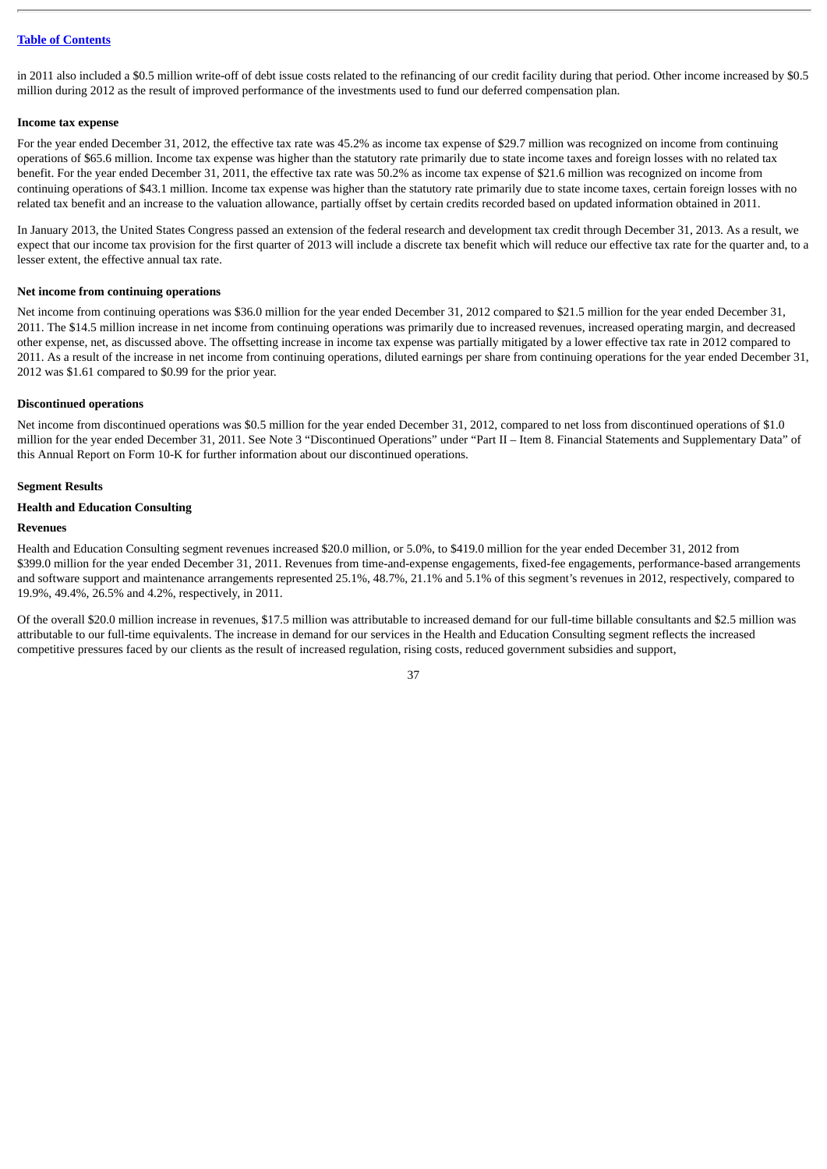in 2011 also included a \$0.5 million write-off of debt issue costs related to the refinancing of our credit facility during that period. Other income increased by \$0.5 million during 2012 as the result of improved performance of the investments used to fund our deferred compensation plan.

#### **Income tax expense**

For the year ended December 31, 2012, the effective tax rate was 45.2% as income tax expense of \$29.7 million was recognized on income from continuing operations of \$65.6 million. Income tax expense was higher than the statutory rate primarily due to state income taxes and foreign losses with no related tax benefit. For the year ended December 31, 2011, the effective tax rate was 50.2% as income tax expense of \$21.6 million was recognized on income from continuing operations of \$43.1 million. Income tax expense was higher than the statutory rate primarily due to state income taxes, certain foreign losses with no related tax benefit and an increase to the valuation allowance, partially offset by certain credits recorded based on updated information obtained in 2011.

In January 2013, the United States Congress passed an extension of the federal research and development tax credit through December 31, 2013. As a result, we expect that our income tax provision for the first quarter of 2013 will include a discrete tax benefit which will reduce our effective tax rate for the quarter and, to a lesser extent, the effective annual tax rate.

#### **Net income from continuing operations**

Net income from continuing operations was \$36.0 million for the year ended December 31, 2012 compared to \$21.5 million for the year ended December 31, 2011. The \$14.5 million increase in net income from continuing operations was primarily due to increased revenues, increased operating margin, and decreased other expense, net, as discussed above. The offsetting increase in income tax expense was partially mitigated by a lower effective tax rate in 2012 compared to 2011. As a result of the increase in net income from continuing operations, diluted earnings per share from continuing operations for the year ended December 31, 2012 was \$1.61 compared to \$0.99 for the prior year.

#### **Discontinued operations**

Net income from discontinued operations was \$0.5 million for the year ended December 31, 2012, compared to net loss from discontinued operations of \$1.0 million for the year ended December 31, 2011. See Note 3 "Discontinued Operations" under "Part II – Item 8. Financial Statements and Supplementary Data" of this Annual Report on Form 10-K for further information about our discontinued operations.

#### **Segment Results**

# **Health and Education Consulting**

#### **Revenues**

Health and Education Consulting segment revenues increased \$20.0 million, or 5.0%, to \$419.0 million for the year ended December 31, 2012 from \$399.0 million for the year ended December 31, 2011. Revenues from time-and-expense engagements, fixed-fee engagements, performance-based arrangements and software support and maintenance arrangements represented 25.1%, 48.7%, 21.1% and 5.1% of this segment's revenues in 2012, respectively, compared to 19.9%, 49.4%, 26.5% and 4.2%, respectively, in 2011.

Of the overall \$20.0 million increase in revenues, \$17.5 million was attributable to increased demand for our full-time billable consultants and \$2.5 million was attributable to our full-time equivalents. The increase in demand for our services in the Health and Education Consulting segment reflects the increased competitive pressures faced by our clients as the result of increased regulation, rising costs, reduced government subsidies and support,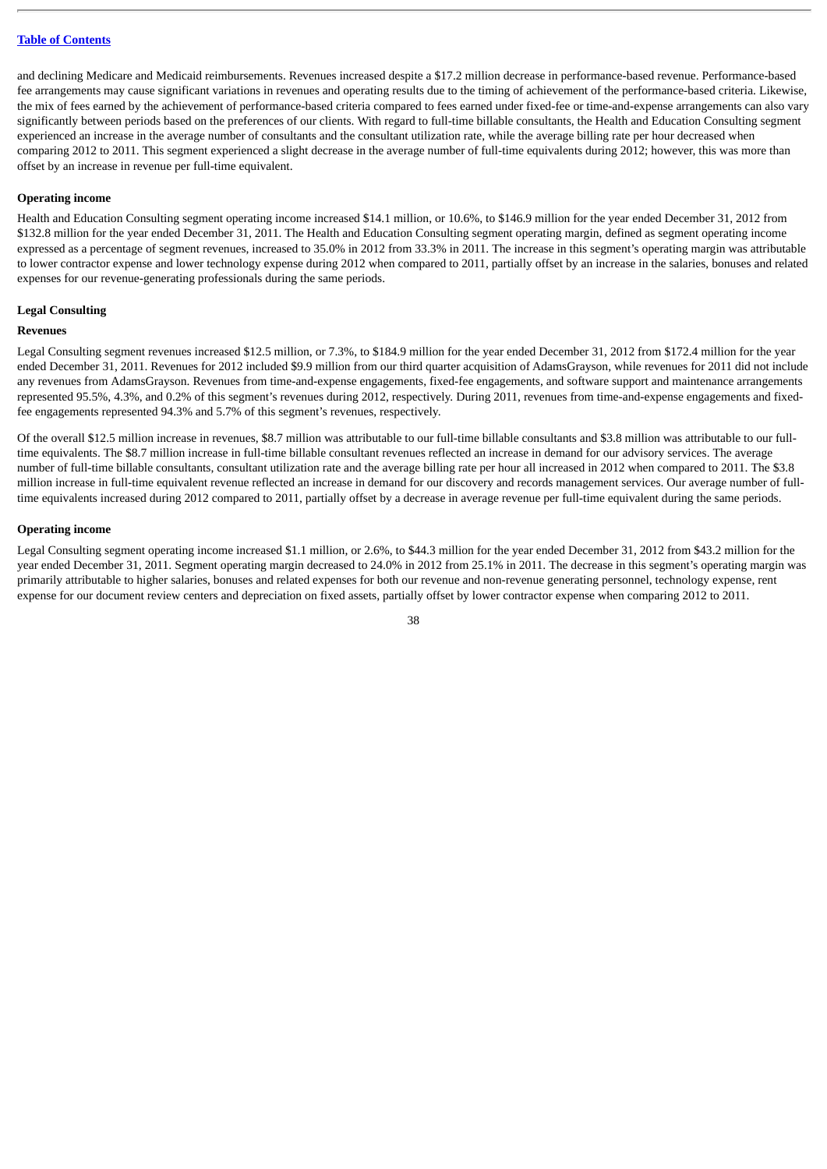and declining Medicare and Medicaid reimbursements. Revenues increased despite a \$17.2 million decrease in performance-based revenue. Performance-based fee arrangements may cause significant variations in revenues and operating results due to the timing of achievement of the performance-based criteria. Likewise, the mix of fees earned by the achievement of performance-based criteria compared to fees earned under fixed-fee or time-and-expense arrangements can also vary significantly between periods based on the preferences of our clients. With regard to full-time billable consultants, the Health and Education Consulting segment experienced an increase in the average number of consultants and the consultant utilization rate, while the average billing rate per hour decreased when comparing 2012 to 2011. This segment experienced a slight decrease in the average number of full-time equivalents during 2012; however, this was more than offset by an increase in revenue per full-time equivalent.

### **Operating income**

Health and Education Consulting segment operating income increased \$14.1 million, or 10.6%, to \$146.9 million for the year ended December 31, 2012 from \$132.8 million for the year ended December 31, 2011. The Health and Education Consulting segment operating margin, defined as segment operating income expressed as a percentage of segment revenues, increased to 35.0% in 2012 from 33.3% in 2011. The increase in this segment's operating margin was attributable to lower contractor expense and lower technology expense during 2012 when compared to 2011, partially offset by an increase in the salaries, bonuses and related expenses for our revenue-generating professionals during the same periods.

## **Legal Consulting**

### **Revenues**

Legal Consulting segment revenues increased \$12.5 million, or 7.3%, to \$184.9 million for the year ended December 31, 2012 from \$172.4 million for the year ended December 31, 2011. Revenues for 2012 included \$9.9 million from our third quarter acquisition of AdamsGrayson, while revenues for 2011 did not include any revenues from AdamsGrayson. Revenues from time-and-expense engagements, fixed-fee engagements, and software support and maintenance arrangements represented 95.5%, 4.3%, and 0.2% of this segment's revenues during 2012, respectively. During 2011, revenues from time-and-expense engagements and fixedfee engagements represented 94.3% and 5.7% of this segment's revenues, respectively.

Of the overall \$12.5 million increase in revenues, \$8.7 million was attributable to our full-time billable consultants and \$3.8 million was attributable to our fulltime equivalents. The \$8.7 million increase in full-time billable consultant revenues reflected an increase in demand for our advisory services. The average number of full-time billable consultants, consultant utilization rate and the average billing rate per hour all increased in 2012 when compared to 2011. The \$3.8 million increase in full-time equivalent revenue reflected an increase in demand for our discovery and records management services. Our average number of fulltime equivalents increased during 2012 compared to 2011, partially offset by a decrease in average revenue per full-time equivalent during the same periods.

### **Operating income**

Legal Consulting segment operating income increased \$1.1 million, or 2.6%, to \$44.3 million for the year ended December 31, 2012 from \$43.2 million for the year ended December 31, 2011. Segment operating margin decreased to 24.0% in 2012 from 25.1% in 2011. The decrease in this segment's operating margin was primarily attributable to higher salaries, bonuses and related expenses for both our revenue and non-revenue generating personnel, technology expense, rent expense for our document review centers and depreciation on fixed assets, partially offset by lower contractor expense when comparing 2012 to 2011.

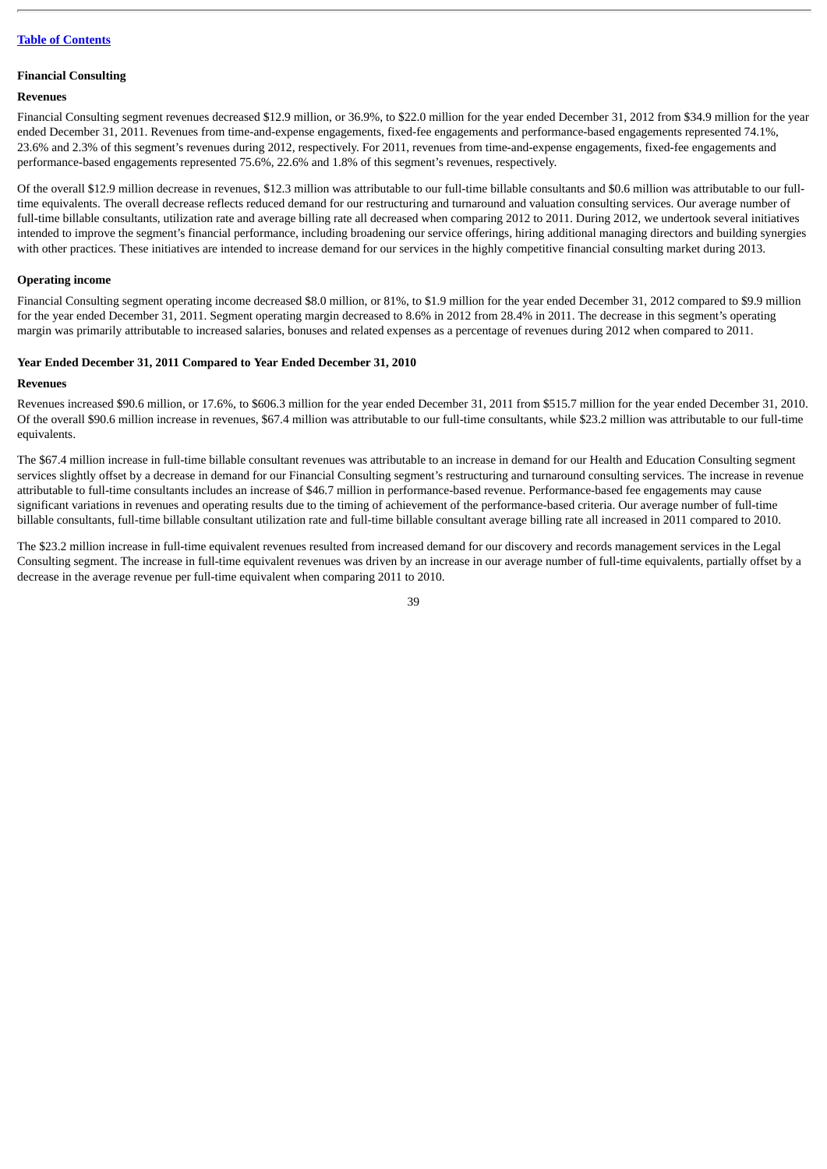#### **Financial Consulting**

## **Revenues**

Financial Consulting segment revenues decreased \$12.9 million, or 36.9%, to \$22.0 million for the year ended December 31, 2012 from \$34.9 million for the year ended December 31, 2011. Revenues from time-and-expense engagements, fixed-fee engagements and performance-based engagements represented 74.1%, 23.6% and 2.3% of this segment's revenues during 2012, respectively. For 2011, revenues from time-and-expense engagements, fixed-fee engagements and performance-based engagements represented 75.6%, 22.6% and 1.8% of this segment's revenues, respectively.

Of the overall \$12.9 million decrease in revenues, \$12.3 million was attributable to our full-time billable consultants and \$0.6 million was attributable to our fulltime equivalents. The overall decrease reflects reduced demand for our restructuring and turnaround and valuation consulting services. Our average number of full-time billable consultants, utilization rate and average billing rate all decreased when comparing 2012 to 2011. During 2012, we undertook several initiatives intended to improve the segment's financial performance, including broadening our service offerings, hiring additional managing directors and building synergies with other practices. These initiatives are intended to increase demand for our services in the highly competitive financial consulting market during 2013.

### **Operating income**

Financial Consulting segment operating income decreased \$8.0 million, or 81%, to \$1.9 million for the year ended December 31, 2012 compared to \$9.9 million for the year ended December 31, 2011. Segment operating margin decreased to 8.6% in 2012 from 28.4% in 2011. The decrease in this segment's operating margin was primarily attributable to increased salaries, bonuses and related expenses as a percentage of revenues during 2012 when compared to 2011.

### **Year Ended December 31, 2011 Compared to Year Ended December 31, 2010**

#### **Revenues**

Revenues increased \$90.6 million, or 17.6%, to \$606.3 million for the year ended December 31, 2011 from \$515.7 million for the year ended December 31, 2010. Of the overall \$90.6 million increase in revenues, \$67.4 million was attributable to our full-time consultants, while \$23.2 million was attributable to our full-time equivalents.

The \$67.4 million increase in full-time billable consultant revenues was attributable to an increase in demand for our Health and Education Consulting segment services slightly offset by a decrease in demand for our Financial Consulting segment's restructuring and turnaround consulting services. The increase in revenue attributable to full-time consultants includes an increase of \$46.7 million in performance-based revenue. Performance-based fee engagements may cause significant variations in revenues and operating results due to the timing of achievement of the performance-based criteria. Our average number of full-time billable consultants, full-time billable consultant utilization rate and full-time billable consultant average billing rate all increased in 2011 compared to 2010.

The \$23.2 million increase in full-time equivalent revenues resulted from increased demand for our discovery and records management services in the Legal Consulting segment. The increase in full-time equivalent revenues was driven by an increase in our average number of full-time equivalents, partially offset by a decrease in the average revenue per full-time equivalent when comparing 2011 to 2010.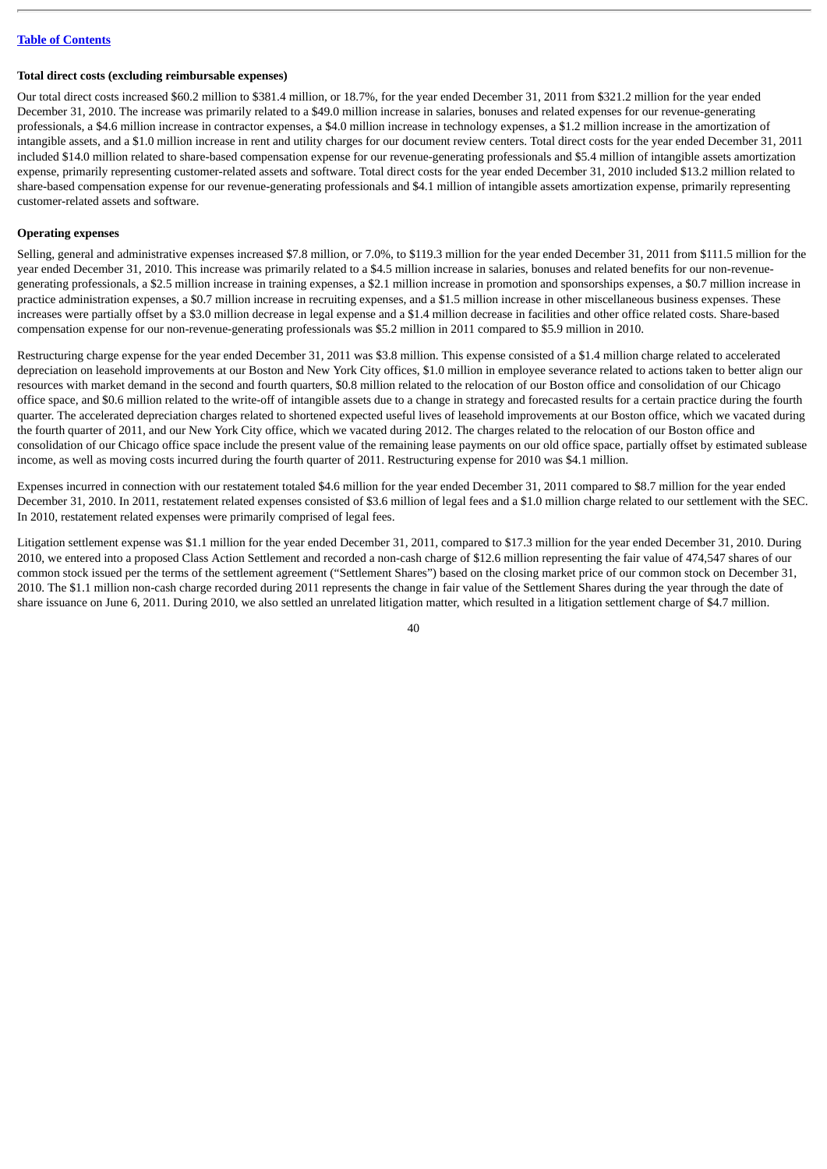#### **Total direct costs (excluding reimbursable expenses)**

Our total direct costs increased \$60.2 million to \$381.4 million, or 18.7%, for the year ended December 31, 2011 from \$321.2 million for the year ended December 31, 2010. The increase was primarily related to a \$49.0 million increase in salaries, bonuses and related expenses for our revenue-generating professionals, a \$4.6 million increase in contractor expenses, a \$4.0 million increase in technology expenses, a \$1.2 million increase in the amortization of intangible assets, and a \$1.0 million increase in rent and utility charges for our document review centers. Total direct costs for the year ended December 31, 2011 included \$14.0 million related to share-based compensation expense for our revenue-generating professionals and \$5.4 million of intangible assets amortization expense, primarily representing customer-related assets and software. Total direct costs for the year ended December 31, 2010 included \$13.2 million related to share-based compensation expense for our revenue-generating professionals and \$4.1 million of intangible assets amortization expense, primarily representing customer-related assets and software.

## **Operating expenses**

Selling, general and administrative expenses increased \$7.8 million, or 7.0%, to \$119.3 million for the year ended December 31, 2011 from \$111.5 million for the year ended December 31, 2010. This increase was primarily related to a \$4.5 million increase in salaries, bonuses and related benefits for our non-revenuegenerating professionals, a \$2.5 million increase in training expenses, a \$2.1 million increase in promotion and sponsorships expenses, a \$0.7 million increase in practice administration expenses, a \$0.7 million increase in recruiting expenses, and a \$1.5 million increase in other miscellaneous business expenses. These increases were partially offset by a \$3.0 million decrease in legal expense and a \$1.4 million decrease in facilities and other office related costs. Share-based compensation expense for our non-revenue-generating professionals was \$5.2 million in 2011 compared to \$5.9 million in 2010.

Restructuring charge expense for the year ended December 31, 2011 was \$3.8 million. This expense consisted of a \$1.4 million charge related to accelerated depreciation on leasehold improvements at our Boston and New York City offices, \$1.0 million in employee severance related to actions taken to better align our resources with market demand in the second and fourth quarters, \$0.8 million related to the relocation of our Boston office and consolidation of our Chicago office space, and \$0.6 million related to the write-off of intangible assets due to a change in strategy and forecasted results for a certain practice during the fourth quarter. The accelerated depreciation charges related to shortened expected useful lives of leasehold improvements at our Boston office, which we vacated during the fourth quarter of 2011, and our New York City office, which we vacated during 2012. The charges related to the relocation of our Boston office and consolidation of our Chicago office space include the present value of the remaining lease payments on our old office space, partially offset by estimated sublease income, as well as moving costs incurred during the fourth quarter of 2011. Restructuring expense for 2010 was \$4.1 million.

Expenses incurred in connection with our restatement totaled \$4.6 million for the year ended December 31, 2011 compared to \$8.7 million for the year ended December 31, 2010. In 2011, restatement related expenses consisted of \$3.6 million of legal fees and a \$1.0 million charge related to our settlement with the SEC. In 2010, restatement related expenses were primarily comprised of legal fees.

Litigation settlement expense was \$1.1 million for the year ended December 31, 2011, compared to \$17.3 million for the year ended December 31, 2010. During 2010, we entered into a proposed Class Action Settlement and recorded a non-cash charge of \$12.6 million representing the fair value of 474,547 shares of our common stock issued per the terms of the settlement agreement ("Settlement Shares") based on the closing market price of our common stock on December 31, 2010. The \$1.1 million non-cash charge recorded during 2011 represents the change in fair value of the Settlement Shares during the year through the date of share issuance on June 6, 2011. During 2010, we also settled an unrelated litigation matter, which resulted in a litigation settlement charge of \$4.7 million.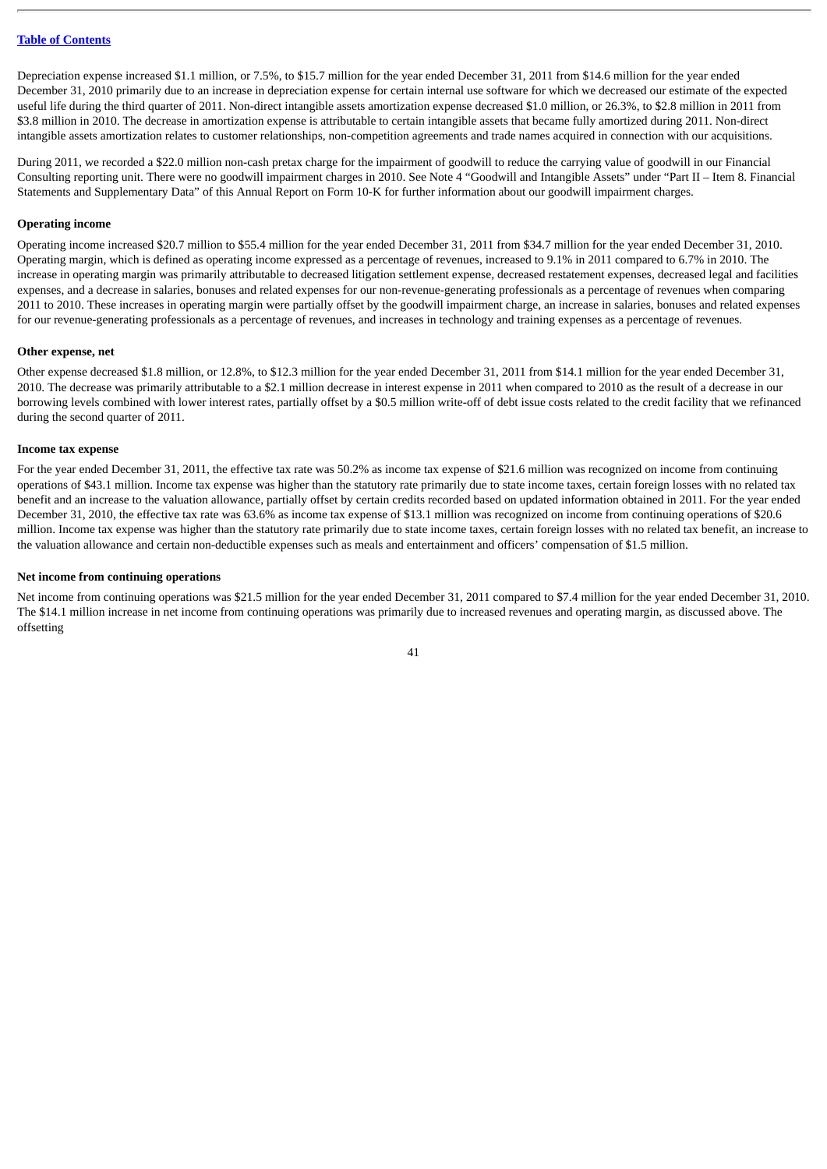Depreciation expense increased \$1.1 million, or 7.5%, to \$15.7 million for the year ended December 31, 2011 from \$14.6 million for the year ended December 31, 2010 primarily due to an increase in depreciation expense for certain internal use software for which we decreased our estimate of the expected useful life during the third quarter of 2011. Non-direct intangible assets amortization expense decreased \$1.0 million, or 26.3%, to \$2.8 million in 2011 from \$3.8 million in 2010. The decrease in amortization expense is attributable to certain intangible assets that became fully amortized during 2011. Non-direct intangible assets amortization relates to customer relationships, non-competition agreements and trade names acquired in connection with our acquisitions.

During 2011, we recorded a \$22.0 million non-cash pretax charge for the impairment of goodwill to reduce the carrying value of goodwill in our Financial Consulting reporting unit. There were no goodwill impairment charges in 2010. See Note 4 "Goodwill and Intangible Assets" under "Part II – Item 8. Financial Statements and Supplementary Data" of this Annual Report on Form 10-K for further information about our goodwill impairment charges.

#### **Operating income**

Operating income increased \$20.7 million to \$55.4 million for the year ended December 31, 2011 from \$34.7 million for the year ended December 31, 2010. Operating margin, which is defined as operating income expressed as a percentage of revenues, increased to 9.1% in 2011 compared to 6.7% in 2010. The increase in operating margin was primarily attributable to decreased litigation settlement expense, decreased restatement expenses, decreased legal and facilities expenses, and a decrease in salaries, bonuses and related expenses for our non-revenue-generating professionals as a percentage of revenues when comparing 2011 to 2010. These increases in operating margin were partially offset by the goodwill impairment charge, an increase in salaries, bonuses and related expenses for our revenue-generating professionals as a percentage of revenues, and increases in technology and training expenses as a percentage of revenues.

#### **Other expense, net**

Other expense decreased \$1.8 million, or 12.8%, to \$12.3 million for the year ended December 31, 2011 from \$14.1 million for the year ended December 31, 2010. The decrease was primarily attributable to a \$2.1 million decrease in interest expense in 2011 when compared to 2010 as the result of a decrease in our borrowing levels combined with lower interest rates, partially offset by a \$0.5 million write-off of debt issue costs related to the credit facility that we refinanced during the second quarter of 2011.

## **Income tax expense**

For the year ended December 31, 2011, the effective tax rate was 50.2% as income tax expense of \$21.6 million was recognized on income from continuing operations of \$43.1 million. Income tax expense was higher than the statutory rate primarily due to state income taxes, certain foreign losses with no related tax benefit and an increase to the valuation allowance, partially offset by certain credits recorded based on updated information obtained in 2011. For the year ended December 31, 2010, the effective tax rate was 63.6% as income tax expense of \$13.1 million was recognized on income from continuing operations of \$20.6 million. Income tax expense was higher than the statutory rate primarily due to state income taxes, certain foreign losses with no related tax benefit, an increase to the valuation allowance and certain non-deductible expenses such as meals and entertainment and officers' compensation of \$1.5 million.

#### **Net income from continuing operations**

Net income from continuing operations was \$21.5 million for the year ended December 31, 2011 compared to \$7.4 million for the year ended December 31, 2010. The \$14.1 million increase in net income from continuing operations was primarily due to increased revenues and operating margin, as discussed above. The offsetting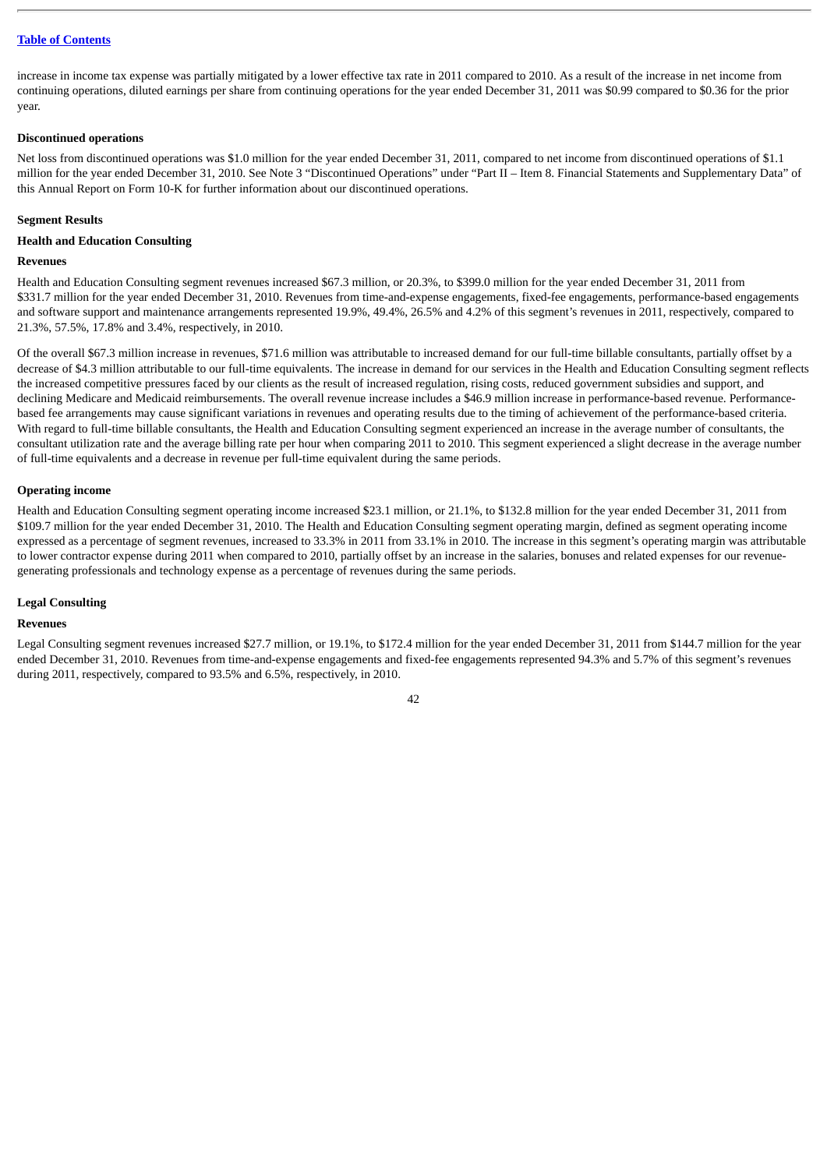increase in income tax expense was partially mitigated by a lower effective tax rate in 2011 compared to 2010. As a result of the increase in net income from continuing operations, diluted earnings per share from continuing operations for the year ended December 31, 2011 was \$0.99 compared to \$0.36 for the prior year.

#### **Discontinued operations**

Net loss from discontinued operations was \$1.0 million for the year ended December 31, 2011, compared to net income from discontinued operations of \$1.1 million for the year ended December 31, 2010. See Note 3 "Discontinued Operations" under "Part II – Item 8. Financial Statements and Supplementary Data" of this Annual Report on Form 10-K for further information about our discontinued operations.

### **Segment Results**

### **Health and Education Consulting**

#### **Revenues**

Health and Education Consulting segment revenues increased \$67.3 million, or 20.3%, to \$399.0 million for the year ended December 31, 2011 from \$331.7 million for the year ended December 31, 2010. Revenues from time-and-expense engagements, fixed-fee engagements, performance-based engagements and software support and maintenance arrangements represented 19.9%, 49.4%, 26.5% and 4.2% of this segment's revenues in 2011, respectively, compared to 21.3%, 57.5%, 17.8% and 3.4%, respectively, in 2010.

Of the overall \$67.3 million increase in revenues, \$71.6 million was attributable to increased demand for our full-time billable consultants, partially offset by a decrease of \$4.3 million attributable to our full-time equivalents. The increase in demand for our services in the Health and Education Consulting segment reflects the increased competitive pressures faced by our clients as the result of increased regulation, rising costs, reduced government subsidies and support, and declining Medicare and Medicaid reimbursements. The overall revenue increase includes a \$46.9 million increase in performance-based revenue. Performancebased fee arrangements may cause significant variations in revenues and operating results due to the timing of achievement of the performance-based criteria. With regard to full-time billable consultants, the Health and Education Consulting segment experienced an increase in the average number of consultants, the consultant utilization rate and the average billing rate per hour when comparing 2011 to 2010. This segment experienced a slight decrease in the average number of full-time equivalents and a decrease in revenue per full-time equivalent during the same periods.

### **Operating income**

Health and Education Consulting segment operating income increased \$23.1 million, or 21.1%, to \$132.8 million for the year ended December 31, 2011 from \$109.7 million for the year ended December 31, 2010. The Health and Education Consulting segment operating margin, defined as segment operating income expressed as a percentage of segment revenues, increased to 33.3% in 2011 from 33.1% in 2010. The increase in this segment's operating margin was attributable to lower contractor expense during 2011 when compared to 2010, partially offset by an increase in the salaries, bonuses and related expenses for our revenuegenerating professionals and technology expense as a percentage of revenues during the same periods.

### **Legal Consulting**

#### **Revenues**

Legal Consulting segment revenues increased \$27.7 million, or 19.1%, to \$172.4 million for the year ended December 31, 2011 from \$144.7 million for the year ended December 31, 2010. Revenues from time-and-expense engagements and fixed-fee engagements represented 94.3% and 5.7% of this segment's revenues during 2011, respectively, compared to 93.5% and 6.5%, respectively, in 2010.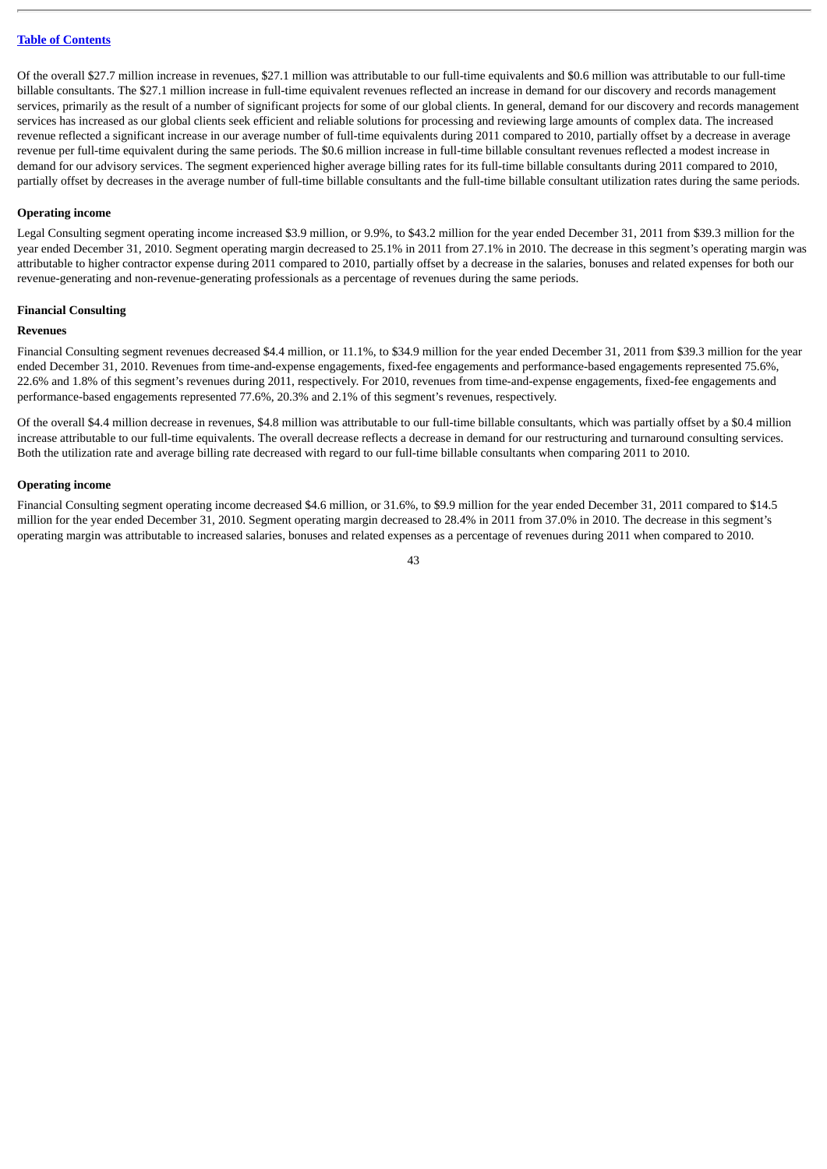Of the overall \$27.7 million increase in revenues, \$27.1 million was attributable to our full-time equivalents and \$0.6 million was attributable to our full-time billable consultants. The \$27.1 million increase in full-time equivalent revenues reflected an increase in demand for our discovery and records management services, primarily as the result of a number of significant projects for some of our global clients. In general, demand for our discovery and records management services has increased as our global clients seek efficient and reliable solutions for processing and reviewing large amounts of complex data. The increased revenue reflected a significant increase in our average number of full-time equivalents during 2011 compared to 2010, partially offset by a decrease in average revenue per full-time equivalent during the same periods. The \$0.6 million increase in full-time billable consultant revenues reflected a modest increase in demand for our advisory services. The segment experienced higher average billing rates for its full-time billable consultants during 2011 compared to 2010, partially offset by decreases in the average number of full-time billable consultants and the full-time billable consultant utilization rates during the same periods.

#### **Operating income**

Legal Consulting segment operating income increased \$3.9 million, or 9.9%, to \$43.2 million for the year ended December 31, 2011 from \$39.3 million for the year ended December 31, 2010. Segment operating margin decreased to 25.1% in 2011 from 27.1% in 2010. The decrease in this segment's operating margin was attributable to higher contractor expense during 2011 compared to 2010, partially offset by a decrease in the salaries, bonuses and related expenses for both our revenue-generating and non-revenue-generating professionals as a percentage of revenues during the same periods.

#### **Financial Consulting**

### **Revenues**

Financial Consulting segment revenues decreased \$4.4 million, or 11.1%, to \$34.9 million for the year ended December 31, 2011 from \$39.3 million for the year ended December 31, 2010. Revenues from time-and-expense engagements, fixed-fee engagements and performance-based engagements represented 75.6%, 22.6% and 1.8% of this segment's revenues during 2011, respectively. For 2010, revenues from time-and-expense engagements, fixed-fee engagements and performance-based engagements represented 77.6%, 20.3% and 2.1% of this segment's revenues, respectively.

Of the overall \$4.4 million decrease in revenues, \$4.8 million was attributable to our full-time billable consultants, which was partially offset by a \$0.4 million increase attributable to our full-time equivalents. The overall decrease reflects a decrease in demand for our restructuring and turnaround consulting services. Both the utilization rate and average billing rate decreased with regard to our full-time billable consultants when comparing 2011 to 2010.

#### **Operating income**

Financial Consulting segment operating income decreased \$4.6 million, or 31.6%, to \$9.9 million for the year ended December 31, 2011 compared to \$14.5 million for the year ended December 31, 2010. Segment operating margin decreased to 28.4% in 2011 from 37.0% in 2010. The decrease in this segment's operating margin was attributable to increased salaries, bonuses and related expenses as a percentage of revenues during 2011 when compared to 2010.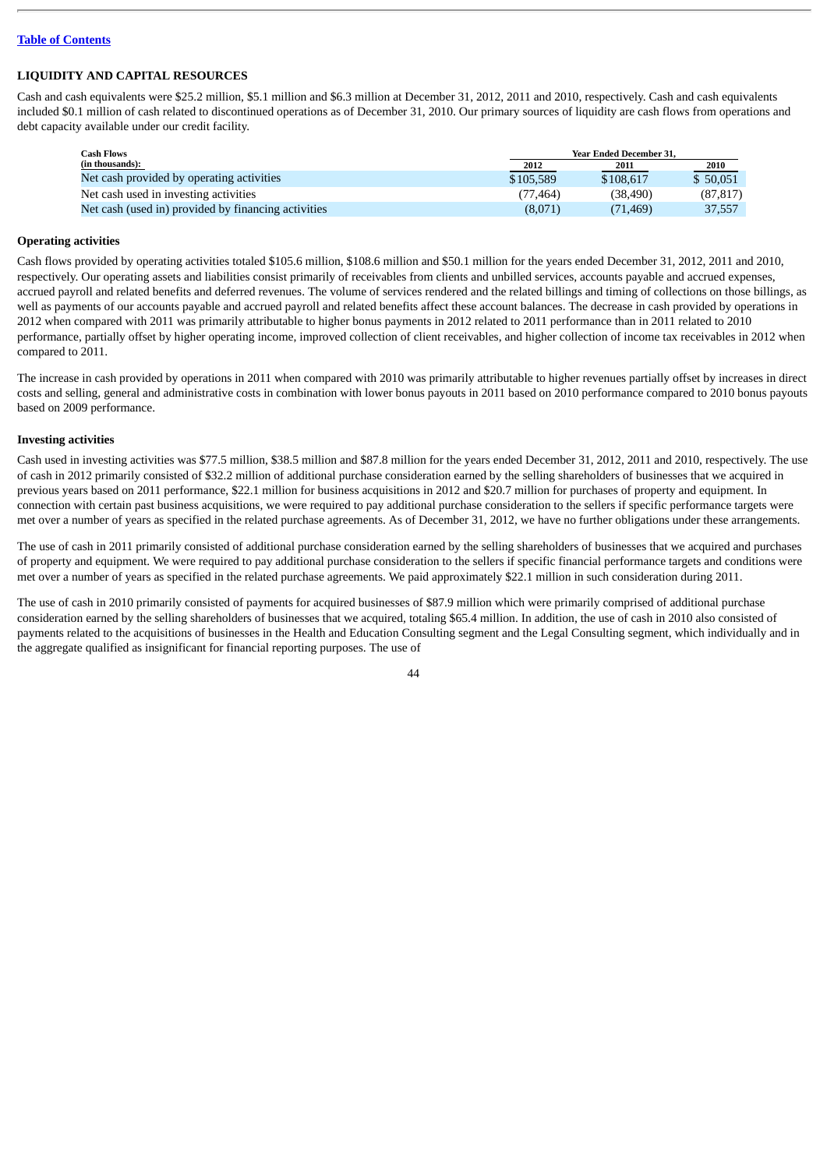## **LIQUIDITY AND CAPITAL RESOURCES**

Cash and cash equivalents were \$25.2 million, \$5.1 million and \$6.3 million at December 31, 2012, 2011 and 2010, respectively. Cash and cash equivalents included \$0.1 million of cash related to discontinued operations as of December 31, 2010. Our primary sources of liquidity are cash flows from operations and debt capacity available under our credit facility.

| Cash Flows                                          |           | <b>Year Ended December 31.</b> |           |
|-----------------------------------------------------|-----------|--------------------------------|-----------|
| (in thousands):                                     | 2012      | 2011                           | 2010      |
| Net cash provided by operating activities           | \$105.589 | \$108.617                      | \$50.051  |
| Net cash used in investing activities               | (77.464)  | (38.490)                       | (87, 817) |
| Net cash (used in) provided by financing activities | (8,071)   | (71.469)                       | 37,557    |

## **Operating activities**

Cash flows provided by operating activities totaled \$105.6 million, \$108.6 million and \$50.1 million for the years ended December 31, 2012, 2011 and 2010, respectively. Our operating assets and liabilities consist primarily of receivables from clients and unbilled services, accounts payable and accrued expenses, accrued payroll and related benefits and deferred revenues. The volume of services rendered and the related billings and timing of collections on those billings, as well as payments of our accounts payable and accrued payroll and related benefits affect these account balances. The decrease in cash provided by operations in 2012 when compared with 2011 was primarily attributable to higher bonus payments in 2012 related to 2011 performance than in 2011 related to 2010 performance, partially offset by higher operating income, improved collection of client receivables, and higher collection of income tax receivables in 2012 when compared to 2011.

The increase in cash provided by operations in 2011 when compared with 2010 was primarily attributable to higher revenues partially offset by increases in direct costs and selling, general and administrative costs in combination with lower bonus payouts in 2011 based on 2010 performance compared to 2010 bonus payouts based on 2009 performance.

## **Investing activities**

Cash used in investing activities was \$77.5 million, \$38.5 million and \$87.8 million for the years ended December 31, 2012, 2011 and 2010, respectively. The use of cash in 2012 primarily consisted of \$32.2 million of additional purchase consideration earned by the selling shareholders of businesses that we acquired in previous years based on 2011 performance, \$22.1 million for business acquisitions in 2012 and \$20.7 million for purchases of property and equipment. In connection with certain past business acquisitions, we were required to pay additional purchase consideration to the sellers if specific performance targets were met over a number of years as specified in the related purchase agreements. As of December 31, 2012, we have no further obligations under these arrangements.

The use of cash in 2011 primarily consisted of additional purchase consideration earned by the selling shareholders of businesses that we acquired and purchases of property and equipment. We were required to pay additional purchase consideration to the sellers if specific financial performance targets and conditions were met over a number of years as specified in the related purchase agreements. We paid approximately \$22.1 million in such consideration during 2011.

The use of cash in 2010 primarily consisted of payments for acquired businesses of \$87.9 million which were primarily comprised of additional purchase consideration earned by the selling shareholders of businesses that we acquired, totaling \$65.4 million. In addition, the use of cash in 2010 also consisted of payments related to the acquisitions of businesses in the Health and Education Consulting segment and the Legal Consulting segment, which individually and in the aggregate qualified as insignificant for financial reporting purposes. The use of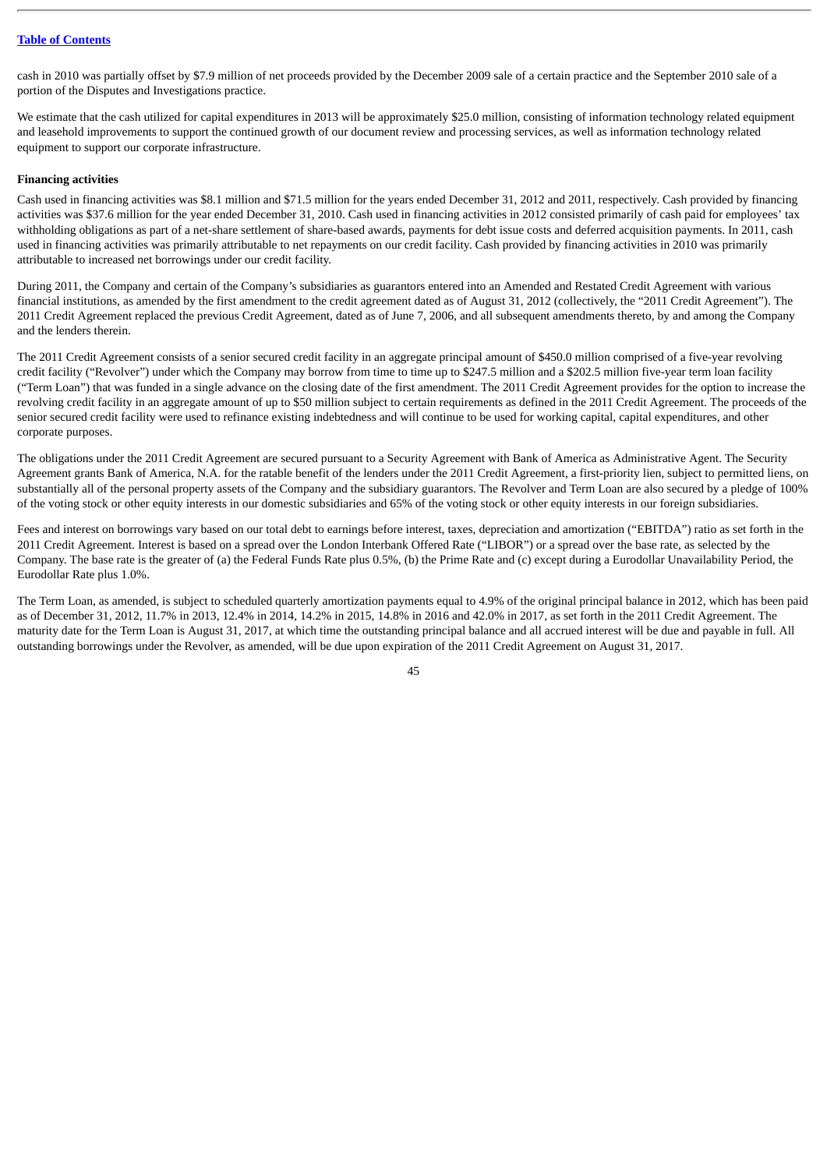cash in 2010 was partially offset by \$7.9 million of net proceeds provided by the December 2009 sale of a certain practice and the September 2010 sale of a portion of the Disputes and Investigations practice.

We estimate that the cash utilized for capital expenditures in 2013 will be approximately \$25.0 million, consisting of information technology related equipment and leasehold improvements to support the continued growth of our document review and processing services, as well as information technology related equipment to support our corporate infrastructure.

## **Financing activities**

Cash used in financing activities was \$8.1 million and \$71.5 million for the years ended December 31, 2012 and 2011, respectively. Cash provided by financing activities was \$37.6 million for the year ended December 31, 2010. Cash used in financing activities in 2012 consisted primarily of cash paid for employees' tax withholding obligations as part of a net-share settlement of share-based awards, payments for debt issue costs and deferred acquisition payments. In 2011, cash used in financing activities was primarily attributable to net repayments on our credit facility. Cash provided by financing activities in 2010 was primarily attributable to increased net borrowings under our credit facility.

During 2011, the Company and certain of the Company's subsidiaries as guarantors entered into an Amended and Restated Credit Agreement with various financial institutions, as amended by the first amendment to the credit agreement dated as of August 31, 2012 (collectively, the "2011 Credit Agreement"). The 2011 Credit Agreement replaced the previous Credit Agreement, dated as of June 7, 2006, and all subsequent amendments thereto, by and among the Company and the lenders therein.

The 2011 Credit Agreement consists of a senior secured credit facility in an aggregate principal amount of \$450.0 million comprised of a five-year revolving credit facility ("Revolver") under which the Company may borrow from time to time up to \$247.5 million and a \$202.5 million five-year term loan facility ("Term Loan") that was funded in a single advance on the closing date of the first amendment. The 2011 Credit Agreement provides for the option to increase the revolving credit facility in an aggregate amount of up to \$50 million subject to certain requirements as defined in the 2011 Credit Agreement. The proceeds of the senior secured credit facility were used to refinance existing indebtedness and will continue to be used for working capital, capital expenditures, and other corporate purposes.

The obligations under the 2011 Credit Agreement are secured pursuant to a Security Agreement with Bank of America as Administrative Agent. The Security Agreement grants Bank of America, N.A. for the ratable benefit of the lenders under the 2011 Credit Agreement, a first-priority lien, subject to permitted liens, on substantially all of the personal property assets of the Company and the subsidiary guarantors. The Revolver and Term Loan are also secured by a pledge of 100% of the voting stock or other equity interests in our domestic subsidiaries and 65% of the voting stock or other equity interests in our foreign subsidiaries.

Fees and interest on borrowings vary based on our total debt to earnings before interest, taxes, depreciation and amortization ("EBITDA") ratio as set forth in the 2011 Credit Agreement. Interest is based on a spread over the London Interbank Offered Rate ("LIBOR") or a spread over the base rate, as selected by the Company. The base rate is the greater of (a) the Federal Funds Rate plus 0.5%, (b) the Prime Rate and (c) except during a Eurodollar Unavailability Period, the Eurodollar Rate plus 1.0%.

The Term Loan, as amended, is subject to scheduled quarterly amortization payments equal to 4.9% of the original principal balance in 2012, which has been paid as of December 31, 2012, 11.7% in 2013, 12.4% in 2014, 14.2% in 2015, 14.8% in 2016 and 42.0% in 2017, as set forth in the 2011 Credit Agreement. The maturity date for the Term Loan is August 31, 2017, at which time the outstanding principal balance and all accrued interest will be due and payable in full. All outstanding borrowings under the Revolver, as amended, will be due upon expiration of the 2011 Credit Agreement on August 31, 2017.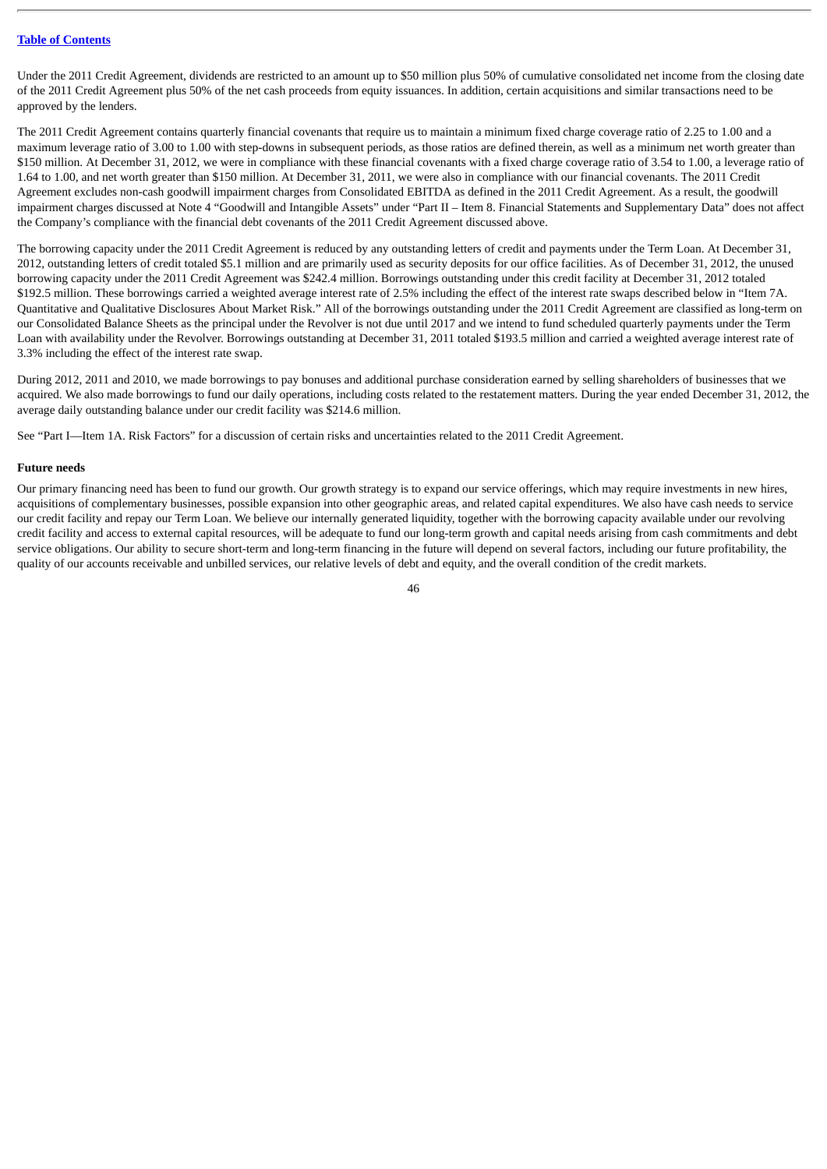Under the 2011 Credit Agreement, dividends are restricted to an amount up to \$50 million plus 50% of cumulative consolidated net income from the closing date of the 2011 Credit Agreement plus 50% of the net cash proceeds from equity issuances. In addition, certain acquisitions and similar transactions need to be approved by the lenders.

The 2011 Credit Agreement contains quarterly financial covenants that require us to maintain a minimum fixed charge coverage ratio of 2.25 to 1.00 and a maximum leverage ratio of 3.00 to 1.00 with step-downs in subsequent periods, as those ratios are defined therein, as well as a minimum net worth greater than \$150 million. At December 31, 2012, we were in compliance with these financial covenants with a fixed charge coverage ratio of 3.54 to 1.00, a leverage ratio of 1.64 to 1.00, and net worth greater than \$150 million. At December 31, 2011, we were also in compliance with our financial covenants. The 2011 Credit Agreement excludes non-cash goodwill impairment charges from Consolidated EBITDA as defined in the 2011 Credit Agreement. As a result, the goodwill impairment charges discussed at Note 4 "Goodwill and Intangible Assets" under "Part II – Item 8. Financial Statements and Supplementary Data" does not affect the Company's compliance with the financial debt covenants of the 2011 Credit Agreement discussed above.

The borrowing capacity under the 2011 Credit Agreement is reduced by any outstanding letters of credit and payments under the Term Loan. At December 31, 2012, outstanding letters of credit totaled \$5.1 million and are primarily used as security deposits for our office facilities. As of December 31, 2012, the unused borrowing capacity under the 2011 Credit Agreement was \$242.4 million. Borrowings outstanding under this credit facility at December 31, 2012 totaled \$192.5 million. These borrowings carried a weighted average interest rate of 2.5% including the effect of the interest rate swaps described below in "Item 7A. Quantitative and Qualitative Disclosures About Market Risk." All of the borrowings outstanding under the 2011 Credit Agreement are classified as long-term on our Consolidated Balance Sheets as the principal under the Revolver is not due until 2017 and we intend to fund scheduled quarterly payments under the Term Loan with availability under the Revolver. Borrowings outstanding at December 31, 2011 totaled \$193.5 million and carried a weighted average interest rate of 3.3% including the effect of the interest rate swap.

During 2012, 2011 and 2010, we made borrowings to pay bonuses and additional purchase consideration earned by selling shareholders of businesses that we acquired. We also made borrowings to fund our daily operations, including costs related to the restatement matters. During the year ended December 31, 2012, the average daily outstanding balance under our credit facility was \$214.6 million.

See "Part I—Item 1A. Risk Factors" for a discussion of certain risks and uncertainties related to the 2011 Credit Agreement.

#### **Future needs**

Our primary financing need has been to fund our growth. Our growth strategy is to expand our service offerings, which may require investments in new hires, acquisitions of complementary businesses, possible expansion into other geographic areas, and related capital expenditures. We also have cash needs to service our credit facility and repay our Term Loan. We believe our internally generated liquidity, together with the borrowing capacity available under our revolving credit facility and access to external capital resources, will be adequate to fund our long-term growth and capital needs arising from cash commitments and debt service obligations. Our ability to secure short-term and long-term financing in the future will depend on several factors, including our future profitability, the quality of our accounts receivable and unbilled services, our relative levels of debt and equity, and the overall condition of the credit markets.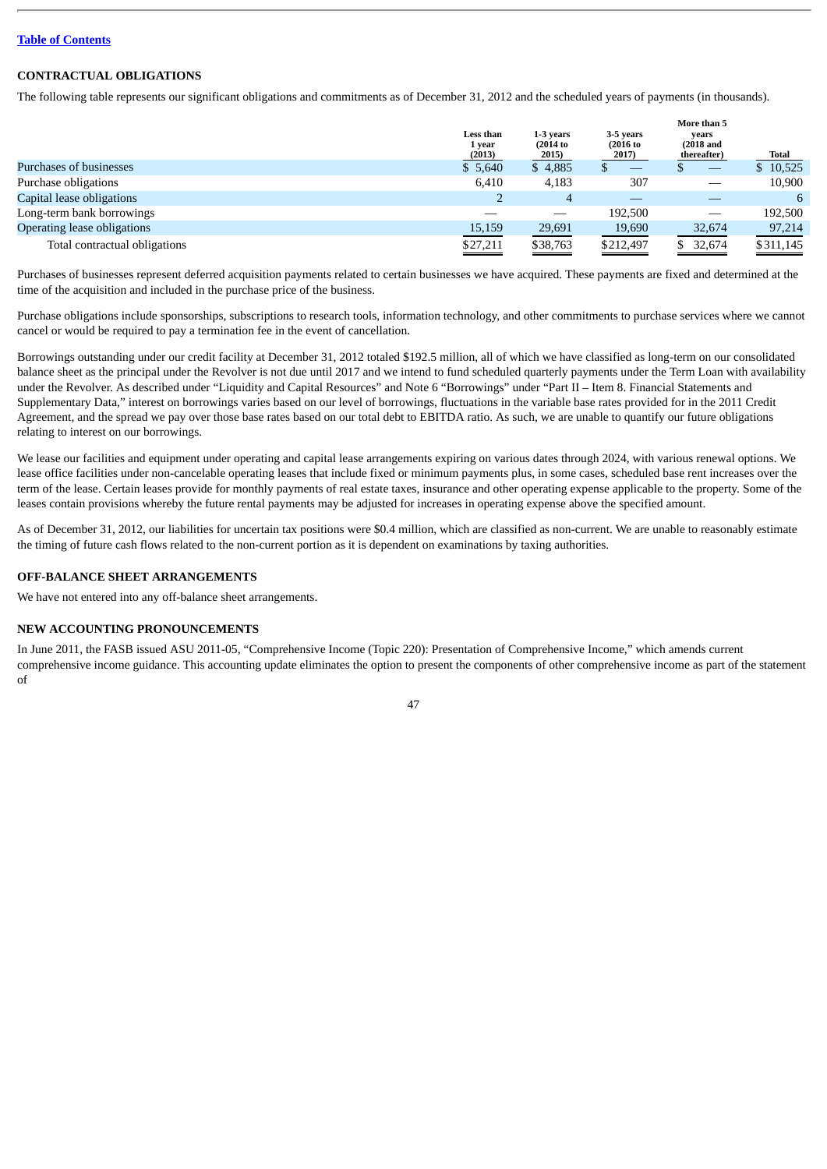# **CONTRACTUAL OBLIGATIONS**

The following table represents our significant obligations and commitments as of December 31, 2012 and the scheduled years of payments (in thousands).

|                               | Less than<br>1 year<br>(2013) | 1-3 years<br>$(2014$ to<br>2015) | 3-5 years<br>$(2016$ to<br>2017) | More than 5<br>vears<br>$(2018$ and<br>thereafter) | Total     |
|-------------------------------|-------------------------------|----------------------------------|----------------------------------|----------------------------------------------------|-----------|
| Purchases of businesses       | \$5,640                       | \$4,885                          |                                  | $\overbrace{\hspace{15em}}$                        | \$10,525  |
| Purchase obligations          | 6,410                         | 4,183                            | 307                              |                                                    | 10,900    |
| Capital lease obligations     |                               | 4                                | __                               |                                                    | 6         |
| Long-term bank borrowings     |                               |                                  | 192,500                          |                                                    | 192,500   |
| Operating lease obligations   | 15,159                        | 29,691                           | 19,690                           | 32,674                                             | 97,214    |
| Total contractual obligations | \$27,211                      | \$38,763                         | \$212,497                        | \$32,674                                           | \$311,145 |

Purchases of businesses represent deferred acquisition payments related to certain businesses we have acquired. These payments are fixed and determined at the time of the acquisition and included in the purchase price of the business.

Purchase obligations include sponsorships, subscriptions to research tools, information technology, and other commitments to purchase services where we cannot cancel or would be required to pay a termination fee in the event of cancellation.

Borrowings outstanding under our credit facility at December 31, 2012 totaled \$192.5 million, all of which we have classified as long-term on our consolidated balance sheet as the principal under the Revolver is not due until 2017 and we intend to fund scheduled quarterly payments under the Term Loan with availability under the Revolver. As described under "Liquidity and Capital Resources" and Note 6 "Borrowings" under "Part II – Item 8. Financial Statements and Supplementary Data," interest on borrowings varies based on our level of borrowings, fluctuations in the variable base rates provided for in the 2011 Credit Agreement, and the spread we pay over those base rates based on our total debt to EBITDA ratio. As such, we are unable to quantify our future obligations relating to interest on our borrowings.

We lease our facilities and equipment under operating and capital lease arrangements expiring on various dates through 2024, with various renewal options. We lease office facilities under non-cancelable operating leases that include fixed or minimum payments plus, in some cases, scheduled base rent increases over the term of the lease. Certain leases provide for monthly payments of real estate taxes, insurance and other operating expense applicable to the property. Some of the leases contain provisions whereby the future rental payments may be adjusted for increases in operating expense above the specified amount.

As of December 31, 2012, our liabilities for uncertain tax positions were \$0.4 million, which are classified as non-current. We are unable to reasonably estimate the timing of future cash flows related to the non-current portion as it is dependent on examinations by taxing authorities.

## **OFF-BALANCE SHEET ARRANGEMENTS**

We have not entered into any off-balance sheet arrangements.

# **NEW ACCOUNTING PRONOUNCEMENTS**

In June 2011, the FASB issued ASU 2011-05, "Comprehensive Income (Topic 220): Presentation of Comprehensive Income," which amends current comprehensive income guidance. This accounting update eliminates the option to present the components of other comprehensive income as part of the statement of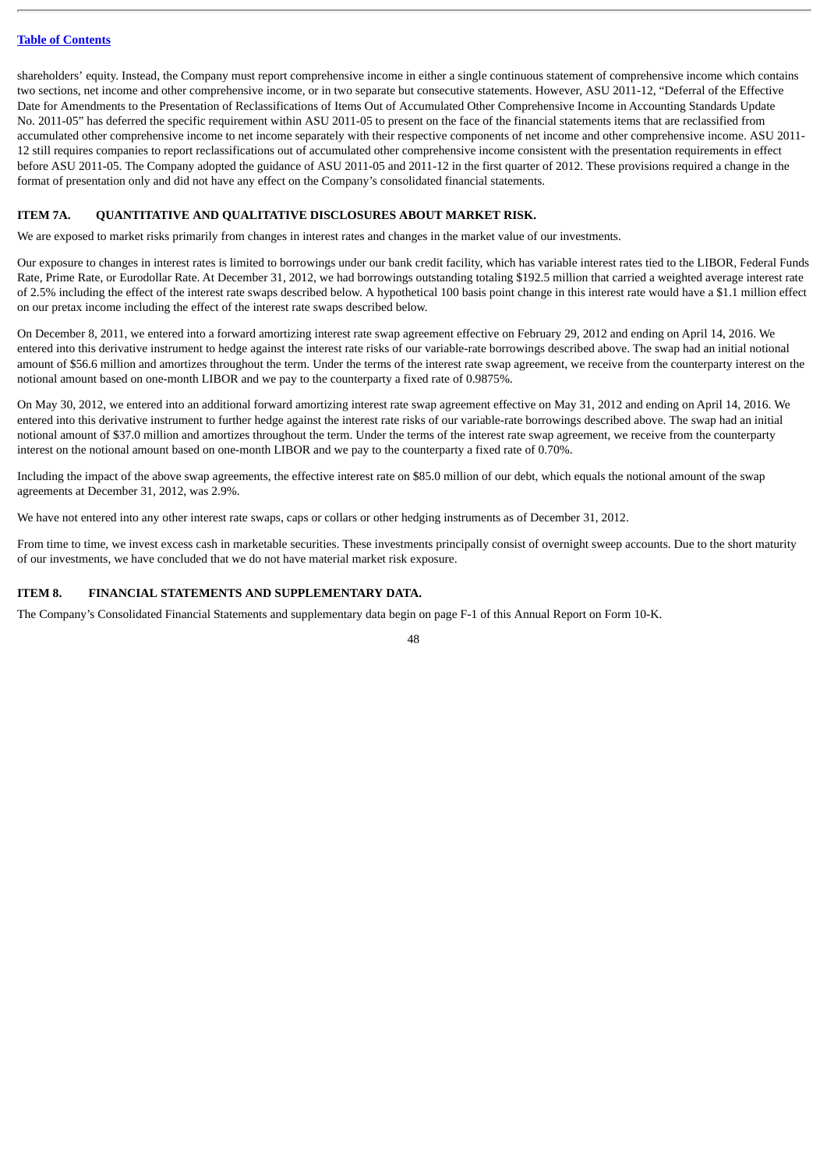shareholders' equity. Instead, the Company must report comprehensive income in either a single continuous statement of comprehensive income which contains two sections, net income and other comprehensive income, or in two separate but consecutive statements. However, ASU 2011-12, "Deferral of the Effective Date for Amendments to the Presentation of Reclassifications of Items Out of Accumulated Other Comprehensive Income in Accounting Standards Update No. 2011-05" has deferred the specific requirement within ASU 2011-05 to present on the face of the financial statements items that are reclassified from accumulated other comprehensive income to net income separately with their respective components of net income and other comprehensive income. ASU 2011- 12 still requires companies to report reclassifications out of accumulated other comprehensive income consistent with the presentation requirements in effect before ASU 2011-05. The Company adopted the guidance of ASU 2011-05 and 2011-12 in the first quarter of 2012. These provisions required a change in the format of presentation only and did not have any effect on the Company's consolidated financial statements.

### **ITEM 7A. QUANTITATIVE AND QUALITATIVE DISCLOSURES ABOUT MARKET RISK.**

We are exposed to market risks primarily from changes in interest rates and changes in the market value of our investments.

Our exposure to changes in interest rates is limited to borrowings under our bank credit facility, which has variable interest rates tied to the LIBOR, Federal Funds Rate, Prime Rate, or Eurodollar Rate. At December 31, 2012, we had borrowings outstanding totaling \$192.5 million that carried a weighted average interest rate of 2.5% including the effect of the interest rate swaps described below. A hypothetical 100 basis point change in this interest rate would have a \$1.1 million effect on our pretax income including the effect of the interest rate swaps described below.

On December 8, 2011, we entered into a forward amortizing interest rate swap agreement effective on February 29, 2012 and ending on April 14, 2016. We entered into this derivative instrument to hedge against the interest rate risks of our variable-rate borrowings described above. The swap had an initial notional amount of \$56.6 million and amortizes throughout the term. Under the terms of the interest rate swap agreement, we receive from the counterparty interest on the notional amount based on one-month LIBOR and we pay to the counterparty a fixed rate of 0.9875%.

On May 30, 2012, we entered into an additional forward amortizing interest rate swap agreement effective on May 31, 2012 and ending on April 14, 2016. We entered into this derivative instrument to further hedge against the interest rate risks of our variable-rate borrowings described above. The swap had an initial notional amount of \$37.0 million and amortizes throughout the term. Under the terms of the interest rate swap agreement, we receive from the counterparty interest on the notional amount based on one-month LIBOR and we pay to the counterparty a fixed rate of 0.70%.

Including the impact of the above swap agreements, the effective interest rate on \$85.0 million of our debt, which equals the notional amount of the swap agreements at December 31, 2012, was 2.9%.

We have not entered into any other interest rate swaps, caps or collars or other hedging instruments as of December 31, 2012.

From time to time, we invest excess cash in marketable securities. These investments principally consist of overnight sweep accounts. Due to the short maturity of our investments, we have concluded that we do not have material market risk exposure.

## **ITEM 8. FINANCIAL STATEMENTS AND SUPPLEMENTARY DATA.**

The Company's Consolidated Financial Statements and supplementary data begin on page F-1 of this Annual Report on Form 10-K.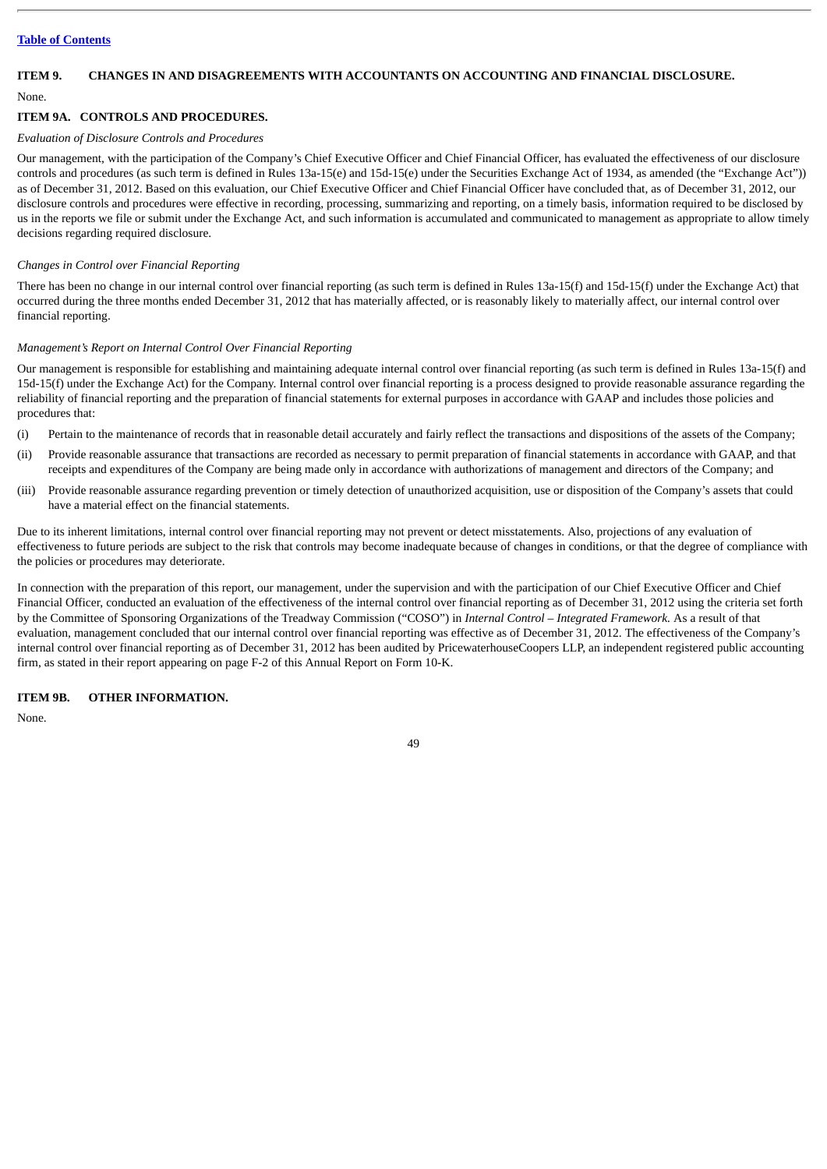# **ITEM 9. CHANGES IN AND DISAGREEMENTS WITH ACCOUNTANTS ON ACCOUNTING AND FINANCIAL DISCLOSURE.**

# None.

# **ITEM 9A. CONTROLS AND PROCEDURES.**

# *Evaluation of Disclosure Controls and Procedures*

Our management, with the participation of the Company's Chief Executive Officer and Chief Financial Officer, has evaluated the effectiveness of our disclosure controls and procedures (as such term is defined in Rules 13a-15(e) and 15d-15(e) under the Securities Exchange Act of 1934, as amended (the "Exchange Act")) as of December 31, 2012. Based on this evaluation, our Chief Executive Officer and Chief Financial Officer have concluded that, as of December 31, 2012, our disclosure controls and procedures were effective in recording, processing, summarizing and reporting, on a timely basis, information required to be disclosed by us in the reports we file or submit under the Exchange Act, and such information is accumulated and communicated to management as appropriate to allow timely decisions regarding required disclosure.

## *Changes in Control over Financial Reporting*

There has been no change in our internal control over financial reporting (as such term is defined in Rules 13a-15(f) and 15d-15(f) under the Exchange Act) that occurred during the three months ended December 31, 2012 that has materially affected, or is reasonably likely to materially affect, our internal control over financial reporting.

## *Management's Report on Internal Control Over Financial Reporting*

Our management is responsible for establishing and maintaining adequate internal control over financial reporting (as such term is defined in Rules 13a-15(f) and 15d-15(f) under the Exchange Act) for the Company. Internal control over financial reporting is a process designed to provide reasonable assurance regarding the reliability of financial reporting and the preparation of financial statements for external purposes in accordance with GAAP and includes those policies and procedures that:

- (i) Pertain to the maintenance of records that in reasonable detail accurately and fairly reflect the transactions and dispositions of the assets of the Company;
- (ii) Provide reasonable assurance that transactions are recorded as necessary to permit preparation of financial statements in accordance with GAAP, and that receipts and expenditures of the Company are being made only in accordance with authorizations of management and directors of the Company; and
- (iii) Provide reasonable assurance regarding prevention or timely detection of unauthorized acquisition, use or disposition of the Company's assets that could have a material effect on the financial statements.

Due to its inherent limitations, internal control over financial reporting may not prevent or detect misstatements. Also, projections of any evaluation of effectiveness to future periods are subject to the risk that controls may become inadequate because of changes in conditions, or that the degree of compliance with the policies or procedures may deteriorate.

In connection with the preparation of this report, our management, under the supervision and with the participation of our Chief Executive Officer and Chief Financial Officer, conducted an evaluation of the effectiveness of the internal control over financial reporting as of December 31, 2012 using the criteria set forth by the Committee of Sponsoring Organizations of the Treadway Commission ("COSO") in *Internal Control – Integrated Framework.* As a result of that evaluation, management concluded that our internal control over financial reporting was effective as of December 31, 2012. The effectiveness of the Company's internal control over financial reporting as of December 31, 2012 has been audited by PricewaterhouseCoopers LLP, an independent registered public accounting firm, as stated in their report appearing on page F-2 of this Annual Report on Form 10-K.

# **ITEM 9B. OTHER INFORMATION.**

None.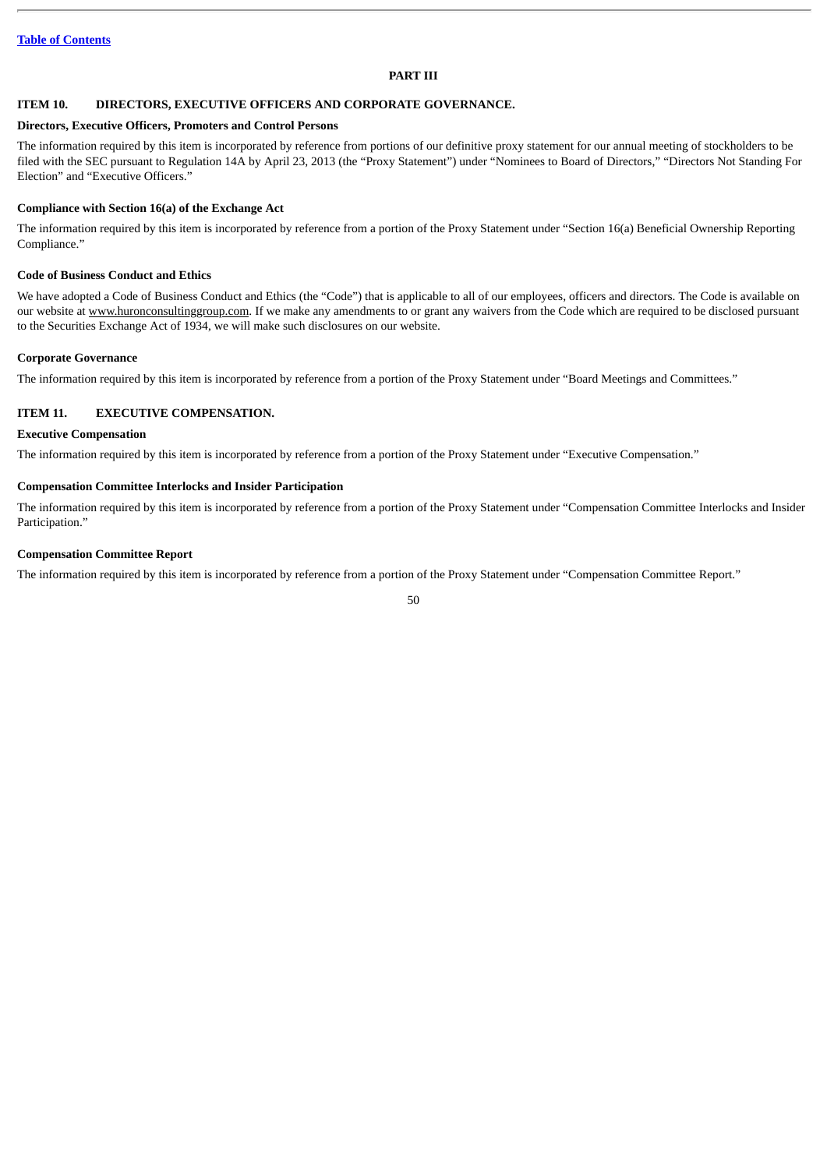### **PART III**

## **ITEM 10. DIRECTORS, EXECUTIVE OFFICERS AND CORPORATE GOVERNANCE.**

#### **Directors, Executive Officers, Promoters and Control Persons**

The information required by this item is incorporated by reference from portions of our definitive proxy statement for our annual meeting of stockholders to be filed with the SEC pursuant to Regulation 14A by April 23, 2013 (the "Proxy Statement") under "Nominees to Board of Directors," "Directors Not Standing For Election" and "Executive Officers."

## **Compliance with Section 16(a) of the Exchange Act**

The information required by this item is incorporated by reference from a portion of the Proxy Statement under "Section 16(a) Beneficial Ownership Reporting Compliance."

#### **Code of Business Conduct and Ethics**

We have adopted a Code of Business Conduct and Ethics (the "Code") that is applicable to all of our employees, officers and directors. The Code is available on our website at www.huronconsultinggroup.com. If we make any amendments to or grant any waivers from the Code which are required to be disclosed pursuant to the Securities Exchange Act of 1934, we will make such disclosures on our website.

## **Corporate Governance**

The information required by this item is incorporated by reference from a portion of the Proxy Statement under "Board Meetings and Committees."

## **ITEM 11. EXECUTIVE COMPENSATION.**

## **Executive Compensation**

The information required by this item is incorporated by reference from a portion of the Proxy Statement under "Executive Compensation."

### **Compensation Committee Interlocks and Insider Participation**

The information required by this item is incorporated by reference from a portion of the Proxy Statement under "Compensation Committee Interlocks and Insider Participation."

## **Compensation Committee Report**

The information required by this item is incorporated by reference from a portion of the Proxy Statement under "Compensation Committee Report."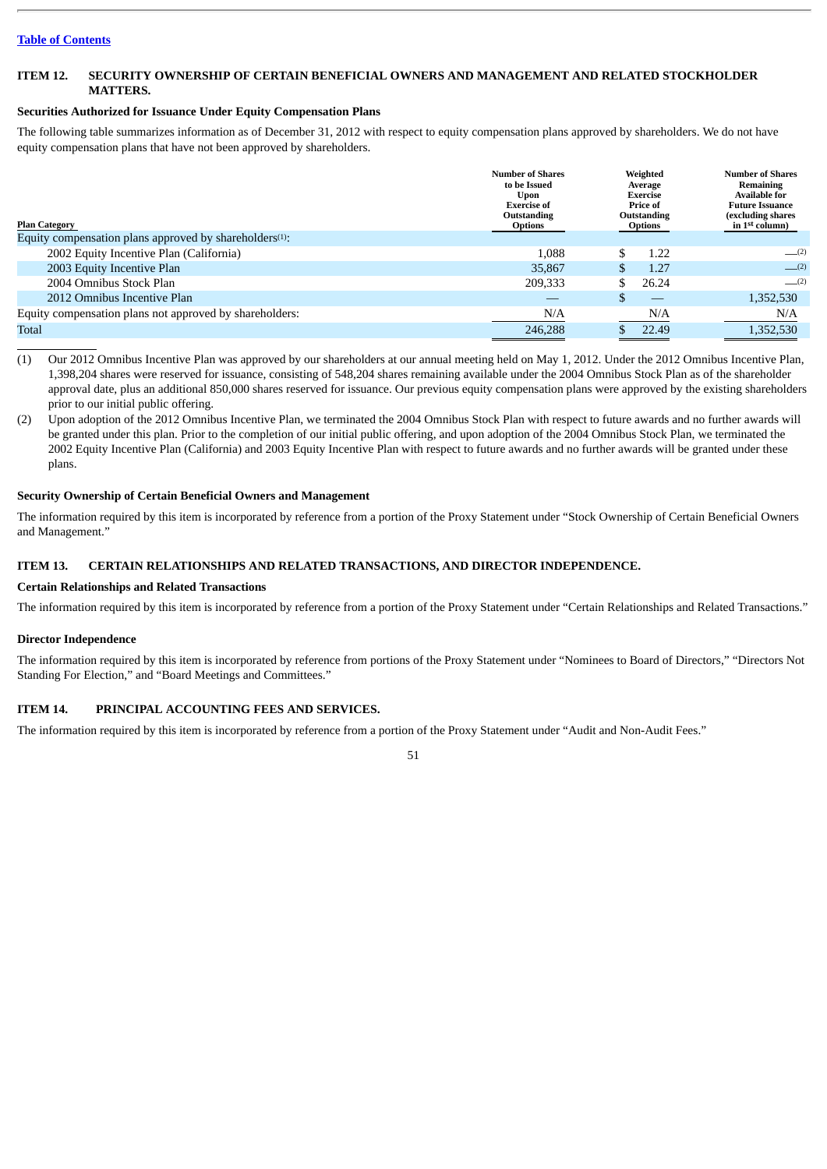## **ITEM 12. SECURITY OWNERSHIP OF CERTAIN BENEFICIAL OWNERS AND MANAGEMENT AND RELATED STOCKHOLDER MATTERS.**

## **Securities Authorized for Issuance Under Equity Compensation Plans**

The following table summarizes information as of December 31, 2012 with respect to equity compensation plans approved by shareholders. We do not have equity compensation plans that have not been approved by shareholders.

| <b>Plan Category</b>                                                | <b>Number of Shares</b><br>to be Issued<br>Upon<br><b>Exercise of</b><br>Outstanding<br><b>Options</b> | Weighted<br>Average<br>Exercise<br>Price of<br>Outstanding<br><b>Options</b> | <b>Number of Shares</b><br>Remaining<br><b>Available for</b><br><b>Future Issuance</b><br>(excluding shares<br>in 1 <sup>st</sup> column) |
|---------------------------------------------------------------------|--------------------------------------------------------------------------------------------------------|------------------------------------------------------------------------------|-------------------------------------------------------------------------------------------------------------------------------------------|
| Equity compensation plans approved by shareholders <sup>(1)</sup> : |                                                                                                        |                                                                              |                                                                                                                                           |
| 2002 Equity Incentive Plan (California)                             | 1.088                                                                                                  | 1.22                                                                         | $-$ (2)                                                                                                                                   |
| 2003 Equity Incentive Plan                                          | 35,867                                                                                                 | 1.27                                                                         | $-$ (2)                                                                                                                                   |
| 2004 Omnibus Stock Plan                                             | 209,333                                                                                                | 26.24                                                                        | $-$ (2)                                                                                                                                   |
| 2012 Omnibus Incentive Plan                                         |                                                                                                        | $\overline{\phantom{m}}$                                                     | 1,352,530                                                                                                                                 |
| Equity compensation plans not approved by shareholders:             | N/A                                                                                                    | N/A                                                                          | N/A                                                                                                                                       |
| Total                                                               | 246,288                                                                                                | 22.49                                                                        | 1,352,530                                                                                                                                 |

(1) Our 2012 Omnibus Incentive Plan was approved by our shareholders at our annual meeting held on May 1, 2012. Under the 2012 Omnibus Incentive Plan, 1,398,204 shares were reserved for issuance, consisting of 548,204 shares remaining available under the 2004 Omnibus Stock Plan as of the shareholder approval date, plus an additional 850,000 shares reserved for issuance. Our previous equity compensation plans were approved by the existing shareholders prior to our initial public offering.

(2) Upon adoption of the 2012 Omnibus Incentive Plan, we terminated the 2004 Omnibus Stock Plan with respect to future awards and no further awards will be granted under this plan. Prior to the completion of our initial public offering, and upon adoption of the 2004 Omnibus Stock Plan, we terminated the 2002 Equity Incentive Plan (California) and 2003 Equity Incentive Plan with respect to future awards and no further awards will be granted under these plans.

## **Security Ownership of Certain Beneficial Owners and Management**

The information required by this item is incorporated by reference from a portion of the Proxy Statement under "Stock Ownership of Certain Beneficial Owners and Management."

## **ITEM 13. CERTAIN RELATIONSHIPS AND RELATED TRANSACTIONS, AND DIRECTOR INDEPENDENCE.**

### **Certain Relationships and Related Transactions**

The information required by this item is incorporated by reference from a portion of the Proxy Statement under "Certain Relationships and Related Transactions."

### **Director Independence**

The information required by this item is incorporated by reference from portions of the Proxy Statement under "Nominees to Board of Directors," "Directors Not Standing For Election," and "Board Meetings and Committees."

## **ITEM 14. PRINCIPAL ACCOUNTING FEES AND SERVICES.**

The information required by this item is incorporated by reference from a portion of the Proxy Statement under "Audit and Non-Audit Fees."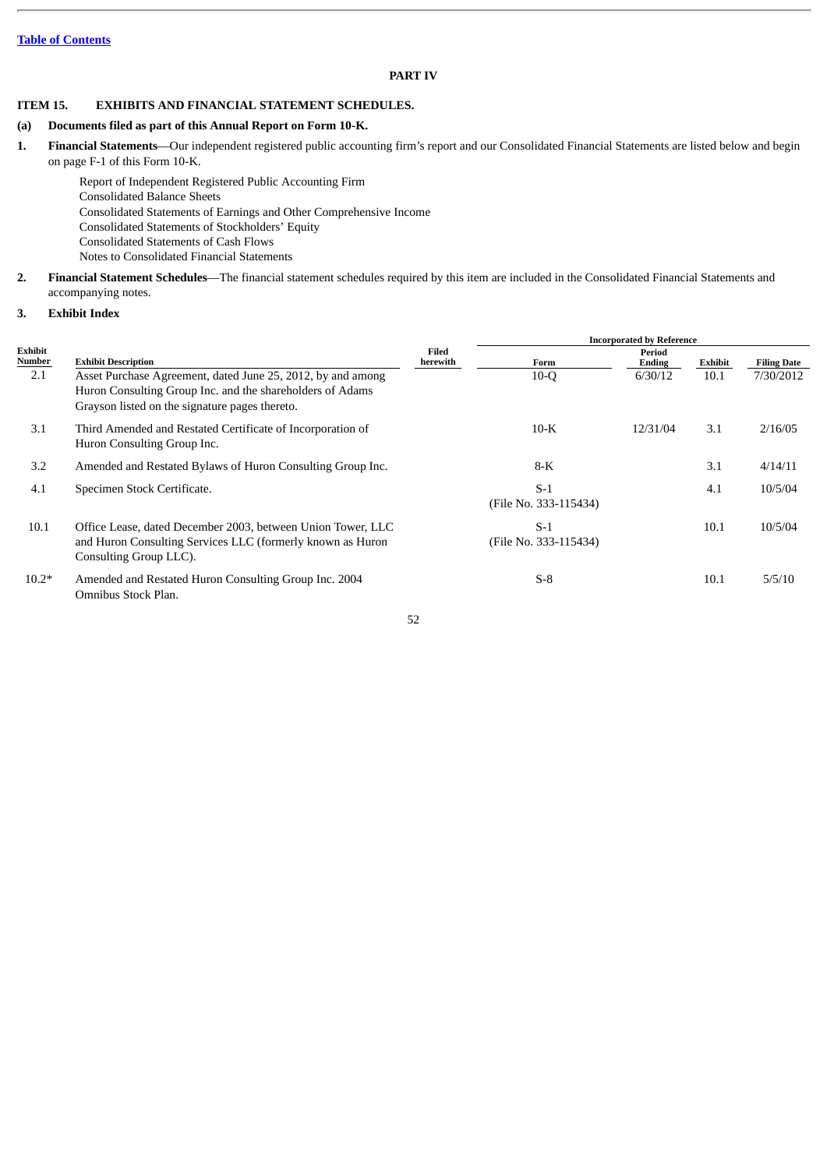# **PART IV**

# **ITEM 15. EXHIBITS AND FINANCIAL STATEMENT SCHEDULES.**

# **(a) Documents filed as part of this Annual Report on Form 10-K.**

**1. Financial Statements**—Our independent registered public accounting firm's report and our Consolidated Financial Statements are listed below and begin on page F-1 of this Form 10-K.

Report of Independent Registered Public Accounting Firm Consolidated Balance Sheets Consolidated Statements of Earnings and Other Comprehensive Income Consolidated Statements of Stockholders' Equity Consolidated Statements of Cash Flows

Notes to Consolidated Financial Statements

**2. Financial Statement Schedules**—The financial statement schedules required by this item are included in the Consolidated Financial Statements and accompanying notes.

# **3. Exhibit Index**

|                   |                                                                                                                                                                            | <b>Incorporated by Reference</b> |                                |                  |         |                    |
|-------------------|----------------------------------------------------------------------------------------------------------------------------------------------------------------------------|----------------------------------|--------------------------------|------------------|---------|--------------------|
| Exhibit<br>Number | <b>Exhibit Description</b>                                                                                                                                                 | Filed<br>herewith                | Form                           | Period<br>Ending | Exhibit | <b>Filing Date</b> |
| 2.1               | Asset Purchase Agreement, dated June 25, 2012, by and among<br>Huron Consulting Group Inc. and the shareholders of Adams<br>Grayson listed on the signature pages thereto. |                                  | $10 - Q$                       | 6/30/12          | 10.1    | 7/30/2012          |
| 3.1               | Third Amended and Restated Certificate of Incorporation of<br>Huron Consulting Group Inc.                                                                                  |                                  | $10-K$                         | 12/31/04         | 3.1     | 2/16/05            |
| 3.2               | Amended and Restated Bylaws of Huron Consulting Group Inc.                                                                                                                 |                                  | $8-K$                          |                  | 3.1     | 4/14/11            |
| 4.1               | Specimen Stock Certificate.                                                                                                                                                |                                  | $S-1$<br>(File No. 333-115434) |                  | 4.1     | 10/5/04            |
| 10.1              | Office Lease, dated December 2003, between Union Tower, LLC<br>and Huron Consulting Services LLC (formerly known as Huron<br>Consulting Group LLC).                        |                                  | $S-1$<br>(File No. 333-115434) |                  | 10.1    | 10/5/04            |
| $10.2*$           | Amended and Restated Huron Consulting Group Inc. 2004<br>Omnibus Stock Plan.                                                                                               |                                  | $S-8$                          |                  | 10.1    | 5/5/10             |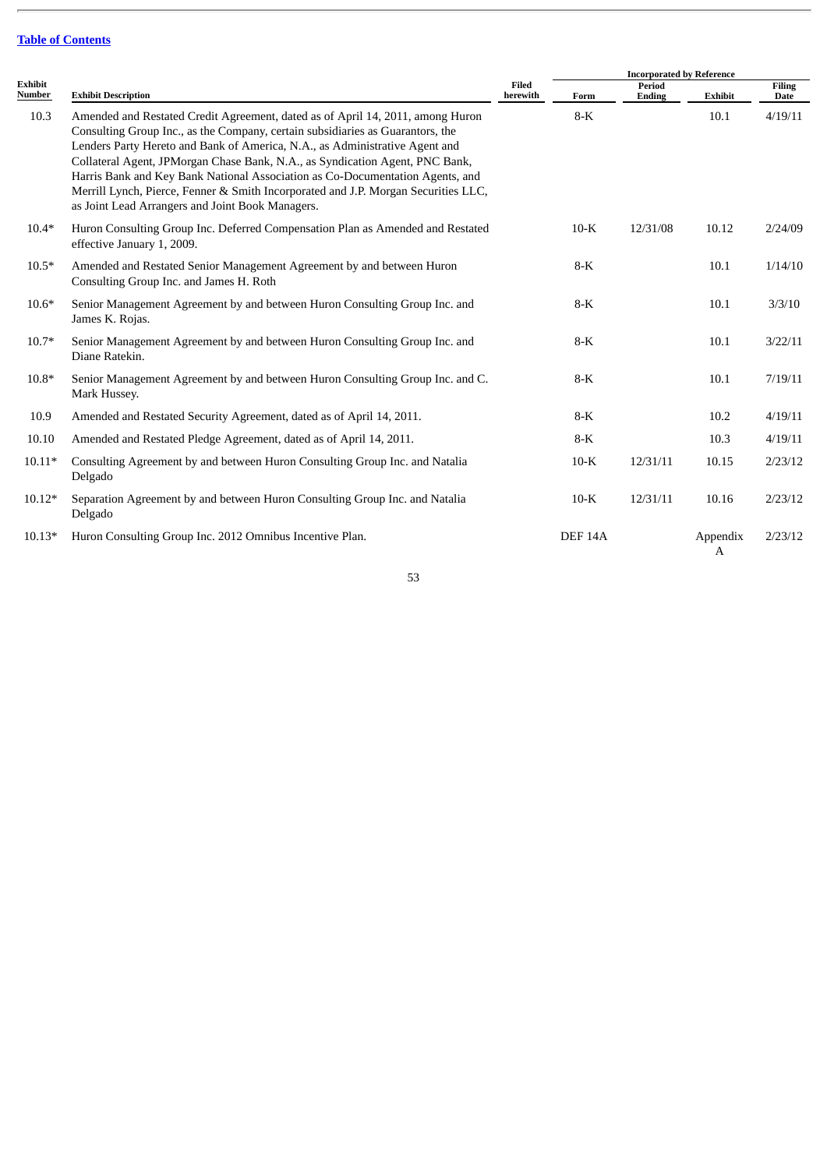J.

|                   |                                                                                                                                                                                                                                                                                                                                                                                                                                                                                                                                                            |                   |                    | <b>Incorporated by Reference</b> |               |                       |
|-------------------|------------------------------------------------------------------------------------------------------------------------------------------------------------------------------------------------------------------------------------------------------------------------------------------------------------------------------------------------------------------------------------------------------------------------------------------------------------------------------------------------------------------------------------------------------------|-------------------|--------------------|----------------------------------|---------------|-----------------------|
| Exhibit<br>Number | <b>Exhibit Description</b>                                                                                                                                                                                                                                                                                                                                                                                                                                                                                                                                 | Filed<br>herewith | Form               | Period<br>Ending                 | Exhibit       | <b>Filing</b><br>Date |
| 10.3              | Amended and Restated Credit Agreement, dated as of April 14, 2011, among Huron<br>Consulting Group Inc., as the Company, certain subsidiaries as Guarantors, the<br>Lenders Party Hereto and Bank of America, N.A., as Administrative Agent and<br>Collateral Agent, JPMorgan Chase Bank, N.A., as Syndication Agent, PNC Bank,<br>Harris Bank and Key Bank National Association as Co-Documentation Agents, and<br>Merrill Lynch, Pierce, Fenner & Smith Incorporated and J.P. Morgan Securities LLC,<br>as Joint Lead Arrangers and Joint Book Managers. |                   | $8-K$              |                                  | 10.1          | 4/19/11               |
| $10.4*$           | Huron Consulting Group Inc. Deferred Compensation Plan as Amended and Restated<br>effective January 1, 2009.                                                                                                                                                                                                                                                                                                                                                                                                                                               |                   | $10-K$             | 12/31/08                         | 10.12         | 2/24/09               |
| $10.5*$           | Amended and Restated Senior Management Agreement by and between Huron<br>Consulting Group Inc. and James H. Roth                                                                                                                                                                                                                                                                                                                                                                                                                                           |                   | $8-K$              |                                  | 10.1          | 1/14/10               |
| $10.6*$           | Senior Management Agreement by and between Huron Consulting Group Inc. and<br>James K. Rojas.                                                                                                                                                                                                                                                                                                                                                                                                                                                              |                   | $8-K$              |                                  | 10.1          | 3/3/10                |
| $10.7*$           | Senior Management Agreement by and between Huron Consulting Group Inc. and<br>Diane Ratekin.                                                                                                                                                                                                                                                                                                                                                                                                                                                               |                   | $8-K$              |                                  | 10.1          | 3/22/11               |
| $10.8*$           | Senior Management Agreement by and between Huron Consulting Group Inc. and C.<br>Mark Hussey.                                                                                                                                                                                                                                                                                                                                                                                                                                                              |                   | $8-K$              |                                  | 10.1          | 7/19/11               |
| 10.9              | Amended and Restated Security Agreement, dated as of April 14, 2011.                                                                                                                                                                                                                                                                                                                                                                                                                                                                                       |                   | $8-K$              |                                  | 10.2          | 4/19/11               |
| 10.10             | Amended and Restated Pledge Agreement, dated as of April 14, 2011.                                                                                                                                                                                                                                                                                                                                                                                                                                                                                         |                   | $8-K$              |                                  | 10.3          | 4/19/11               |
| $10.11*$          | Consulting Agreement by and between Huron Consulting Group Inc. and Natalia<br>Delgado                                                                                                                                                                                                                                                                                                                                                                                                                                                                     |                   | $10-K$             | 12/31/11                         | 10.15         | 2/23/12               |
| $10.12*$          | Separation Agreement by and between Huron Consulting Group Inc. and Natalia<br>Delgado                                                                                                                                                                                                                                                                                                                                                                                                                                                                     |                   | $10-K$             | 12/31/11                         | 10.16         | 2/23/12               |
| $10.13*$          | Huron Consulting Group Inc. 2012 Omnibus Incentive Plan.                                                                                                                                                                                                                                                                                                                                                                                                                                                                                                   |                   | DEF <sub>14A</sub> |                                  | Appendix<br>Α | 2/23/12               |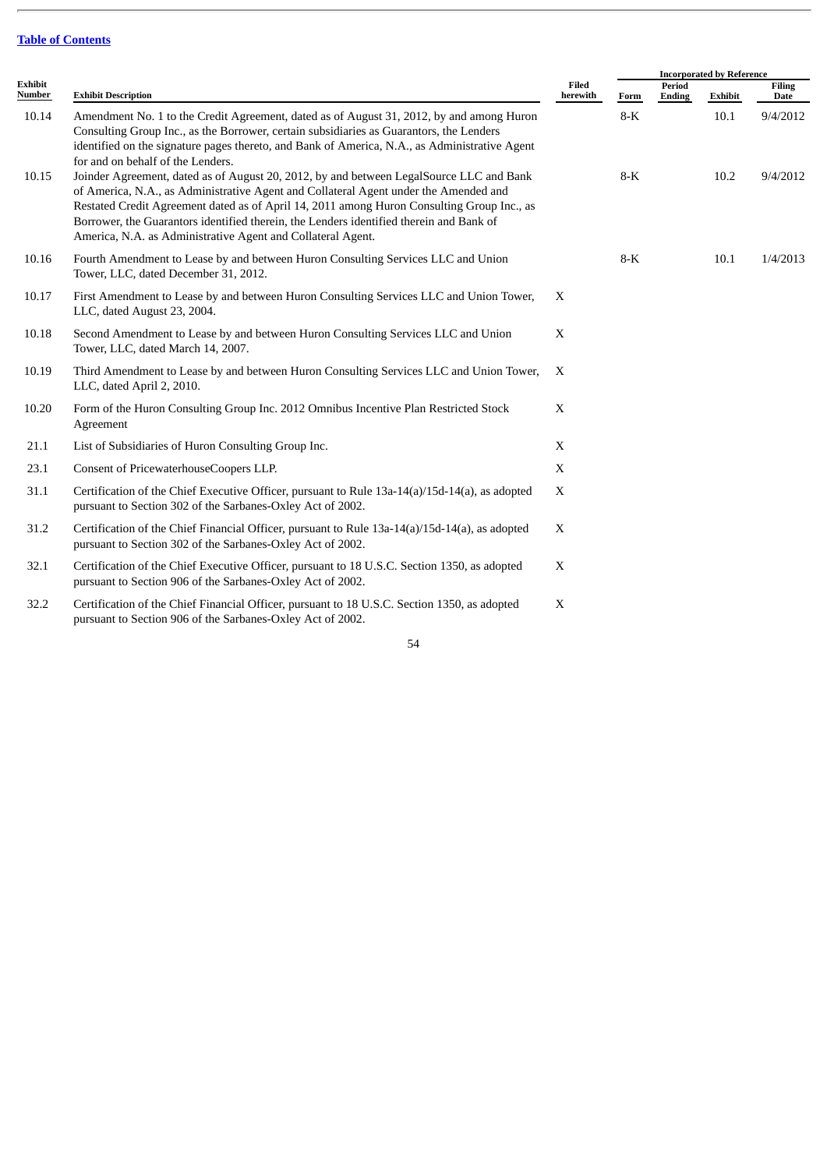J.

|                   |                                                                                                                                                                                                                                                                                                                                                                                                                                         |                   |       |                         | <b>Incorporated by Reference</b> |                       |
|-------------------|-----------------------------------------------------------------------------------------------------------------------------------------------------------------------------------------------------------------------------------------------------------------------------------------------------------------------------------------------------------------------------------------------------------------------------------------|-------------------|-------|-------------------------|----------------------------------|-----------------------|
| Exhibit<br>Number | <b>Exhibit Description</b>                                                                                                                                                                                                                                                                                                                                                                                                              | Filed<br>herewith | Form  | <b>Period</b><br>Ending | Exhibit                          | <b>Filing</b><br>Date |
| 10.14             | Amendment No. 1 to the Credit Agreement, dated as of August 31, 2012, by and among Huron<br>Consulting Group Inc., as the Borrower, certain subsidiaries as Guarantors, the Lenders<br>identified on the signature pages thereto, and Bank of America, N.A., as Administrative Agent<br>for and on behalf of the Lenders.                                                                                                               |                   | $8-K$ |                         | 10.1                             | 9/4/2012              |
| 10.15             | Joinder Agreement, dated as of August 20, 2012, by and between LegalSource LLC and Bank<br>of America, N.A., as Administrative Agent and Collateral Agent under the Amended and<br>Restated Credit Agreement dated as of April 14, 2011 among Huron Consulting Group Inc., as<br>Borrower, the Guarantors identified therein, the Lenders identified therein and Bank of<br>America, N.A. as Administrative Agent and Collateral Agent. |                   | $8-K$ |                         | 10.2                             | 9/4/2012              |
| 10.16             | Fourth Amendment to Lease by and between Huron Consulting Services LLC and Union<br>Tower, LLC, dated December 31, 2012.                                                                                                                                                                                                                                                                                                                |                   | $8-K$ |                         | 10.1                             | 1/4/2013              |
| 10.17             | First Amendment to Lease by and between Huron Consulting Services LLC and Union Tower,<br>LLC, dated August 23, 2004.                                                                                                                                                                                                                                                                                                                   | X                 |       |                         |                                  |                       |
| 10.18             | Second Amendment to Lease by and between Huron Consulting Services LLC and Union<br>Tower, LLC, dated March 14, 2007.                                                                                                                                                                                                                                                                                                                   | X                 |       |                         |                                  |                       |
| 10.19             | Third Amendment to Lease by and between Huron Consulting Services LLC and Union Tower,<br>LLC, dated April 2, 2010.                                                                                                                                                                                                                                                                                                                     | X                 |       |                         |                                  |                       |
| 10.20             | Form of the Huron Consulting Group Inc. 2012 Omnibus Incentive Plan Restricted Stock<br>Agreement                                                                                                                                                                                                                                                                                                                                       | X                 |       |                         |                                  |                       |
| 21.1              | List of Subsidiaries of Huron Consulting Group Inc.                                                                                                                                                                                                                                                                                                                                                                                     | X                 |       |                         |                                  |                       |
| 23.1              | Consent of PricewaterhouseCoopers LLP.                                                                                                                                                                                                                                                                                                                                                                                                  | X                 |       |                         |                                  |                       |
| 31.1              | Certification of the Chief Executive Officer, pursuant to Rule 13a-14(a)/15d-14(a), as adopted<br>pursuant to Section 302 of the Sarbanes-Oxley Act of 2002.                                                                                                                                                                                                                                                                            | X                 |       |                         |                                  |                       |
| 31.2              | Certification of the Chief Financial Officer, pursuant to Rule 13a-14(a)/15d-14(a), as adopted<br>pursuant to Section 302 of the Sarbanes-Oxley Act of 2002.                                                                                                                                                                                                                                                                            | X                 |       |                         |                                  |                       |
| 32.1              | Certification of the Chief Executive Officer, pursuant to 18 U.S.C. Section 1350, as adopted<br>pursuant to Section 906 of the Sarbanes-Oxley Act of 2002.                                                                                                                                                                                                                                                                              | X                 |       |                         |                                  |                       |
| 32.2              | Certification of the Chief Financial Officer, pursuant to 18 U.S.C. Section 1350, as adopted<br>pursuant to Section 906 of the Sarbanes-Oxley Act of 2002.                                                                                                                                                                                                                                                                              | X                 |       |                         |                                  |                       |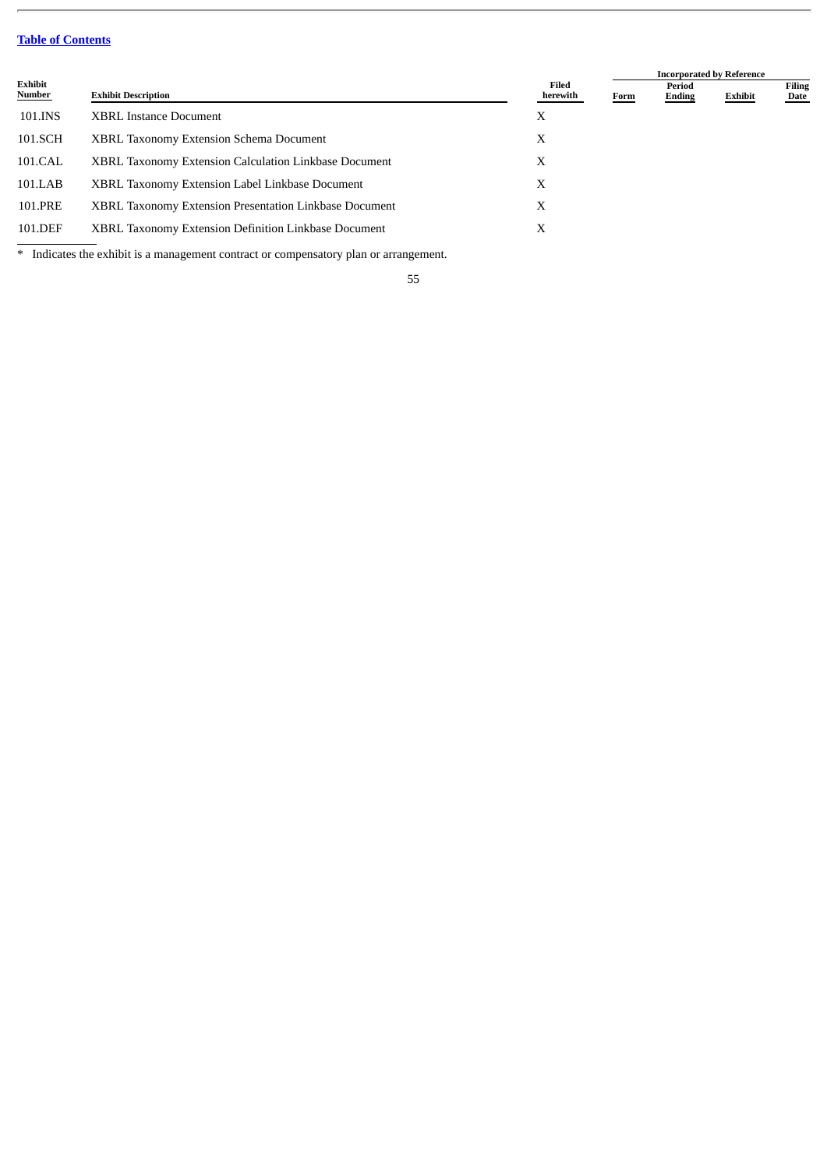|                   |                                                        |                   |      |                  | <b>Incorporated by Reference</b> |                              |
|-------------------|--------------------------------------------------------|-------------------|------|------------------|----------------------------------|------------------------------|
| Exhibit<br>Number | <b>Exhibit Description</b>                             | Filed<br>herewith | Form | Period<br>Ending | Exhibit                          | <b>Filing</b><br><b>Date</b> |
| 101.INS           | <b>XBRL Instance Document</b>                          | Х                 |      |                  |                                  |                              |
| 101.SCH           | XBRL Taxonomy Extension Schema Document                | Х                 |      |                  |                                  |                              |
| 101.CAL           | XBRL Taxonomy Extension Calculation Linkbase Document  | Х                 |      |                  |                                  |                              |
| 101.LAB           | XBRL Taxonomy Extension Label Linkbase Document        | Х                 |      |                  |                                  |                              |
| 101.PRE           | XBRL Taxonomy Extension Presentation Linkbase Document | Х                 |      |                  |                                  |                              |
| 101.DEF           | XBRL Taxonomy Extension Definition Linkbase Document   | Х                 |      |                  |                                  |                              |
|                   |                                                        |                   |      |                  |                                  |                              |

\* Indicates the exhibit is a management contract or compensatory plan or arrangement.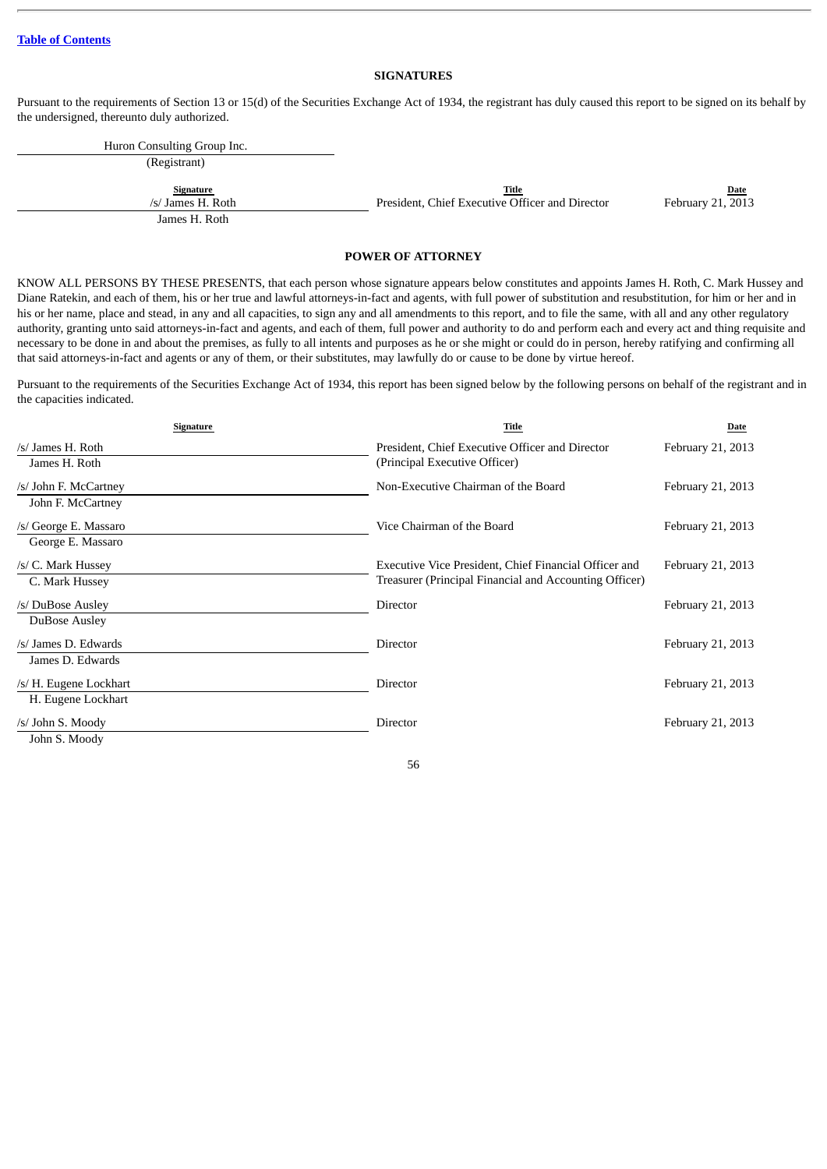# **SIGNATURES**

Pursuant to the requirements of Section 13 or 15(d) of the Securities Exchange Act of 1934, the registrant has duly caused this report to be signed on its behalf by the undersigned, thereunto duly authorized.

| Huron Consulting Group Inc.    |                                                          |                                  |
|--------------------------------|----------------------------------------------------------|----------------------------------|
| (Registrant)                   |                                                          |                                  |
| Signature<br>/s/ James H. Roth | Title<br>President, Chief Executive Officer and Director | <b>Date</b><br>February 21, 2013 |
| James H. Roth                  |                                                          |                                  |

### **POWER OF ATTORNEY**

KNOW ALL PERSONS BY THESE PRESENTS, that each person whose signature appears below constitutes and appoints James H. Roth, C. Mark Hussey and Diane Ratekin, and each of them, his or her true and lawful attorneys-in-fact and agents, with full power of substitution and resubstitution, for him or her and in his or her name, place and stead, in any and all capacities, to sign any and all amendments to this report, and to file the same, with all and any other regulatory authority, granting unto said attorneys-in-fact and agents, and each of them, full power and authority to do and perform each and every act and thing requisite and necessary to be done in and about the premises, as fully to all intents and purposes as he or she might or could do in person, hereby ratifying and confirming all that said attorneys-in-fact and agents or any of them, or their substitutes, may lawfully do or cause to be done by virtue hereof.

Pursuant to the requirements of the Securities Exchange Act of 1934, this report has been signed below by the following persons on behalf of the registrant and in the capacities indicated.

| Signature              | Title                                                  | Date              |
|------------------------|--------------------------------------------------------|-------------------|
| /s/ James H. Roth      | President, Chief Executive Officer and Director        | February 21, 2013 |
| James H. Roth          | (Principal Executive Officer)                          |                   |
| /s/ John F. McCartney  | Non-Executive Chairman of the Board                    | February 21, 2013 |
| John F. McCartney      |                                                        |                   |
| /s/ George E. Massaro  | Vice Chairman of the Board                             | February 21, 2013 |
| George E. Massaro      |                                                        |                   |
| /s/ C. Mark Hussey     | Executive Vice President, Chief Financial Officer and  | February 21, 2013 |
| C. Mark Hussey         | Treasurer (Principal Financial and Accounting Officer) |                   |
| /s/ DuBose Ausley      | Director                                               | February 21, 2013 |
| <b>DuBose Ausley</b>   |                                                        |                   |
| /s/ James D. Edwards   | <b>Director</b>                                        | February 21, 2013 |
| James D. Edwards       |                                                        |                   |
| /s/ H. Eugene Lockhart | Director                                               | February 21, 2013 |
| H. Eugene Lockhart     |                                                        |                   |
| /s/ John S. Moody      | Director                                               | February 21, 2013 |
| John S. Moody          |                                                        |                   |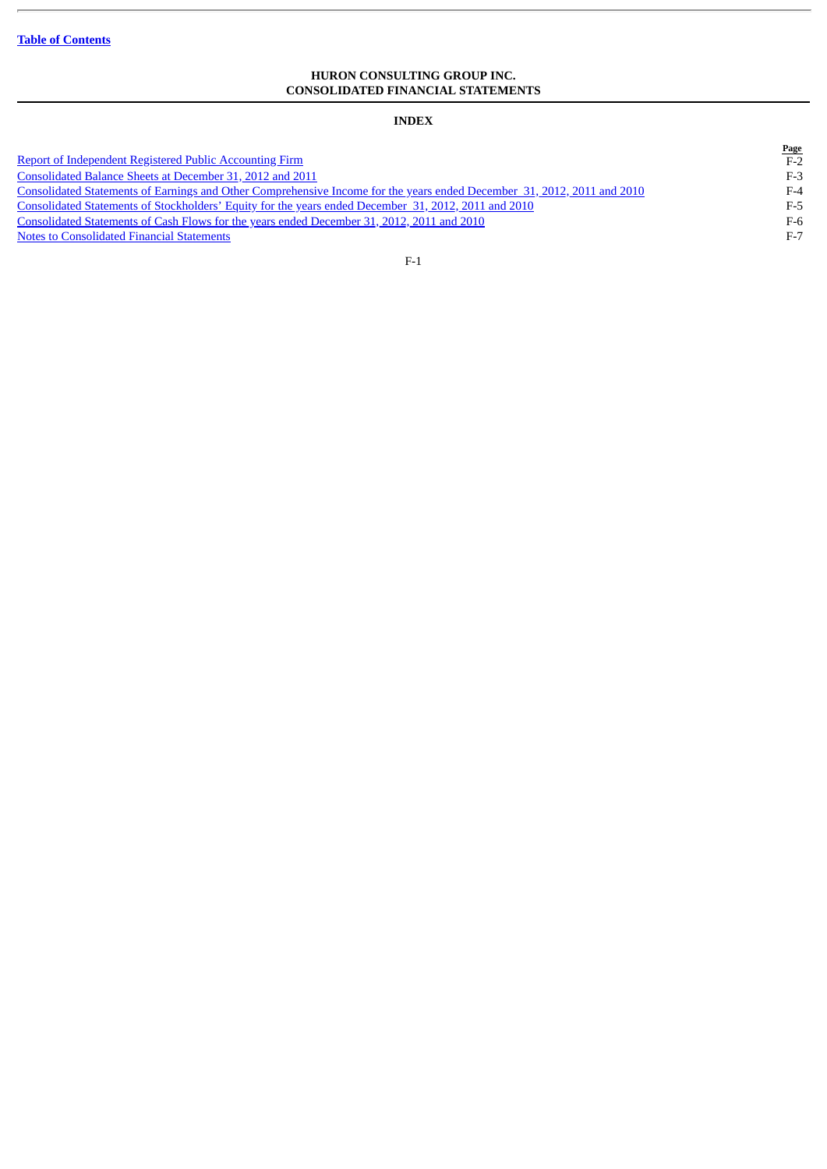# **HURON CONSULTING GROUP INC. CONSOLIDATED FINANCIAL STATEMENTS**

# **INDEX**

|                                                                                                                         | <b>Page</b> |
|-------------------------------------------------------------------------------------------------------------------------|-------------|
| <b>Report of Independent Registered Public Accounting Firm</b>                                                          | $F-2$       |
| Consolidated Balance Sheets at December 31, 2012 and 2011                                                               | $F-3$       |
| Consolidated Statements of Earnings and Other Comprehensive Income for the years ended December 31, 2012, 2011 and 2010 | $F-4$       |
| Consolidated Statements of Stockholders' Equity for the years ended December 31, 2012, 2011 and 2010                    | $F-5$       |
| Consolidated Statements of Cash Flows for the years ended December 31, 2012, 2011 and 2010                              | F-6         |
| Notes to Consolidated Financial Statements                                                                              | $F-7$       |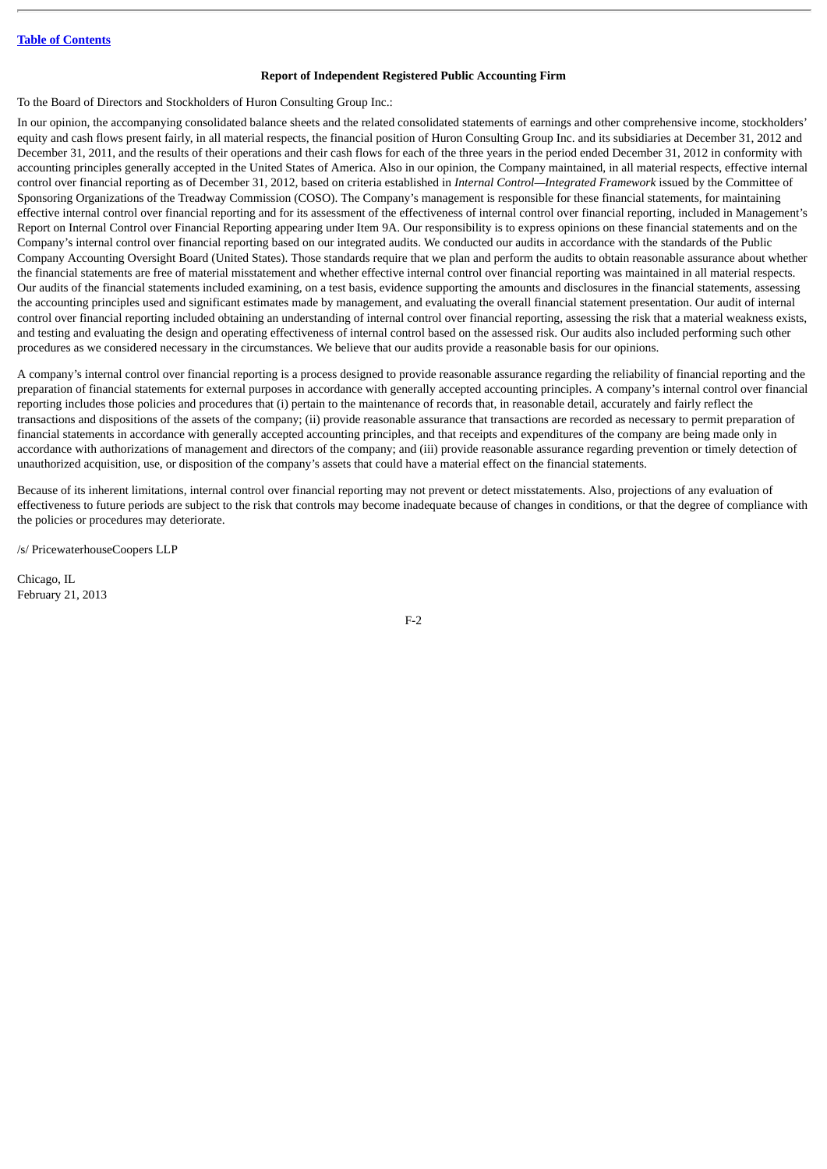#### **Report of Independent Registered Public Accounting Firm**

<span id="page-59-0"></span>To the Board of Directors and Stockholders of Huron Consulting Group Inc.:

In our opinion, the accompanying consolidated balance sheets and the related consolidated statements of earnings and other comprehensive income, stockholders' equity and cash flows present fairly, in all material respects, the financial position of Huron Consulting Group Inc. and its subsidiaries at December 31, 2012 and December 31, 2011, and the results of their operations and their cash flows for each of the three years in the period ended December 31, 2012 in conformity with accounting principles generally accepted in the United States of America. Also in our opinion, the Company maintained, in all material respects, effective internal control over financial reporting as of December 31, 2012, based on criteria established in *Internal Control—Integrated Framework* issued by the Committee of Sponsoring Organizations of the Treadway Commission (COSO). The Company's management is responsible for these financial statements, for maintaining effective internal control over financial reporting and for its assessment of the effectiveness of internal control over financial reporting, included in Management's Report on Internal Control over Financial Reporting appearing under Item 9A. Our responsibility is to express opinions on these financial statements and on the Company's internal control over financial reporting based on our integrated audits. We conducted our audits in accordance with the standards of the Public Company Accounting Oversight Board (United States). Those standards require that we plan and perform the audits to obtain reasonable assurance about whether the financial statements are free of material misstatement and whether effective internal control over financial reporting was maintained in all material respects. Our audits of the financial statements included examining, on a test basis, evidence supporting the amounts and disclosures in the financial statements, assessing the accounting principles used and significant estimates made by management, and evaluating the overall financial statement presentation. Our audit of internal control over financial reporting included obtaining an understanding of internal control over financial reporting, assessing the risk that a material weakness exists, and testing and evaluating the design and operating effectiveness of internal control based on the assessed risk. Our audits also included performing such other procedures as we considered necessary in the circumstances. We believe that our audits provide a reasonable basis for our opinions.

A company's internal control over financial reporting is a process designed to provide reasonable assurance regarding the reliability of financial reporting and the preparation of financial statements for external purposes in accordance with generally accepted accounting principles. A company's internal control over financial reporting includes those policies and procedures that (i) pertain to the maintenance of records that, in reasonable detail, accurately and fairly reflect the transactions and dispositions of the assets of the company; (ii) provide reasonable assurance that transactions are recorded as necessary to permit preparation of financial statements in accordance with generally accepted accounting principles, and that receipts and expenditures of the company are being made only in accordance with authorizations of management and directors of the company; and (iii) provide reasonable assurance regarding prevention or timely detection of unauthorized acquisition, use, or disposition of the company's assets that could have a material effect on the financial statements.

Because of its inherent limitations, internal control over financial reporting may not prevent or detect misstatements. Also, projections of any evaluation of effectiveness to future periods are subject to the risk that controls may become inadequate because of changes in conditions, or that the degree of compliance with the policies or procedures may deteriorate.

/s/ PricewaterhouseCoopers LLP

Chicago, IL February 21, 2013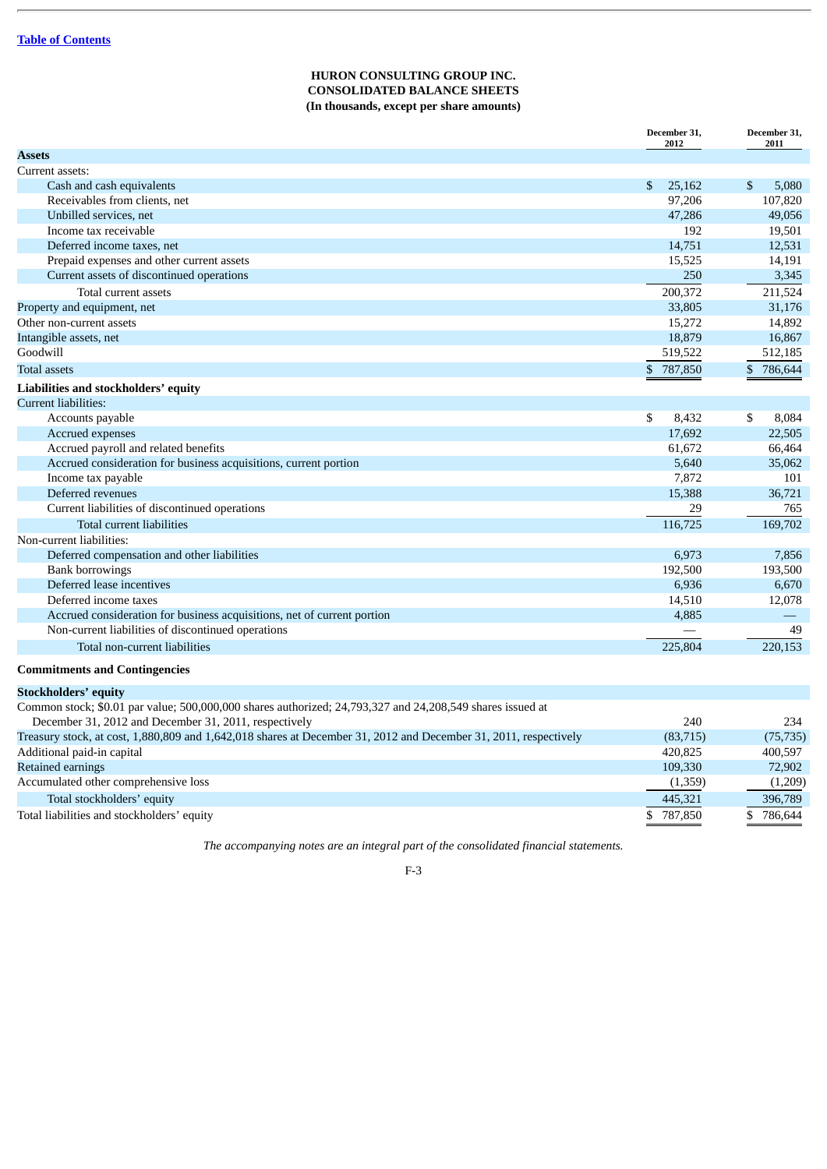# **HURON CONSULTING GROUP INC. CONSOLIDATED BALANCE SHEETS (In thousands, except per share amounts)**

<span id="page-60-0"></span>

|                                                                                                                 | December 31,<br>2012 | December 31,<br>2011 |
|-----------------------------------------------------------------------------------------------------------------|----------------------|----------------------|
| Assets                                                                                                          |                      |                      |
| Current assets:                                                                                                 |                      |                      |
| Cash and cash equivalents                                                                                       | \$<br>25,162         | \$<br>5,080          |
| Receivables from clients, net                                                                                   | 97,206               | 107,820              |
| Unbilled services, net                                                                                          | 47,286               | 49,056               |
| Income tax receivable                                                                                           | 192                  | 19,501               |
| Deferred income taxes, net                                                                                      | 14,751               | 12,531               |
| Prepaid expenses and other current assets                                                                       | 15,525               | 14,191               |
| Current assets of discontinued operations                                                                       | 250                  | 3,345                |
| Total current assets                                                                                            | 200,372              | 211,524              |
| Property and equipment, net                                                                                     | 33,805               | 31,176               |
| Other non-current assets                                                                                        | 15,272               | 14,892               |
| Intangible assets, net                                                                                          | 18,879               | 16,867               |
| Goodwill                                                                                                        | 519,522              | 512,185              |
| <b>Total assets</b>                                                                                             | \$787,850            | \$786,644            |
| Liabilities and stockholders' equity                                                                            |                      |                      |
| Current liabilities:                                                                                            |                      |                      |
| Accounts payable                                                                                                | \$<br>8,432          | \$<br>8,084          |
| Accrued expenses                                                                                                | 17,692               | 22,505               |
| Accrued payroll and related benefits                                                                            | 61,672               | 66,464               |
| Accrued consideration for business acquisitions, current portion                                                | 5,640                | 35,062               |
| Income tax payable                                                                                              | 7,872                | 101                  |
| Deferred revenues                                                                                               | 15,388               | 36,721               |
| Current liabilities of discontinued operations                                                                  | 29                   | 765                  |
| Total current liabilities                                                                                       | 116,725              | 169,702              |
| Non-current liabilities:                                                                                        |                      |                      |
| Deferred compensation and other liabilities                                                                     | 6,973                | 7,856                |
| <b>Bank borrowings</b>                                                                                          | 192,500              | 193,500              |
| Deferred lease incentives                                                                                       | 6,936                | 6,670                |
| Deferred income taxes                                                                                           | 14,510               | 12,078               |
| Accrued consideration for business acquisitions, net of current portion                                         | 4,885                |                      |
| Non-current liabilities of discontinued operations                                                              |                      | 49                   |
| Total non-current liabilities                                                                                   | 225,804              | 220,153              |
| <b>Commitments and Contingencies</b>                                                                            |                      |                      |
| Stockholders' equity                                                                                            |                      |                      |
| Common stock $$0.01$ per value: $500,000,000$ shares sutherized: $24,702,227$ and $24,200,540$ shares issued at |                      |                      |

| Common stock; \$0.01 par value; 500,000,000 shares authorized; 24,793,327 and 24,208,549 shares issued at        |           |           |
|------------------------------------------------------------------------------------------------------------------|-----------|-----------|
| December 31, 2012 and December 31, 2011, respectively                                                            | 240       | 234       |
| Treasury stock, at cost, 1,880,809 and 1,642,018 shares at December 31, 2012 and December 31, 2011, respectively | (83,715)  | (75, 735) |
| Additional paid-in capital                                                                                       | 420,825   | 400.597   |
| Retained earnings                                                                                                | 109,330   | 72,902    |
| Accumulated other comprehensive loss                                                                             | (1,359)   | (1,209)   |
| Total stockholders' equity                                                                                       | 445,321   | 396,789   |
| Total liabilities and stockholders' equity                                                                       | \$787,850 | \$786,644 |

*The accompanying notes are an integral part of the consolidated financial statements.*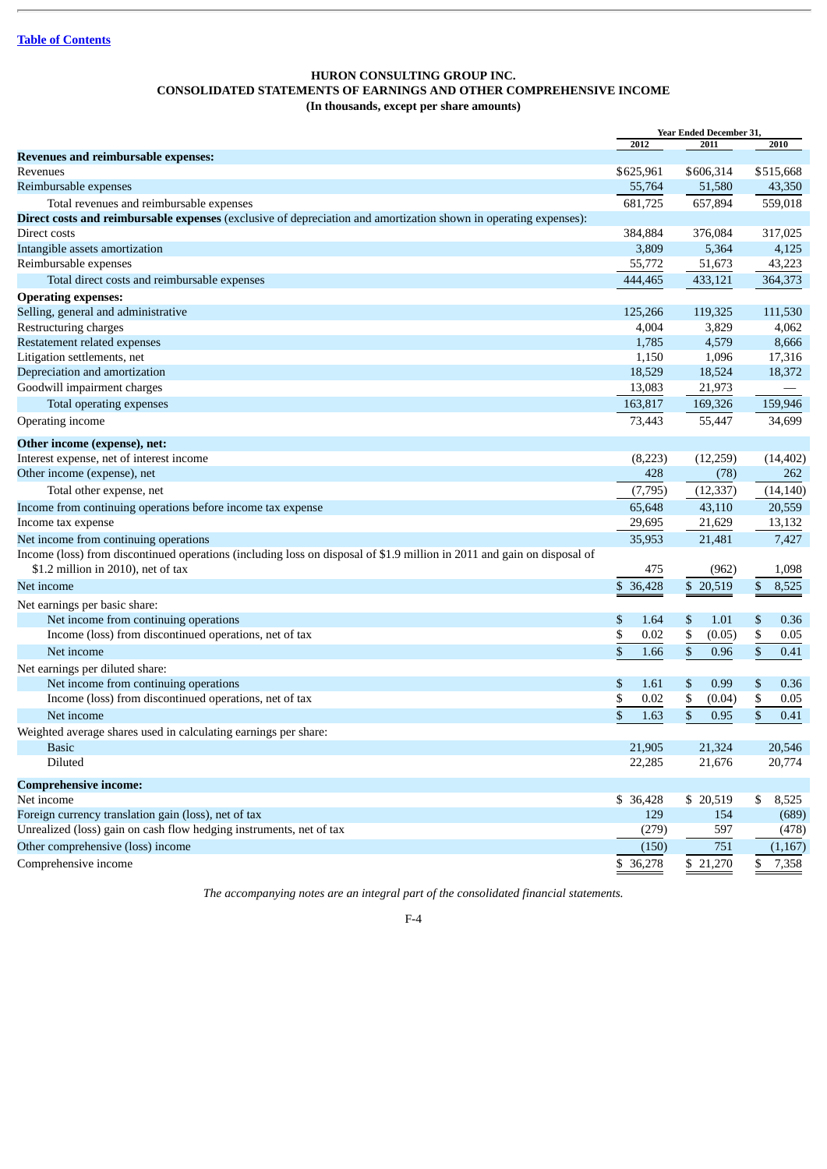# **HURON CONSULTING GROUP INC. CONSOLIDATED STATEMENTS OF EARNINGS AND OTHER COMPREHENSIVE INCOME (In thousands, except per share amounts)**

<span id="page-61-0"></span>

|                                                                                                                         | Year Ended December 31, |                       |                         |
|-------------------------------------------------------------------------------------------------------------------------|-------------------------|-----------------------|-------------------------|
|                                                                                                                         | 2012                    | 2011                  | 2010                    |
| <b>Revenues and reimbursable expenses:</b>                                                                              |                         |                       |                         |
| Revenues                                                                                                                | \$625,961               | \$606,314             | \$515,668               |
| Reimbursable expenses                                                                                                   | 55,764                  | 51,580                | 43,350                  |
| Total revenues and reimbursable expenses                                                                                | 681,725                 | 657,894               | 559,018                 |
| Direct costs and reimbursable expenses (exclusive of depreciation and amortization shown in operating expenses):        |                         |                       |                         |
| Direct costs                                                                                                            | 384,884                 | 376,084               | 317,025                 |
| Intangible assets amortization                                                                                          | 3,809                   | 5,364                 | 4,125                   |
| Reimbursable expenses                                                                                                   | 55,772                  | 51,673                | 43,223                  |
| Total direct costs and reimbursable expenses                                                                            | 444,465                 | 433,121               | 364,373                 |
| <b>Operating expenses:</b>                                                                                              |                         |                       |                         |
| Selling, general and administrative                                                                                     | 125,266                 | 119,325               | 111,530                 |
| Restructuring charges                                                                                                   | 4,004                   | 3,829                 | 4,062                   |
| Restatement related expenses                                                                                            | 1,785                   | 4,579                 | 8,666                   |
| Litigation settlements, net                                                                                             | 1,150                   | 1,096                 | 17,316                  |
| Depreciation and amortization                                                                                           | 18,529                  | 18,524                | 18,372                  |
| Goodwill impairment charges                                                                                             | 13,083                  | 21,973                |                         |
| Total operating expenses                                                                                                | 163,817                 | 169,326               | 159,946                 |
| Operating income                                                                                                        | 73,443                  | 55,447                | 34,699                  |
| Other income (expense), net:                                                                                            |                         |                       |                         |
| Interest expense, net of interest income                                                                                | (8,223)                 | (12,259)              | (14, 402)               |
| Other income (expense), net                                                                                             | 428                     | (78)                  | 262                     |
| Total other expense, net                                                                                                | (7,795)                 | (12, 337)             | (14, 140)               |
| Income from continuing operations before income tax expense                                                             | 65,648                  | 43,110                | 20,559                  |
| Income tax expense                                                                                                      | 29,695                  | 21,629                | 13,132                  |
| Net income from continuing operations                                                                                   | 35,953                  | 21,481                | 7,427                   |
| Income (loss) from discontinued operations (including loss on disposal of \$1.9 million in 2011 and gain on disposal of |                         |                       |                         |
| \$1.2 million in 2010), net of tax                                                                                      | 475                     | (962)                 | 1,098                   |
| Net income                                                                                                              | \$ 36,428               | \$ 20,519             | \$<br>8,525             |
|                                                                                                                         |                         |                       |                         |
| Net earnings per basic share:                                                                                           |                         |                       |                         |
| Net income from continuing operations                                                                                   | \$<br>1.64              | \$<br>1.01            | \$<br>0.36              |
| Income (loss) from discontinued operations, net of tax                                                                  | \$<br>0.02              | \$<br>(0.05)          | \$<br>0.05              |
| Net income                                                                                                              | \$<br>1.66              | ${\mathbb S}$<br>0.96 | $\overline{\$}$<br>0.41 |
| Net earnings per diluted share:                                                                                         |                         |                       |                         |
| Net income from continuing operations                                                                                   | \$<br>1.61              | 0.99<br>\$            | \$<br>0.36              |
| Income (loss) from discontinued operations, net of tax                                                                  | \$<br>0.02              | \$<br>(0.04)          | \$<br>0.05              |
| Net income                                                                                                              | \$<br>1.63              | \$<br>0.95            | \$<br>0.41              |
| Weighted average shares used in calculating earnings per share:                                                         |                         |                       |                         |
| Basic                                                                                                                   | 21,905                  | 21,324                | 20,546                  |
| Diluted                                                                                                                 | 22,285                  | 21,676                | 20,774                  |
| <b>Comprehensive income:</b>                                                                                            |                         |                       |                         |
| Net income                                                                                                              | \$ 36,428               | \$ 20,519             | 8,525<br>\$             |
| Foreign currency translation gain (loss), net of tax                                                                    | 129                     | 154                   | (689)                   |
| Unrealized (loss) gain on cash flow hedging instruments, net of tax                                                     | (279)                   | 597                   | (478)                   |
| Other comprehensive (loss) income                                                                                       | (150)                   | 751                   | (1,167)                 |
| Comprehensive income                                                                                                    | \$ 36,278               | \$ 21,270             | \$<br>7,358             |

*The accompanying notes are an integral part of the consolidated financial statements.*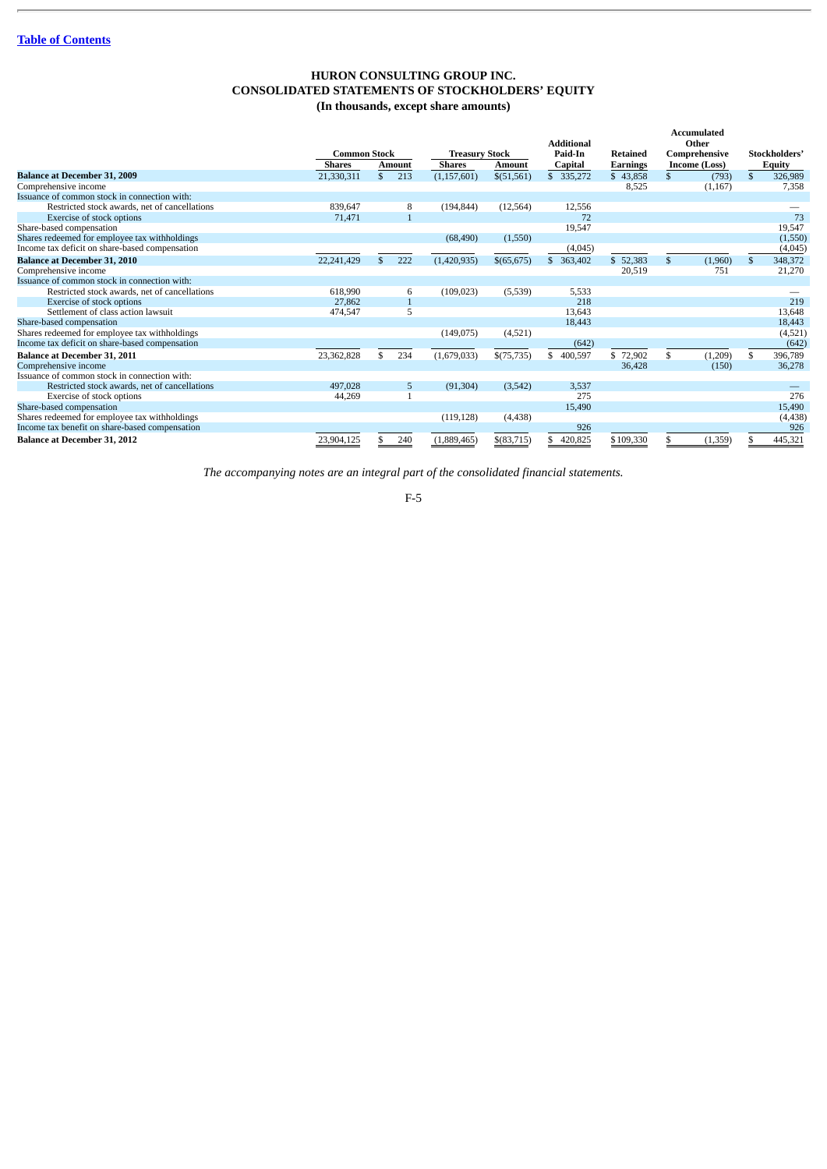# **HURON CONSULTING GROUP INC. CONSOLIDATED STATEMENTS OF STOCKHOLDERS' EQUITY (In thousands, except share amounts)**

<span id="page-62-0"></span>

|                                                |                     |           |                       |              |                              |                 |    | <b>Accumulated</b> |              |               |
|------------------------------------------------|---------------------|-----------|-----------------------|--------------|------------------------------|-----------------|----|--------------------|--------------|---------------|
|                                                | <b>Common Stock</b> |           | <b>Treasury Stock</b> |              | <b>Additional</b><br>Paid-In | Retained        |    | Other              |              | Stockholders' |
|                                                | <b>Shares</b>       |           | <b>Shares</b>         |              |                              |                 |    | Comprehensive      |              |               |
| <b>Balance at December 31, 2009</b>            |                     | Amount    |                       | Amount       | Capital                      | <b>Earnings</b> |    | Income (Loss)      |              | <b>Equity</b> |
|                                                | 21,330,311          | \$<br>213 | (1, 157, 601)         | \$(51,561)   | \$ 335,272                   | \$43,858        | \$ | (793)              | $\mathbb{S}$ | 326,989       |
| Comprehensive income                           |                     |           |                       |              |                              | 8,525           |    | (1,167)            |              | 7,358         |
| Issuance of common stock in connection with:   |                     |           |                       |              |                              |                 |    |                    |              |               |
| Restricted stock awards, net of cancellations  | 839,647             | 8         | (194, 844)            | (12, 564)    | 12,556                       |                 |    |                    |              |               |
| Exercise of stock options                      | 71,471              |           |                       |              | 72                           |                 |    |                    |              | 73            |
| Share-based compensation                       |                     |           |                       |              | 19,547                       |                 |    |                    |              | 19,547        |
| Shares redeemed for employee tax withholdings  |                     |           | (68, 490)             | (1,550)      |                              |                 |    |                    |              | (1,550)       |
| Income tax deficit on share-based compensation |                     |           |                       |              | (4,045)                      |                 |    |                    |              | (4,045)       |
| <b>Balance at December 31, 2010</b>            | 22,241,429          | 222       | (1,420,935)           | \$(65, 675)  | 363,402<br>S.                | \$52,383        | \$ | (1,960)            | $\mathbf{s}$ | 348,372       |
| Comprehensive income                           |                     |           |                       |              |                              | 20,519          |    | 751                |              | 21,270        |
| Issuance of common stock in connection with:   |                     |           |                       |              |                              |                 |    |                    |              |               |
| Restricted stock awards, net of cancellations  | 618,990             | 6         | (109, 023)            | (5,539)      | 5,533                        |                 |    |                    |              |               |
| Exercise of stock options                      | 27,862              |           |                       |              | 218                          |                 |    |                    |              | 219           |
| Settlement of class action lawsuit             | 474,547             | 5         |                       |              | 13,643                       |                 |    |                    |              | 13,648        |
| Share-based compensation                       |                     |           |                       |              | 18,443                       |                 |    |                    |              | 18,443        |
| Shares redeemed for employee tax withholdings  |                     |           | (149, 075)            | (4,521)      |                              |                 |    |                    |              | (4,521)       |
| Income tax deficit on share-based compensation |                     |           |                       |              | (642)                        |                 |    |                    |              | (642)         |
| Balance at December 31, 2011                   | 23,362,828          | \$<br>234 | (1,679,033)           | \$(75,735)   | 400,597                      | \$72,902        | \$ | (1,209)            | \$           | 396,789       |
| Comprehensive income                           |                     |           |                       |              |                              | 36,428          |    | (150)              |              | 36,278        |
| Issuance of common stock in connection with:   |                     |           |                       |              |                              |                 |    |                    |              |               |
| Restricted stock awards, net of cancellations  | 497,028             | 5         | (91, 304)             | (3,542)      | 3,537                        |                 |    |                    |              |               |
| Exercise of stock options                      | 44,269              |           |                       |              | 275                          |                 |    |                    |              | 276           |
| Share-based compensation                       |                     |           |                       |              | 15,490                       |                 |    |                    |              | 15,490        |
| Shares redeemed for employee tax withholdings  |                     |           | (119, 128)            | (4, 438)     |                              |                 |    |                    |              | (4, 438)      |
| Income tax benefit on share-based compensation |                     |           |                       |              | 926                          |                 |    |                    |              | 926           |
| <b>Balance at December 31, 2012</b>            | 23,904,125          | 240       | (1,889,465)           | $$$ (83,715) | 420,825                      | \$109,330       | S  | (1, 359)           |              | 445,321       |

*The accompanying notes are an integral part of the consolidated financial statements.*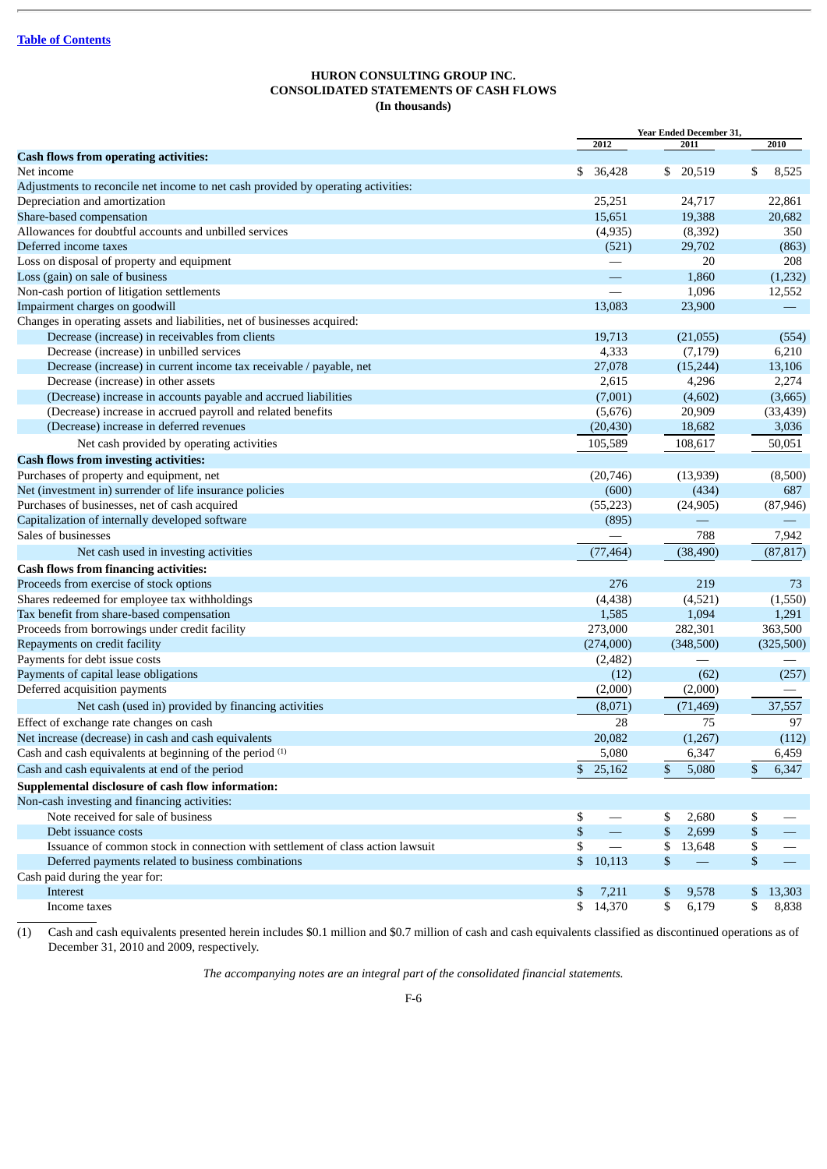# **HURON CONSULTING GROUP INC. CONSOLIDATED STATEMENTS OF CASH FLOWS (In thousands)**

<span id="page-63-0"></span>

|                                                                                             |                        | <b>Year Ended December 31,</b> |                |  |
|---------------------------------------------------------------------------------------------|------------------------|--------------------------------|----------------|--|
|                                                                                             | 2012                   | 2011                           | 2010           |  |
| <b>Cash flows from operating activities:</b>                                                |                        |                                |                |  |
| Net income                                                                                  | \$<br>36,428           | 20,519<br>\$                   | \$<br>8,525    |  |
| Adjustments to reconcile net income to net cash provided by operating activities:           |                        |                                |                |  |
| Depreciation and amortization                                                               | 25,251                 | 24,717                         | 22,861         |  |
| Share-based compensation                                                                    | 15,651                 | 19,388                         | 20,682         |  |
| Allowances for doubtful accounts and unbilled services                                      | (4,935)                | (8, 392)                       | 350            |  |
| Deferred income taxes                                                                       | (521)                  | 29,702<br>20                   | (863)<br>208   |  |
| Loss on disposal of property and equipment<br>Loss (gain) on sale of business               |                        |                                |                |  |
|                                                                                             |                        | 1,860                          | (1,232)        |  |
| Non-cash portion of litigation settlements                                                  |                        | 1,096<br>23,900                | 12,552         |  |
| Impairment charges on goodwill                                                              | 13,083                 |                                |                |  |
| Changes in operating assets and liabilities, net of businesses acquired:                    |                        |                                |                |  |
| Decrease (increase) in receivables from clients<br>Decrease (increase) in unbilled services | 19,713<br>4,333        | (21,055)<br>(7, 179)           | (554)<br>6,210 |  |
| Decrease (increase) in current income tax receivable / payable, net                         | 27,078                 | (15, 244)                      | 13,106         |  |
| Decrease (increase) in other assets                                                         | 2,615                  | 4,296                          | 2,274          |  |
| (Decrease) increase in accounts payable and accrued liabilities                             | (7,001)                | (4,602)                        | (3,665)        |  |
| (Decrease) increase in accrued payroll and related benefits                                 | (5,676)                | 20,909                         | (33, 439)      |  |
| (Decrease) increase in deferred revenues                                                    | (20, 430)              | 18,682                         | 3,036          |  |
|                                                                                             |                        |                                |                |  |
| Net cash provided by operating activities                                                   | 105,589                | 108,617                        | 50,051         |  |
| <b>Cash flows from investing activities:</b>                                                |                        |                                |                |  |
| Purchases of property and equipment, net                                                    | (20, 746)              | (13, 939)                      | (8,500)        |  |
| Net (investment in) surrender of life insurance policies                                    | (600)                  | (434)                          | 687            |  |
| Purchases of businesses, net of cash acquired                                               | (55, 223)              | (24, 905)                      | (87, 946)      |  |
| Capitalization of internally developed software                                             | (895)                  |                                |                |  |
| Sales of businesses                                                                         |                        | 788                            | 7,942          |  |
| Net cash used in investing activities                                                       | (77, 464)              | (38, 490)                      | (87, 817)      |  |
| <b>Cash flows from financing activities:</b>                                                |                        |                                |                |  |
| Proceeds from exercise of stock options                                                     | 276                    | 219                            | 73             |  |
| Shares redeemed for employee tax withholdings                                               | (4, 438)               | (4,521)                        | (1,550)        |  |
| Tax benefit from share-based compensation                                                   | 1,585                  | 1,094                          | 1,291          |  |
| Proceeds from borrowings under credit facility                                              | 273,000                | 282,301                        | 363,500        |  |
| Repayments on credit facility                                                               | (274,000)              | (348,500)                      | (325,500)      |  |
| Payments for debt issue costs                                                               | (2,482)                |                                |                |  |
| Payments of capital lease obligations                                                       | (12)                   | (62)                           | (257)          |  |
| Deferred acquisition payments                                                               | (2,000)                | (2,000)                        |                |  |
| Net cash (used in) provided by financing activities                                         | (8,071)                | (71, 469)                      | 37,557         |  |
| Effect of exchange rate changes on cash                                                     | 28                     | 75                             | 97             |  |
| Net increase (decrease) in cash and cash equivalents                                        | 20,082                 | (1,267)                        | (112)          |  |
| Cash and cash equivalents at beginning of the period (1)                                    | 5,080                  | 6,347                          | 6,459          |  |
| Cash and cash equivalents at end of the period                                              | \$25,162               | \$<br>5,080                    | \$<br>6,347    |  |
| Supplemental disclosure of cash flow information:                                           |                        |                                |                |  |
| Non-cash investing and financing activities:                                                |                        |                                |                |  |
| Note received for sale of business                                                          | \$                     | 2,680<br>\$                    | \$             |  |
| Debt issuance costs                                                                         | \$                     | \$<br>2,699                    | \$             |  |
| Issuance of common stock in connection with settlement of class action lawsuit              | \$                     | \$<br>13,648                   | \$             |  |
| Deferred payments related to business combinations                                          | $\mathbb{S}$<br>10,113 | \$<br>$\overline{\phantom{m}}$ | \$             |  |
| Cash paid during the year for:                                                              |                        |                                |                |  |
| Interest                                                                                    | \$<br>7,211            | 9,578<br>\$                    | \$13,303       |  |
| Income taxes                                                                                | \$14,370               | 6,179<br>\$                    | \$<br>8,838    |  |

(1) Cash and cash equivalents presented herein includes \$0.1 million and \$0.7 million of cash and cash equivalents classified as discontinued operations as of December 31, 2010 and 2009, respectively.

*The accompanying notes are an integral part of the consolidated financial statements.*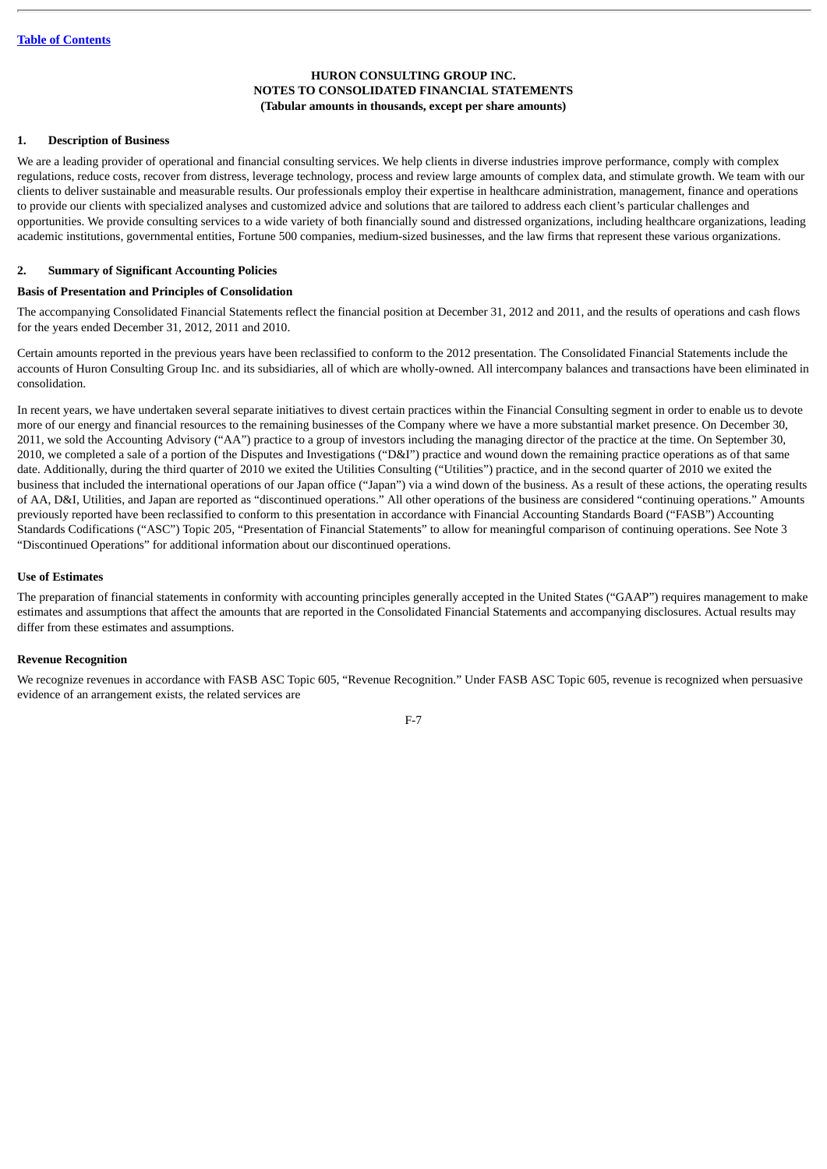## <span id="page-64-0"></span>**1. Description of Business**

We are a leading provider of operational and financial consulting services. We help clients in diverse industries improve performance, comply with complex regulations, reduce costs, recover from distress, leverage technology, process and review large amounts of complex data, and stimulate growth. We team with our clients to deliver sustainable and measurable results. Our professionals employ their expertise in healthcare administration, management, finance and operations to provide our clients with specialized analyses and customized advice and solutions that are tailored to address each client's particular challenges and opportunities. We provide consulting services to a wide variety of both financially sound and distressed organizations, including healthcare organizations, leading academic institutions, governmental entities, Fortune 500 companies, medium-sized businesses, and the law firms that represent these various organizations.

## **2. Summary of Significant Accounting Policies**

## **Basis of Presentation and Principles of Consolidation**

The accompanying Consolidated Financial Statements reflect the financial position at December 31, 2012 and 2011, and the results of operations and cash flows for the years ended December 31, 2012, 2011 and 2010.

Certain amounts reported in the previous years have been reclassified to conform to the 2012 presentation. The Consolidated Financial Statements include the accounts of Huron Consulting Group Inc. and its subsidiaries, all of which are wholly-owned. All intercompany balances and transactions have been eliminated in consolidation.

In recent years, we have undertaken several separate initiatives to divest certain practices within the Financial Consulting segment in order to enable us to devote more of our energy and financial resources to the remaining businesses of the Company where we have a more substantial market presence. On December 30, 2011, we sold the Accounting Advisory ("AA") practice to a group of investors including the managing director of the practice at the time. On September 30, 2010, we completed a sale of a portion of the Disputes and Investigations ("D&I") practice and wound down the remaining practice operations as of that same date. Additionally, during the third quarter of 2010 we exited the Utilities Consulting ("Utilities") practice, and in the second quarter of 2010 we exited the business that included the international operations of our Japan office ("Japan") via a wind down of the business. As a result of these actions, the operating results of AA, D&I, Utilities, and Japan are reported as "discontinued operations." All other operations of the business are considered "continuing operations." Amounts previously reported have been reclassified to conform to this presentation in accordance with Financial Accounting Standards Board ("FASB") Accounting Standards Codifications ("ASC") Topic 205, "Presentation of Financial Statements" to allow for meaningful comparison of continuing operations. See Note 3 "Discontinued Operations" for additional information about our discontinued operations.

## **Use of Estimates**

The preparation of financial statements in conformity with accounting principles generally accepted in the United States ("GAAP") requires management to make estimates and assumptions that affect the amounts that are reported in the Consolidated Financial Statements and accompanying disclosures. Actual results may differ from these estimates and assumptions.

## **Revenue Recognition**

We recognize revenues in accordance with FASB ASC Topic 605, "Revenue Recognition." Under FASB ASC Topic 605, revenue is recognized when persuasive evidence of an arrangement exists, the related services are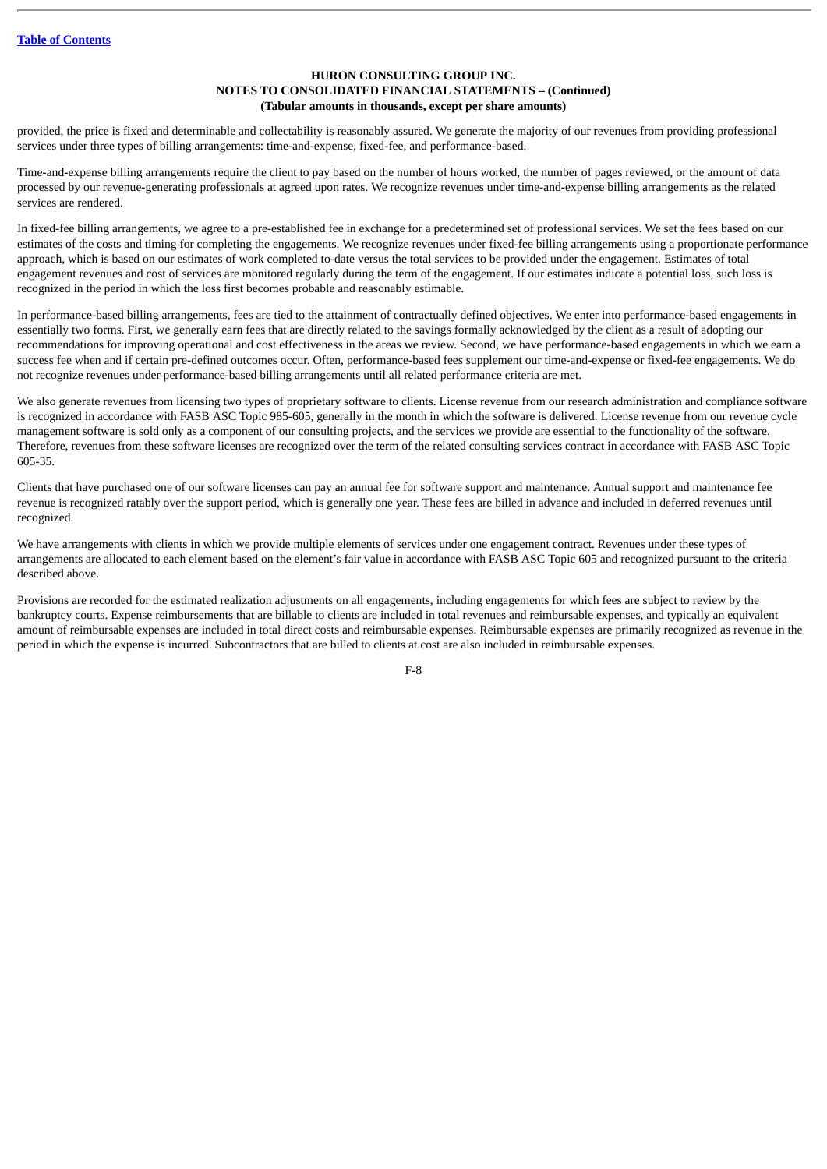provided, the price is fixed and determinable and collectability is reasonably assured. We generate the majority of our revenues from providing professional services under three types of billing arrangements: time-and-expense, fixed-fee, and performance-based.

Time-and-expense billing arrangements require the client to pay based on the number of hours worked, the number of pages reviewed, or the amount of data processed by our revenue-generating professionals at agreed upon rates. We recognize revenues under time-and-expense billing arrangements as the related services are rendered.

In fixed-fee billing arrangements, we agree to a pre-established fee in exchange for a predetermined set of professional services. We set the fees based on our estimates of the costs and timing for completing the engagements. We recognize revenues under fixed-fee billing arrangements using a proportionate performance approach, which is based on our estimates of work completed to-date versus the total services to be provided under the engagement. Estimates of total engagement revenues and cost of services are monitored regularly during the term of the engagement. If our estimates indicate a potential loss, such loss is recognized in the period in which the loss first becomes probable and reasonably estimable.

In performance-based billing arrangements, fees are tied to the attainment of contractually defined objectives. We enter into performance-based engagements in essentially two forms. First, we generally earn fees that are directly related to the savings formally acknowledged by the client as a result of adopting our recommendations for improving operational and cost effectiveness in the areas we review. Second, we have performance-based engagements in which we earn a success fee when and if certain pre-defined outcomes occur. Often, performance-based fees supplement our time-and-expense or fixed-fee engagements. We do not recognize revenues under performance-based billing arrangements until all related performance criteria are met.

We also generate revenues from licensing two types of proprietary software to clients. License revenue from our research administration and compliance software is recognized in accordance with FASB ASC Topic 985-605, generally in the month in which the software is delivered. License revenue from our revenue cycle management software is sold only as a component of our consulting projects, and the services we provide are essential to the functionality of the software. Therefore, revenues from these software licenses are recognized over the term of the related consulting services contract in accordance with FASB ASC Topic 605-35.

Clients that have purchased one of our software licenses can pay an annual fee for software support and maintenance. Annual support and maintenance fee revenue is recognized ratably over the support period, which is generally one year. These fees are billed in advance and included in deferred revenues until recognized.

We have arrangements with clients in which we provide multiple elements of services under one engagement contract. Revenues under these types of arrangements are allocated to each element based on the element's fair value in accordance with FASB ASC Topic 605 and recognized pursuant to the criteria described above.

Provisions are recorded for the estimated realization adjustments on all engagements, including engagements for which fees are subject to review by the bankruptcy courts. Expense reimbursements that are billable to clients are included in total revenues and reimbursable expenses, and typically an equivalent amount of reimbursable expenses are included in total direct costs and reimbursable expenses. Reimbursable expenses are primarily recognized as revenue in the period in which the expense is incurred. Subcontractors that are billed to clients at cost are also included in reimbursable expenses.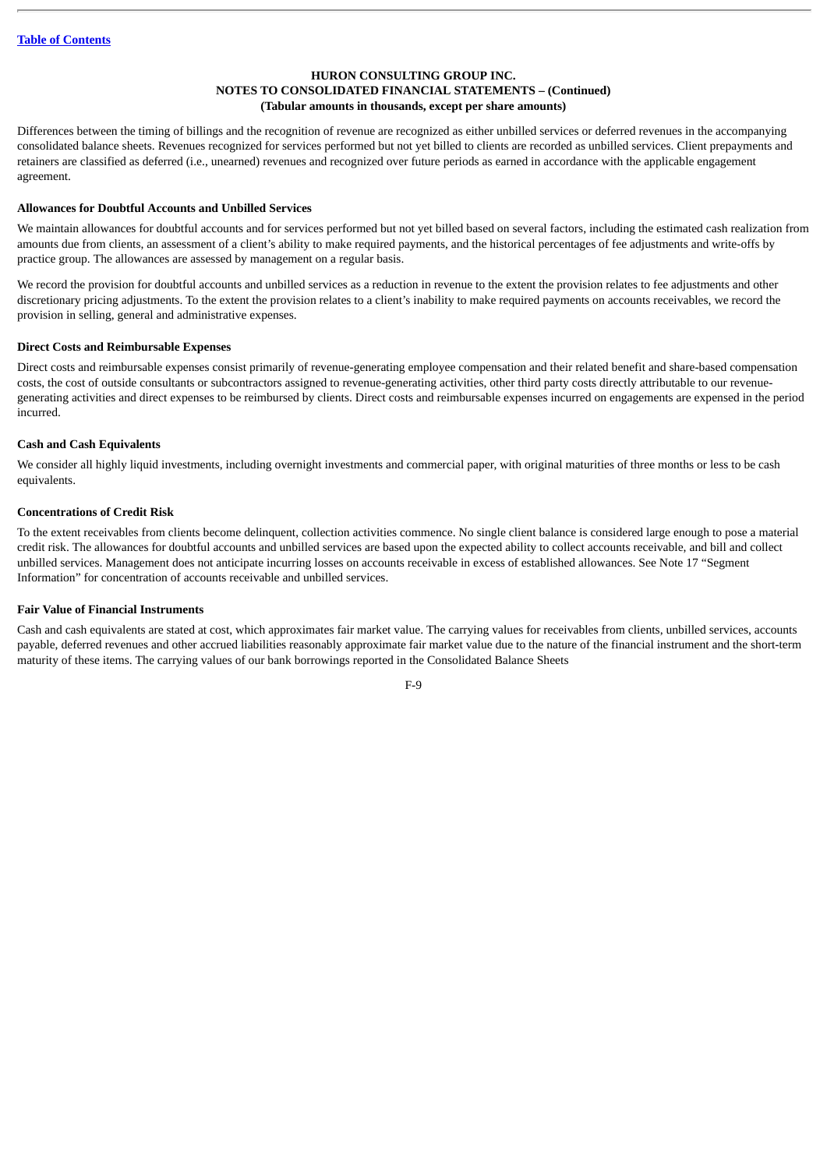Differences between the timing of billings and the recognition of revenue are recognized as either unbilled services or deferred revenues in the accompanying consolidated balance sheets. Revenues recognized for services performed but not yet billed to clients are recorded as unbilled services. Client prepayments and retainers are classified as deferred (i.e., unearned) revenues and recognized over future periods as earned in accordance with the applicable engagement agreement.

# **Allowances for Doubtful Accounts and Unbilled Services**

We maintain allowances for doubtful accounts and for services performed but not yet billed based on several factors, including the estimated cash realization from amounts due from clients, an assessment of a client's ability to make required payments, and the historical percentages of fee adjustments and write-offs by practice group. The allowances are assessed by management on a regular basis.

We record the provision for doubtful accounts and unbilled services as a reduction in revenue to the extent the provision relates to fee adjustments and other discretionary pricing adjustments. To the extent the provision relates to a client's inability to make required payments on accounts receivables, we record the provision in selling, general and administrative expenses.

### **Direct Costs and Reimbursable Expenses**

Direct costs and reimbursable expenses consist primarily of revenue-generating employee compensation and their related benefit and share-based compensation costs, the cost of outside consultants or subcontractors assigned to revenue-generating activities, other third party costs directly attributable to our revenuegenerating activities and direct expenses to be reimbursed by clients. Direct costs and reimbursable expenses incurred on engagements are expensed in the period incurred.

## **Cash and Cash Equivalents**

We consider all highly liquid investments, including overnight investments and commercial paper, with original maturities of three months or less to be cash equivalents.

## **Concentrations of Credit Risk**

To the extent receivables from clients become delinquent, collection activities commence. No single client balance is considered large enough to pose a material credit risk. The allowances for doubtful accounts and unbilled services are based upon the expected ability to collect accounts receivable, and bill and collect unbilled services. Management does not anticipate incurring losses on accounts receivable in excess of established allowances. See Note 17 "Segment Information" for concentration of accounts receivable and unbilled services.

## **Fair Value of Financial Instruments**

Cash and cash equivalents are stated at cost, which approximates fair market value. The carrying values for receivables from clients, unbilled services, accounts payable, deferred revenues and other accrued liabilities reasonably approximate fair market value due to the nature of the financial instrument and the short-term maturity of these items. The carrying values of our bank borrowings reported in the Consolidated Balance Sheets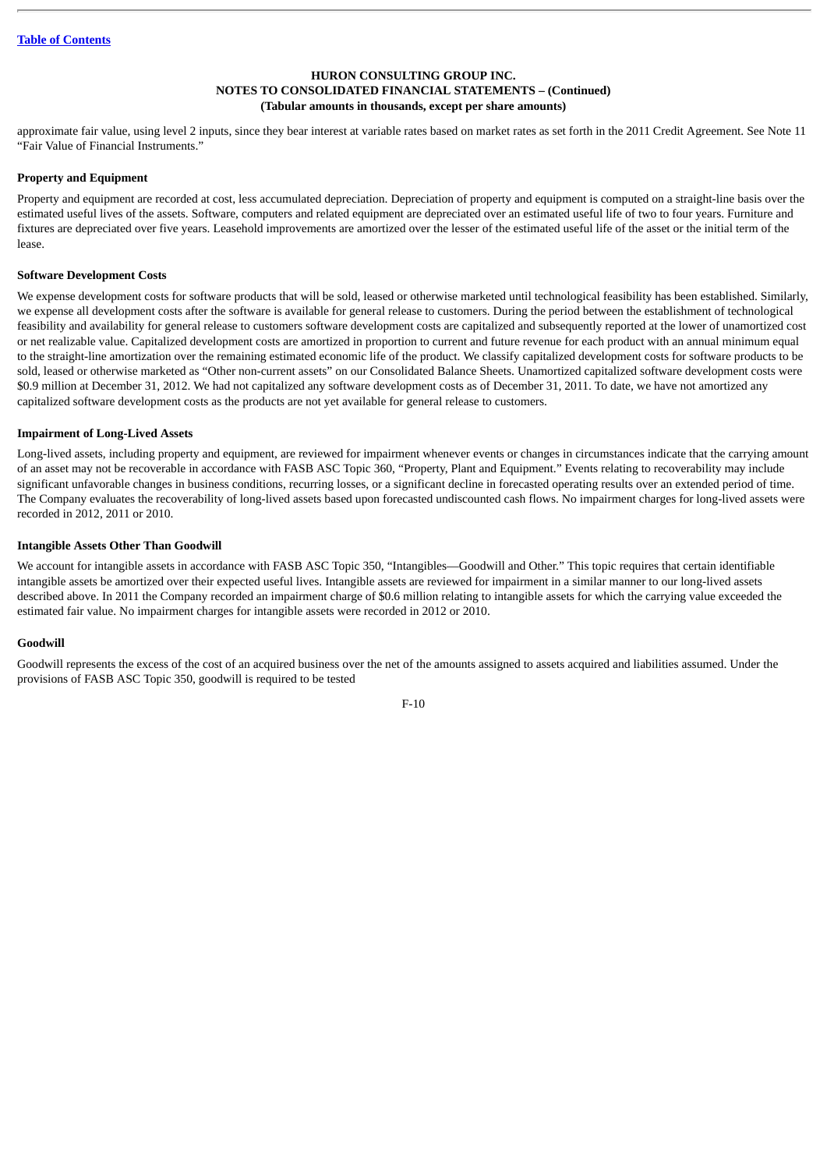approximate fair value, using level 2 inputs, since they bear interest at variable rates based on market rates as set forth in the 2011 Credit Agreement. See Note 11 "Fair Value of Financial Instruments."

### **Property and Equipment**

Property and equipment are recorded at cost, less accumulated depreciation. Depreciation of property and equipment is computed on a straight-line basis over the estimated useful lives of the assets. Software, computers and related equipment are depreciated over an estimated useful life of two to four years. Furniture and fixtures are depreciated over five years. Leasehold improvements are amortized over the lesser of the estimated useful life of the asset or the initial term of the lease.

#### **Software Development Costs**

We expense development costs for software products that will be sold, leased or otherwise marketed until technological feasibility has been established. Similarly, we expense all development costs after the software is available for general release to customers. During the period between the establishment of technological feasibility and availability for general release to customers software development costs are capitalized and subsequently reported at the lower of unamortized cost or net realizable value. Capitalized development costs are amortized in proportion to current and future revenue for each product with an annual minimum equal to the straight-line amortization over the remaining estimated economic life of the product. We classify capitalized development costs for software products to be sold, leased or otherwise marketed as "Other non-current assets" on our Consolidated Balance Sheets. Unamortized capitalized software development costs were \$0.9 million at December 31, 2012. We had not capitalized any software development costs as of December 31, 2011. To date, we have not amortized any capitalized software development costs as the products are not yet available for general release to customers.

## **Impairment of Long-Lived Assets**

Long-lived assets, including property and equipment, are reviewed for impairment whenever events or changes in circumstances indicate that the carrying amount of an asset may not be recoverable in accordance with FASB ASC Topic 360, "Property, Plant and Equipment." Events relating to recoverability may include significant unfavorable changes in business conditions, recurring losses, or a significant decline in forecasted operating results over an extended period of time. The Company evaluates the recoverability of long-lived assets based upon forecasted undiscounted cash flows. No impairment charges for long-lived assets were recorded in 2012, 2011 or 2010.

#### **Intangible Assets Other Than Goodwill**

We account for intangible assets in accordance with FASB ASC Topic 350, "Intangibles—Goodwill and Other." This topic requires that certain identifiable intangible assets be amortized over their expected useful lives. Intangible assets are reviewed for impairment in a similar manner to our long-lived assets described above. In 2011 the Company recorded an impairment charge of \$0.6 million relating to intangible assets for which the carrying value exceeded the estimated fair value. No impairment charges for intangible assets were recorded in 2012 or 2010.

### **Goodwill**

Goodwill represents the excess of the cost of an acquired business over the net of the amounts assigned to assets acquired and liabilities assumed. Under the provisions of FASB ASC Topic 350, goodwill is required to be tested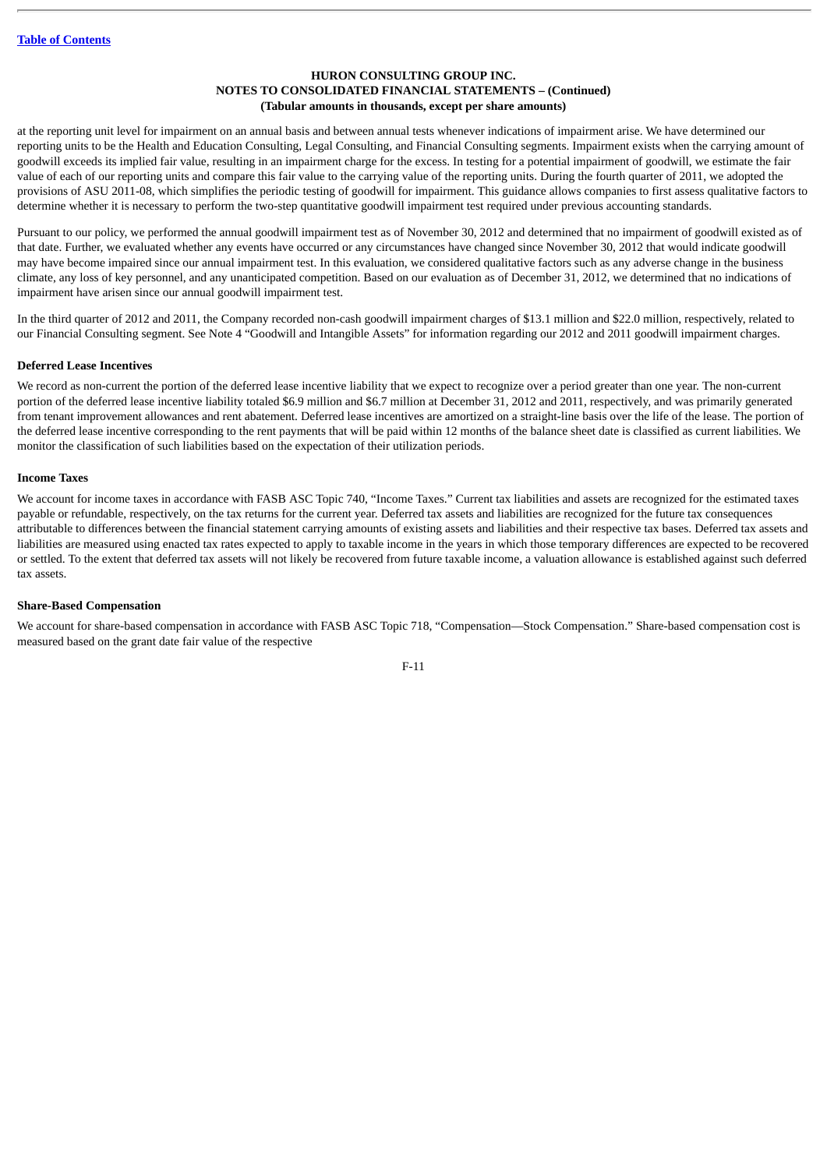at the reporting unit level for impairment on an annual basis and between annual tests whenever indications of impairment arise. We have determined our reporting units to be the Health and Education Consulting, Legal Consulting, and Financial Consulting segments. Impairment exists when the carrying amount of goodwill exceeds its implied fair value, resulting in an impairment charge for the excess. In testing for a potential impairment of goodwill, we estimate the fair value of each of our reporting units and compare this fair value to the carrying value of the reporting units. During the fourth quarter of 2011, we adopted the provisions of ASU 2011-08, which simplifies the periodic testing of goodwill for impairment. This guidance allows companies to first assess qualitative factors to determine whether it is necessary to perform the two-step quantitative goodwill impairment test required under previous accounting standards.

Pursuant to our policy, we performed the annual goodwill impairment test as of November 30, 2012 and determined that no impairment of goodwill existed as of that date. Further, we evaluated whether any events have occurred or any circumstances have changed since November 30, 2012 that would indicate goodwill may have become impaired since our annual impairment test. In this evaluation, we considered qualitative factors such as any adverse change in the business climate, any loss of key personnel, and any unanticipated competition. Based on our evaluation as of December 31, 2012, we determined that no indications of impairment have arisen since our annual goodwill impairment test.

In the third quarter of 2012 and 2011, the Company recorded non-cash goodwill impairment charges of \$13.1 million and \$22.0 million, respectively, related to our Financial Consulting segment. See Note 4 "Goodwill and Intangible Assets" for information regarding our 2012 and 2011 goodwill impairment charges.

### **Deferred Lease Incentives**

We record as non-current the portion of the deferred lease incentive liability that we expect to recognize over a period greater than one year. The non-current portion of the deferred lease incentive liability totaled \$6.9 million and \$6.7 million at December 31, 2012 and 2011, respectively, and was primarily generated from tenant improvement allowances and rent abatement. Deferred lease incentives are amortized on a straight-line basis over the life of the lease. The portion of the deferred lease incentive corresponding to the rent payments that will be paid within 12 months of the balance sheet date is classified as current liabilities. We monitor the classification of such liabilities based on the expectation of their utilization periods.

## **Income Taxes**

We account for income taxes in accordance with FASB ASC Topic 740, "Income Taxes." Current tax liabilities and assets are recognized for the estimated taxes payable or refundable, respectively, on the tax returns for the current year. Deferred tax assets and liabilities are recognized for the future tax consequences attributable to differences between the financial statement carrying amounts of existing assets and liabilities and their respective tax bases. Deferred tax assets and liabilities are measured using enacted tax rates expected to apply to taxable income in the years in which those temporary differences are expected to be recovered or settled. To the extent that deferred tax assets will not likely be recovered from future taxable income, a valuation allowance is established against such deferred tax assets.

### **Share-Based Compensation**

We account for share-based compensation in accordance with FASB ASC Topic 718, "Compensation—Stock Compensation." Share-based compensation cost is measured based on the grant date fair value of the respective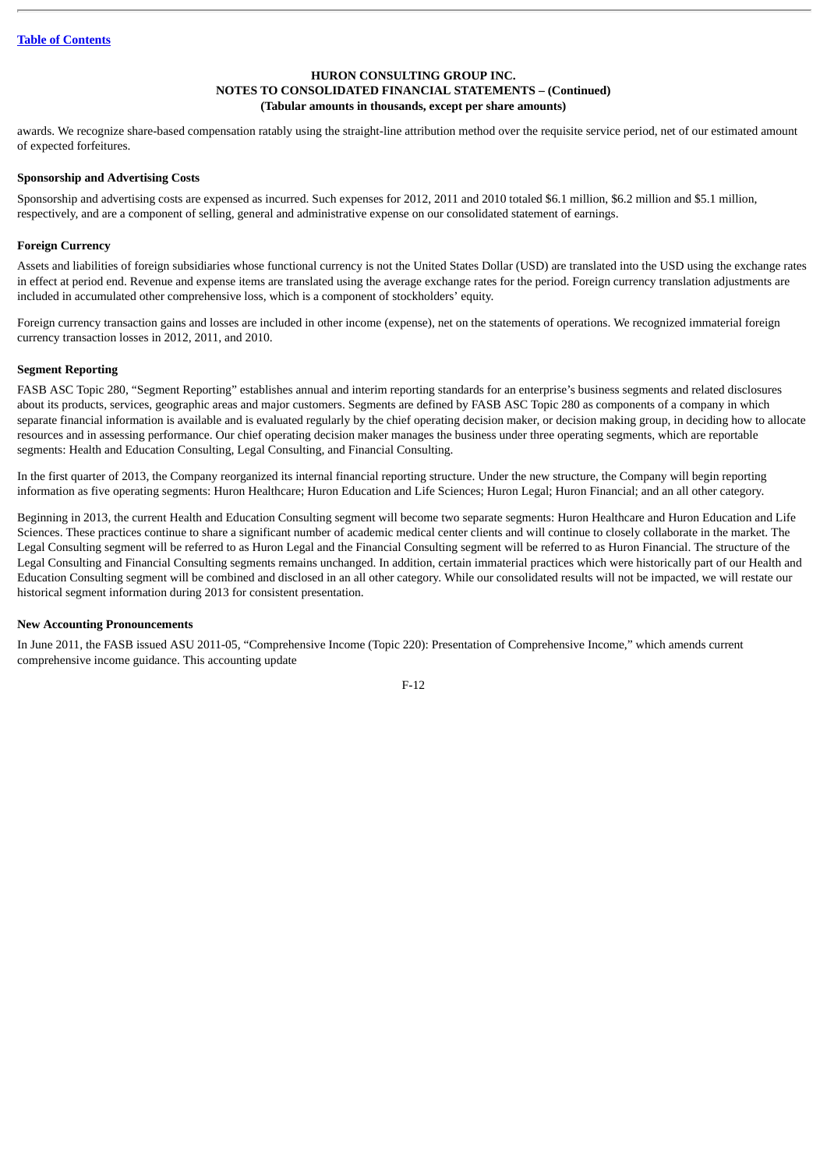awards. We recognize share-based compensation ratably using the straight-line attribution method over the requisite service period, net of our estimated amount of expected forfeitures.

#### **Sponsorship and Advertising Costs**

Sponsorship and advertising costs are expensed as incurred. Such expenses for 2012, 2011 and 2010 totaled \$6.1 million, \$6.2 million and \$5.1 million, respectively, and are a component of selling, general and administrative expense on our consolidated statement of earnings.

#### **Foreign Currency**

Assets and liabilities of foreign subsidiaries whose functional currency is not the United States Dollar (USD) are translated into the USD using the exchange rates in effect at period end. Revenue and expense items are translated using the average exchange rates for the period. Foreign currency translation adjustments are included in accumulated other comprehensive loss, which is a component of stockholders' equity.

Foreign currency transaction gains and losses are included in other income (expense), net on the statements of operations. We recognized immaterial foreign currency transaction losses in 2012, 2011, and 2010.

## **Segment Reporting**

FASB ASC Topic 280, "Segment Reporting" establishes annual and interim reporting standards for an enterprise's business segments and related disclosures about its products, services, geographic areas and major customers. Segments are defined by FASB ASC Topic 280 as components of a company in which separate financial information is available and is evaluated regularly by the chief operating decision maker, or decision making group, in deciding how to allocate resources and in assessing performance. Our chief operating decision maker manages the business under three operating segments, which are reportable segments: Health and Education Consulting, Legal Consulting, and Financial Consulting.

In the first quarter of 2013, the Company reorganized its internal financial reporting structure. Under the new structure, the Company will begin reporting information as five operating segments: Huron Healthcare; Huron Education and Life Sciences; Huron Legal; Huron Financial; and an all other category.

Beginning in 2013, the current Health and Education Consulting segment will become two separate segments: Huron Healthcare and Huron Education and Life Sciences. These practices continue to share a significant number of academic medical center clients and will continue to closely collaborate in the market. The Legal Consulting segment will be referred to as Huron Legal and the Financial Consulting segment will be referred to as Huron Financial. The structure of the Legal Consulting and Financial Consulting segments remains unchanged. In addition, certain immaterial practices which were historically part of our Health and Education Consulting segment will be combined and disclosed in an all other category. While our consolidated results will not be impacted, we will restate our historical segment information during 2013 for consistent presentation.

#### **New Accounting Pronouncements**

In June 2011, the FASB issued ASU 2011-05, "Comprehensive Income (Topic 220): Presentation of Comprehensive Income," which amends current comprehensive income guidance. This accounting update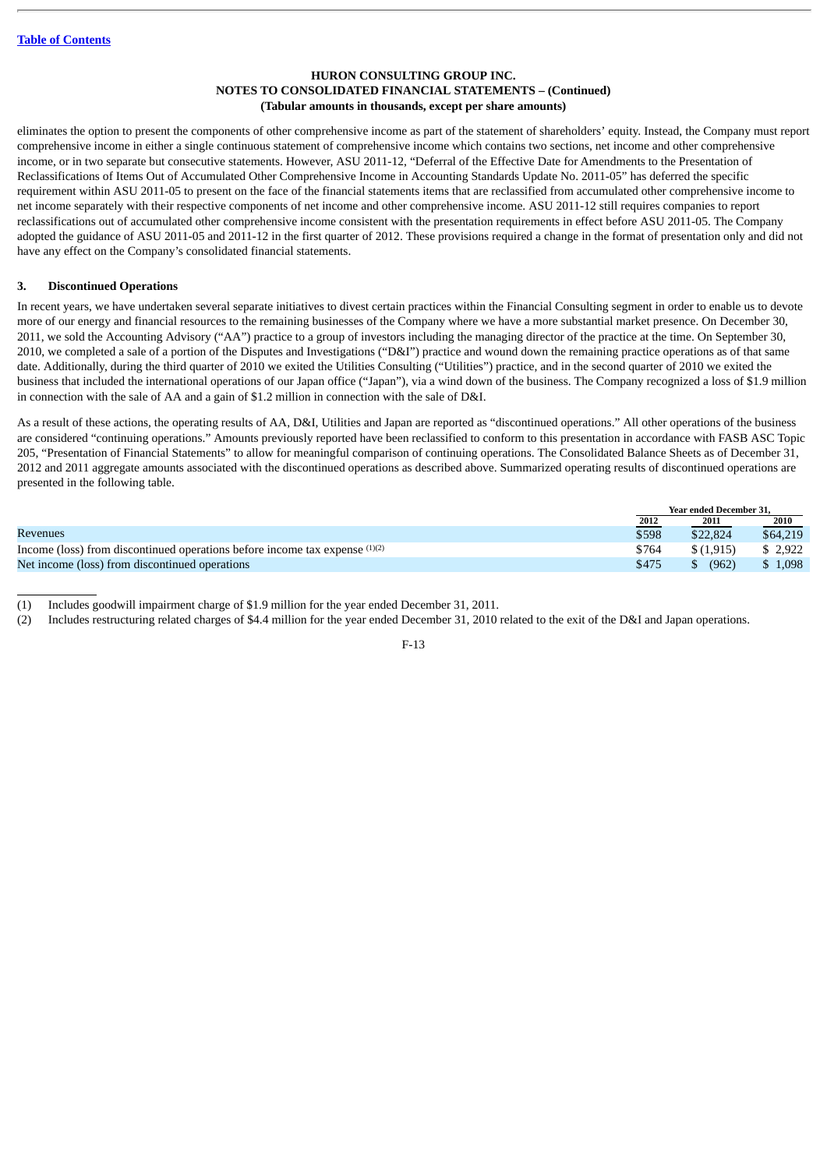eliminates the option to present the components of other comprehensive income as part of the statement of shareholders' equity. Instead, the Company must report comprehensive income in either a single continuous statement of comprehensive income which contains two sections, net income and other comprehensive income, or in two separate but consecutive statements. However, ASU 2011-12, "Deferral of the Effective Date for Amendments to the Presentation of Reclassifications of Items Out of Accumulated Other Comprehensive Income in Accounting Standards Update No. 2011-05" has deferred the specific requirement within ASU 2011-05 to present on the face of the financial statements items that are reclassified from accumulated other comprehensive income to net income separately with their respective components of net income and other comprehensive income. ASU 2011-12 still requires companies to report reclassifications out of accumulated other comprehensive income consistent with the presentation requirements in effect before ASU 2011-05. The Company adopted the guidance of ASU 2011-05 and 2011-12 in the first quarter of 2012. These provisions required a change in the format of presentation only and did not have any effect on the Company's consolidated financial statements.

## **3. Discontinued Operations**

In recent years, we have undertaken several separate initiatives to divest certain practices within the Financial Consulting segment in order to enable us to devote more of our energy and financial resources to the remaining businesses of the Company where we have a more substantial market presence. On December 30, 2011, we sold the Accounting Advisory ("AA") practice to a group of investors including the managing director of the practice at the time. On September 30, 2010, we completed a sale of a portion of the Disputes and Investigations ("D&I") practice and wound down the remaining practice operations as of that same date. Additionally, during the third quarter of 2010 we exited the Utilities Consulting ("Utilities") practice, and in the second quarter of 2010 we exited the business that included the international operations of our Japan office ("Japan"), via a wind down of the business. The Company recognized a loss of \$1.9 million in connection with the sale of AA and a gain of \$1.2 million in connection with the sale of D&I.

As a result of these actions, the operating results of AA, D&I, Utilities and Japan are reported as "discontinued operations." All other operations of the business are considered "continuing operations." Amounts previously reported have been reclassified to conform to this presentation in accordance with FASB ASC Topic 205, "Presentation of Financial Statements" to allow for meaningful comparison of continuing operations. The Consolidated Balance Sheets as of December 31, 2012 and 2011 aggregate amounts associated with the discontinued operations as described above. Summarized operating results of discontinued operations are presented in the following table.

|                                                                               | Year ended December 31. |           |             |  |
|-------------------------------------------------------------------------------|-------------------------|-----------|-------------|--|
|                                                                               | 2012                    | 2011      | <b>2010</b> |  |
| Revenues                                                                      | \$598                   | \$22,824  | \$64,219    |  |
| Income (loss) from discontinued operations before income tax expense $(1)(2)$ | \$764                   | \$(1.915) | \$ 2,922    |  |
| Net income (loss) from discontinued operations                                | \$475                   | (962)     | \$1.098     |  |

<sup>(1)</sup> Includes goodwill impairment charge of \$1.9 million for the year ended December 31, 2011.

<sup>(2)</sup> Includes restructuring related charges of \$4.4 million for the year ended December 31, 2010 related to the exit of the D&I and Japan operations.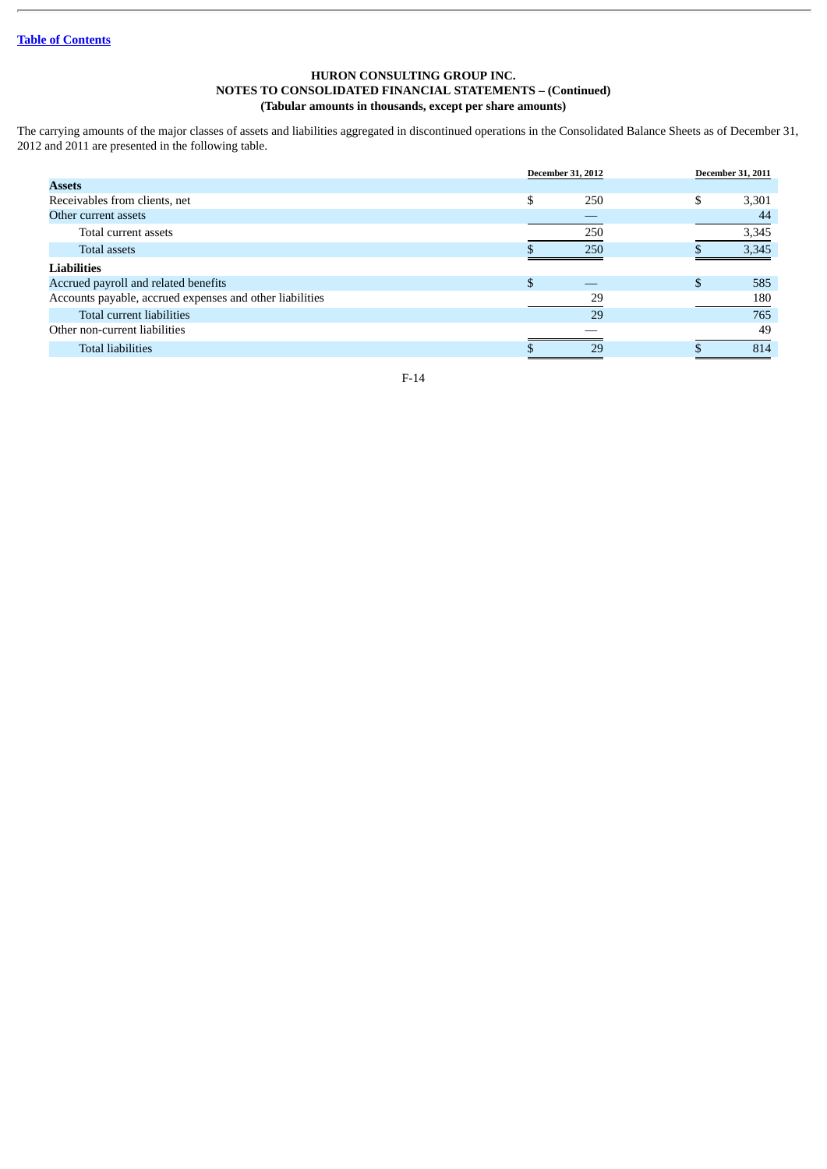The carrying amounts of the major classes of assets and liabilities aggregated in discontinued operations in the Consolidated Balance Sheets as of December 31, 2012 and 2011 are presented in the following table.

|                                                          |     | <b>December 31, 2012</b> |    | <b>December 31, 2011</b> |  |
|----------------------------------------------------------|-----|--------------------------|----|--------------------------|--|
| <b>Assets</b>                                            |     |                          |    |                          |  |
| Receivables from clients, net                            | \$. | 250                      | \$ | 3,301                    |  |
| Other current assets                                     |     |                          |    | 44                       |  |
| Total current assets                                     |     | 250                      |    | 3,345                    |  |
| <b>Total assets</b>                                      |     | 250                      |    | 3,345                    |  |
| <b>Liabilities</b>                                       |     |                          |    |                          |  |
| Accrued payroll and related benefits                     | \$  |                          | ŗ. | 585                      |  |
| Accounts payable, accrued expenses and other liabilities |     | 29                       |    | 180                      |  |
| Total current liabilities                                |     | 29                       |    | 765                      |  |
| Other non-current liabilities                            |     |                          |    | 49                       |  |
| <b>Total liabilities</b>                                 |     | 29                       |    | 814                      |  |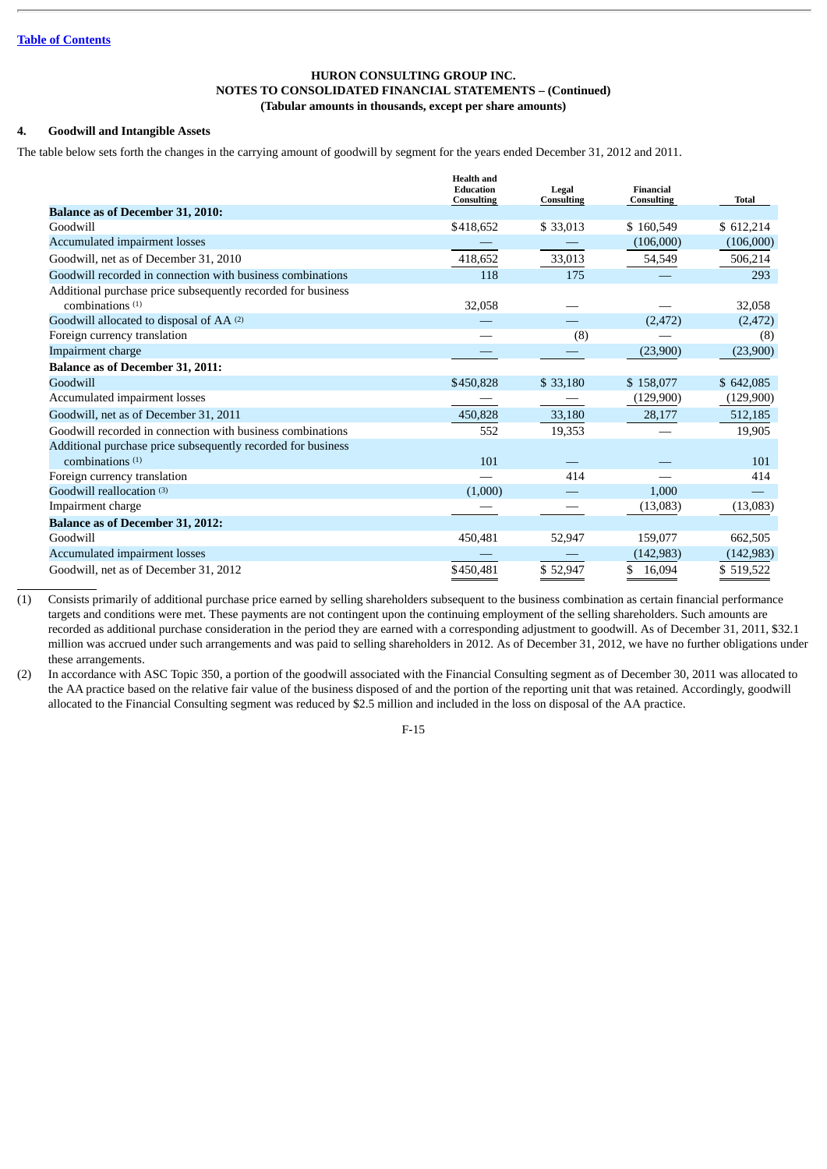# **4. Goodwill and Intangible Assets**

The table below sets forth the changes in the carrying amount of goodwill by segment for the years ended December 31, 2012 and 2011.

|                                                              | <b>Health and</b><br><b>Education</b><br><b>Consulting</b> | Legal<br><b>Consulting</b> | <b>Financial</b><br><b>Consulting</b> | <b>Total</b> |
|--------------------------------------------------------------|------------------------------------------------------------|----------------------------|---------------------------------------|--------------|
| <b>Balance as of December 31, 2010:</b>                      |                                                            |                            |                                       |              |
| Goodwill                                                     | \$418,652                                                  | \$33,013                   | \$160,549                             | \$612,214    |
| Accumulated impairment losses                                |                                                            |                            | (106,000)                             | (106,000)    |
| Goodwill, net as of December 31, 2010                        | 418,652                                                    | 33,013                     | 54,549                                | 506,214      |
| Goodwill recorded in connection with business combinations   | 118                                                        | 175                        |                                       | 293          |
| Additional purchase price subsequently recorded for business |                                                            |                            |                                       |              |
| combinations $(1)$                                           | 32,058                                                     |                            |                                       | 32,058       |
| Goodwill allocated to disposal of AA (2)                     |                                                            |                            | (2, 472)                              | (2, 472)     |
| Foreign currency translation                                 |                                                            | (8)                        |                                       | (8)          |
| Impairment charge                                            |                                                            |                            | (23,900)                              | (23,900)     |
| <b>Balance as of December 31, 2011:</b>                      |                                                            |                            |                                       |              |
| Goodwill                                                     | \$450,828                                                  | \$33,180                   | \$158,077                             | \$642,085    |
| Accumulated impairment losses                                |                                                            |                            | (129,900)                             | (129,900)    |
| Goodwill, net as of December 31, 2011                        | 450,828                                                    | 33,180                     | 28,177                                | 512,185      |
| Goodwill recorded in connection with business combinations   | 552                                                        | 19,353                     |                                       | 19,905       |
| Additional purchase price subsequently recorded for business |                                                            |                            |                                       |              |
| combinations (1)                                             | 101                                                        |                            |                                       | 101          |
| Foreign currency translation                                 |                                                            | 414                        |                                       | 414          |
| Goodwill reallocation (3)                                    | (1,000)                                                    |                            | 1,000                                 |              |
| Impairment charge                                            |                                                            |                            | (13,083)                              | (13,083)     |
| <b>Balance as of December 31, 2012:</b>                      |                                                            |                            |                                       |              |
| Goodwill                                                     | 450,481                                                    | 52,947                     | 159.077                               | 662,505      |
| Accumulated impairment losses                                |                                                            |                            | (142, 983)                            | (142, 983)   |
| Goodwill, net as of December 31, 2012                        | \$450,481                                                  | \$52,947                   | 16,094                                | \$519,522    |

 $\overline{(1)}$  Consists primarily of additional purchase price earned by selling shareholders subsequent to the business combination as certain financial performance targets and conditions were met. These payments are not contingent upon the continuing employment of the selling shareholders. Such amounts are recorded as additional purchase consideration in the period they are earned with a corresponding adjustment to goodwill. As of December 31, 2011, \$32.1 million was accrued under such arrangements and was paid to selling shareholders in 2012. As of December 31, 2012, we have no further obligations under these arrangements.

(2) In accordance with ASC Topic 350, a portion of the goodwill associated with the Financial Consulting segment as of December 30, 2011 was allocated to the AA practice based on the relative fair value of the business disposed of and the portion of the reporting unit that was retained. Accordingly, goodwill allocated to the Financial Consulting segment was reduced by \$2.5 million and included in the loss on disposal of the AA practice.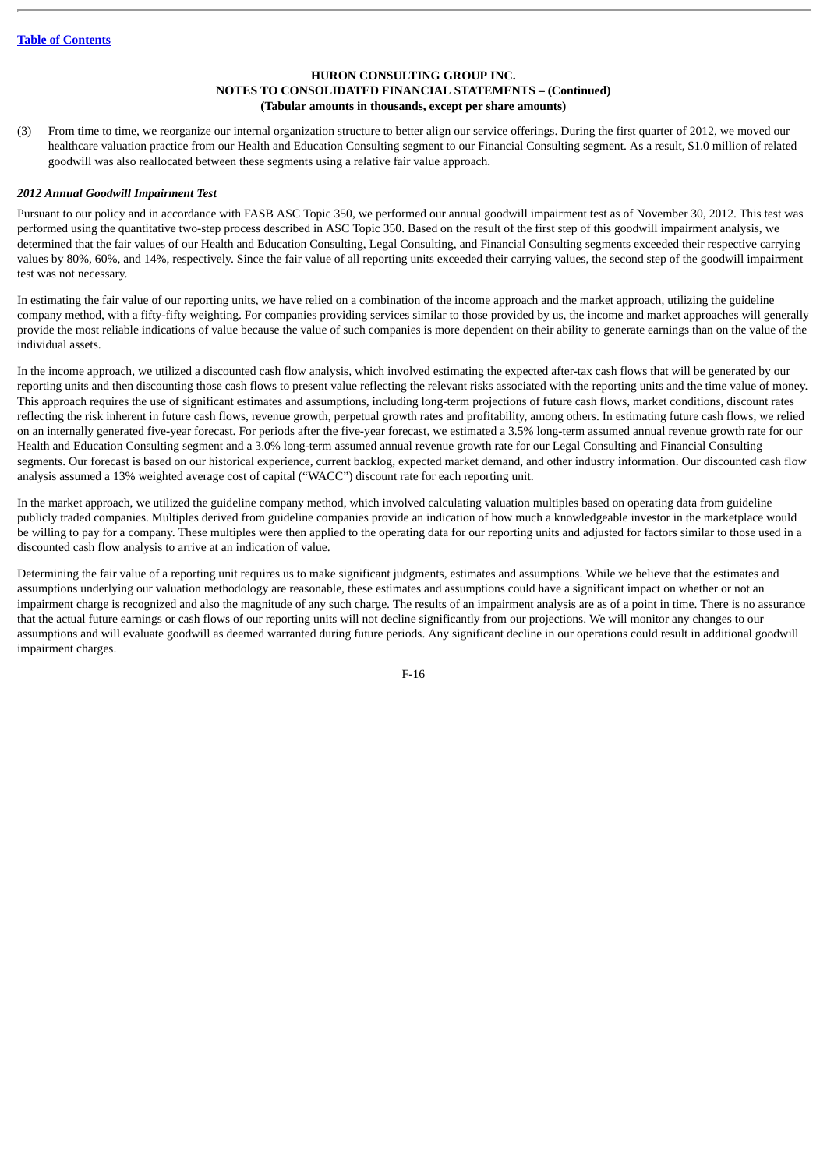(3) From time to time, we reorganize our internal organization structure to better align our service offerings. During the first quarter of 2012, we moved our healthcare valuation practice from our Health and Education Consulting segment to our Financial Consulting segment. As a result, \$1.0 million of related goodwill was also reallocated between these segments using a relative fair value approach.

#### *2012 Annual Goodwill Impairment Test*

Pursuant to our policy and in accordance with FASB ASC Topic 350, we performed our annual goodwill impairment test as of November 30, 2012. This test was performed using the quantitative two-step process described in ASC Topic 350. Based on the result of the first step of this goodwill impairment analysis, we determined that the fair values of our Health and Education Consulting, Legal Consulting, and Financial Consulting segments exceeded their respective carrying values by 80%, 60%, and 14%, respectively. Since the fair value of all reporting units exceeded their carrying values, the second step of the goodwill impairment test was not necessary.

In estimating the fair value of our reporting units, we have relied on a combination of the income approach and the market approach, utilizing the guideline company method, with a fifty-fifty weighting. For companies providing services similar to those provided by us, the income and market approaches will generally provide the most reliable indications of value because the value of such companies is more dependent on their ability to generate earnings than on the value of the individual assets.

In the income approach, we utilized a discounted cash flow analysis, which involved estimating the expected after-tax cash flows that will be generated by our reporting units and then discounting those cash flows to present value reflecting the relevant risks associated with the reporting units and the time value of money. This approach requires the use of significant estimates and assumptions, including long-term projections of future cash flows, market conditions, discount rates reflecting the risk inherent in future cash flows, revenue growth, perpetual growth rates and profitability, among others. In estimating future cash flows, we relied on an internally generated five-year forecast. For periods after the five-year forecast, we estimated a 3.5% long-term assumed annual revenue growth rate for our Health and Education Consulting segment and a 3.0% long-term assumed annual revenue growth rate for our Legal Consulting and Financial Consulting segments. Our forecast is based on our historical experience, current backlog, expected market demand, and other industry information. Our discounted cash flow analysis assumed a 13% weighted average cost of capital ("WACC") discount rate for each reporting unit.

In the market approach, we utilized the guideline company method, which involved calculating valuation multiples based on operating data from guideline publicly traded companies. Multiples derived from guideline companies provide an indication of how much a knowledgeable investor in the marketplace would be willing to pay for a company. These multiples were then applied to the operating data for our reporting units and adjusted for factors similar to those used in a discounted cash flow analysis to arrive at an indication of value.

Determining the fair value of a reporting unit requires us to make significant judgments, estimates and assumptions. While we believe that the estimates and assumptions underlying our valuation methodology are reasonable, these estimates and assumptions could have a significant impact on whether or not an impairment charge is recognized and also the magnitude of any such charge. The results of an impairment analysis are as of a point in time. There is no assurance that the actual future earnings or cash flows of our reporting units will not decline significantly from our projections. We will monitor any changes to our assumptions and will evaluate goodwill as deemed warranted during future periods. Any significant decline in our operations could result in additional goodwill impairment charges.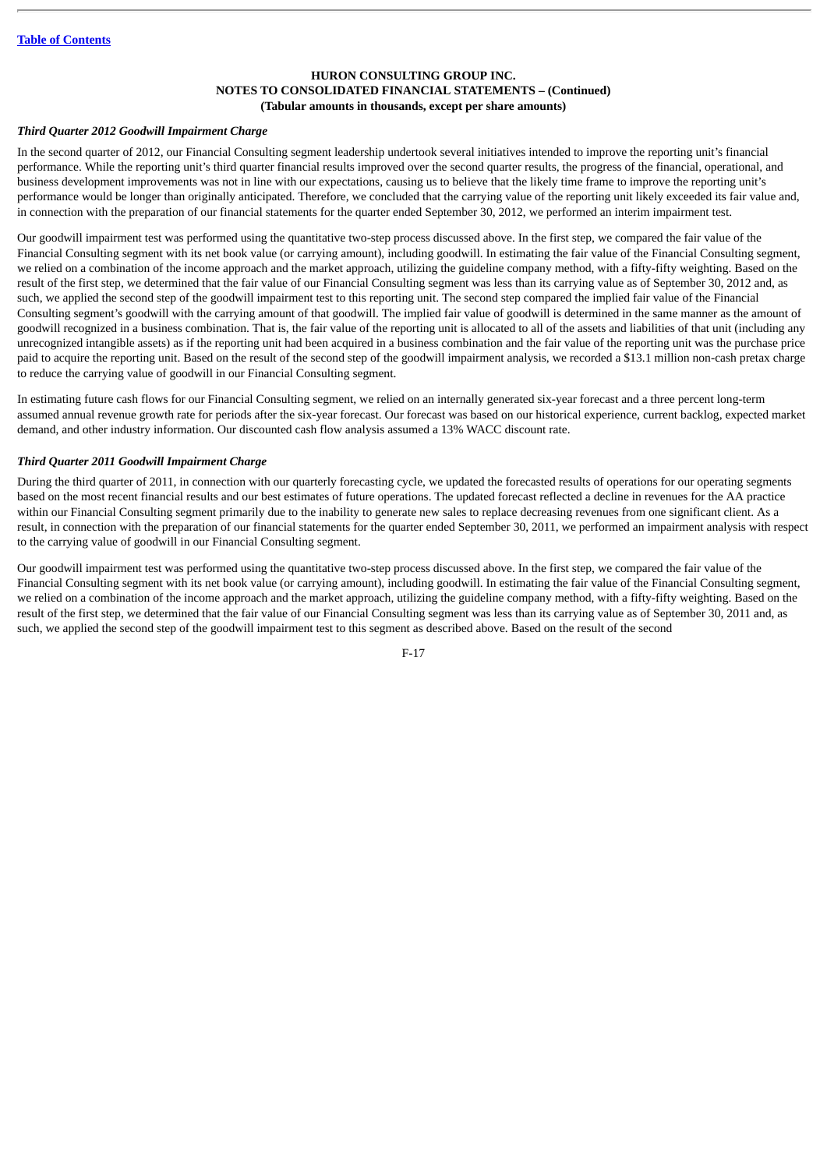### *Third Quarter 2012 Goodwill Impairment Charge*

In the second quarter of 2012, our Financial Consulting segment leadership undertook several initiatives intended to improve the reporting unit's financial performance. While the reporting unit's third quarter financial results improved over the second quarter results, the progress of the financial, operational, and business development improvements was not in line with our expectations, causing us to believe that the likely time frame to improve the reporting unit's performance would be longer than originally anticipated. Therefore, we concluded that the carrying value of the reporting unit likely exceeded its fair value and, in connection with the preparation of our financial statements for the quarter ended September 30, 2012, we performed an interim impairment test.

Our goodwill impairment test was performed using the quantitative two-step process discussed above. In the first step, we compared the fair value of the Financial Consulting segment with its net book value (or carrying amount), including goodwill. In estimating the fair value of the Financial Consulting segment, we relied on a combination of the income approach and the market approach, utilizing the guideline company method, with a fifty-fifty weighting. Based on the result of the first step, we determined that the fair value of our Financial Consulting segment was less than its carrying value as of September 30, 2012 and, as such, we applied the second step of the goodwill impairment test to this reporting unit. The second step compared the implied fair value of the Financial Consulting segment's goodwill with the carrying amount of that goodwill. The implied fair value of goodwill is determined in the same manner as the amount of goodwill recognized in a business combination. That is, the fair value of the reporting unit is allocated to all of the assets and liabilities of that unit (including any unrecognized intangible assets) as if the reporting unit had been acquired in a business combination and the fair value of the reporting unit was the purchase price paid to acquire the reporting unit. Based on the result of the second step of the goodwill impairment analysis, we recorded a \$13.1 million non-cash pretax charge to reduce the carrying value of goodwill in our Financial Consulting segment.

In estimating future cash flows for our Financial Consulting segment, we relied on an internally generated six-year forecast and a three percent long-term assumed annual revenue growth rate for periods after the six-year forecast. Our forecast was based on our historical experience, current backlog, expected market demand, and other industry information. Our discounted cash flow analysis assumed a 13% WACC discount rate.

### *Third Quarter 2011 Goodwill Impairment Charge*

During the third quarter of 2011, in connection with our quarterly forecasting cycle, we updated the forecasted results of operations for our operating segments based on the most recent financial results and our best estimates of future operations. The updated forecast reflected a decline in revenues for the AA practice within our Financial Consulting segment primarily due to the inability to generate new sales to replace decreasing revenues from one significant client. As a result, in connection with the preparation of our financial statements for the quarter ended September 30, 2011, we performed an impairment analysis with respect to the carrying value of goodwill in our Financial Consulting segment.

Our goodwill impairment test was performed using the quantitative two-step process discussed above. In the first step, we compared the fair value of the Financial Consulting segment with its net book value (or carrying amount), including goodwill. In estimating the fair value of the Financial Consulting segment, we relied on a combination of the income approach and the market approach, utilizing the guideline company method, with a fifty-fifty weighting. Based on the result of the first step, we determined that the fair value of our Financial Consulting segment was less than its carrying value as of September 30, 2011 and, as such, we applied the second step of the goodwill impairment test to this segment as described above. Based on the result of the second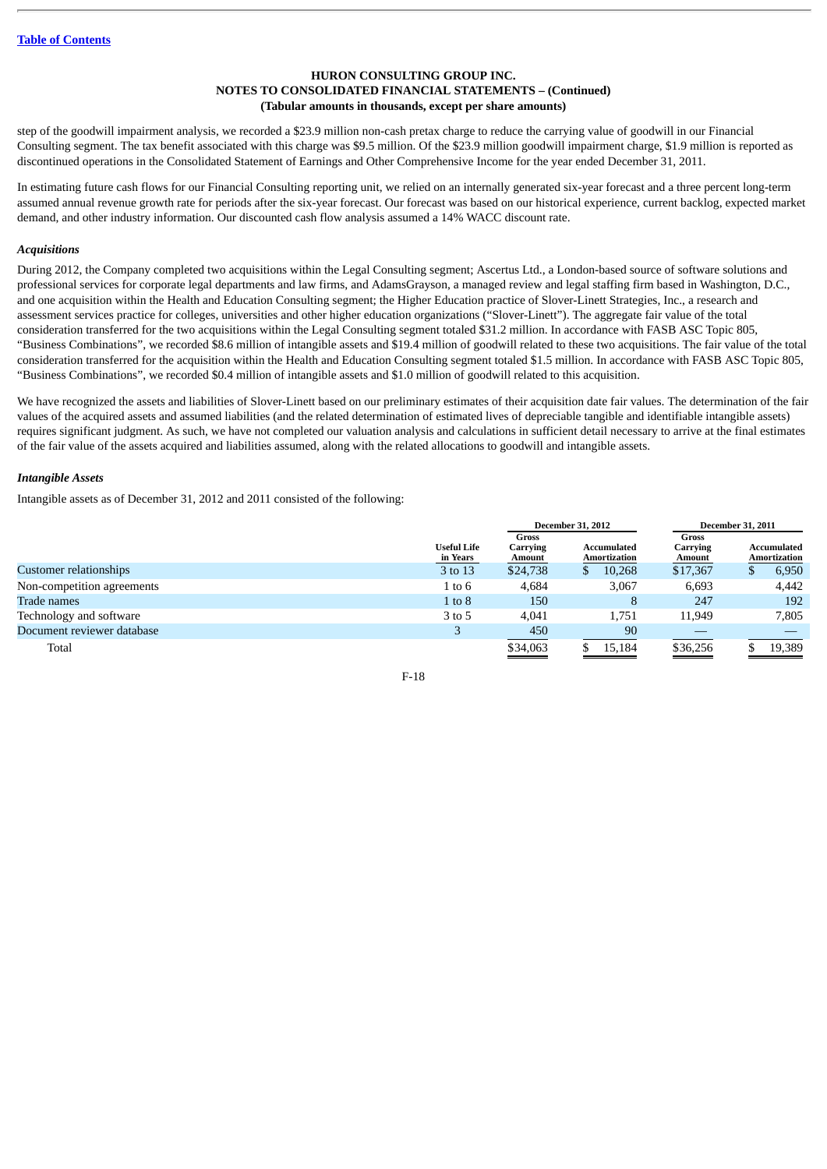step of the goodwill impairment analysis, we recorded a \$23.9 million non-cash pretax charge to reduce the carrying value of goodwill in our Financial Consulting segment. The tax benefit associated with this charge was \$9.5 million. Of the \$23.9 million goodwill impairment charge, \$1.9 million is reported as discontinued operations in the Consolidated Statement of Earnings and Other Comprehensive Income for the year ended December 31, 2011.

In estimating future cash flows for our Financial Consulting reporting unit, we relied on an internally generated six-year forecast and a three percent long-term assumed annual revenue growth rate for periods after the six-year forecast. Our forecast was based on our historical experience, current backlog, expected market demand, and other industry information. Our discounted cash flow analysis assumed a 14% WACC discount rate.

### *Acquisitions*

During 2012, the Company completed two acquisitions within the Legal Consulting segment; Ascertus Ltd., a London-based source of software solutions and professional services for corporate legal departments and law firms, and AdamsGrayson, a managed review and legal staffing firm based in Washington, D.C., and one acquisition within the Health and Education Consulting segment; the Higher Education practice of Slover-Linett Strategies, Inc., a research and assessment services practice for colleges, universities and other higher education organizations ("Slover-Linett"). The aggregate fair value of the total consideration transferred for the two acquisitions within the Legal Consulting segment totaled \$31.2 million. In accordance with FASB ASC Topic 805, "Business Combinations", we recorded \$8.6 million of intangible assets and \$19.4 million of goodwill related to these two acquisitions. The fair value of the total consideration transferred for the acquisition within the Health and Education Consulting segment totaled \$1.5 million. In accordance with FASB ASC Topic 805, "Business Combinations", we recorded \$0.4 million of intangible assets and \$1.0 million of goodwill related to this acquisition.

We have recognized the assets and liabilities of Slover-Linett based on our preliminary estimates of their acquisition date fair values. The determination of the fair values of the acquired assets and assumed liabilities (and the related determination of estimated lives of depreciable tangible and identifiable intangible assets) requires significant judgment. As such, we have not completed our valuation analysis and calculations in sufficient detail necessary to arrive at the final estimates of the fair value of the assets acquired and liabilities assumed, along with the related allocations to goodwill and intangible assets.

### *Intangible Assets*

Intangible assets as of December 31, 2012 and 2011 consisted of the following:

|                            |                                |                             | <b>December 31, 2012</b>           | <b>December 31, 2011</b>                  |                                    |  |
|----------------------------|--------------------------------|-----------------------------|------------------------------------|-------------------------------------------|------------------------------------|--|
|                            | <b>Useful Life</b><br>in Years | Gross<br>Carrying<br>Amount | <b>Accumulated</b><br>Amortization | <b>Gross</b><br>Carrying<br><u>Amount</u> | Accumulated<br><b>Amortization</b> |  |
| Customer relationships     | 3 to 13                        | \$24,738                    | 10,268                             | \$17,367                                  | 6,950                              |  |
| Non-competition agreements | 1 to 6                         | 4.684                       | 3,067                              | 6,693                                     | 4,442                              |  |
| Trade names                | $1$ to $8$                     | 150                         | 8                                  | 247                                       | 192                                |  |
| Technology and software    | 3 to 5                         | 4.041                       | 1,751                              | 11.949                                    | 7,805                              |  |
| Document reviewer database | 3                              | 450                         | 90                                 | $\overline{\phantom{a}}$                  |                                    |  |
| Total                      |                                | \$34,063<br>_______         | 15,184                             | \$36,256                                  | 19,389                             |  |

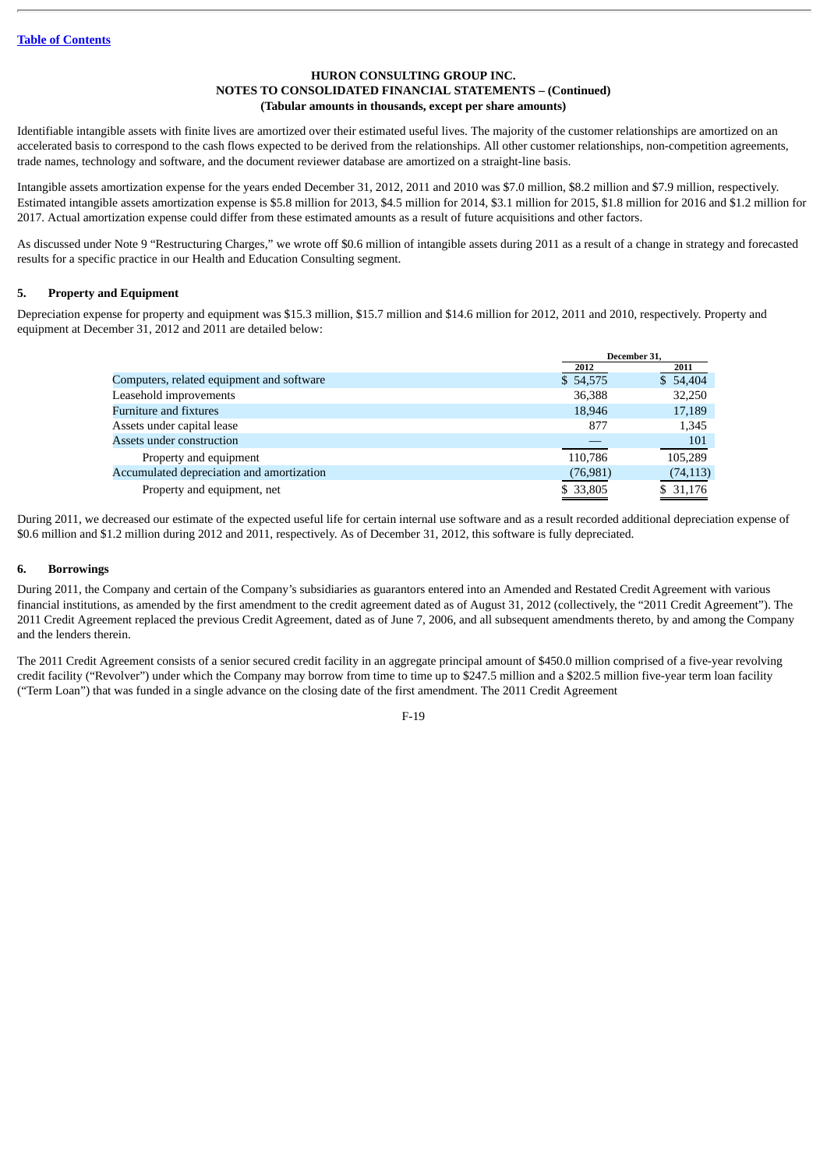Identifiable intangible assets with finite lives are amortized over their estimated useful lives. The majority of the customer relationships are amortized on an accelerated basis to correspond to the cash flows expected to be derived from the relationships. All other customer relationships, non-competition agreements, trade names, technology and software, and the document reviewer database are amortized on a straight-line basis.

Intangible assets amortization expense for the years ended December 31, 2012, 2011 and 2010 was \$7.0 million, \$8.2 million and \$7.9 million, respectively. Estimated intangible assets amortization expense is \$5.8 million for 2013, \$4.5 million for 2014, \$3.1 million for 2015, \$1.8 million for 2016 and \$1.2 million for 2017. Actual amortization expense could differ from these estimated amounts as a result of future acquisitions and other factors.

As discussed under Note 9 "Restructuring Charges," we wrote off \$0.6 million of intangible assets during 2011 as a result of a change in strategy and forecasted results for a specific practice in our Health and Education Consulting segment.

# **5. Property and Equipment**

Depreciation expense for property and equipment was \$15.3 million, \$15.7 million and \$14.6 million for 2012, 2011 and 2010, respectively. Property and equipment at December 31, 2012 and 2011 are detailed below:

|                                           |           | December 31. |
|-------------------------------------------|-----------|--------------|
|                                           | 2012      | 2011         |
| Computers, related equipment and software | \$54,575  | \$54,404     |
| Leasehold improvements                    | 36,388    | 32,250       |
| Furniture and fixtures                    | 18,946    | 17,189       |
| Assets under capital lease                | 877       | 1,345        |
| Assets under construction                 |           | 101          |
| Property and equipment                    | 110.786   | 105,289      |
| Accumulated depreciation and amortization | (76, 981) | (74, 113)    |
| Property and equipment, net               | \$ 33,805 | \$31,176     |
|                                           |           |              |

During 2011, we decreased our estimate of the expected useful life for certain internal use software and as a result recorded additional depreciation expense of \$0.6 million and \$1.2 million during 2012 and 2011, respectively. As of December 31, 2012, this software is fully depreciated.

# **6. Borrowings**

During 2011, the Company and certain of the Company's subsidiaries as guarantors entered into an Amended and Restated Credit Agreement with various financial institutions, as amended by the first amendment to the credit agreement dated as of August 31, 2012 (collectively, the "2011 Credit Agreement"). The 2011 Credit Agreement replaced the previous Credit Agreement, dated as of June 7, 2006, and all subsequent amendments thereto, by and among the Company and the lenders therein.

The 2011 Credit Agreement consists of a senior secured credit facility in an aggregate principal amount of \$450.0 million comprised of a five-year revolving credit facility ("Revolver") under which the Company may borrow from time to time up to \$247.5 million and a \$202.5 million five-year term loan facility ("Term Loan") that was funded in a single advance on the closing date of the first amendment. The 2011 Credit Agreement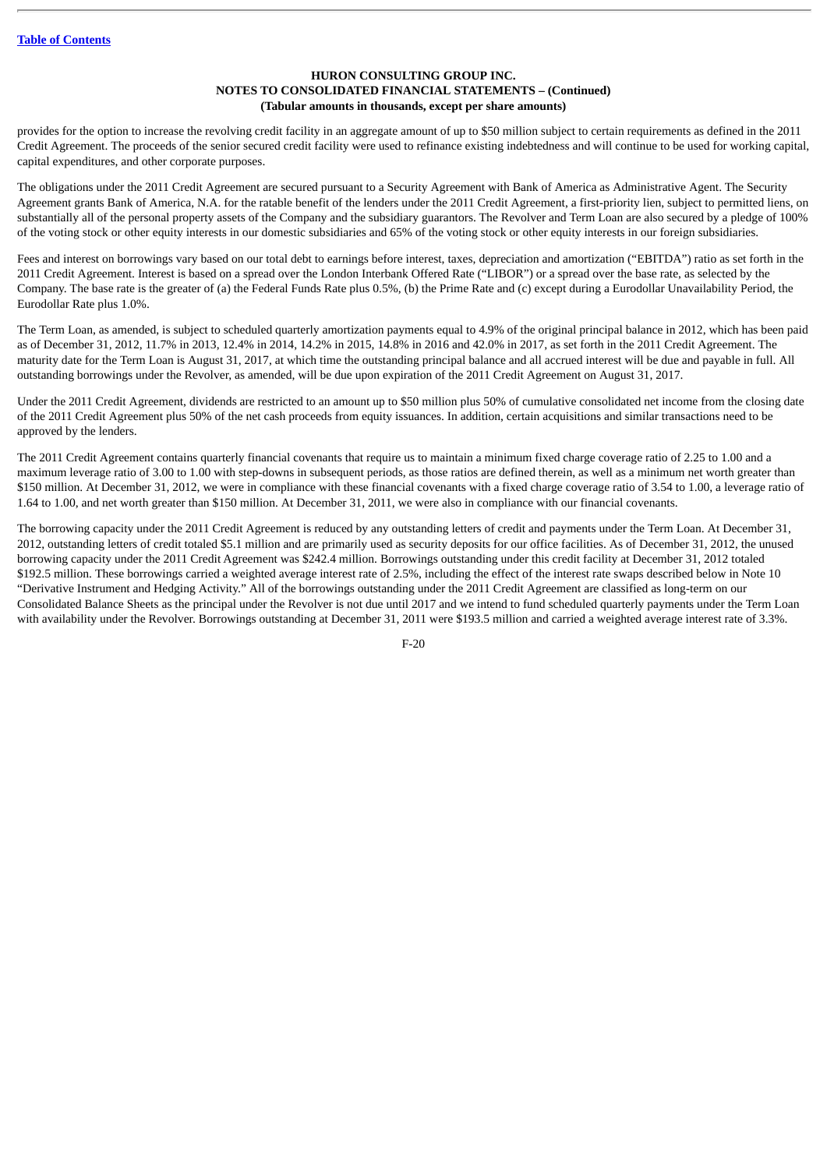provides for the option to increase the revolving credit facility in an aggregate amount of up to \$50 million subject to certain requirements as defined in the 2011 Credit Agreement. The proceeds of the senior secured credit facility were used to refinance existing indebtedness and will continue to be used for working capital, capital expenditures, and other corporate purposes.

The obligations under the 2011 Credit Agreement are secured pursuant to a Security Agreement with Bank of America as Administrative Agent. The Security Agreement grants Bank of America, N.A. for the ratable benefit of the lenders under the 2011 Credit Agreement, a first-priority lien, subject to permitted liens, on substantially all of the personal property assets of the Company and the subsidiary guarantors. The Revolver and Term Loan are also secured by a pledge of 100% of the voting stock or other equity interests in our domestic subsidiaries and 65% of the voting stock or other equity interests in our foreign subsidiaries.

Fees and interest on borrowings vary based on our total debt to earnings before interest, taxes, depreciation and amortization ("EBITDA") ratio as set forth in the 2011 Credit Agreement. Interest is based on a spread over the London Interbank Offered Rate ("LIBOR") or a spread over the base rate, as selected by the Company. The base rate is the greater of (a) the Federal Funds Rate plus 0.5%, (b) the Prime Rate and (c) except during a Eurodollar Unavailability Period, the Eurodollar Rate plus 1.0%.

The Term Loan, as amended, is subject to scheduled quarterly amortization payments equal to 4.9% of the original principal balance in 2012, which has been paid as of December 31, 2012, 11.7% in 2013, 12.4% in 2014, 14.2% in 2015, 14.8% in 2016 and 42.0% in 2017, as set forth in the 2011 Credit Agreement. The maturity date for the Term Loan is August 31, 2017, at which time the outstanding principal balance and all accrued interest will be due and payable in full. All outstanding borrowings under the Revolver, as amended, will be due upon expiration of the 2011 Credit Agreement on August 31, 2017.

Under the 2011 Credit Agreement, dividends are restricted to an amount up to \$50 million plus 50% of cumulative consolidated net income from the closing date of the 2011 Credit Agreement plus 50% of the net cash proceeds from equity issuances. In addition, certain acquisitions and similar transactions need to be approved by the lenders.

The 2011 Credit Agreement contains quarterly financial covenants that require us to maintain a minimum fixed charge coverage ratio of 2.25 to 1.00 and a maximum leverage ratio of 3.00 to 1.00 with step-downs in subsequent periods, as those ratios are defined therein, as well as a minimum net worth greater than \$150 million. At December 31, 2012, we were in compliance with these financial covenants with a fixed charge coverage ratio of 3.54 to 1.00, a leverage ratio of 1.64 to 1.00, and net worth greater than \$150 million. At December 31, 2011, we were also in compliance with our financial covenants.

The borrowing capacity under the 2011 Credit Agreement is reduced by any outstanding letters of credit and payments under the Term Loan. At December 31, 2012, outstanding letters of credit totaled \$5.1 million and are primarily used as security deposits for our office facilities. As of December 31, 2012, the unused borrowing capacity under the 2011 Credit Agreement was \$242.4 million. Borrowings outstanding under this credit facility at December 31, 2012 totaled \$192.5 million. These borrowings carried a weighted average interest rate of 2.5%, including the effect of the interest rate swaps described below in Note 10 "Derivative Instrument and Hedging Activity." All of the borrowings outstanding under the 2011 Credit Agreement are classified as long-term on our Consolidated Balance Sheets as the principal under the Revolver is not due until 2017 and we intend to fund scheduled quarterly payments under the Term Loan with availability under the Revolver. Borrowings outstanding at December 31, 2011 were \$193.5 million and carried a weighted average interest rate of 3.3%.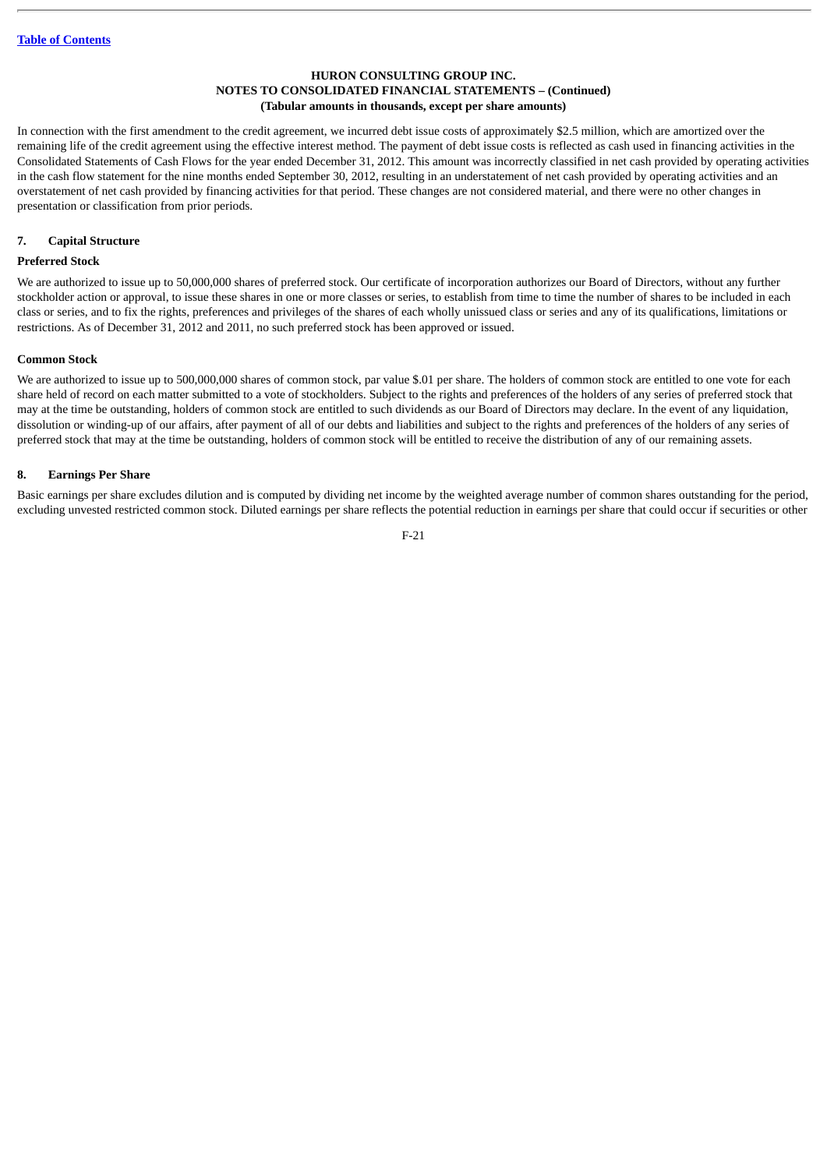In connection with the first amendment to the credit agreement, we incurred debt issue costs of approximately \$2.5 million, which are amortized over the remaining life of the credit agreement using the effective interest method. The payment of debt issue costs is reflected as cash used in financing activities in the Consolidated Statements of Cash Flows for the year ended December 31, 2012. This amount was incorrectly classified in net cash provided by operating activities in the cash flow statement for the nine months ended September 30, 2012, resulting in an understatement of net cash provided by operating activities and an overstatement of net cash provided by financing activities for that period. These changes are not considered material, and there were no other changes in presentation or classification from prior periods.

## **7. Capital Structure**

#### **Preferred Stock**

We are authorized to issue up to 50,000,000 shares of preferred stock. Our certificate of incorporation authorizes our Board of Directors, without any further stockholder action or approval, to issue these shares in one or more classes or series, to establish from time to time the number of shares to be included in each class or series, and to fix the rights, preferences and privileges of the shares of each wholly unissued class or series and any of its qualifications, limitations or restrictions. As of December 31, 2012 and 2011, no such preferred stock has been approved or issued.

### **Common Stock**

We are authorized to issue up to 500,000,000 shares of common stock, par value \$.01 per share. The holders of common stock are entitled to one vote for each share held of record on each matter submitted to a vote of stockholders. Subject to the rights and preferences of the holders of any series of preferred stock that may at the time be outstanding, holders of common stock are entitled to such dividends as our Board of Directors may declare. In the event of any liquidation, dissolution or winding-up of our affairs, after payment of all of our debts and liabilities and subject to the rights and preferences of the holders of any series of preferred stock that may at the time be outstanding, holders of common stock will be entitled to receive the distribution of any of our remaining assets.

### **8. Earnings Per Share**

Basic earnings per share excludes dilution and is computed by dividing net income by the weighted average number of common shares outstanding for the period, excluding unvested restricted common stock. Diluted earnings per share reflects the potential reduction in earnings per share that could occur if securities or other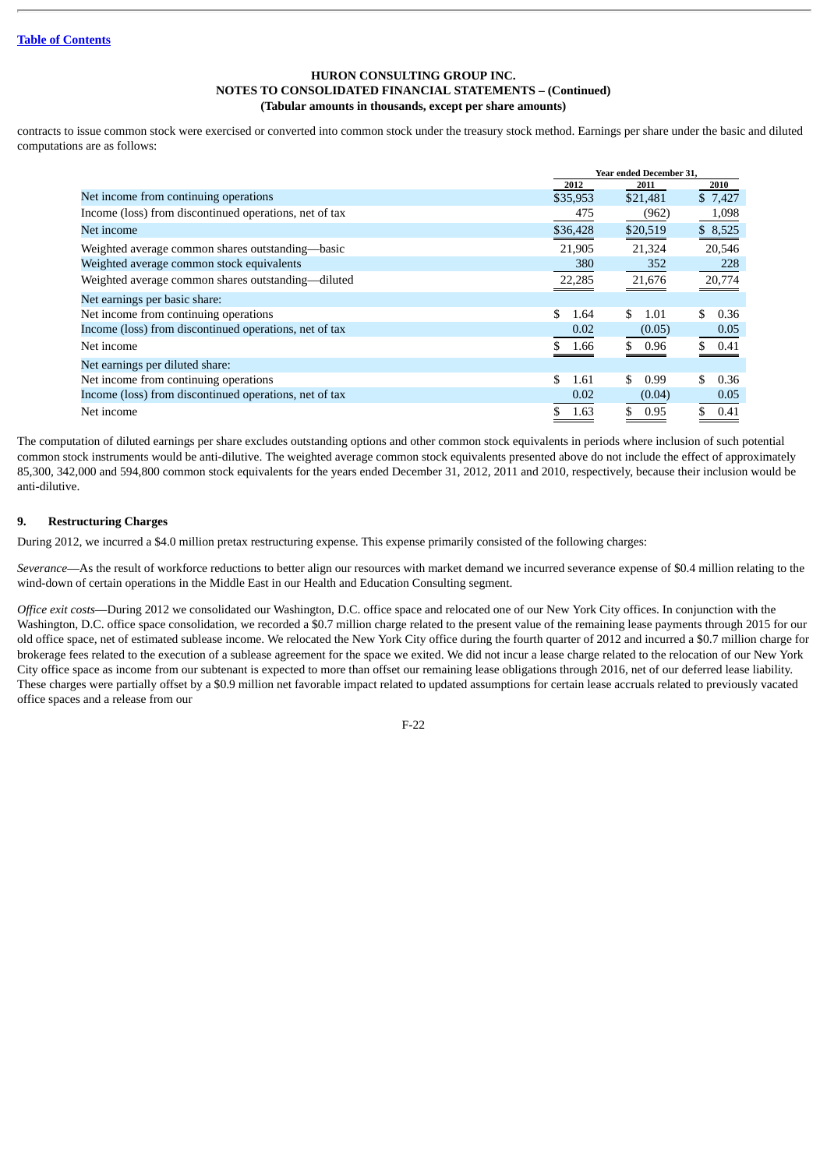contracts to issue common stock were exercised or converted into common stock under the treasury stock method. Earnings per share under the basic and diluted computations are as follows:

|                                                        |             | Year ended December 31, |         |  |  |
|--------------------------------------------------------|-------------|-------------------------|---------|--|--|
|                                                        | 2012        | 2011                    | 2010    |  |  |
| Net income from continuing operations                  | \$35,953    | \$21,481                | \$7,427 |  |  |
| Income (loss) from discontinued operations, net of tax | 475         | (962)                   | 1,098   |  |  |
| Net income                                             | \$36,428    | \$20,519                | \$8,525 |  |  |
| Weighted average common shares outstanding—basic       | 21,905      | 21,324                  | 20,546  |  |  |
| Weighted average common stock equivalents              | 380         | 352                     | 228     |  |  |
| Weighted average common shares outstanding-diluted     | 22,285      | 21,676                  | 20,774  |  |  |
| Net earnings per basic share:                          |             |                         |         |  |  |
| Net income from continuing operations                  | \$<br>1.64  | \$.<br>1.01             | 0.36    |  |  |
| Income (loss) from discontinued operations, net of tax | 0.02        | (0.05)                  | 0.05    |  |  |
| Net income                                             | 1.66        | 0.96<br>SS.             | 0.41    |  |  |
| Net earnings per diluted share:                        |             |                         |         |  |  |
| Net income from continuing operations                  | \$.<br>1.61 | \$<br>0.99              | 0.36    |  |  |
| Income (loss) from discontinued operations, net of tax | 0.02        | (0.04)                  | 0.05    |  |  |
| Net income                                             | 1.63        | 0.95<br>S.              | 0.41    |  |  |

The computation of diluted earnings per share excludes outstanding options and other common stock equivalents in periods where inclusion of such potential common stock instruments would be anti-dilutive. The weighted average common stock equivalents presented above do not include the effect of approximately 85,300, 342,000 and 594,800 common stock equivalents for the years ended December 31, 2012, 2011 and 2010, respectively, because their inclusion would be anti-dilutive.

# **9. Restructuring Charges**

During 2012, we incurred a \$4.0 million pretax restructuring expense. This expense primarily consisted of the following charges:

*Severance*—As the result of workforce reductions to better align our resources with market demand we incurred severance expense of \$0.4 million relating to the wind-down of certain operations in the Middle East in our Health and Education Consulting segment.

*Office exit costs*—During 2012 we consolidated our Washington, D.C. office space and relocated one of our New York City offices. In conjunction with the Washington, D.C. office space consolidation, we recorded a \$0.7 million charge related to the present value of the remaining lease payments through 2015 for our old office space, net of estimated sublease income. We relocated the New York City office during the fourth quarter of 2012 and incurred a \$0.7 million charge for brokerage fees related to the execution of a sublease agreement for the space we exited. We did not incur a lease charge related to the relocation of our New York City office space as income from our subtenant is expected to more than offset our remaining lease obligations through 2016, net of our deferred lease liability. These charges were partially offset by a \$0.9 million net favorable impact related to updated assumptions for certain lease accruals related to previously vacated office spaces and a release from our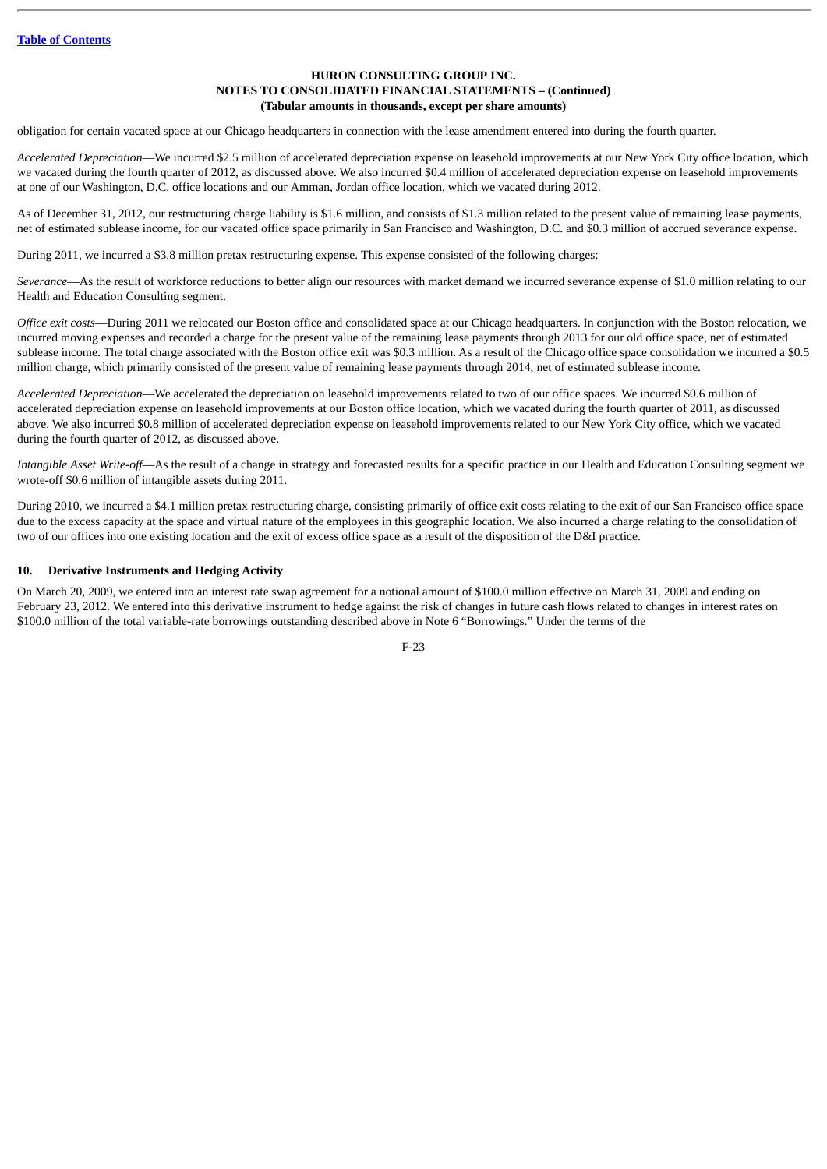obligation for certain vacated space at our Chicago headquarters in connection with the lease amendment entered into during the fourth quarter.

*Accelerated Depreciation*—We incurred \$2.5 million of accelerated depreciation expense on leasehold improvements at our New York City office location, which we vacated during the fourth quarter of 2012, as discussed above. We also incurred \$0.4 million of accelerated depreciation expense on leasehold improvements at one of our Washington, D.C. office locations and our Amman, Jordan office location, which we vacated during 2012.

As of December 31, 2012, our restructuring charge liability is \$1.6 million, and consists of \$1.3 million related to the present value of remaining lease payments, net of estimated sublease income, for our vacated office space primarily in San Francisco and Washington, D.C. and \$0.3 million of accrued severance expense.

During 2011, we incurred a \$3.8 million pretax restructuring expense. This expense consisted of the following charges:

*Severance*—As the result of workforce reductions to better align our resources with market demand we incurred severance expense of \$1.0 million relating to our Health and Education Consulting segment.

*Office exit costs*—During 2011 we relocated our Boston office and consolidated space at our Chicago headquarters. In conjunction with the Boston relocation, we incurred moving expenses and recorded a charge for the present value of the remaining lease payments through 2013 for our old office space, net of estimated sublease income. The total charge associated with the Boston office exit was \$0.3 million. As a result of the Chicago office space consolidation we incurred a \$0.5 million charge, which primarily consisted of the present value of remaining lease payments through 2014, net of estimated sublease income.

*Accelerated Depreciation*—We accelerated the depreciation on leasehold improvements related to two of our office spaces. We incurred \$0.6 million of accelerated depreciation expense on leasehold improvements at our Boston office location, which we vacated during the fourth quarter of 2011, as discussed above. We also incurred \$0.8 million of accelerated depreciation expense on leasehold improvements related to our New York City office, which we vacated during the fourth quarter of 2012, as discussed above.

*Intangible Asset Write-off*—As the result of a change in strategy and forecasted results for a specific practice in our Health and Education Consulting segment we wrote-off \$0.6 million of intangible assets during 2011.

During 2010, we incurred a \$4.1 million pretax restructuring charge, consisting primarily of office exit costs relating to the exit of our San Francisco office space due to the excess capacity at the space and virtual nature of the employees in this geographic location. We also incurred a charge relating to the consolidation of two of our offices into one existing location and the exit of excess office space as a result of the disposition of the D&I practice.

### **10. Derivative Instruments and Hedging Activity**

On March 20, 2009, we entered into an interest rate swap agreement for a notional amount of \$100.0 million effective on March 31, 2009 and ending on February 23, 2012. We entered into this derivative instrument to hedge against the risk of changes in future cash flows related to changes in interest rates on \$100.0 million of the total variable-rate borrowings outstanding described above in Note 6 "Borrowings." Under the terms of the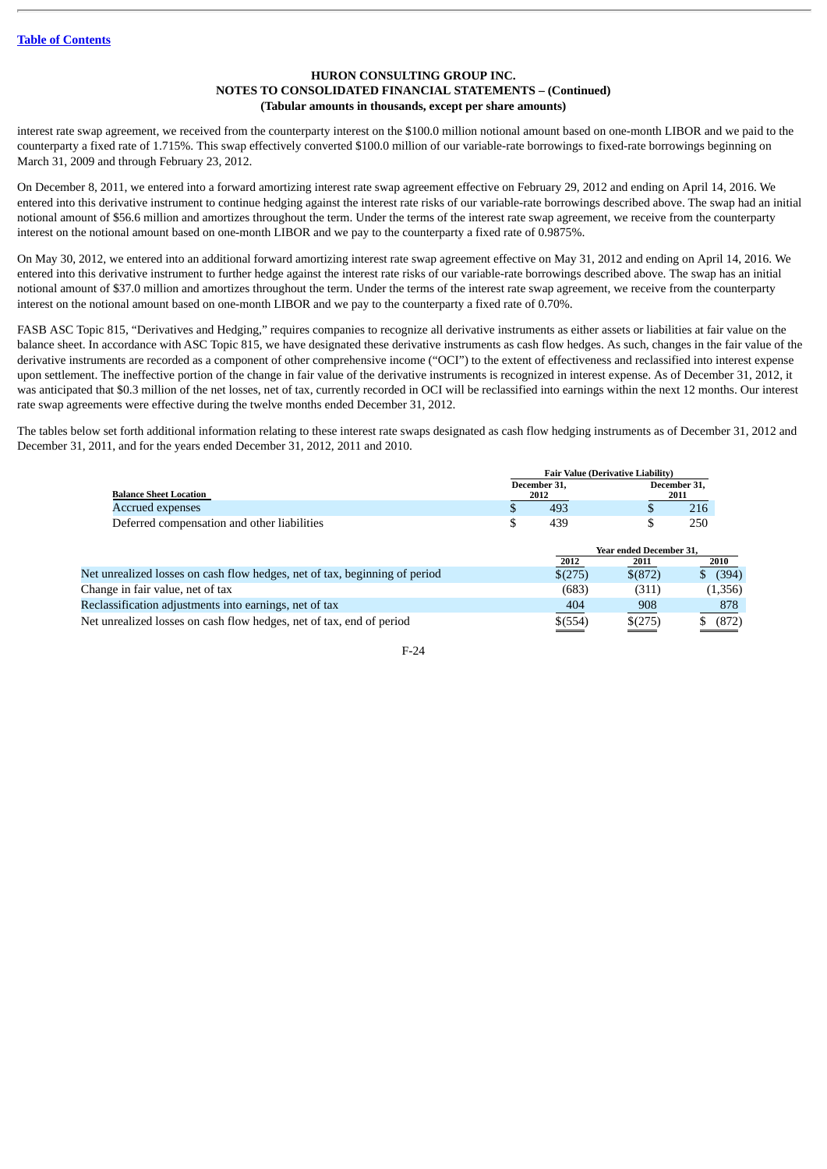interest rate swap agreement, we received from the counterparty interest on the \$100.0 million notional amount based on one-month LIBOR and we paid to the counterparty a fixed rate of 1.715%. This swap effectively converted \$100.0 million of our variable-rate borrowings to fixed-rate borrowings beginning on March 31, 2009 and through February 23, 2012.

On December 8, 2011, we entered into a forward amortizing interest rate swap agreement effective on February 29, 2012 and ending on April 14, 2016. We entered into this derivative instrument to continue hedging against the interest rate risks of our variable-rate borrowings described above. The swap had an initial notional amount of \$56.6 million and amortizes throughout the term. Under the terms of the interest rate swap agreement, we receive from the counterparty interest on the notional amount based on one-month LIBOR and we pay to the counterparty a fixed rate of 0.9875%.

On May 30, 2012, we entered into an additional forward amortizing interest rate swap agreement effective on May 31, 2012 and ending on April 14, 2016. We entered into this derivative instrument to further hedge against the interest rate risks of our variable-rate borrowings described above. The swap has an initial notional amount of \$37.0 million and amortizes throughout the term. Under the terms of the interest rate swap agreement, we receive from the counterparty interest on the notional amount based on one-month LIBOR and we pay to the counterparty a fixed rate of 0.70%.

FASB ASC Topic 815, "Derivatives and Hedging," requires companies to recognize all derivative instruments as either assets or liabilities at fair value on the balance sheet. In accordance with ASC Topic 815, we have designated these derivative instruments as cash flow hedges. As such, changes in the fair value of the derivative instruments are recorded as a component of other comprehensive income ("OCI") to the extent of effectiveness and reclassified into interest expense upon settlement. The ineffective portion of the change in fair value of the derivative instruments is recognized in interest expense. As of December 31, 2012, it was anticipated that \$0.3 million of the net losses, net of tax, currently recorded in OCI will be reclassified into earnings within the next 12 months. Our interest rate swap agreements were effective during the twelve months ended December 31, 2012.

The tables below set forth additional information relating to these interest rate swaps designated as cash flow hedging instruments as of December 31, 2012 and December 31, 2011, and for the years ended December 31, 2012, 2011 and 2010.

|                                             |              | <b>Fair Value (Derivative Liability)</b> |              |  |  |
|---------------------------------------------|--------------|------------------------------------------|--------------|--|--|
|                                             | December 31. |                                          | December 31. |  |  |
| <b>Balance Sheet Location</b>               | 2012         |                                          | 2011         |  |  |
| Accrued expenses                            | 493          |                                          | 216          |  |  |
| Deferred compensation and other liabilities | 439          |                                          | 250          |  |  |

|                                                                            | Year ended December 31. |             |         |
|----------------------------------------------------------------------------|-------------------------|-------------|---------|
|                                                                            | 2012                    | 2011        | 2010    |
| Net unrealized losses on cash flow hedges, net of tax, beginning of period | \$(275)                 | $$^{(872)}$ | (394)   |
| Change in fair value, net of tax                                           | (683)                   | (311)       | (1,356) |
| Reclassification adjustments into earnings, net of tax                     | 404                     | 908         | 878     |
| Net unrealized losses on cash flow hedges, net of tax, end of period       | $$$ (554)               | \$(275)     | (872)   |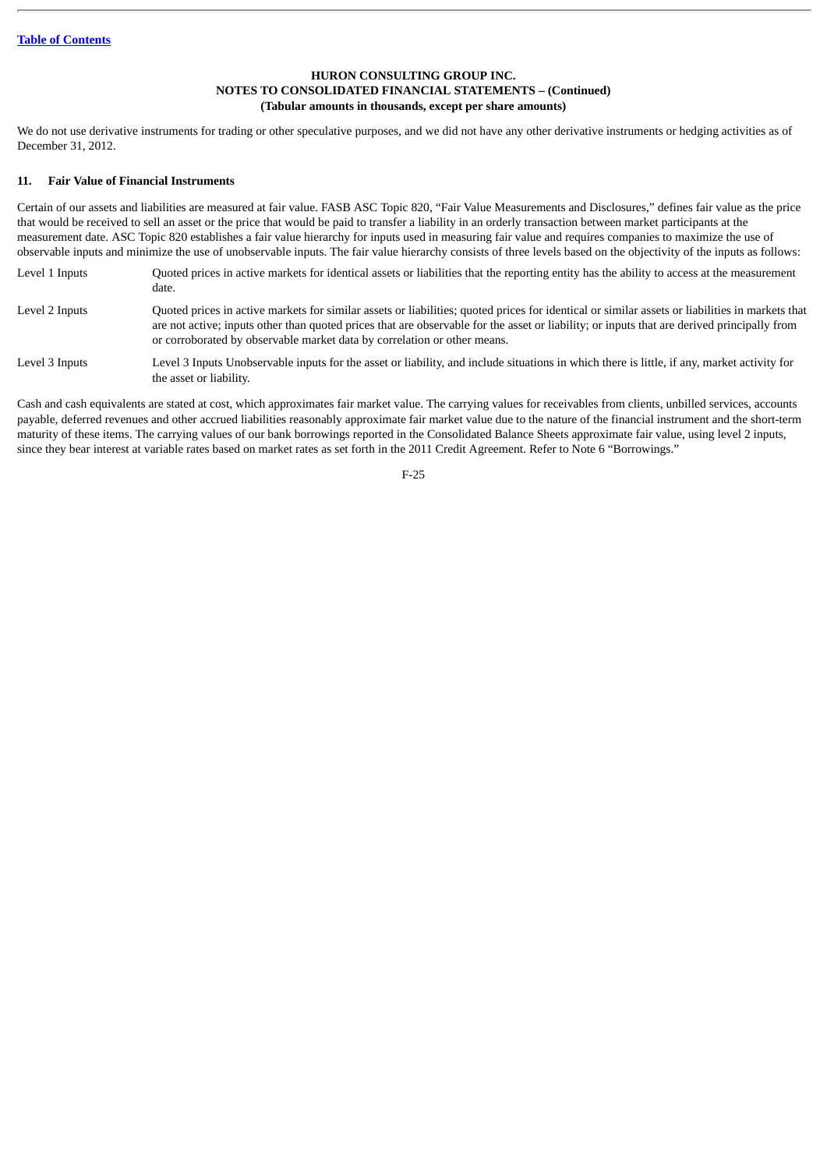We do not use derivative instruments for trading or other speculative purposes, and we did not have any other derivative instruments or hedging activities as of December 31, 2012.

### **11. Fair Value of Financial Instruments**

Certain of our assets and liabilities are measured at fair value. FASB ASC Topic 820, "Fair Value Measurements and Disclosures," defines fair value as the price that would be received to sell an asset or the price that would be paid to transfer a liability in an orderly transaction between market participants at the measurement date. ASC Topic 820 establishes a fair value hierarchy for inputs used in measuring fair value and requires companies to maximize the use of observable inputs and minimize the use of unobservable inputs. The fair value hierarchy consists of three levels based on the objectivity of the inputs as follows:

- Level 1 Inputs Quoted prices in active markets for identical assets or liabilities that the reporting entity has the ability to access at the measurement date.
- Level 2 Inputs Quoted prices in active markets for similar assets or liabilities; quoted prices for identical or similar assets or liabilities in markets that are not active; inputs other than quoted prices that are observable for the asset or liability; or inputs that are derived principally from or corroborated by observable market data by correlation or other means.
- Level 3 Inputs Level 3 Inputs Unobservable inputs for the asset or liability, and include situations in which there is little, if any, market activity for the asset or liability.

Cash and cash equivalents are stated at cost, which approximates fair market value. The carrying values for receivables from clients, unbilled services, accounts payable, deferred revenues and other accrued liabilities reasonably approximate fair market value due to the nature of the financial instrument and the short-term maturity of these items. The carrying values of our bank borrowings reported in the Consolidated Balance Sheets approximate fair value, using level 2 inputs, since they bear interest at variable rates based on market rates as set forth in the 2011 Credit Agreement. Refer to Note 6 "Borrowings."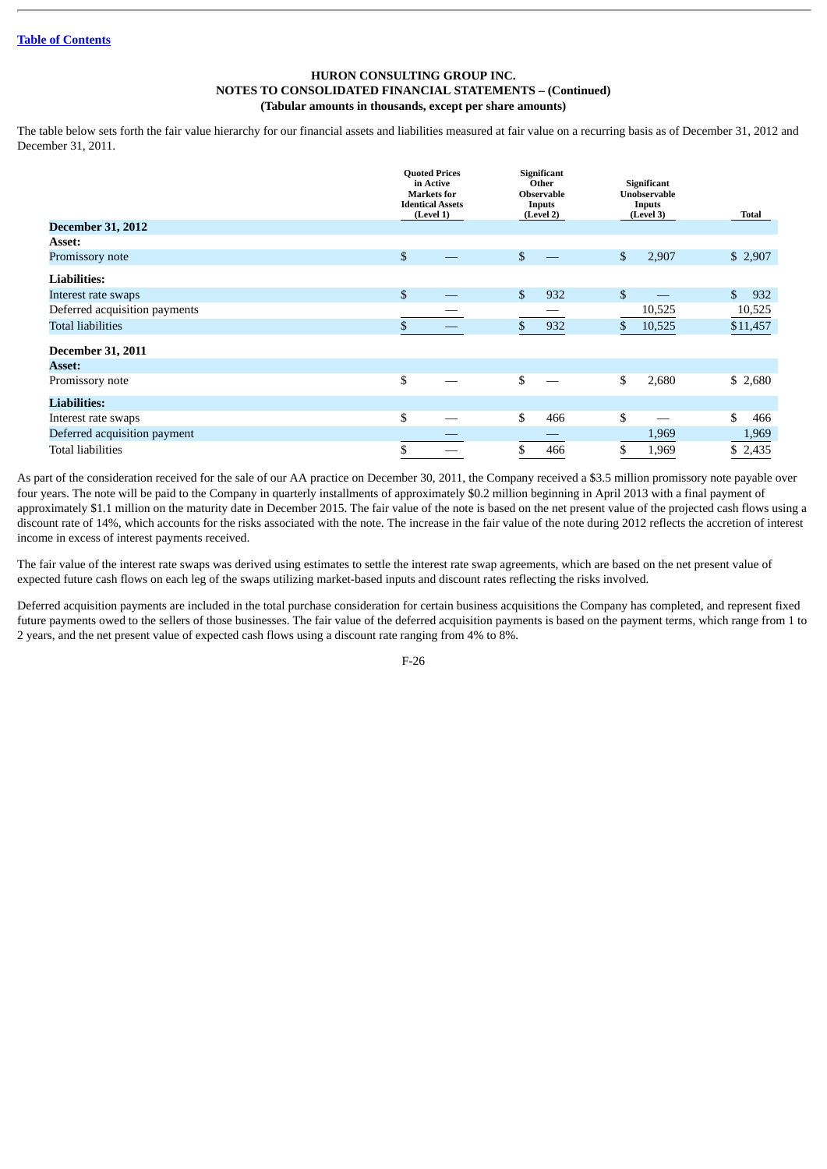The table below sets forth the fair value hierarchy for our financial assets and liabilities measured at fair value on a recurring basis as of December 31, 2012 and December 31, 2011.

|                               |              | <b>Quoted Prices</b><br>in Active<br><b>Markets</b> for<br><b>Identical Assets</b><br>(Level 1) | Significant<br>Other<br>Observable<br>Inputs<br>(Level 2) | Significant<br>Unobservable<br>Inputs<br>(Level 3) |        |     | Total    |
|-------------------------------|--------------|-------------------------------------------------------------------------------------------------|-----------------------------------------------------------|----------------------------------------------------|--------|-----|----------|
| <b>December 31, 2012</b>      |              |                                                                                                 |                                                           |                                                    |        |     |          |
| Asset:                        |              |                                                                                                 |                                                           |                                                    |        |     |          |
| Promissory note               | \$           |                                                                                                 | \$                                                        | \$                                                 | 2,907  |     | \$2,907  |
| <b>Liabilities:</b>           |              |                                                                                                 |                                                           |                                                    |        |     |          |
| Interest rate swaps           | $\mathbf{s}$ |                                                                                                 | \$<br>932                                                 | $\mathbf{s}$                                       |        | \$. | 932      |
| Deferred acquisition payments |              |                                                                                                 |                                                           |                                                    | 10,525 |     | 10,525   |
| <b>Total liabilities</b>      | \$           |                                                                                                 | 932<br>\$                                                 | \$                                                 | 10,525 |     | \$11,457 |
| <b>December 31, 2011</b>      |              |                                                                                                 |                                                           |                                                    |        |     |          |
| Asset:                        |              |                                                                                                 |                                                           |                                                    |        |     |          |
| Promissory note               | \$           |                                                                                                 | \$                                                        | \$                                                 | 2,680  |     | \$2,680  |
| <b>Liabilities:</b>           |              |                                                                                                 |                                                           |                                                    |        |     |          |
| Interest rate swaps           | \$           |                                                                                                 | \$<br>466                                                 | \$                                                 |        | \$  | 466      |
| Deferred acquisition payment  |              |                                                                                                 |                                                           |                                                    | 1,969  |     | 1,969    |
| <b>Total liabilities</b>      | \$           |                                                                                                 | \$<br>466                                                 | \$                                                 | 1,969  |     | \$2,435  |

As part of the consideration received for the sale of our AA practice on December 30, 2011, the Company received a \$3.5 million promissory note payable over four years. The note will be paid to the Company in quarterly installments of approximately \$0.2 million beginning in April 2013 with a final payment of approximately \$1.1 million on the maturity date in December 2015. The fair value of the note is based on the net present value of the projected cash flows using a discount rate of 14%, which accounts for the risks associated with the note. The increase in the fair value of the note during 2012 reflects the accretion of interest income in excess of interest payments received.

The fair value of the interest rate swaps was derived using estimates to settle the interest rate swap agreements, which are based on the net present value of expected future cash flows on each leg of the swaps utilizing market-based inputs and discount rates reflecting the risks involved.

Deferred acquisition payments are included in the total purchase consideration for certain business acquisitions the Company has completed, and represent fixed future payments owed to the sellers of those businesses. The fair value of the deferred acquisition payments is based on the payment terms, which range from 1 to 2 years, and the net present value of expected cash flows using a discount rate ranging from 4% to 8%.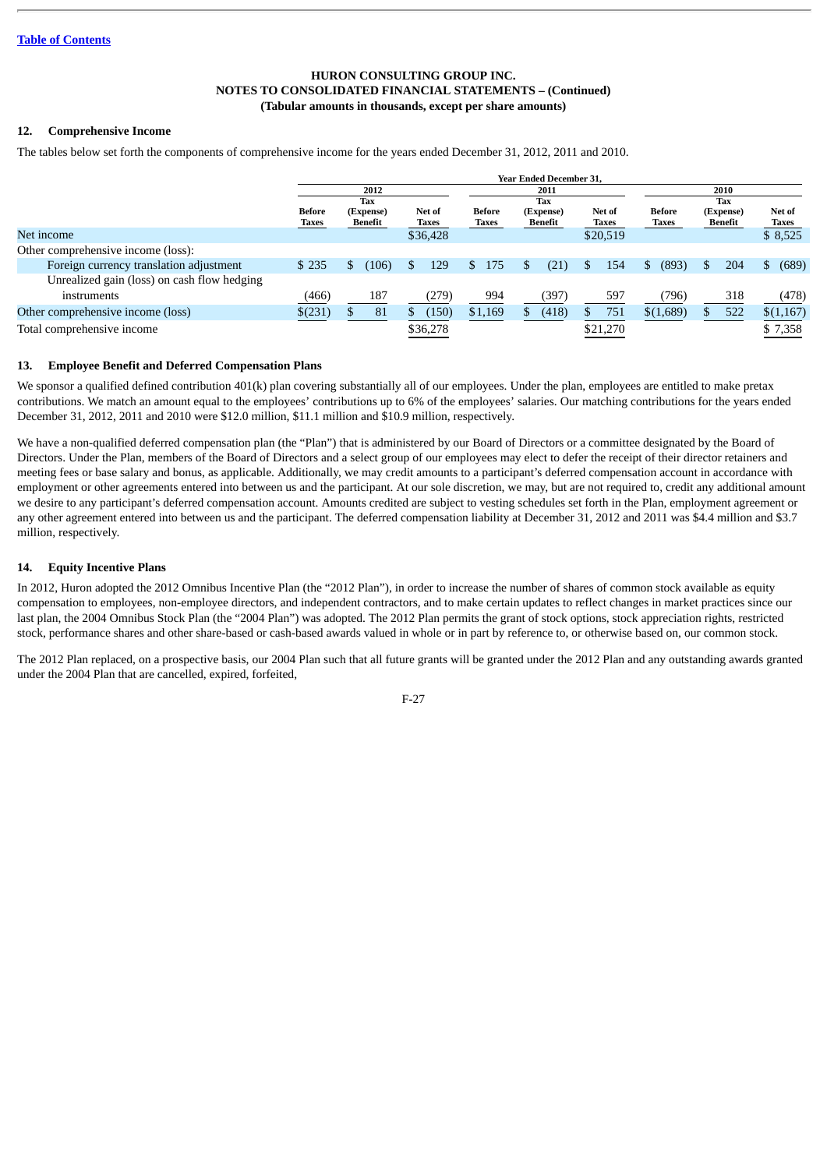## **12. Comprehensive Income**

The tables below set forth the components of comprehensive income for the years ended December 31, 2012, 2011 and 2010.

|                                                            |                        |                             |                 |                        | <b>Year Ended December 31.</b>            |                 |                               |                                    |                 |
|------------------------------------------------------------|------------------------|-----------------------------|-----------------|------------------------|-------------------------------------------|-----------------|-------------------------------|------------------------------------|-----------------|
|                                                            |                        | 2012                        |                 |                        | 2011                                      |                 |                               | 2010                               |                 |
|                                                            | Before<br><b>Taxes</b> | Tax<br>(Expense)<br>Benefit | Net of<br>Taxes | <b>Before</b><br>Taxes | <b>Tax</b><br>(Expense)<br><b>Benefit</b> | Net of<br>Taxes | <b>Before</b><br><b>Taxes</b> | <b>Tax</b><br>(Expense)<br>Benefit | Net of<br>Taxes |
| Net income                                                 |                        |                             | \$36,428        |                        |                                           | \$20,519        |                               |                                    | \$8,525         |
| Other comprehensive income (loss):                         |                        |                             |                 |                        |                                           |                 |                               |                                    |                 |
| Foreign currency translation adjustment                    | \$235                  | (106)                       | 129             | 175<br>S.              |                                           | 154             | (893)<br>S                    | 204                                | (689)           |
| Unrealized gain (loss) on cash flow hedging<br>instruments | (466)                  | 187                         | (279)           | 994                    | (397)                                     | 597             | (796)                         | 318                                | (478)           |
| Other comprehensive income (loss)                          | \$(231)                | 81                          | (150)           | \$1,169                | (418)                                     | 751             | \$(1,689)                     | 522                                | \$(1,167)       |
| Total comprehensive income                                 |                        |                             | \$36,278        |                        |                                           | \$21,270        |                               |                                    | \$7,358         |

### **13. Employee Benefit and Deferred Compensation Plans**

We sponsor a qualified defined contribution 401(k) plan covering substantially all of our employees. Under the plan, employees are entitled to make pretax contributions. We match an amount equal to the employees' contributions up to 6% of the employees' salaries. Our matching contributions for the years ended December 31, 2012, 2011 and 2010 were \$12.0 million, \$11.1 million and \$10.9 million, respectively.

We have a non-qualified deferred compensation plan (the "Plan") that is administered by our Board of Directors or a committee designated by the Board of Directors. Under the Plan, members of the Board of Directors and a select group of our employees may elect to defer the receipt of their director retainers and meeting fees or base salary and bonus, as applicable. Additionally, we may credit amounts to a participant's deferred compensation account in accordance with employment or other agreements entered into between us and the participant. At our sole discretion, we may, but are not required to, credit any additional amount we desire to any participant's deferred compensation account. Amounts credited are subject to vesting schedules set forth in the Plan, employment agreement or any other agreement entered into between us and the participant. The deferred compensation liability at December 31, 2012 and 2011 was \$4.4 million and \$3.7 million, respectively.

### **14. Equity Incentive Plans**

In 2012, Huron adopted the 2012 Omnibus Incentive Plan (the "2012 Plan"), in order to increase the number of shares of common stock available as equity compensation to employees, non-employee directors, and independent contractors, and to make certain updates to reflect changes in market practices since our last plan, the 2004 Omnibus Stock Plan (the "2004 Plan") was adopted. The 2012 Plan permits the grant of stock options, stock appreciation rights, restricted stock, performance shares and other share-based or cash-based awards valued in whole or in part by reference to, or otherwise based on, our common stock.

The 2012 Plan replaced, on a prospective basis, our 2004 Plan such that all future grants will be granted under the 2012 Plan and any outstanding awards granted under the 2004 Plan that are cancelled, expired, forfeited,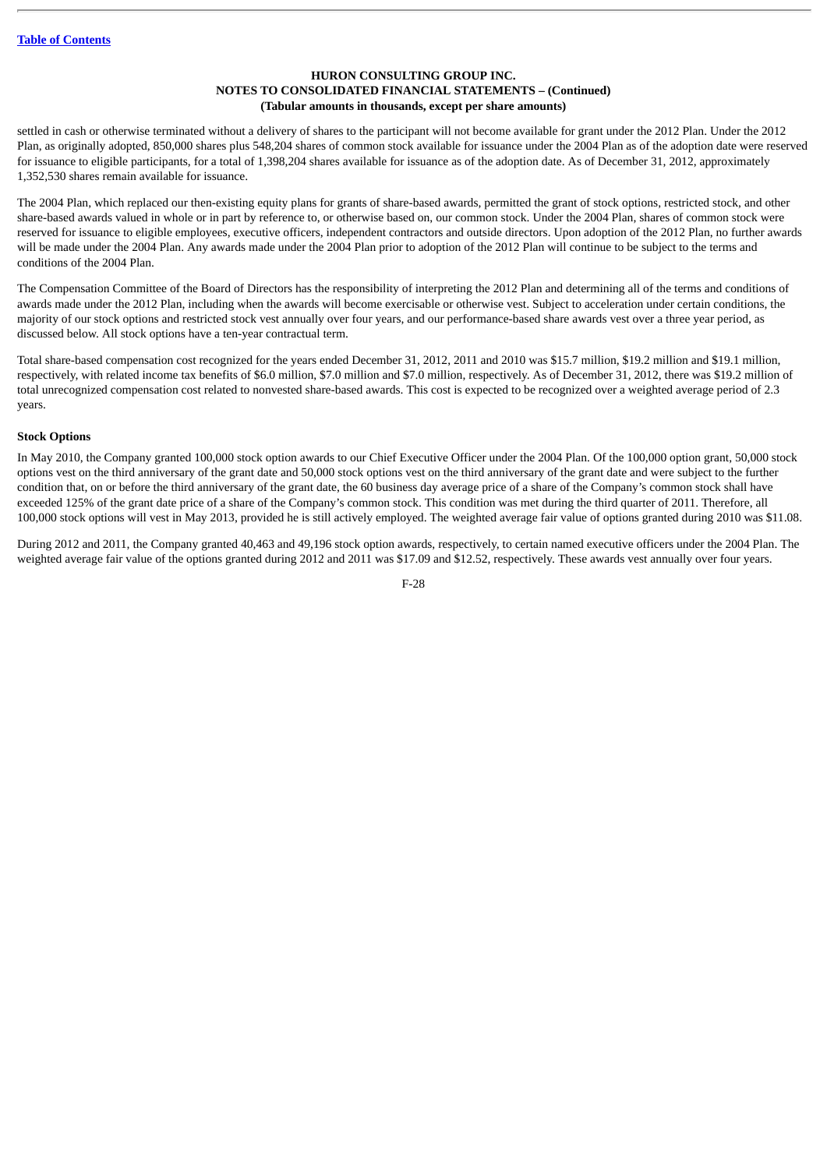settled in cash or otherwise terminated without a delivery of shares to the participant will not become available for grant under the 2012 Plan. Under the 2012 Plan, as originally adopted, 850,000 shares plus 548,204 shares of common stock available for issuance under the 2004 Plan as of the adoption date were reserved for issuance to eligible participants, for a total of 1,398,204 shares available for issuance as of the adoption date. As of December 31, 2012, approximately 1,352,530 shares remain available for issuance.

The 2004 Plan, which replaced our then-existing equity plans for grants of share-based awards, permitted the grant of stock options, restricted stock, and other share-based awards valued in whole or in part by reference to, or otherwise based on, our common stock. Under the 2004 Plan, shares of common stock were reserved for issuance to eligible employees, executive officers, independent contractors and outside directors. Upon adoption of the 2012 Plan, no further awards will be made under the 2004 Plan. Any awards made under the 2004 Plan prior to adoption of the 2012 Plan will continue to be subject to the terms and conditions of the 2004 Plan.

The Compensation Committee of the Board of Directors has the responsibility of interpreting the 2012 Plan and determining all of the terms and conditions of awards made under the 2012 Plan, including when the awards will become exercisable or otherwise vest. Subject to acceleration under certain conditions, the majority of our stock options and restricted stock vest annually over four years, and our performance-based share awards vest over a three year period, as discussed below. All stock options have a ten-year contractual term.

Total share-based compensation cost recognized for the years ended December 31, 2012, 2011 and 2010 was \$15.7 million, \$19.2 million and \$19.1 million, respectively, with related income tax benefits of \$6.0 million, \$7.0 million and \$7.0 million, respectively. As of December 31, 2012, there was \$19.2 million of total unrecognized compensation cost related to nonvested share-based awards. This cost is expected to be recognized over a weighted average period of 2.3 years.

### **Stock Options**

In May 2010, the Company granted 100,000 stock option awards to our Chief Executive Officer under the 2004 Plan. Of the 100,000 option grant, 50,000 stock options vest on the third anniversary of the grant date and 50,000 stock options vest on the third anniversary of the grant date and were subject to the further condition that, on or before the third anniversary of the grant date, the 60 business day average price of a share of the Company's common stock shall have exceeded 125% of the grant date price of a share of the Company's common stock. This condition was met during the third quarter of 2011. Therefore, all 100,000 stock options will vest in May 2013, provided he is still actively employed. The weighted average fair value of options granted during 2010 was \$11.08.

During 2012 and 2011, the Company granted 40,463 and 49,196 stock option awards, respectively, to certain named executive officers under the 2004 Plan. The weighted average fair value of the options granted during 2012 and 2011 was \$17.09 and \$12.52, respectively. These awards vest annually over four years.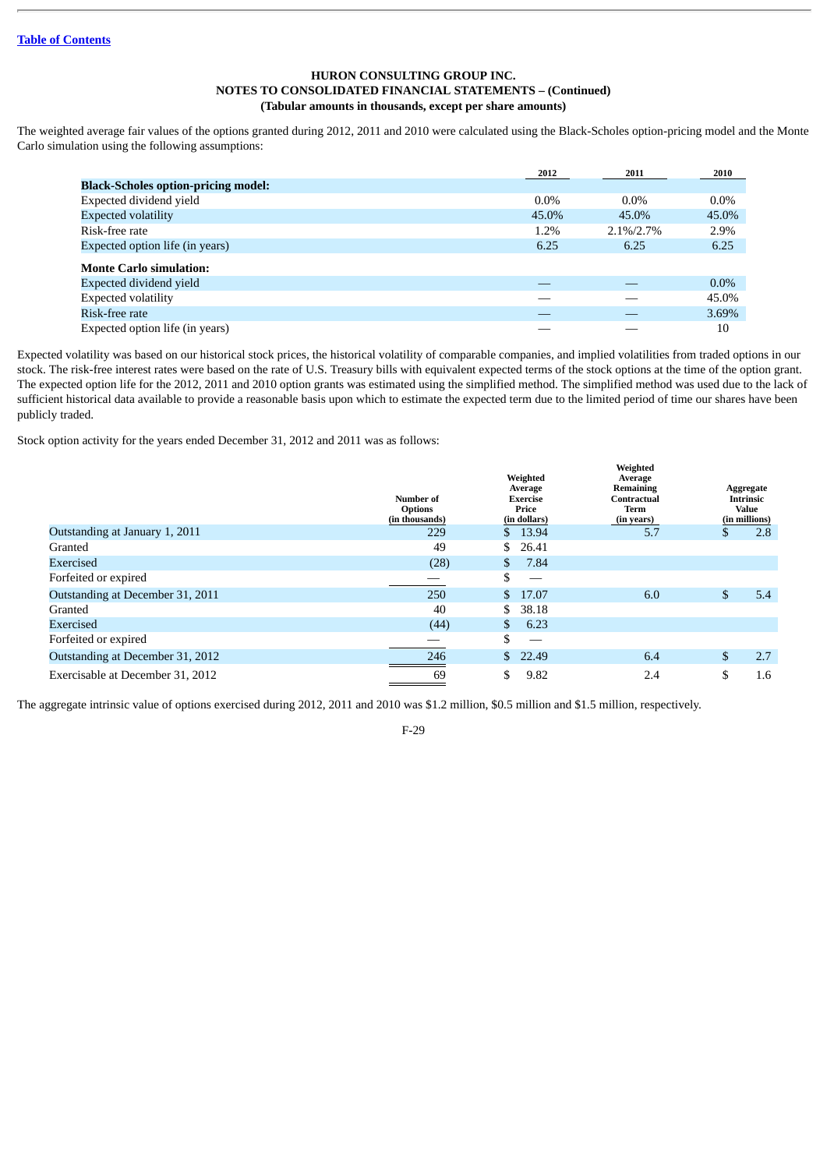The weighted average fair values of the options granted during 2012, 2011 and 2010 were calculated using the Black-Scholes option-pricing model and the Monte Carlo simulation using the following assumptions:

|                                            | 2012    | 2011      | 2010    |
|--------------------------------------------|---------|-----------|---------|
| <b>Black-Scholes option-pricing model:</b> |         |           |         |
| Expected dividend yield                    | $0.0\%$ | $0.0\%$   | $0.0\%$ |
| <b>Expected volatility</b>                 | 45.0%   | 45.0%     | 45.0%   |
| Risk-free rate                             | 1.2%    | 2.1%/2.7% | 2.9%    |
| Expected option life (in years)            | 6.25    | 6.25      | 6.25    |
| <b>Monte Carlo simulation:</b>             |         |           |         |
| Expected dividend yield                    |         |           | $0.0\%$ |
| <b>Expected volatility</b>                 |         |           | 45.0%   |
| Risk-free rate                             |         |           | 3.69%   |
| Expected option life (in years)            |         |           | 10      |

Expected volatility was based on our historical stock prices, the historical volatility of comparable companies, and implied volatilities from traded options in our stock. The risk-free interest rates were based on the rate of U.S. Treasury bills with equivalent expected terms of the stock options at the time of the option grant. The expected option life for the 2012, 2011 and 2010 option grants was estimated using the simplified method. The simplified method was used due to the lack of sufficient historical data available to provide a reasonable basis upon which to estimate the expected term due to the limited period of time our shares have been publicly traded.

Stock option activity for the years ended December 31, 2012 and 2011 was as follows:

|                                  | Number of<br><b>Options</b><br>(in thousands) |              | Weighted<br>Average<br>Exercise<br>Price<br>(in dollars) | Weighted<br>Average<br>Remaining<br>Contractual<br>Term<br>(in years) |    | Aggregate<br><b>Intrinsic</b><br>Value<br>(in millions) |
|----------------------------------|-----------------------------------------------|--------------|----------------------------------------------------------|-----------------------------------------------------------------------|----|---------------------------------------------------------|
| Outstanding at January 1, 2011   | 229                                           |              | \$13.94                                                  | 5.7                                                                   |    | 2.8                                                     |
| Granted                          | 49                                            | \$.          | 26.41                                                    |                                                                       |    |                                                         |
| Exercised                        | (28)                                          | \$           | 7.84                                                     |                                                                       |    |                                                         |
| Forfeited or expired             |                                               | \$.          |                                                          |                                                                       |    |                                                         |
| Outstanding at December 31, 2011 | 250                                           | $\mathbb{S}$ | 17.07                                                    | 6.0                                                                   | \$ | 5.4                                                     |
| Granted                          | 40                                            | \$           | 38.18                                                    |                                                                       |    |                                                         |
| Exercised                        | (44)                                          | $\mathbb{S}$ | 6.23                                                     |                                                                       |    |                                                         |
| Forfeited or expired             |                                               | \$           | $\overbrace{\hspace{27mm}}$                              |                                                                       |    |                                                         |
| Outstanding at December 31, 2012 | 246                                           | $\mathbb{S}$ | 22.49                                                    | 6.4                                                                   | \$ | 2.7                                                     |
| Exercisable at December 31, 2012 | 69                                            | \$           | 9.82                                                     | 2.4                                                                   | S  | 1.6                                                     |

The aggregate intrinsic value of options exercised during 2012, 2011 and 2010 was \$1.2 million, \$0.5 million and \$1.5 million, respectively.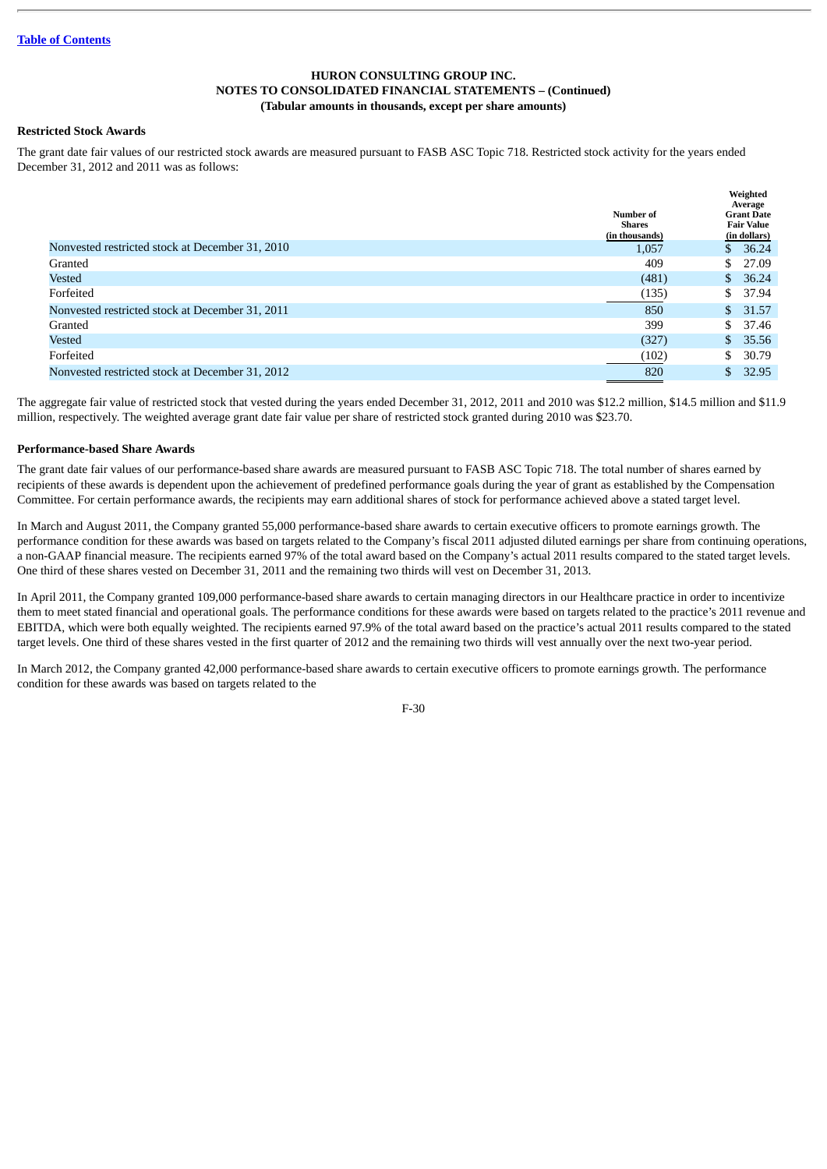# **Restricted Stock Awards**

The grant date fair values of our restricted stock awards are measured pursuant to FASB ASC Topic 718. Restricted stock activity for the years ended December 31, 2012 and 2011 was as follows:

|                                                 | Number of<br><b>Shares</b><br>(in thousands) | Weighted<br>Average<br><b>Grant Date</b><br><b>Fair Value</b><br>(in dollars) |
|-------------------------------------------------|----------------------------------------------|-------------------------------------------------------------------------------|
| Nonvested restricted stock at December 31, 2010 | 1,057                                        | \$36.24                                                                       |
| Granted                                         | 409                                          | \$<br>27.09                                                                   |
| <b>Vested</b>                                   | (481)                                        | $\mathbb{S}$<br>36.24                                                         |
| Forfeited                                       | (135)                                        | $\mathbb{S}$<br>37.94                                                         |
| Nonvested restricted stock at December 31, 2011 | 850                                          | \$31.57                                                                       |
| Granted                                         | 399                                          | $\mathbb{S}$<br>37.46                                                         |
| <b>Vested</b>                                   | (327)                                        | \$35.56                                                                       |
| Forfeited                                       | (102)                                        | <sup>\$</sup><br>30.79                                                        |
| Nonvested restricted stock at December 31, 2012 | 820                                          | \$<br>32.95                                                                   |

The aggregate fair value of restricted stock that vested during the years ended December 31, 2012, 2011 and 2010 was \$12.2 million, \$14.5 million and \$11.9 million, respectively. The weighted average grant date fair value per share of restricted stock granted during 2010 was \$23.70.

# **Performance-based Share Awards**

The grant date fair values of our performance-based share awards are measured pursuant to FASB ASC Topic 718. The total number of shares earned by recipients of these awards is dependent upon the achievement of predefined performance goals during the year of grant as established by the Compensation Committee. For certain performance awards, the recipients may earn additional shares of stock for performance achieved above a stated target level.

In March and August 2011, the Company granted 55,000 performance-based share awards to certain executive officers to promote earnings growth. The performance condition for these awards was based on targets related to the Company's fiscal 2011 adjusted diluted earnings per share from continuing operations, a non-GAAP financial measure. The recipients earned 97% of the total award based on the Company's actual 2011 results compared to the stated target levels. One third of these shares vested on December 31, 2011 and the remaining two thirds will vest on December 31, 2013.

In April 2011, the Company granted 109,000 performance-based share awards to certain managing directors in our Healthcare practice in order to incentivize them to meet stated financial and operational goals. The performance conditions for these awards were based on targets related to the practice's 2011 revenue and EBITDA, which were both equally weighted. The recipients earned 97.9% of the total award based on the practice's actual 2011 results compared to the stated target levels. One third of these shares vested in the first quarter of 2012 and the remaining two thirds will vest annually over the next two-year period.

In March 2012, the Company granted 42,000 performance-based share awards to certain executive officers to promote earnings growth. The performance condition for these awards was based on targets related to the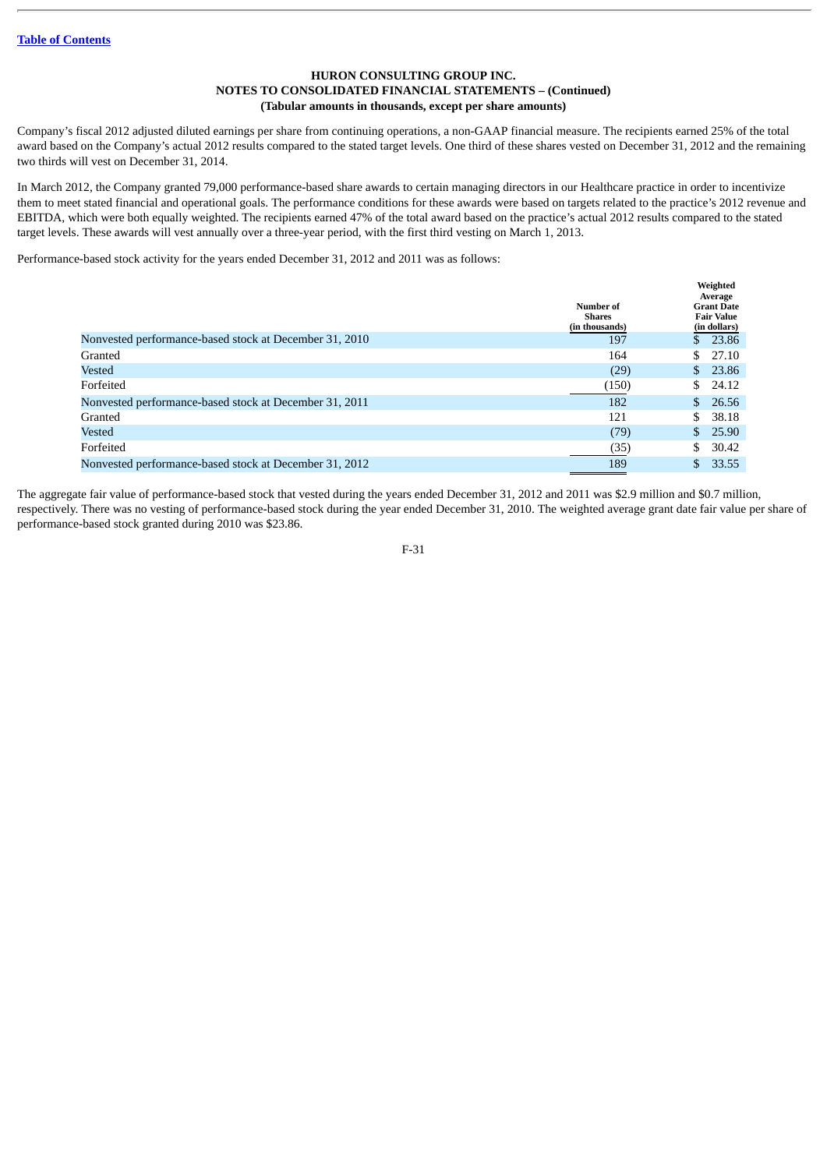Company's fiscal 2012 adjusted diluted earnings per share from continuing operations, a non-GAAP financial measure. The recipients earned 25% of the total award based on the Company's actual 2012 results compared to the stated target levels. One third of these shares vested on December 31, 2012 and the remaining two thirds will vest on December 31, 2014.

In March 2012, the Company granted 79,000 performance-based share awards to certain managing directors in our Healthcare practice in order to incentivize them to meet stated financial and operational goals. The performance conditions for these awards were based on targets related to the practice's 2012 revenue and EBITDA, which were both equally weighted. The recipients earned 47% of the total award based on the practice's actual 2012 results compared to the stated target levels. These awards will vest annually over a three-year period, with the first third vesting on March 1, 2013.

Performance-based stock activity for the years ended December 31, 2012 and 2011 was as follows:

|                                                        | Number of<br><b>Shares</b><br>(in thousands) |              | Weighted<br>Average<br><b>Grant Date</b><br><b>Fair Value</b><br>(in dollars) |
|--------------------------------------------------------|----------------------------------------------|--------------|-------------------------------------------------------------------------------|
| Nonvested performance-based stock at December 31, 2010 | 197                                          |              | \$23.86                                                                       |
| Granted                                                | 164                                          | \$           | 27.10                                                                         |
| Vested                                                 | (29)                                         | $\mathbb{S}$ | 23.86                                                                         |
| Forfeited                                              | (150)                                        | \$           | 24.12                                                                         |
| Nonvested performance-based stock at December 31, 2011 | 182                                          | $\mathbb{S}$ | 26.56                                                                         |
| Granted                                                | 121                                          | \$.          | 38.18                                                                         |
| Vested                                                 | (79)                                         | $\mathbb{S}$ | 25.90                                                                         |
| Forfeited                                              | (35)                                         | \$           | 30.42                                                                         |
| Nonvested performance-based stock at December 31, 2012 | 189                                          | \$           | 33.55                                                                         |

The aggregate fair value of performance-based stock that vested during the years ended December 31, 2012 and 2011 was \$2.9 million and \$0.7 million, respectively. There was no vesting of performance-based stock during the year ended December 31, 2010. The weighted average grant date fair value per share of performance-based stock granted during 2010 was \$23.86.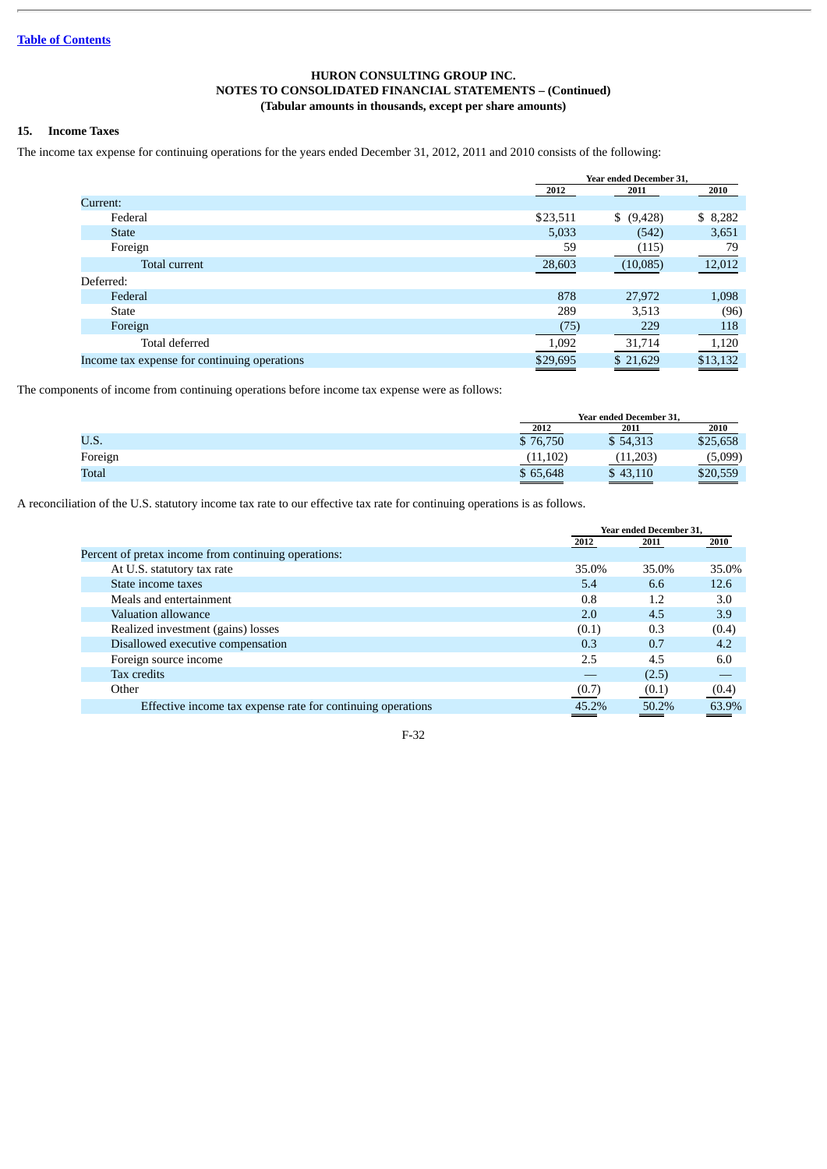# **15. Income Taxes**

The income tax expense for continuing operations for the years ended December 31, 2012, 2011 and 2010 consists of the following:

|                                              | Year ended December 31, |            |          |
|----------------------------------------------|-------------------------|------------|----------|
|                                              | 2012                    | 2011       | 2010     |
| Current:                                     |                         |            |          |
| Federal                                      | \$23,511                | \$ (9,428) | \$8,282  |
| <b>State</b>                                 | 5,033                   | (542)      | 3,651    |
| Foreign                                      | 59                      | (115)      | 79       |
| Total current                                | 28,603                  | (10,085)   | 12,012   |
| Deferred:                                    |                         |            |          |
| Federal                                      | 878                     | 27,972     | 1,098    |
| <b>State</b>                                 | 289                     | 3,513      | (96)     |
| Foreign                                      | (75)                    | 229        | 118      |
| Total deferred                               | 1,092                   | 31,714     | 1,120    |
| Income tax expense for continuing operations | \$29,695                | \$21,629   | \$13,132 |

The components of income from continuing operations before income tax expense were as follows:

|         |          | <b>Year ended December 31.</b> |                                                 |  |  |
|---------|----------|--------------------------------|-------------------------------------------------|--|--|
|         | 2012     | 2011                           | 2010                                            |  |  |
| ∪.∪.    | \$76,750 | \$54,313                       | \$25,658                                        |  |  |
| Foreign | 11,102   | (11, 203)                      | (5,099)                                         |  |  |
| Total   | \$65,648 | \$43,110                       | \$20,559<br>the contract of the contract of the |  |  |

A reconciliation of the U.S. statutory income tax rate to our effective tax rate for continuing operations is as follows.

|                                                             | Year ended December 31, |       |       |
|-------------------------------------------------------------|-------------------------|-------|-------|
|                                                             | 2012                    | 2011  | 2010  |
| Percent of pretax income from continuing operations:        |                         |       |       |
| At U.S. statutory tax rate                                  | 35.0%                   | 35.0% | 35.0% |
| State income taxes                                          | 5.4                     | 6.6   | 12.6  |
| Meals and entertainment                                     | 0.8                     | 1.2   | 3.0   |
| Valuation allowance                                         | 2.0                     | 4.5   | 3.9   |
| Realized investment (gains) losses                          | (0.1)                   | 0.3   | (0.4) |
| Disallowed executive compensation                           | 0.3                     | 0.7   | 4.2   |
| Foreign source income                                       | 2.5                     | 4.5   | 6.0   |
| Tax credits                                                 |                         | (2.5) |       |
| Other                                                       | (0.7)                   | (0.1) | (0.4) |
| Effective income tax expense rate for continuing operations | 45.2%                   | 50.2% | 63.9% |
|                                                             |                         |       |       |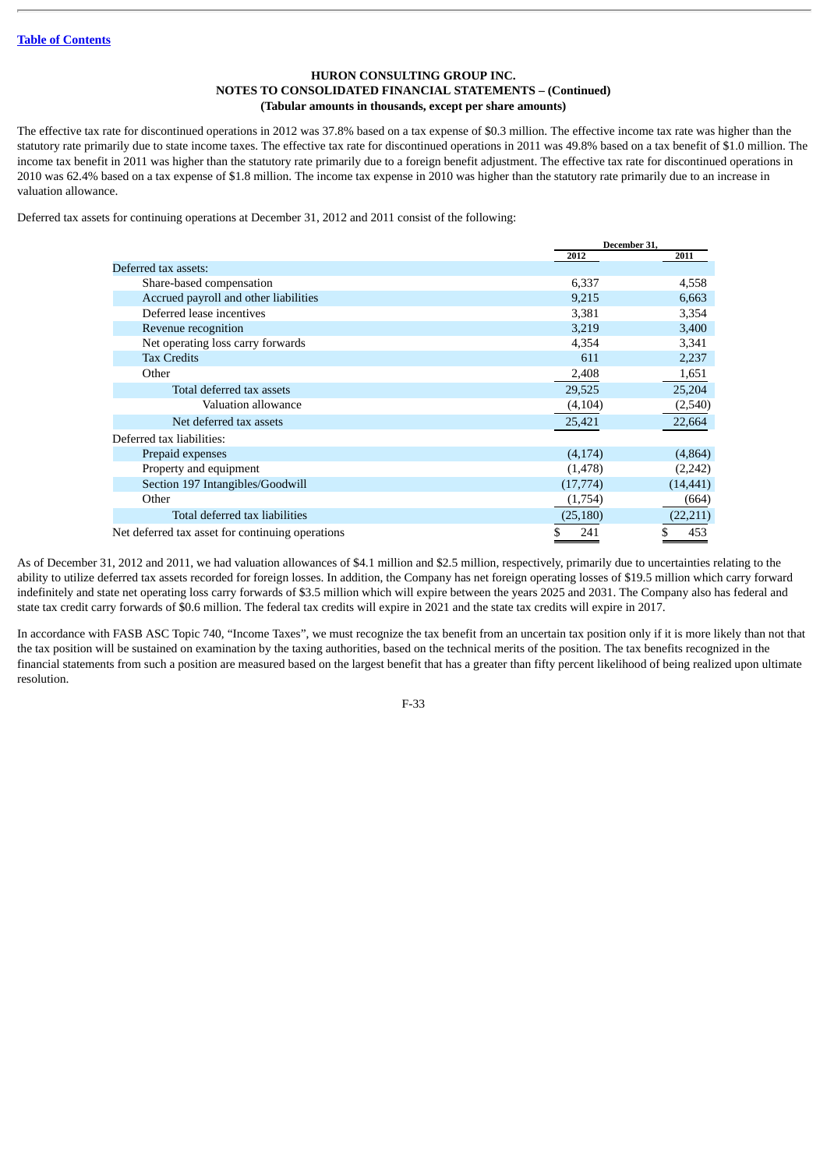The effective tax rate for discontinued operations in 2012 was 37.8% based on a tax expense of \$0.3 million. The effective income tax rate was higher than the statutory rate primarily due to state income taxes. The effective tax rate for discontinued operations in 2011 was 49.8% based on a tax benefit of \$1.0 million. The income tax benefit in 2011 was higher than the statutory rate primarily due to a foreign benefit adjustment. The effective tax rate for discontinued operations in 2010 was 62.4% based on a tax expense of \$1.8 million. The income tax expense in 2010 was higher than the statutory rate primarily due to an increase in valuation allowance.

Deferred tax assets for continuing operations at December 31, 2012 and 2011 consist of the following:

|                                                  |           | December 31, |
|--------------------------------------------------|-----------|--------------|
|                                                  | 2012      | 2011         |
| Deferred tax assets:                             |           |              |
| Share-based compensation                         | 6,337     | 4,558        |
| Accrued payroll and other liabilities            | 9,215     | 6,663        |
| Deferred lease incentives                        | 3,381     | 3,354        |
| Revenue recognition                              | 3,219     | 3,400        |
| Net operating loss carry forwards                | 4,354     | 3,341        |
| <b>Tax Credits</b>                               | 611       | 2,237        |
| Other                                            | 2,408     | 1,651        |
| Total deferred tax assets                        | 29,525    | 25,204       |
| Valuation allowance                              | (4, 104)  | (2,540)      |
| Net deferred tax assets                          | 25,421    | 22,664       |
| Deferred tax liabilities:                        |           |              |
| Prepaid expenses                                 | (4,174)   | (4,864)      |
| Property and equipment                           | (1, 478)  | (2, 242)     |
| Section 197 Intangibles/Goodwill                 | (17,774)  | (14, 441)    |
| Other                                            | (1,754)   | (664)        |
| Total deferred tax liabilities                   | (25, 180) | (22, 211)    |
| Net deferred tax asset for continuing operations | 241       | 453          |

As of December 31, 2012 and 2011, we had valuation allowances of \$4.1 million and \$2.5 million, respectively, primarily due to uncertainties relating to the ability to utilize deferred tax assets recorded for foreign losses. In addition, the Company has net foreign operating losses of \$19.5 million which carry forward indefinitely and state net operating loss carry forwards of \$3.5 million which will expire between the years 2025 and 2031. The Company also has federal and state tax credit carry forwards of \$0.6 million. The federal tax credits will expire in 2021 and the state tax credits will expire in 2017.

In accordance with FASB ASC Topic 740, "Income Taxes", we must recognize the tax benefit from an uncertain tax position only if it is more likely than not that the tax position will be sustained on examination by the taxing authorities, based on the technical merits of the position. The tax benefits recognized in the financial statements from such a position are measured based on the largest benefit that has a greater than fifty percent likelihood of being realized upon ultimate resolution.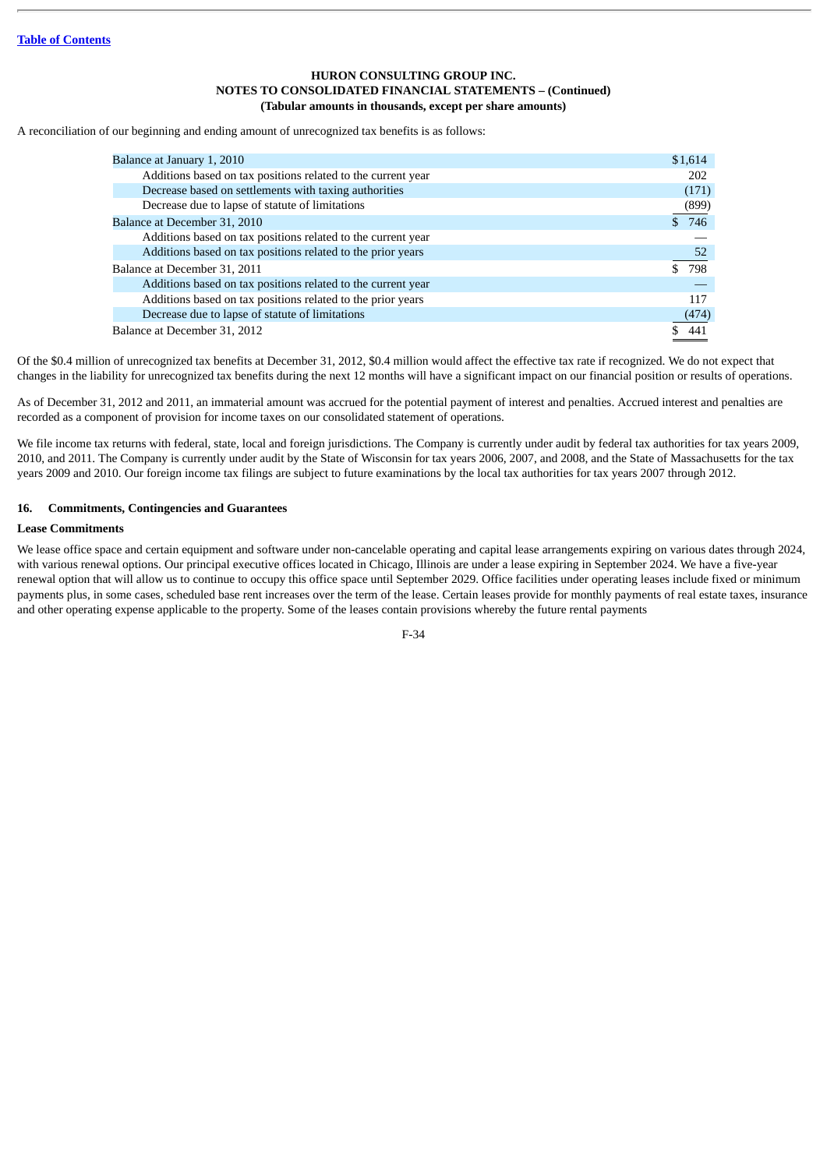A reconciliation of our beginning and ending amount of unrecognized tax benefits is as follows:

| Balance at January 1, 2010                                   | \$1,614 |       |
|--------------------------------------------------------------|---------|-------|
| Additions based on tax positions related to the current year |         | 202   |
| Decrease based on settlements with taxing authorities        |         | (171) |
| Decrease due to lapse of statute of limitations              |         | (899) |
| Balance at December 31, 2010                                 | \$746   |       |
| Additions based on tax positions related to the current year |         |       |
| Additions based on tax positions related to the prior years  |         | 52    |
| Balance at December 31, 2011                                 |         | 798   |
| Additions based on tax positions related to the current year |         |       |
| Additions based on tax positions related to the prior years  |         | 117   |
| Decrease due to lapse of statute of limitations              |         | (474) |
| Balance at December 31, 2012                                 |         |       |

Of the \$0.4 million of unrecognized tax benefits at December 31, 2012, \$0.4 million would affect the effective tax rate if recognized. We do not expect that changes in the liability for unrecognized tax benefits during the next 12 months will have a significant impact on our financial position or results of operations.

As of December 31, 2012 and 2011, an immaterial amount was accrued for the potential payment of interest and penalties. Accrued interest and penalties are recorded as a component of provision for income taxes on our consolidated statement of operations.

We file income tax returns with federal, state, local and foreign jurisdictions. The Company is currently under audit by federal tax authorities for tax years 2009, 2010, and 2011. The Company is currently under audit by the State of Wisconsin for tax years 2006, 2007, and 2008, and the State of Massachusetts for the tax years 2009 and 2010. Our foreign income tax filings are subject to future examinations by the local tax authorities for tax years 2007 through 2012.

# **16. Commitments, Contingencies and Guarantees**

### **Lease Commitments**

We lease office space and certain equipment and software under non-cancelable operating and capital lease arrangements expiring on various dates through 2024, with various renewal options. Our principal executive offices located in Chicago, Illinois are under a lease expiring in September 2024. We have a five-year renewal option that will allow us to continue to occupy this office space until September 2029. Office facilities under operating leases include fixed or minimum payments plus, in some cases, scheduled base rent increases over the term of the lease. Certain leases provide for monthly payments of real estate taxes, insurance and other operating expense applicable to the property. Some of the leases contain provisions whereby the future rental payments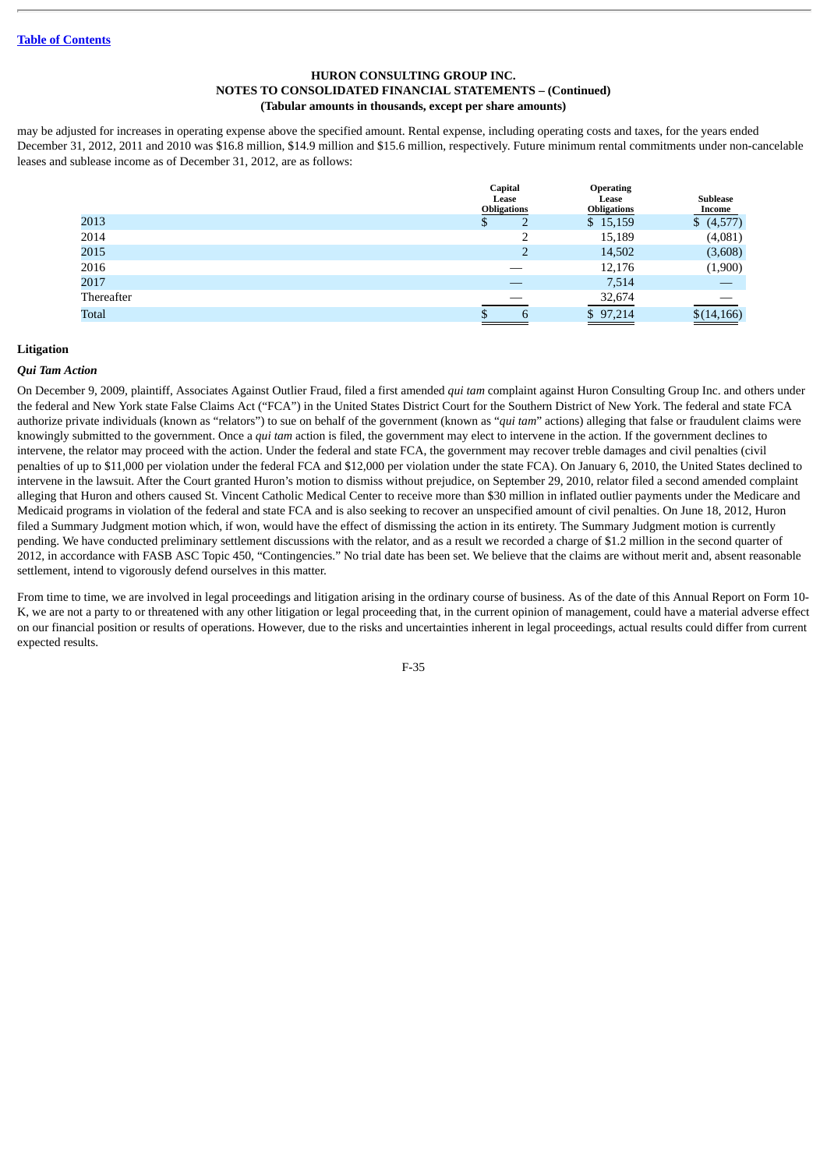may be adjusted for increases in operating expense above the specified amount. Rental expense, including operating costs and taxes, for the years ended December 31, 2012, 2011 and 2010 was \$16.8 million, \$14.9 million and \$15.6 million, respectively. Future minimum rental commitments under non-cancelable leases and sublease income as of December 31, 2012, are as follows:

|              | Capital<br>Lease<br><b>Obligations</b> | <b>Operating</b><br>Lease<br><b>Obligations</b> | <b>Sublease</b><br>Income |
|--------------|----------------------------------------|-------------------------------------------------|---------------------------|
| 2013         |                                        | \$15,159                                        | (4,577)                   |
| 2014         |                                        | 15,189                                          | (4,081)                   |
| 2015         |                                        | 14,502                                          | (3,608)                   |
| 2016         |                                        | 12,176                                          | (1,900)                   |
| 2017         |                                        | 7,514                                           |                           |
| Thereafter   |                                        | 32,674                                          |                           |
| <b>Total</b> |                                        | \$97,214                                        | \$(14,166)                |
|              |                                        |                                                 |                           |

### **Litigation**

### *Qui Tam Action*

On December 9, 2009, plaintiff, Associates Against Outlier Fraud, filed a first amended *qui tam* complaint against Huron Consulting Group Inc. and others under the federal and New York state False Claims Act ("FCA") in the United States District Court for the Southern District of New York. The federal and state FCA authorize private individuals (known as "relators") to sue on behalf of the government (known as "*qui tam*" actions) alleging that false or fraudulent claims were knowingly submitted to the government. Once a *qui tam* action is filed, the government may elect to intervene in the action. If the government declines to intervene, the relator may proceed with the action. Under the federal and state FCA, the government may recover treble damages and civil penalties (civil penalties of up to \$11,000 per violation under the federal FCA and \$12,000 per violation under the state FCA). On January 6, 2010, the United States declined to intervene in the lawsuit. After the Court granted Huron's motion to dismiss without prejudice, on September 29, 2010, relator filed a second amended complaint alleging that Huron and others caused St. Vincent Catholic Medical Center to receive more than \$30 million in inflated outlier payments under the Medicare and Medicaid programs in violation of the federal and state FCA and is also seeking to recover an unspecified amount of civil penalties. On June 18, 2012, Huron filed a Summary Judgment motion which, if won, would have the effect of dismissing the action in its entirety. The Summary Judgment motion is currently pending. We have conducted preliminary settlement discussions with the relator, and as a result we recorded a charge of \$1.2 million in the second quarter of 2012, in accordance with FASB ASC Topic 450, "Contingencies." No trial date has been set. We believe that the claims are without merit and, absent reasonable settlement, intend to vigorously defend ourselves in this matter.

From time to time, we are involved in legal proceedings and litigation arising in the ordinary course of business. As of the date of this Annual Report on Form 10- K, we are not a party to or threatened with any other litigation or legal proceeding that, in the current opinion of management, could have a material adverse effect on our financial position or results of operations. However, due to the risks and uncertainties inherent in legal proceedings, actual results could differ from current expected results.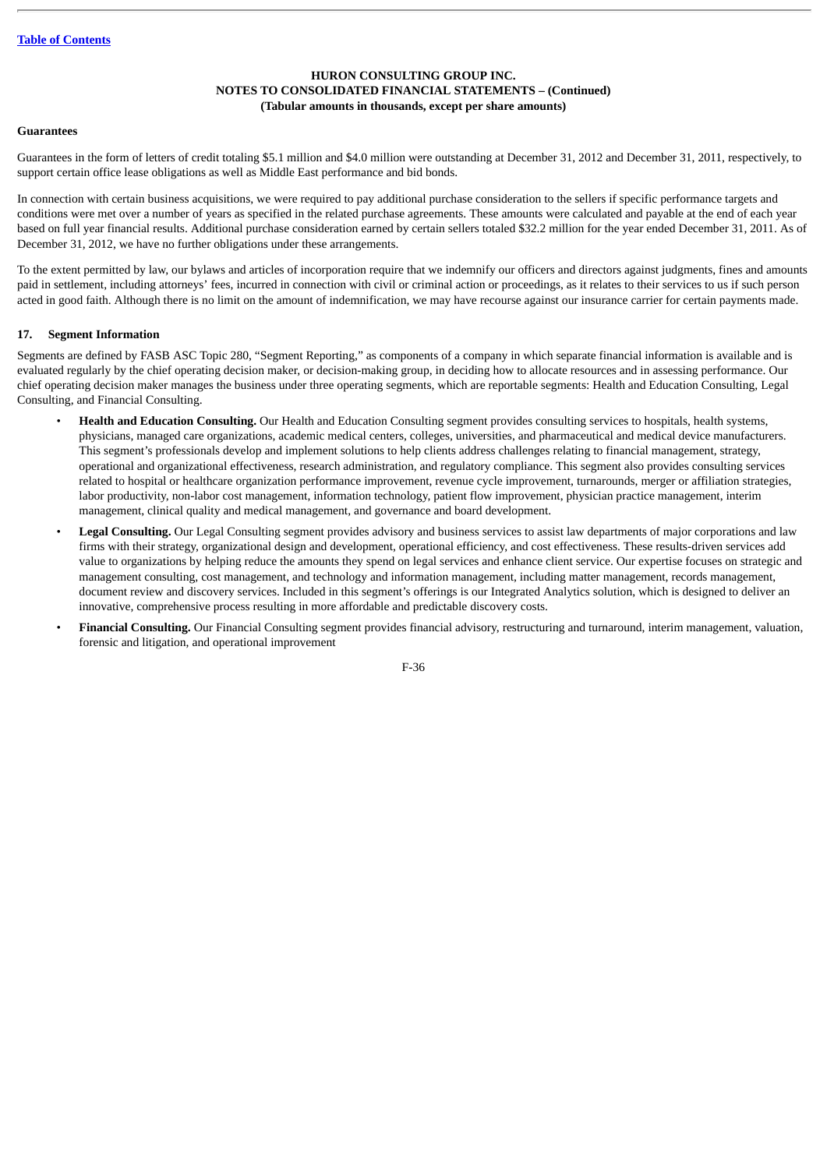#### **Guarantees**

Guarantees in the form of letters of credit totaling \$5.1 million and \$4.0 million were outstanding at December 31, 2012 and December 31, 2011, respectively, to support certain office lease obligations as well as Middle East performance and bid bonds.

In connection with certain business acquisitions, we were required to pay additional purchase consideration to the sellers if specific performance targets and conditions were met over a number of years as specified in the related purchase agreements. These amounts were calculated and payable at the end of each year based on full year financial results. Additional purchase consideration earned by certain sellers totaled \$32.2 million for the year ended December 31, 2011. As of December 31, 2012, we have no further obligations under these arrangements.

To the extent permitted by law, our bylaws and articles of incorporation require that we indemnify our officers and directors against judgments, fines and amounts paid in settlement, including attorneys' fees, incurred in connection with civil or criminal action or proceedings, as it relates to their services to us if such person acted in good faith. Although there is no limit on the amount of indemnification, we may have recourse against our insurance carrier for certain payments made.

#### **17. Segment Information**

Segments are defined by FASB ASC Topic 280, "Segment Reporting," as components of a company in which separate financial information is available and is evaluated regularly by the chief operating decision maker, or decision-making group, in deciding how to allocate resources and in assessing performance. Our chief operating decision maker manages the business under three operating segments, which are reportable segments: Health and Education Consulting, Legal Consulting, and Financial Consulting.

- **Health and Education Consulting.** Our Health and Education Consulting segment provides consulting services to hospitals, health systems, physicians, managed care organizations, academic medical centers, colleges, universities, and pharmaceutical and medical device manufacturers. This segment's professionals develop and implement solutions to help clients address challenges relating to financial management, strategy, operational and organizational effectiveness, research administration, and regulatory compliance. This segment also provides consulting services related to hospital or healthcare organization performance improvement, revenue cycle improvement, turnarounds, merger or affiliation strategies, labor productivity, non-labor cost management, information technology, patient flow improvement, physician practice management, interim management, clinical quality and medical management, and governance and board development.
- **Legal Consulting.** Our Legal Consulting segment provides advisory and business services to assist law departments of major corporations and law firms with their strategy, organizational design and development, operational efficiency, and cost effectiveness. These results-driven services add value to organizations by helping reduce the amounts they spend on legal services and enhance client service. Our expertise focuses on strategic and management consulting, cost management, and technology and information management, including matter management, records management, document review and discovery services. Included in this segment's offerings is our Integrated Analytics solution, which is designed to deliver an innovative, comprehensive process resulting in more affordable and predictable discovery costs.
- **Financial Consulting.** Our Financial Consulting segment provides financial advisory, restructuring and turnaround, interim management, valuation, forensic and litigation, and operational improvement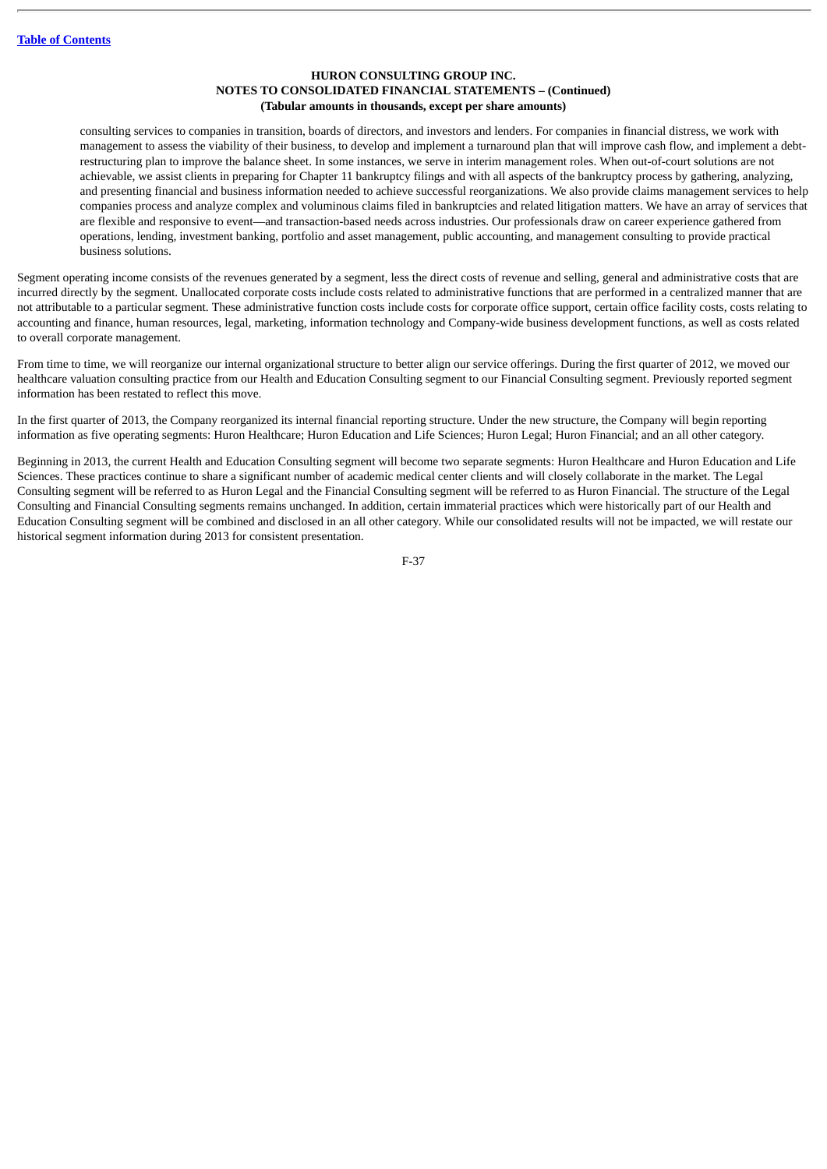consulting services to companies in transition, boards of directors, and investors and lenders. For companies in financial distress, we work with management to assess the viability of their business, to develop and implement a turnaround plan that will improve cash flow, and implement a debtrestructuring plan to improve the balance sheet. In some instances, we serve in interim management roles. When out-of-court solutions are not achievable, we assist clients in preparing for Chapter 11 bankruptcy filings and with all aspects of the bankruptcy process by gathering, analyzing, and presenting financial and business information needed to achieve successful reorganizations. We also provide claims management services to help companies process and analyze complex and voluminous claims filed in bankruptcies and related litigation matters. We have an array of services that are flexible and responsive to event—and transaction-based needs across industries. Our professionals draw on career experience gathered from operations, lending, investment banking, portfolio and asset management, public accounting, and management consulting to provide practical business solutions.

Segment operating income consists of the revenues generated by a segment, less the direct costs of revenue and selling, general and administrative costs that are incurred directly by the segment. Unallocated corporate costs include costs related to administrative functions that are performed in a centralized manner that are not attributable to a particular segment. These administrative function costs include costs for corporate office support, certain office facility costs, costs relating to accounting and finance, human resources, legal, marketing, information technology and Company-wide business development functions, as well as costs related to overall corporate management.

From time to time, we will reorganize our internal organizational structure to better align our service offerings. During the first quarter of 2012, we moved our healthcare valuation consulting practice from our Health and Education Consulting segment to our Financial Consulting segment. Previously reported segment information has been restated to reflect this move.

In the first quarter of 2013, the Company reorganized its internal financial reporting structure. Under the new structure, the Company will begin reporting information as five operating segments: Huron Healthcare; Huron Education and Life Sciences; Huron Legal; Huron Financial; and an all other category.

Beginning in 2013, the current Health and Education Consulting segment will become two separate segments: Huron Healthcare and Huron Education and Life Sciences. These practices continue to share a significant number of academic medical center clients and will closely collaborate in the market. The Legal Consulting segment will be referred to as Huron Legal and the Financial Consulting segment will be referred to as Huron Financial. The structure of the Legal Consulting and Financial Consulting segments remains unchanged. In addition, certain immaterial practices which were historically part of our Health and Education Consulting segment will be combined and disclosed in an all other category. While our consolidated results will not be impacted, we will restate our historical segment information during 2013 for consistent presentation.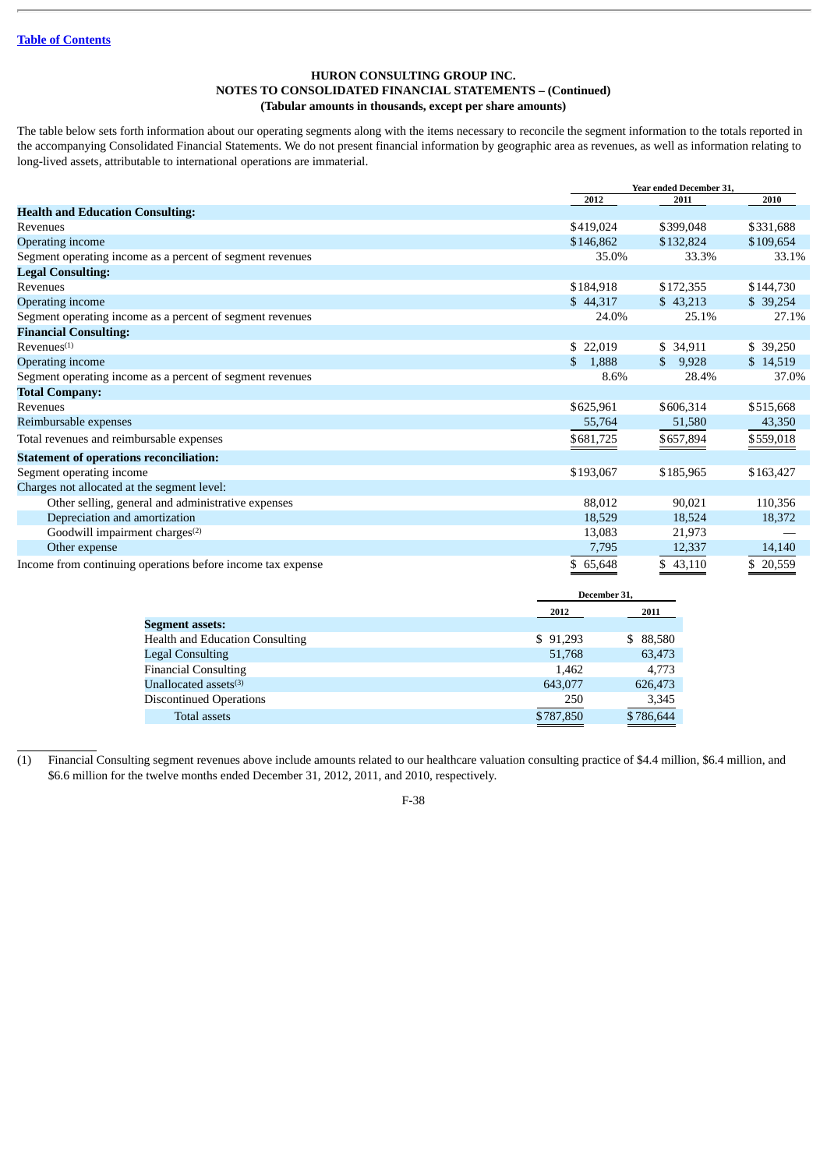The table below sets forth information about our operating segments along with the items necessary to reconcile the segment information to the totals reported in the accompanying Consolidated Financial Statements. We do not present financial information by geographic area as revenues, as well as information relating to long-lived assets, attributable to international operations are immaterial.

|                                                             |              | <b>Year ended December 31.</b> |              |  |
|-------------------------------------------------------------|--------------|--------------------------------|--------------|--|
|                                                             | 2012         | 2011                           | 2010         |  |
| <b>Health and Education Consulting:</b>                     |              |                                |              |  |
| Revenues                                                    | \$419,024    | \$399,048                      | \$331,688    |  |
| <b>Operating income</b>                                     | \$146,862    | \$132,824                      | \$109,654    |  |
| Segment operating income as a percent of segment revenues   | 35.0%        | 33.3%                          | 33.1%        |  |
| <b>Legal Consulting:</b>                                    |              |                                |              |  |
| Revenues                                                    | \$184,918    | \$172,355                      | \$144,730    |  |
| Operating income                                            | \$44,317     | \$43,213                       | \$39,254     |  |
| Segment operating income as a percent of segment revenues   | 24.0%        | 25.1%                          | 27.1%        |  |
| <b>Financial Consulting:</b>                                |              |                                |              |  |
| Revenues <sup>(1)</sup>                                     | \$22,019     | \$ 34,911                      | 39,250<br>\$ |  |
| Operating income                                            | 1,888<br>\$. | $\mathbb{S}$<br>9,928          | \$14,519     |  |
| Segment operating income as a percent of segment revenues   | 8.6%         | 28.4%                          | 37.0%        |  |
| <b>Total Company:</b>                                       |              |                                |              |  |
| Revenues                                                    | \$625,961    | \$606,314                      | \$515,668    |  |
| Reimbursable expenses                                       | 55,764       | 51,580                         | 43,350       |  |
| Total revenues and reimbursable expenses                    | \$681,725    | \$657,894                      | \$559,018    |  |
| <b>Statement of operations reconciliation:</b>              |              |                                |              |  |
| Segment operating income                                    | \$193,067    | \$185,965                      | \$163,427    |  |
| Charges not allocated at the segment level:                 |              |                                |              |  |
| Other selling, general and administrative expenses          | 88,012       | 90,021                         | 110,356      |  |
| Depreciation and amortization                               | 18,529       | 18,524                         | 18,372       |  |
| Goodwill impairment charges <sup>(2)</sup>                  | 13,083       | 21,973                         |              |  |
| Other expense                                               | 7,795        | 12,337                         | 14,140       |  |
| Income from continuing operations before income tax expense | \$65,648     | \$ 43,110                      | \$20,559     |  |

|                                        |           | December 31. |
|----------------------------------------|-----------|--------------|
|                                        | 2012      | 2011         |
| Segment assets:                        |           |              |
| <b>Health and Education Consulting</b> | \$91,293  | \$ 88,580    |
| <b>Legal Consulting</b>                | 51,768    | 63,473       |
| <b>Financial Consulting</b>            | 1,462     | 4,773        |
| Unallocated assets <sup>(3)</sup>      | 643,077   | 626,473      |
| <b>Discontinued Operations</b>         | 250       | 3,345        |
| <b>Total assets</b>                    | \$787,850 | \$786,644    |

(1) Financial Consulting segment revenues above include amounts related to our healthcare valuation consulting practice of \$4.4 million, \$6.4 million, and \$6.6 million for the twelve months ended December 31, 2012, 2011, and 2010, respectively.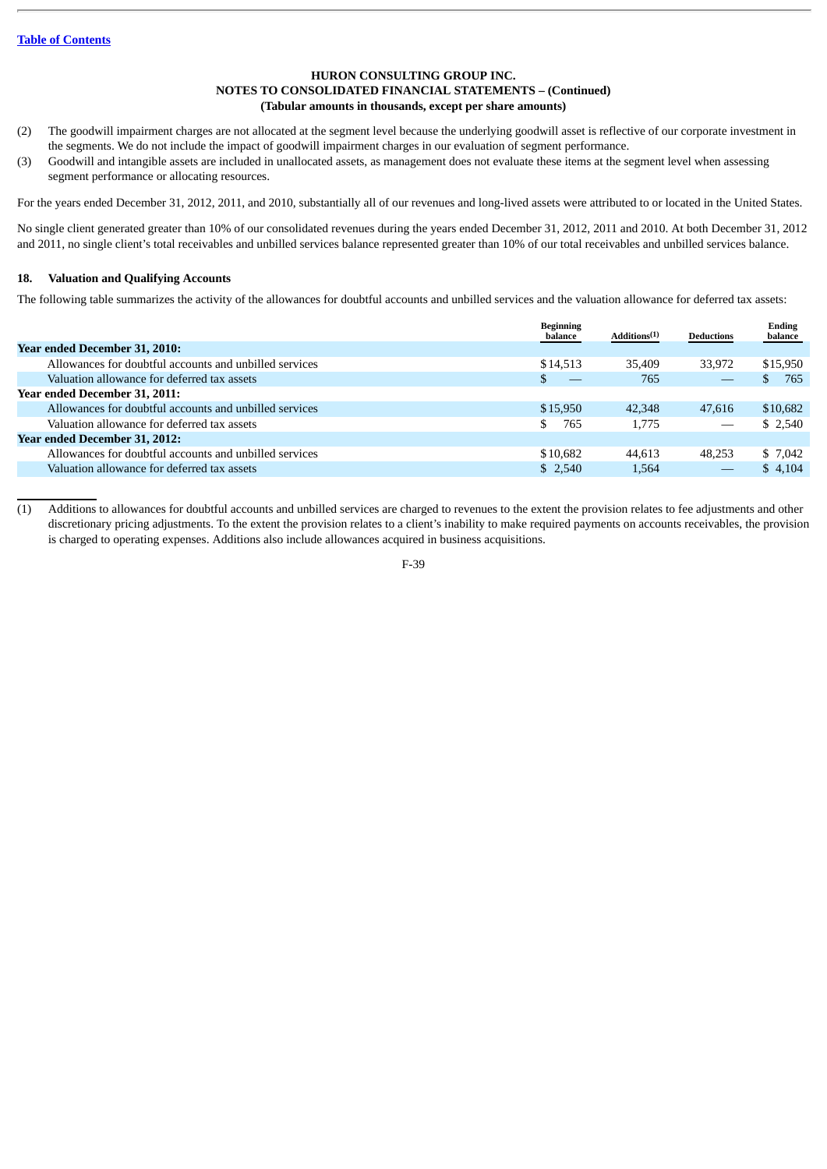- (2) The goodwill impairment charges are not allocated at the segment level because the underlying goodwill asset is reflective of our corporate investment in the segments. We do not include the impact of goodwill impairment charges in our evaluation of segment performance.
- (3) Goodwill and intangible assets are included in unallocated assets, as management does not evaluate these items at the segment level when assessing segment performance or allocating resources.

For the years ended December 31, 2012, 2011, and 2010, substantially all of our revenues and long-lived assets were attributed to or located in the United States.

No single client generated greater than 10% of our consolidated revenues during the years ended December 31, 2012, 2011 and 2010. At both December 31, 2012 and 2011, no single client's total receivables and unbilled services balance represented greater than 10% of our total receivables and unbilled services balance.

### **18. Valuation and Qualifying Accounts**

The following table summarizes the activity of the allowances for doubtful accounts and unbilled services and the valuation allowance for deferred tax assets:

|                                                        | <b>Beginning</b><br>balance | Additions <sup>(1)</sup> | <b>Deductions</b> | Ending<br>balance |
|--------------------------------------------------------|-----------------------------|--------------------------|-------------------|-------------------|
| Year ended December 31, 2010:                          |                             |                          |                   |                   |
| Allowances for doubtful accounts and unbilled services | \$14,513                    | 35,409                   | 33.972            | \$15.950          |
| Valuation allowance for deferred tax assets            |                             | 765                      |                   | 765               |
| Year ended December 31, 2011:                          |                             |                          |                   |                   |
| Allowances for doubtful accounts and unbilled services | \$15,950                    | 42,348                   | 47.616            | \$10,682          |
| Valuation allowance for deferred tax assets            | 765<br>SS.                  | 1.775                    |                   | \$2.540           |
| Year ended December 31, 2012:                          |                             |                          |                   |                   |
| Allowances for doubtful accounts and unbilled services | \$10,682                    | 44.613                   | 48.253            | \$7.042           |
| Valuation allowance for deferred tax assets            | \$2.540                     | 1.564                    |                   | \$4.104           |

(1) Additions to allowances for doubtful accounts and unbilled services are charged to revenues to the extent the provision relates to fee adjustments and other discretionary pricing adjustments. To the extent the provision relates to a client's inability to make required payments on accounts receivables, the provision is charged to operating expenses. Additions also include allowances acquired in business acquisitions.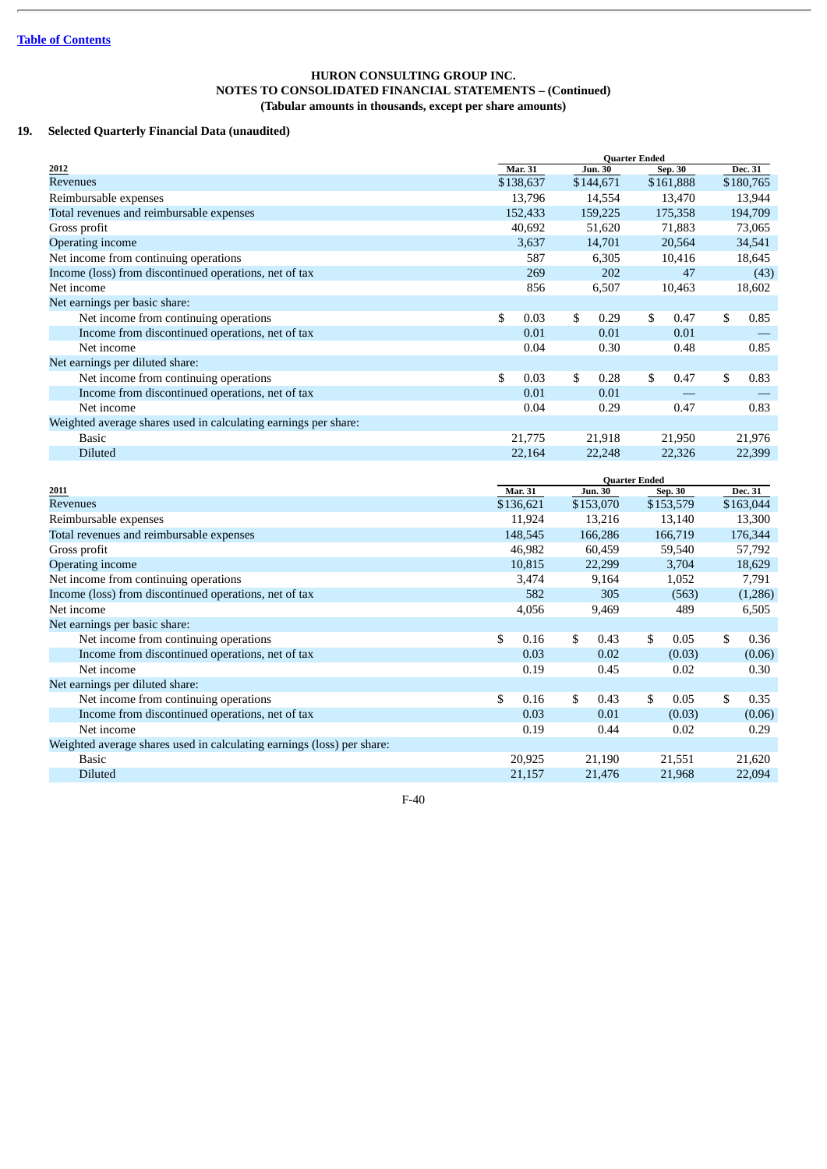# **19. Selected Quarterly Financial Data (unaudited)**

|                                                                 | <b>Quarter Ended</b> |                |            |            |  |
|-----------------------------------------------------------------|----------------------|----------------|------------|------------|--|
| 2012                                                            | <b>Mar. 31</b>       | <b>Jun. 30</b> | Sep. 30    | Dec. 31    |  |
| Revenues                                                        | \$138,637            | \$144,671      | \$161,888  | \$180,765  |  |
| Reimbursable expenses                                           | 13,796               | 14,554         | 13,470     | 13,944     |  |
| Total revenues and reimbursable expenses                        | 152,433              | 159,225        | 175,358    | 194,709    |  |
| Gross profit                                                    | 40,692               | 51,620         | 71,883     | 73,065     |  |
| Operating income                                                | 3,637                | 14,701         | 20,564     | 34,541     |  |
| Net income from continuing operations                           | 587                  | 6,305          | 10,416     | 18,645     |  |
| Income (loss) from discontinued operations, net of tax          | 269                  | 202            | 47         | (43)       |  |
| Net income                                                      | 856                  | 6,507          | 10,463     | 18,602     |  |
| Net earnings per basic share:                                   |                      |                |            |            |  |
| Net income from continuing operations                           | \$<br>0.03           | \$<br>0.29     | \$<br>0.47 | \$<br>0.85 |  |
| Income from discontinued operations, net of tax                 | 0.01                 | 0.01           | 0.01       |            |  |
| Net income                                                      | 0.04                 | 0.30           | 0.48       | 0.85       |  |
| Net earnings per diluted share:                                 |                      |                |            |            |  |
| Net income from continuing operations                           | \$.<br>0.03          | \$<br>0.28     | \$<br>0.47 | \$<br>0.83 |  |
| Income from discontinued operations, net of tax                 | 0.01                 | 0.01           |            |            |  |
| Net income                                                      | 0.04                 | 0.29           | 0.47       | 0.83       |  |
| Weighted average shares used in calculating earnings per share: |                      |                |            |            |  |
| <b>Basic</b>                                                    | 21,775               | 21,918         | 21,950     | 21,976     |  |
| <b>Diluted</b>                                                  | 22,164               | 22,248         | 22,326     | 22,399     |  |

|                                                                        | <b>Quarter Ended</b> |    |                |    |           |    |                |
|------------------------------------------------------------------------|----------------------|----|----------------|----|-----------|----|----------------|
| 2011                                                                   | <b>Mar. 31</b>       |    | <b>Jun. 30</b> |    | Sep. 30   |    | <b>Dec. 31</b> |
| <b>Revenues</b>                                                        | \$136,621            |    | \$153,070      |    | \$153,579 |    | \$163,044      |
| Reimbursable expenses                                                  | 11,924               |    | 13,216         |    | 13,140    |    | 13,300         |
| Total revenues and reimbursable expenses                               | 148,545              |    | 166,286        |    | 166,719   |    | 176,344        |
| Gross profit                                                           | 46,982               |    | 60,459         |    | 59,540    |    | 57,792         |
| Operating income                                                       | 10,815               |    | 22,299         |    | 3,704     |    | 18,629         |
| Net income from continuing operations                                  | 3,474                |    | 9,164          |    | 1,052     |    | 7,791          |
| Income (loss) from discontinued operations, net of tax                 | 582                  |    | 305            |    | (563)     |    | (1,286)        |
| Net income                                                             | 4,056                |    | 9,469          |    | 489       |    | 6,505          |
| Net earnings per basic share:                                          |                      |    |                |    |           |    |                |
| Net income from continuing operations                                  | \$<br>0.16           | \$ | 0.43           | \$ | 0.05      | \$ | 0.36           |
| Income from discontinued operations, net of tax                        | 0.03                 |    | 0.02           |    | (0.03)    |    | (0.06)         |
| Net income                                                             | 0.19                 |    | 0.45           |    | 0.02      |    | 0.30           |
| Net earnings per diluted share:                                        |                      |    |                |    |           |    |                |
| Net income from continuing operations                                  | \$<br>0.16           | \$ | 0.43           | \$ | 0.05      | \$ | 0.35           |
| Income from discontinued operations, net of tax                        | 0.03                 |    | 0.01           |    | (0.03)    |    | (0.06)         |
| Net income                                                             | 0.19                 |    | 0.44           |    | 0.02      |    | 0.29           |
| Weighted average shares used in calculating earnings (loss) per share: |                      |    |                |    |           |    |                |
| Basic                                                                  | 20,925               |    | 21,190         |    | 21,551    |    | 21,620         |
| <b>Diluted</b>                                                         | 21,157               |    | 21,476         |    | 21,968    |    | 22,094         |
|                                                                        |                      |    |                |    |           |    |                |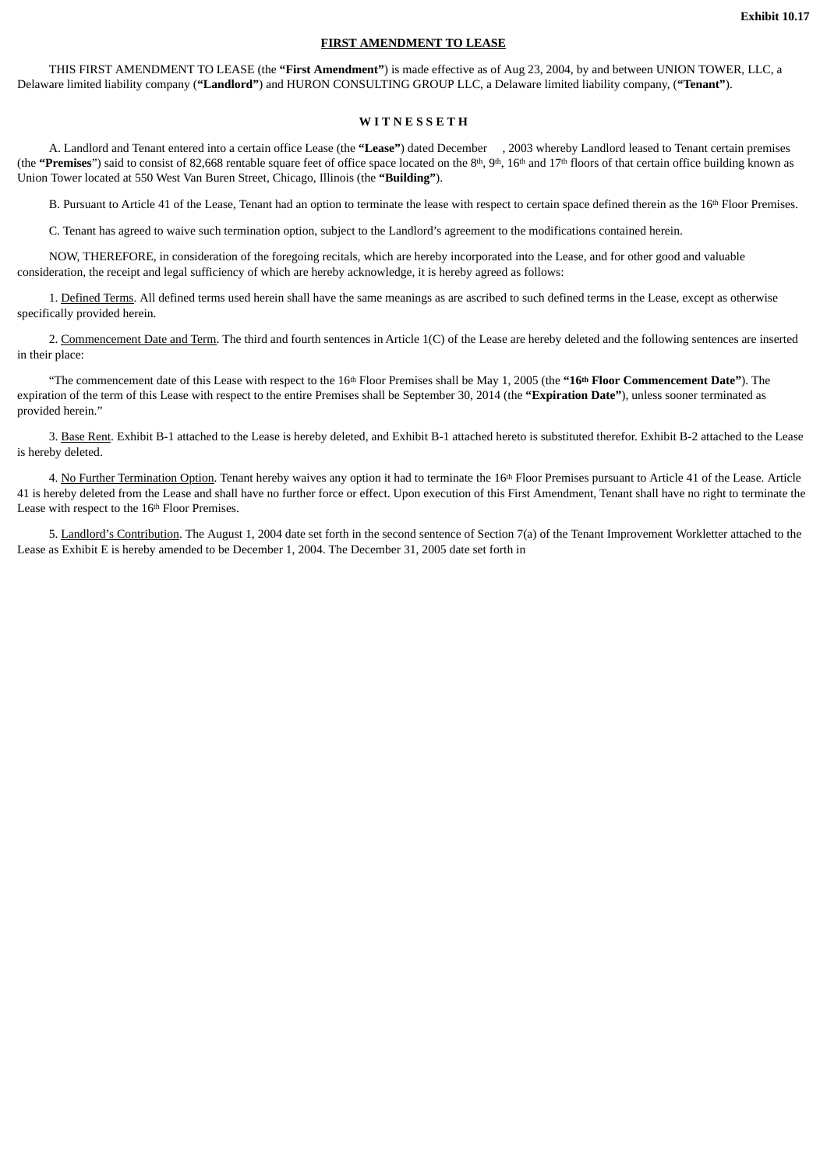# **FIRST AMENDMENT TO LEASE**

THIS FIRST AMENDMENT TO LEASE (the **"First Amendment"**) is made effective as of Aug 23, 2004, by and between UNION TOWER, LLC, a Delaware limited liability company (**"Landlord"**) and HURON CONSULTING GROUP LLC, a Delaware limited liability company, (**"Tenant"**).

### **W I T N E S S E T H**

A. Landlord and Tenant entered into a certain office Lease (the **"Lease"**) dated December , 2003 whereby Landlord leased to Tenant certain premises (the **"Premises**") said to consist of 82,668 rentable square feet of office space located on the 8<sup>th</sup>, 9<sup>th</sup>, 16<sup>th</sup> and 17<sup>th</sup> floors of that certain office building known as Union Tower located at 550 West Van Buren Street, Chicago, Illinois (the **"Building"**).

B. Pursuant to Article 41 of the Lease, Tenant had an option to terminate the lease with respect to certain space defined therein as the 16<sup>th</sup> Floor Premises.

C. Tenant has agreed to waive such termination option, subject to the Landlord's agreement to the modifications contained herein.

NOW, THEREFORE, in consideration of the foregoing recitals, which are hereby incorporated into the Lease, and for other good and valuable consideration, the receipt and legal sufficiency of which are hereby acknowledge, it is hereby agreed as follows:

1. Defined Terms. All defined terms used herein shall have the same meanings as are ascribed to such defined terms in the Lease, except as otherwise specifically provided herein.

2. Commencement Date and Term. The third and fourth sentences in Article 1(C) of the Lease are hereby deleted and the following sentences are inserted in their place:

"The commencement date of this Lease with respect to the 16<sup>th</sup> Floor Premises shall be May 1, 2005 (the "16<sup>th</sup> Floor Commencement Date"). The expiration of the term of this Lease with respect to the entire Premises shall be September 30, 2014 (the **"Expiration Date"**), unless sooner terminated as provided herein."

3. Base Rent. Exhibit B-1 attached to the Lease is hereby deleted, and Exhibit B-1 attached hereto is substituted therefor. Exhibit B-2 attached to the Lease is hereby deleted.

4. No Further Termination Option. Tenant hereby waives any option it had to terminate the 16<sup>th</sup> Floor Premises pursuant to Article 41 of the Lease. Article 41 is hereby deleted from the Lease and shall have no further force or effect. Upon execution of this First Amendment, Tenant shall have no right to terminate the Lease with respect to the 16<sup>th</sup> Floor Premises.

5. Landlord's Contribution. The August 1, 2004 date set forth in the second sentence of Section 7(a) of the Tenant Improvement Workletter attached to the Lease as Exhibit E is hereby amended to be December 1, 2004. The December 31, 2005 date set forth in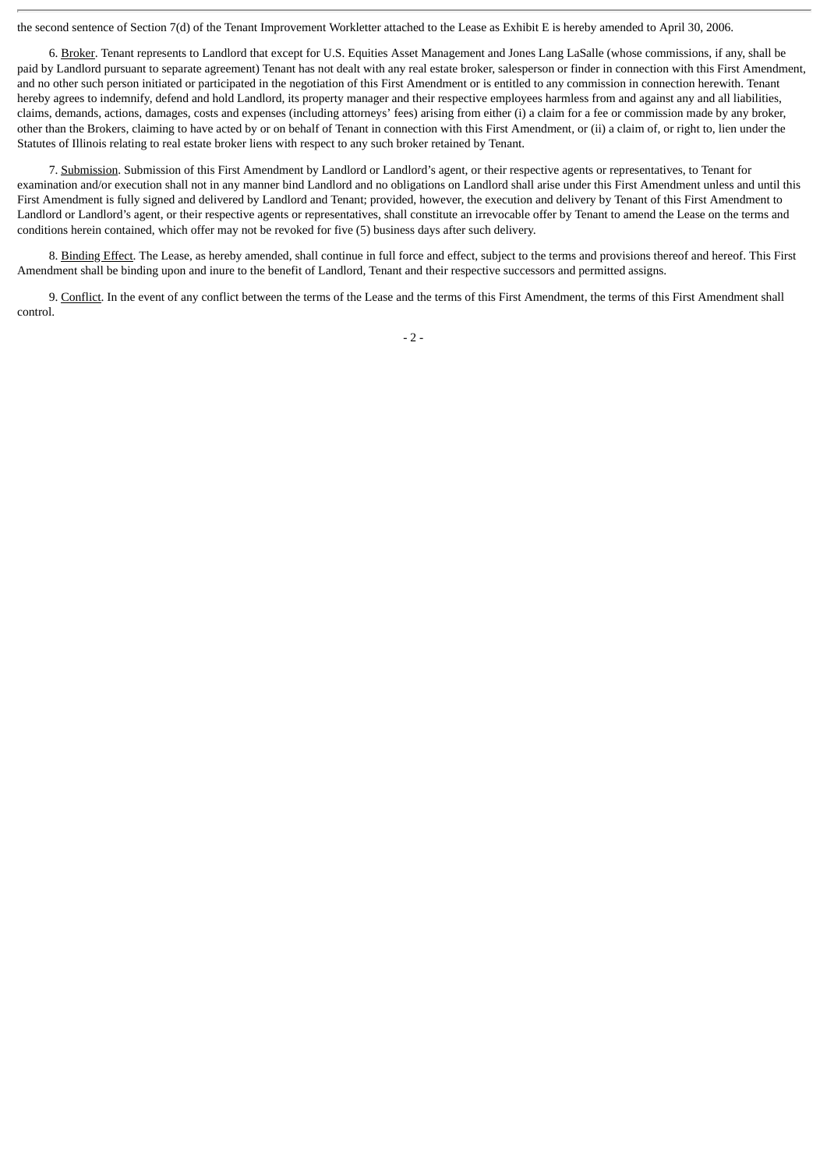the second sentence of Section 7(d) of the Tenant Improvement Workletter attached to the Lease as Exhibit E is hereby amended to April 30, 2006.

6. Broker. Tenant represents to Landlord that except for U.S. Equities Asset Management and Jones Lang LaSalle (whose commissions, if any, shall be paid by Landlord pursuant to separate agreement) Tenant has not dealt with any real estate broker, salesperson or finder in connection with this First Amendment, and no other such person initiated or participated in the negotiation of this First Amendment or is entitled to any commission in connection herewith. Tenant hereby agrees to indemnify, defend and hold Landlord, its property manager and their respective employees harmless from and against any and all liabilities, claims, demands, actions, damages, costs and expenses (including attorneys' fees) arising from either (i) a claim for a fee or commission made by any broker, other than the Brokers, claiming to have acted by or on behalf of Tenant in connection with this First Amendment, or (ii) a claim of, or right to, lien under the Statutes of Illinois relating to real estate broker liens with respect to any such broker retained by Tenant.

7. Submission. Submission of this First Amendment by Landlord or Landlord's agent, or their respective agents or representatives, to Tenant for examination and/or execution shall not in any manner bind Landlord and no obligations on Landlord shall arise under this First Amendment unless and until this First Amendment is fully signed and delivered by Landlord and Tenant; provided, however, the execution and delivery by Tenant of this First Amendment to Landlord or Landlord's agent, or their respective agents or representatives, shall constitute an irrevocable offer by Tenant to amend the Lease on the terms and conditions herein contained, which offer may not be revoked for five (5) business days after such delivery.

8. Binding Effect. The Lease, as hereby amended, shall continue in full force and effect, subject to the terms and provisions thereof and hereof. This First Amendment shall be binding upon and inure to the benefit of Landlord, Tenant and their respective successors and permitted assigns.

9. Conflict. In the event of any conflict between the terms of the Lease and the terms of this First Amendment, the terms of this First Amendment shall control.

 $-2-$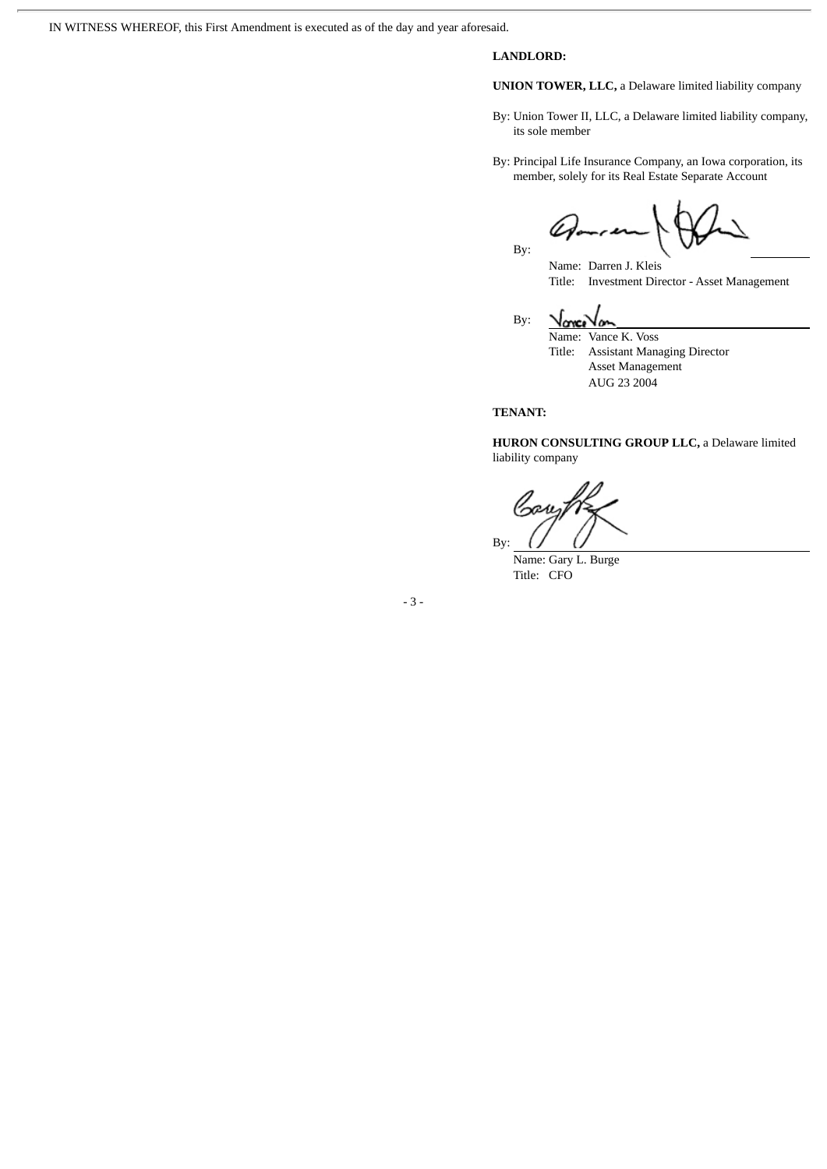# **LANDLORD:**

**UNION TOWER, LLC,** a Delaware limited liability company

- By: Union Tower II, LLC, a Delaware limited liability company, its sole member
- By: Principal Life Insurance Company, an Iowa corporation, its member, solely for its Real Estate Separate Account

Name: Darren J. Kleis Title: Investment Director - Asset Management

By: Name: Vance K. Voss Title: Assistant Managing Director Asset Management AUG 23 2004

### **TENANT:**

By:

**HURON CONSULTING GROUP LLC,** a Delaware limited liability company

By:

Name: Gary L. Burge Title: CFO

- 3 -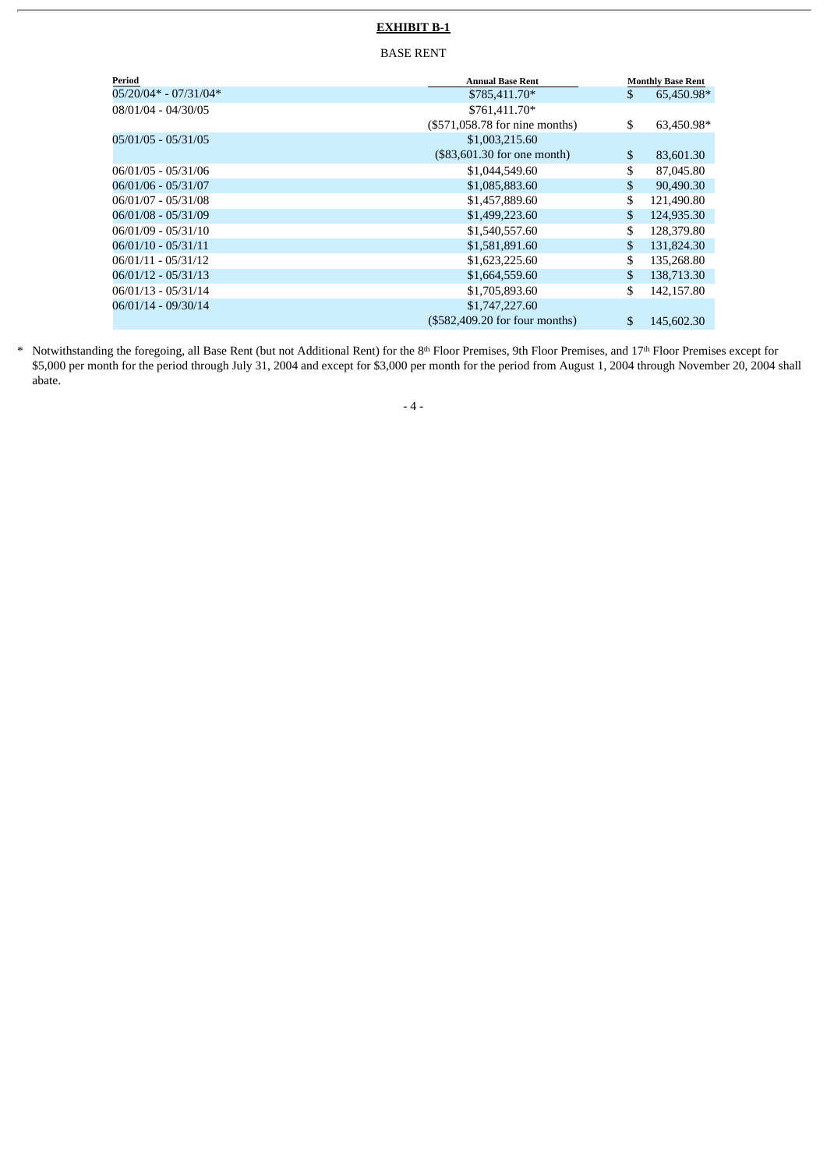# **EXHIBIT B-1**

BASE RENT

| Period                | <b>Annual Base Rent</b>        |    | <b>Monthly Base Rent</b> |
|-----------------------|--------------------------------|----|--------------------------|
| 05/20/04* - 07/31/04* | \$785,411.70*                  | \$ | 65.450.98*               |
| 08/01/04 - 04/30/05   | \$761,411.70*                  |    |                          |
|                       | (\$571,058.78 for nine months) | \$ | 63.450.98*               |
| 05/01/05 - 05/31/05   | \$1,003,215.60                 |    |                          |
|                       | (\$83,601.30 for one month)    | \$ | 83,601.30                |
| 06/01/05 - 05/31/06   | \$1,044,549.60                 | \$ | 87,045.80                |
| 06/01/06 - 05/31/07   | \$1,085,883.60                 | \$ | 90,490.30                |
| 06/01/07 - 05/31/08   | \$1,457,889.60                 | \$ | 121,490.80               |
| 06/01/08 - 05/31/09   | \$1,499,223.60                 | \$ | 124,935.30               |
| 06/01/09 - 05/31/10   | \$1,540,557.60                 | \$ | 128,379.80               |
| 06/01/10 - 05/31/11   | \$1,581,891.60                 | \$ | 131,824.30               |
| 06/01/11 - 05/31/12   | \$1,623,225.60                 | \$ | 135,268.80               |
| 06/01/12 - 05/31/13   | \$1,664,559.60                 | \$ | 138,713.30               |
| 06/01/13 - 05/31/14   | \$1,705,893.60                 | \$ | 142,157.80               |
| 06/01/14 - 09/30/14   | \$1,747,227.60                 |    |                          |
|                       | (\$582,409.20 for four months) | \$ | 145,602.30               |

\* Notwithstanding the foregoing, all Base Rent (but not Additional Rent) for the 8<sup>th</sup> Floor Premises, 9th Floor Premises, and 17<sup>th</sup> Floor Premises except for \$5,000 per month for the period through July 31, 2004 and except for \$3,000 per month for the period from August 1, 2004 through November 20, 2004 shall abate. th Floor Premises 9th Floor Premises and 17th

 $-4-$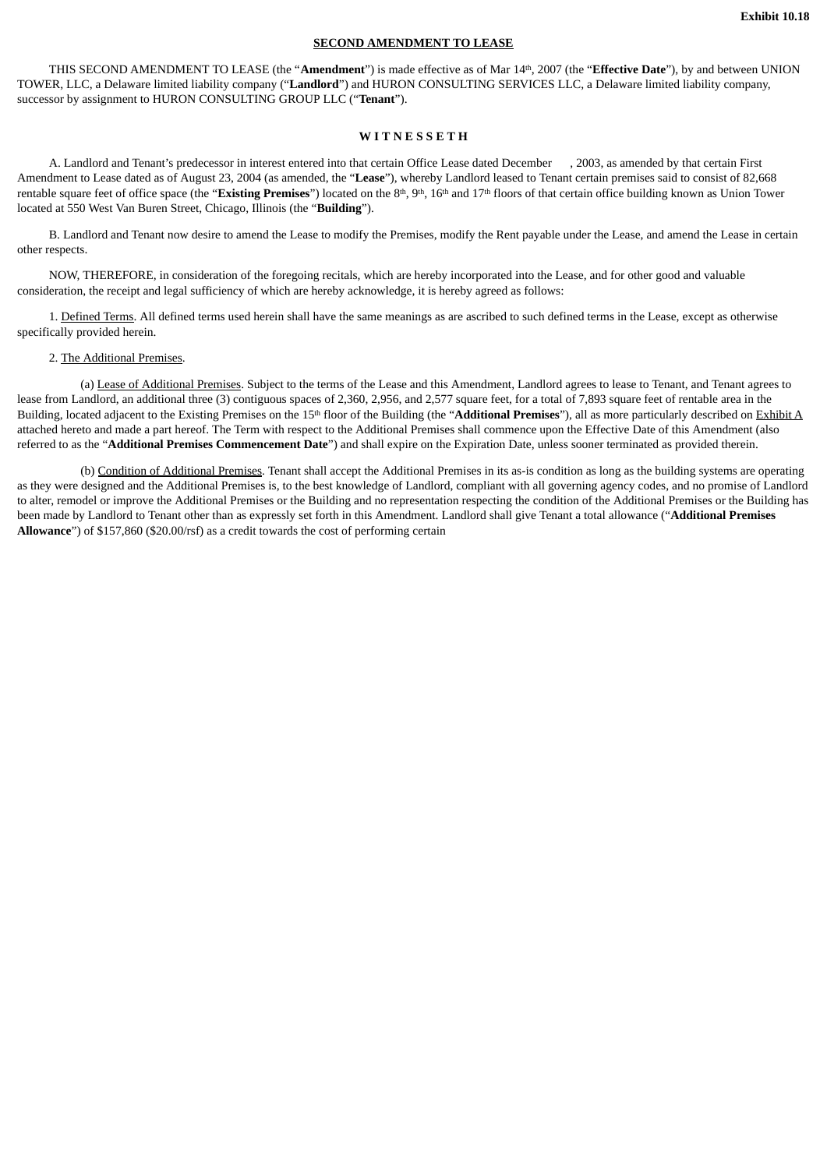# **SECOND AMENDMENT TO LEASE**

THIS SECOND AMENDMENT TO LEASE (the "**Amendment**") is made effective as of Mar 14<sup>th</sup>, 2007 (the "Effective Date"), by and between UNION TOWER, LLC, a Delaware limited liability company ("**Landlord**") and HURON CONSULTING SERVICES LLC, a Delaware limited liability company, successor by assignment to HURON CONSULTING GROUP LLC ("**Tenant**").

### **W I T N E S S E T H**

A. Landlord and Tenant's predecessor in interest entered into that certain Office Lease dated December , 2003, as amended by that certain First Amendment to Lease dated as of August 23, 2004 (as amended, the "**Lease**"), whereby Landlord leased to Tenant certain premises said to consist of 82,668 rentable square feet of office space (the "**Existing Premises**") located on the 8<sup>th</sup>, 9<sup>th</sup>, 16<sup>th</sup> and 17<sup>th</sup> floors of that certain office building known as Union Tower located at 550 West Van Buren Street, Chicago, Illinois (the "**Building**").

B. Landlord and Tenant now desire to amend the Lease to modify the Premises, modify the Rent payable under the Lease, and amend the Lease in certain other respects.

NOW, THEREFORE, in consideration of the foregoing recitals, which are hereby incorporated into the Lease, and for other good and valuable consideration, the receipt and legal sufficiency of which are hereby acknowledge, it is hereby agreed as follows:

1. Defined Terms. All defined terms used herein shall have the same meanings as are ascribed to such defined terms in the Lease, except as otherwise specifically provided herein.

### 2. The Additional Premises.

(a) Lease of Additional Premises. Subject to the terms of the Lease and this Amendment, Landlord agrees to lease to Tenant, and Tenant agrees to lease from Landlord, an additional three (3) contiguous spaces of 2,360, 2,956, and 2,577 square feet, for a total of 7,893 square feet of rentable area in the Building, located adjacent to the Existing Premises on the 15<sup>th</sup> floor of the Building (the "Additional Premises"), all as more particularly described on Exhibit A attached hereto and made a part hereof. The Term with respect to the Additional Premises shall commence upon the Effective Date of this Amendment (also referred to as the "**Additional Premises Commencement Date**") and shall expire on the Expiration Date, unless sooner terminated as provided therein.

(b) Condition of Additional Premises. Tenant shall accept the Additional Premises in its as-is condition as long as the building systems are operating as they were designed and the Additional Premises is, to the best knowledge of Landlord, compliant with all governing agency codes, and no promise of Landlord to alter, remodel or improve the Additional Premises or the Building and no representation respecting the condition of the Additional Premises or the Building has been made by Landlord to Tenant other than as expressly set forth in this Amendment. Landlord shall give Tenant a total allowance ("**Additional Premises Allowance**") of \$157,860 (\$20.00/rsf) as a credit towards the cost of performing certain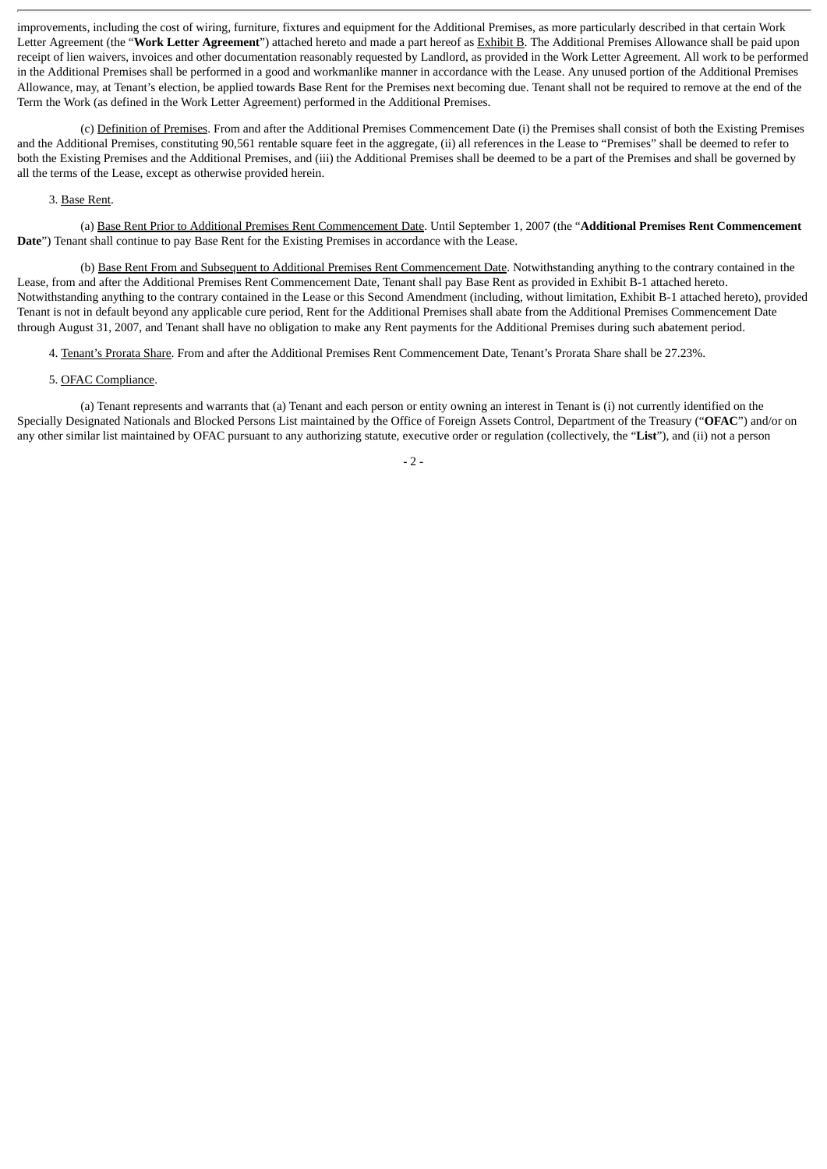improvements, including the cost of wiring, furniture, fixtures and equipment for the Additional Premises, as more particularly described in that certain Work Letter Agreement (the "**Work Letter Agreement**") attached hereto and made a part hereof as Exhibit B. The Additional Premises Allowance shall be paid upon receipt of lien waivers, invoices and other documentation reasonably requested by Landlord, as provided in the Work Letter Agreement. All work to be performed in the Additional Premises shall be performed in a good and workmanlike manner in accordance with the Lease. Any unused portion of the Additional Premises Allowance, may, at Tenant's election, be applied towards Base Rent for the Premises next becoming due. Tenant shall not be required to remove at the end of the Term the Work (as defined in the Work Letter Agreement) performed in the Additional Premises.

(c) Definition of Premises. From and after the Additional Premises Commencement Date (i) the Premises shall consist of both the Existing Premises and the Additional Premises, constituting 90,561 rentable square feet in the aggregate, (ii) all references in the Lease to "Premises" shall be deemed to refer to both the Existing Premises and the Additional Premises, and (iii) the Additional Premises shall be deemed to be a part of the Premises and shall be governed by all the terms of the Lease, except as otherwise provided herein.

3. Base Rent.

(a) Base Rent Prior to Additional Premises Rent Commencement Date. Until September 1, 2007 (the "**Additional Premises Rent Commencement Date**") Tenant shall continue to pay Base Rent for the Existing Premises in accordance with the Lease.

(b) Base Rent From and Subsequent to Additional Premises Rent Commencement Date. Notwithstanding anything to the contrary contained in the Lease, from and after the Additional Premises Rent Commencement Date, Tenant shall pay Base Rent as provided in Exhibit B-1 attached hereto. Notwithstanding anything to the contrary contained in the Lease or this Second Amendment (including, without limitation, Exhibit B-1 attached hereto), provided Tenant is not in default beyond any applicable cure period, Rent for the Additional Premises shall abate from the Additional Premises Commencement Date through August 31, 2007, and Tenant shall have no obligation to make any Rent payments for the Additional Premises during such abatement period.

4. Tenant's Prorata Share. From and after the Additional Premises Rent Commencement Date, Tenant's Prorata Share shall be 27.23%.

#### 5. OFAC Compliance.

(a) Tenant represents and warrants that (a) Tenant and each person or entity owning an interest in Tenant is (i) not currently identified on the Specially Designated Nationals and Blocked Persons List maintained by the Office of Foreign Assets Control, Department of the Treasury ("**OFAC**") and/or on any other similar list maintained by OFAC pursuant to any authorizing statute, executive order or regulation (collectively, the "**List**"), and (ii) not a person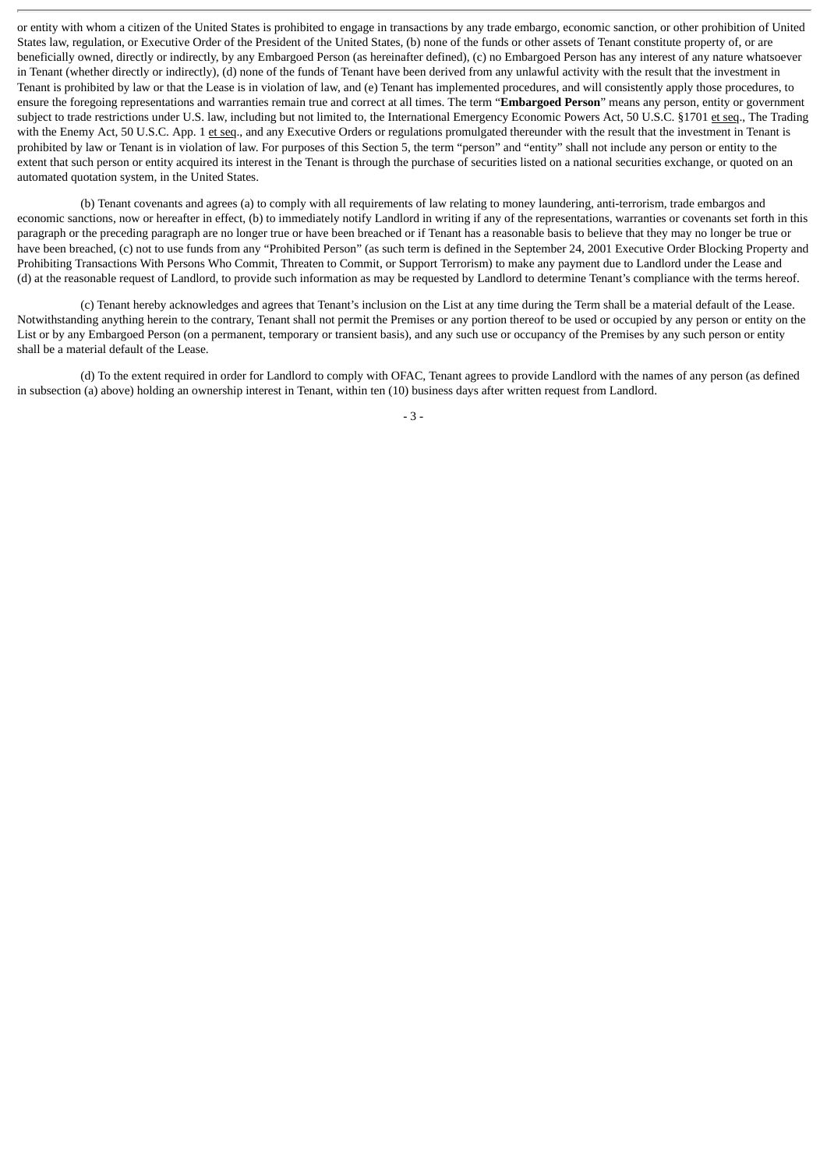or entity with whom a citizen of the United States is prohibited to engage in transactions by any trade embargo, economic sanction, or other prohibition of United States law, regulation, or Executive Order of the President of the United States, (b) none of the funds or other assets of Tenant constitute property of, or are beneficially owned, directly or indirectly, by any Embargoed Person (as hereinafter defined), (c) no Embargoed Person has any interest of any nature whatsoever in Tenant (whether directly or indirectly), (d) none of the funds of Tenant have been derived from any unlawful activity with the result that the investment in Tenant is prohibited by law or that the Lease is in violation of law, and (e) Tenant has implemented procedures, and will consistently apply those procedures, to ensure the foregoing representations and warranties remain true and correct at all times. The term "**Embargoed Person**" means any person, entity or government subject to trade restrictions under U.S. law, including but not limited to, the International Emergency Economic Powers Act, 50 U.S.C. §1701 et seq., The Trading with the Enemy Act, 50 U.S.C. App. 1 et seq., and any Executive Orders or regulations promulgated thereunder with the result that the investment in Tenant is prohibited by law or Tenant is in violation of law. For purposes of this Section 5, the term "person" and "entity" shall not include any person or entity to the extent that such person or entity acquired its interest in the Tenant is through the purchase of securities listed on a national securities exchange, or quoted on an automated quotation system, in the United States.

(b) Tenant covenants and agrees (a) to comply with all requirements of law relating to money laundering, anti-terrorism, trade embargos and economic sanctions, now or hereafter in effect, (b) to immediately notify Landlord in writing if any of the representations, warranties or covenants set forth in this paragraph or the preceding paragraph are no longer true or have been breached or if Tenant has a reasonable basis to believe that they may no longer be true or have been breached, (c) not to use funds from any "Prohibited Person" (as such term is defined in the September 24, 2001 Executive Order Blocking Property and Prohibiting Transactions With Persons Who Commit, Threaten to Commit, or Support Terrorism) to make any payment due to Landlord under the Lease and (d) at the reasonable request of Landlord, to provide such information as may be requested by Landlord to determine Tenant's compliance with the terms hereof.

(c) Tenant hereby acknowledges and agrees that Tenant's inclusion on the List at any time during the Term shall be a material default of the Lease. Notwithstanding anything herein to the contrary, Tenant shall not permit the Premises or any portion thereof to be used or occupied by any person or entity on the List or by any Embargoed Person (on a permanent, temporary or transient basis), and any such use or occupancy of the Premises by any such person or entity shall be a material default of the Lease.

(d) To the extent required in order for Landlord to comply with OFAC, Tenant agrees to provide Landlord with the names of any person (as defined in subsection (a) above) holding an ownership interest in Tenant, within ten (10) business days after written request from Landlord.

- 3 -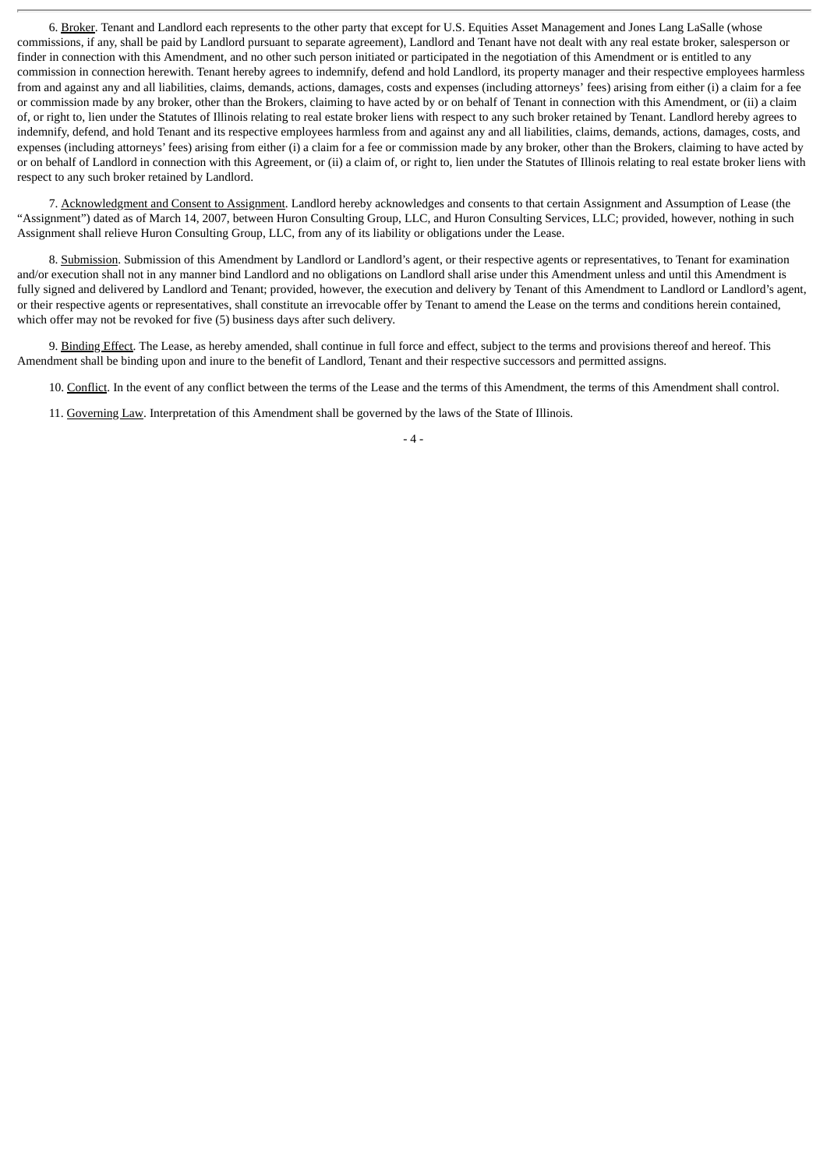6. Broker. Tenant and Landlord each represents to the other party that except for U.S. Equities Asset Management and Jones Lang LaSalle (whose commissions, if any, shall be paid by Landlord pursuant to separate agreement), Landlord and Tenant have not dealt with any real estate broker, salesperson or finder in connection with this Amendment, and no other such person initiated or participated in the negotiation of this Amendment or is entitled to any commission in connection herewith. Tenant hereby agrees to indemnify, defend and hold Landlord, its property manager and their respective employees harmless from and against any and all liabilities, claims, demands, actions, damages, costs and expenses (including attorneys' fees) arising from either (i) a claim for a fee or commission made by any broker, other than the Brokers, claiming to have acted by or on behalf of Tenant in connection with this Amendment, or (ii) a claim of, or right to, lien under the Statutes of Illinois relating to real estate broker liens with respect to any such broker retained by Tenant. Landlord hereby agrees to indemnify, defend, and hold Tenant and its respective employees harmless from and against any and all liabilities, claims, demands, actions, damages, costs, and expenses (including attorneys' fees) arising from either (i) a claim for a fee or commission made by any broker, other than the Brokers, claiming to have acted by or on behalf of Landlord in connection with this Agreement, or (ii) a claim of, or right to, lien under the Statutes of Illinois relating to real estate broker liens with respect to any such broker retained by Landlord.

7. Acknowledgment and Consent to Assignment. Landlord hereby acknowledges and consents to that certain Assignment and Assumption of Lease (the "Assignment") dated as of March 14, 2007, between Huron Consulting Group, LLC, and Huron Consulting Services, LLC; provided, however, nothing in such Assignment shall relieve Huron Consulting Group, LLC, from any of its liability or obligations under the Lease.

8. Submission. Submission of this Amendment by Landlord or Landlord's agent, or their respective agents or representatives, to Tenant for examination and/or execution shall not in any manner bind Landlord and no obligations on Landlord shall arise under this Amendment unless and until this Amendment is fully signed and delivered by Landlord and Tenant; provided, however, the execution and delivery by Tenant of this Amendment to Landlord or Landlord's agent, or their respective agents or representatives, shall constitute an irrevocable offer by Tenant to amend the Lease on the terms and conditions herein contained, which offer may not be revoked for five (5) business days after such delivery.

9. Binding Effect. The Lease, as hereby amended, shall continue in full force and effect, subject to the terms and provisions thereof and hereof. This Amendment shall be binding upon and inure to the benefit of Landlord, Tenant and their respective successors and permitted assigns.

10. Conflict. In the event of any conflict between the terms of the Lease and the terms of this Amendment, the terms of this Amendment shall control.

11. Governing Law. Interpretation of this Amendment shall be governed by the laws of the State of Illinois.

 $\Lambda$  -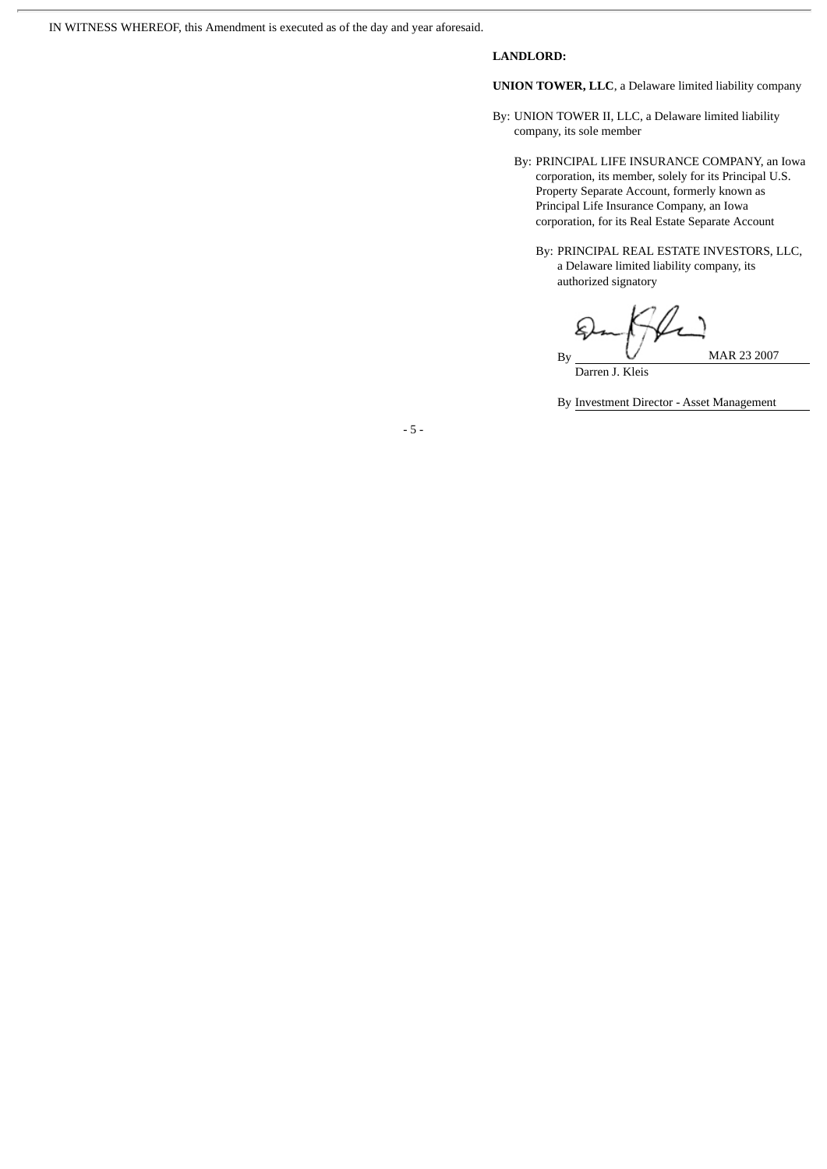# **LANDLORD:**

**UNION TOWER, LLC**, a Delaware limited liability company

- By: UNION TOWER II, LLC, a Delaware limited liability company, its sole member
	- By: PRINCIPAL LIFE INSURANCE COMPANY, an Iowa corporation, its member, solely for its Principal U.S. Property Separate Account, formerly known as Principal Life Insurance Company, an Iowa corporation, for its Real Estate Separate Account
		- By: PRINCIPAL REAL ESTATE INVESTORS, LLC, a Delaware limited liability company, its authorized signatory

By  $MAR 23 2007$ Darren J. Kleis

By Investment Director - Asset Management

- 5 -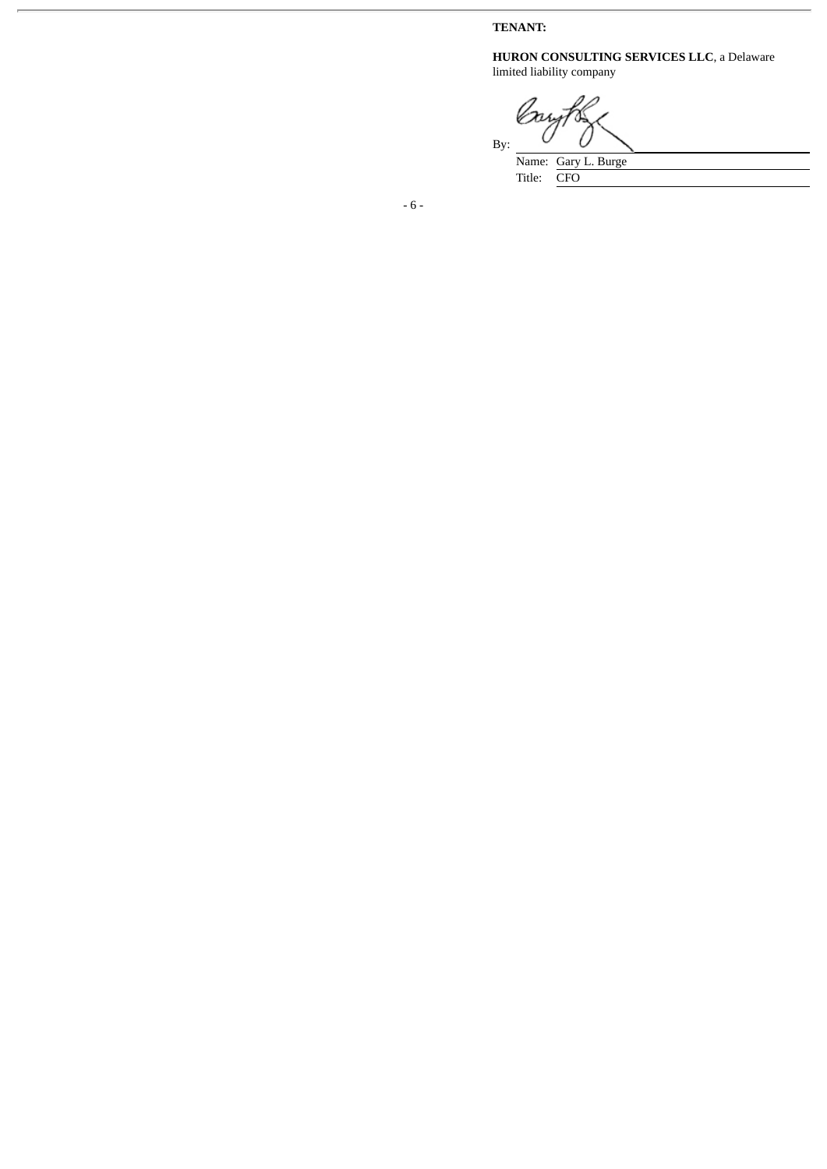# **TENANT:**

**HURON CONSULTING SERVICES LLC**, a Delaware limited liability company

Ovr By: Name: Gary L. Burge Title: CFO

- 6 -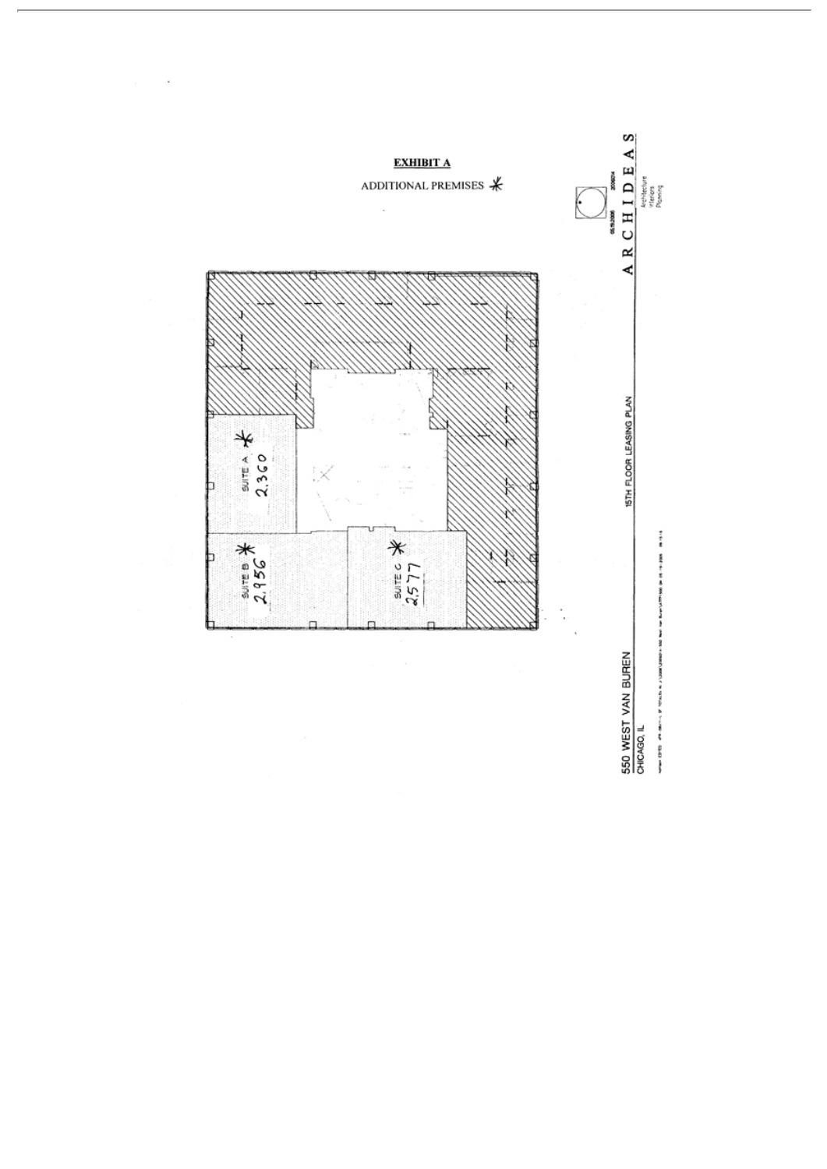

one that with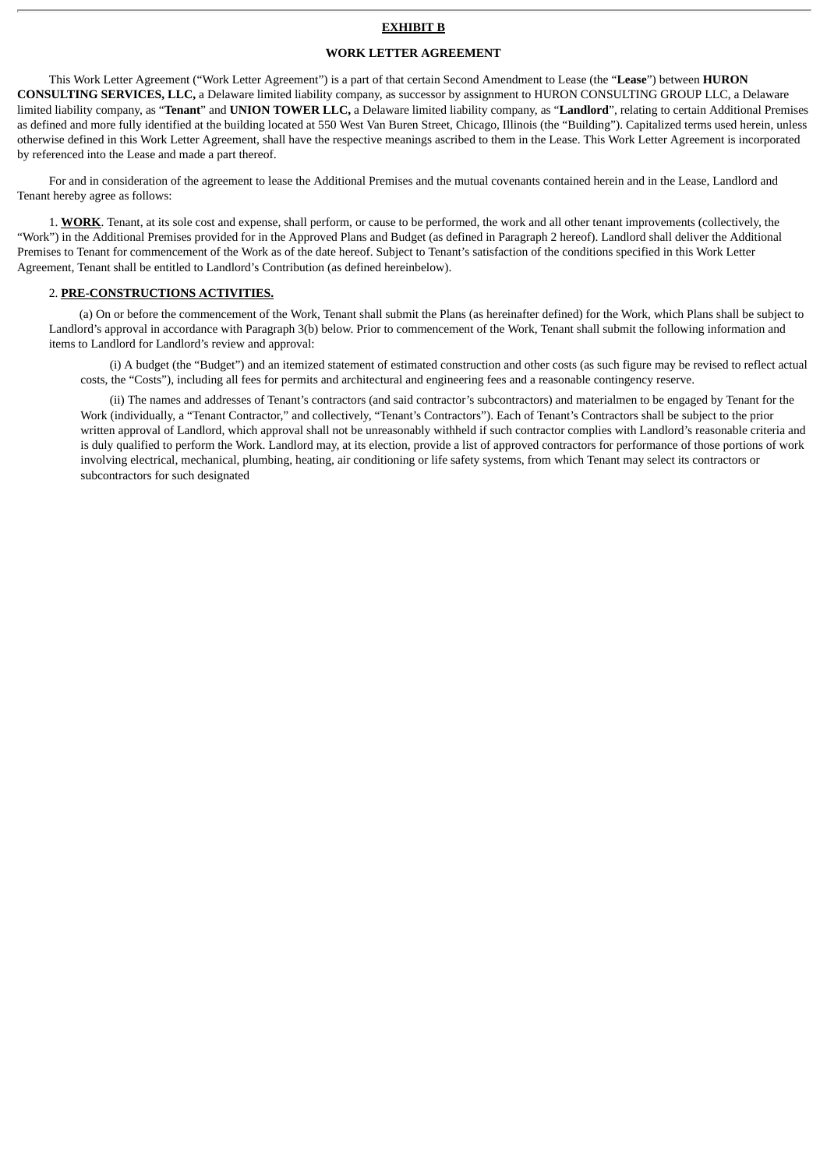### **EXHIBIT B**

## **WORK LETTER AGREEMENT**

This Work Letter Agreement ("Work Letter Agreement") is a part of that certain Second Amendment to Lease (the "**Lease**") between **HURON CONSULTING SERVICES, LLC,** a Delaware limited liability company, as successor by assignment to HURON CONSULTING GROUP LLC, a Delaware limited liability company, as "**Tenant**" and **UNION TOWER LLC,** a Delaware limited liability company, as "**Landlord**", relating to certain Additional Premises as defined and more fully identified at the building located at 550 West Van Buren Street, Chicago, Illinois (the "Building"). Capitalized terms used herein, unless otherwise defined in this Work Letter Agreement, shall have the respective meanings ascribed to them in the Lease. This Work Letter Agreement is incorporated by referenced into the Lease and made a part thereof.

For and in consideration of the agreement to lease the Additional Premises and the mutual covenants contained herein and in the Lease, Landlord and Tenant hereby agree as follows:

1. **WORK**. Tenant, at its sole cost and expense, shall perform, or cause to be performed, the work and all other tenant improvements (collectively, the "Work") in the Additional Premises provided for in the Approved Plans and Budget (as defined in Paragraph 2 hereof). Landlord shall deliver the Additional Premises to Tenant for commencement of the Work as of the date hereof. Subject to Tenant's satisfaction of the conditions specified in this Work Letter Agreement, Tenant shall be entitled to Landlord's Contribution (as defined hereinbelow).

## 2. **PRE-CONSTRUCTIONS ACTIVITIES.**

(a) On or before the commencement of the Work, Tenant shall submit the Plans (as hereinafter defined) for the Work, which Plans shall be subject to Landlord's approval in accordance with Paragraph 3(b) below. Prior to commencement of the Work, Tenant shall submit the following information and items to Landlord for Landlord's review and approval:

(i) A budget (the "Budget") and an itemized statement of estimated construction and other costs (as such figure may be revised to reflect actual costs, the "Costs"), including all fees for permits and architectural and engineering fees and a reasonable contingency reserve.

(ii) The names and addresses of Tenant's contractors (and said contractor's subcontractors) and materialmen to be engaged by Tenant for the Work (individually, a "Tenant Contractor," and collectively, "Tenant's Contractors"). Each of Tenant's Contractors shall be subject to the prior written approval of Landlord, which approval shall not be unreasonably withheld if such contractor complies with Landlord's reasonable criteria and is duly qualified to perform the Work. Landlord may, at its election, provide a list of approved contractors for performance of those portions of work involving electrical, mechanical, plumbing, heating, air conditioning or life safety systems, from which Tenant may select its contractors or subcontractors for such designated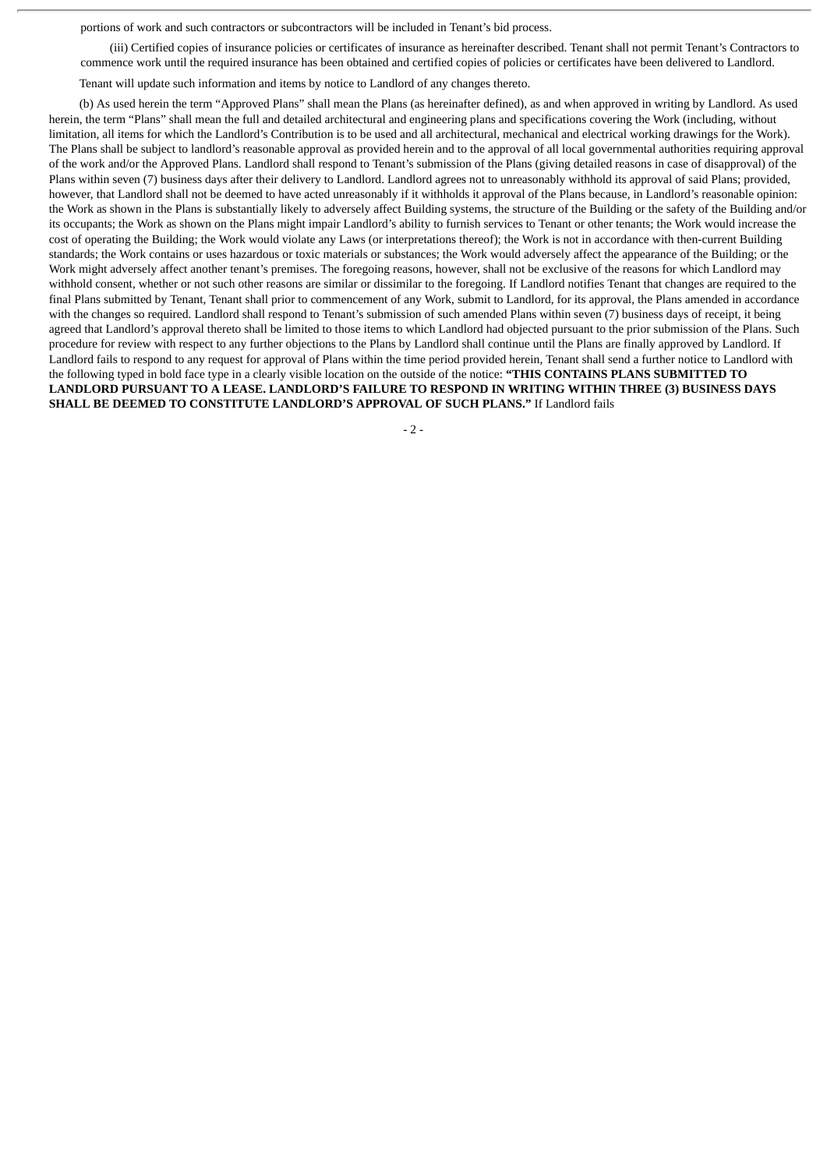portions of work and such contractors or subcontractors will be included in Tenant's bid process.

(iii) Certified copies of insurance policies or certificates of insurance as hereinafter described. Tenant shall not permit Tenant's Contractors to commence work until the required insurance has been obtained and certified copies of policies or certificates have been delivered to Landlord.

Tenant will update such information and items by notice to Landlord of any changes thereto.

(b) As used herein the term "Approved Plans" shall mean the Plans (as hereinafter defined), as and when approved in writing by Landlord. As used herein, the term "Plans" shall mean the full and detailed architectural and engineering plans and specifications covering the Work (including, without limitation, all items for which the Landlord's Contribution is to be used and all architectural, mechanical and electrical working drawings for the Work). The Plans shall be subject to landlord's reasonable approval as provided herein and to the approval of all local governmental authorities requiring approval of the work and/or the Approved Plans. Landlord shall respond to Tenant's submission of the Plans (giving detailed reasons in case of disapproval) of the Plans within seven (7) business days after their delivery to Landlord. Landlord agrees not to unreasonably withhold its approval of said Plans; provided, however, that Landlord shall not be deemed to have acted unreasonably if it withholds it approval of the Plans because, in Landlord's reasonable opinion: the Work as shown in the Plans is substantially likely to adversely affect Building systems, the structure of the Building or the safety of the Building and/or its occupants; the Work as shown on the Plans might impair Landlord's ability to furnish services to Tenant or other tenants; the Work would increase the cost of operating the Building; the Work would violate any Laws (or interpretations thereof); the Work is not in accordance with then-current Building standards; the Work contains or uses hazardous or toxic materials or substances; the Work would adversely affect the appearance of the Building; or the Work might adversely affect another tenant's premises. The foregoing reasons, however, shall not be exclusive of the reasons for which Landlord may withhold consent, whether or not such other reasons are similar or dissimilar to the foregoing. If Landlord notifies Tenant that changes are required to the final Plans submitted by Tenant, Tenant shall prior to commencement of any Work, submit to Landlord, for its approval, the Plans amended in accordance with the changes so required. Landlord shall respond to Tenant's submission of such amended Plans within seven (7) business days of receipt, it being agreed that Landlord's approval thereto shall be limited to those items to which Landlord had objected pursuant to the prior submission of the Plans. Such procedure for review with respect to any further objections to the Plans by Landlord shall continue until the Plans are finally approved by Landlord. If Landlord fails to respond to any request for approval of Plans within the time period provided herein, Tenant shall send a further notice to Landlord with the following typed in bold face type in a clearly visible location on the outside of the notice: **"THIS CONTAINS PLANS SUBMITTED TO LANDLORD PURSUANT TO A LEASE. LANDLORD'S FAILURE TO RESPOND IN WRITING WITHIN THREE (3) BUSINESS DAYS SHALL BE DEEMED TO CONSTITUTE LANDLORD'S APPROVAL OF SUCH PLANS."** If Landlord fails

 $-2 -$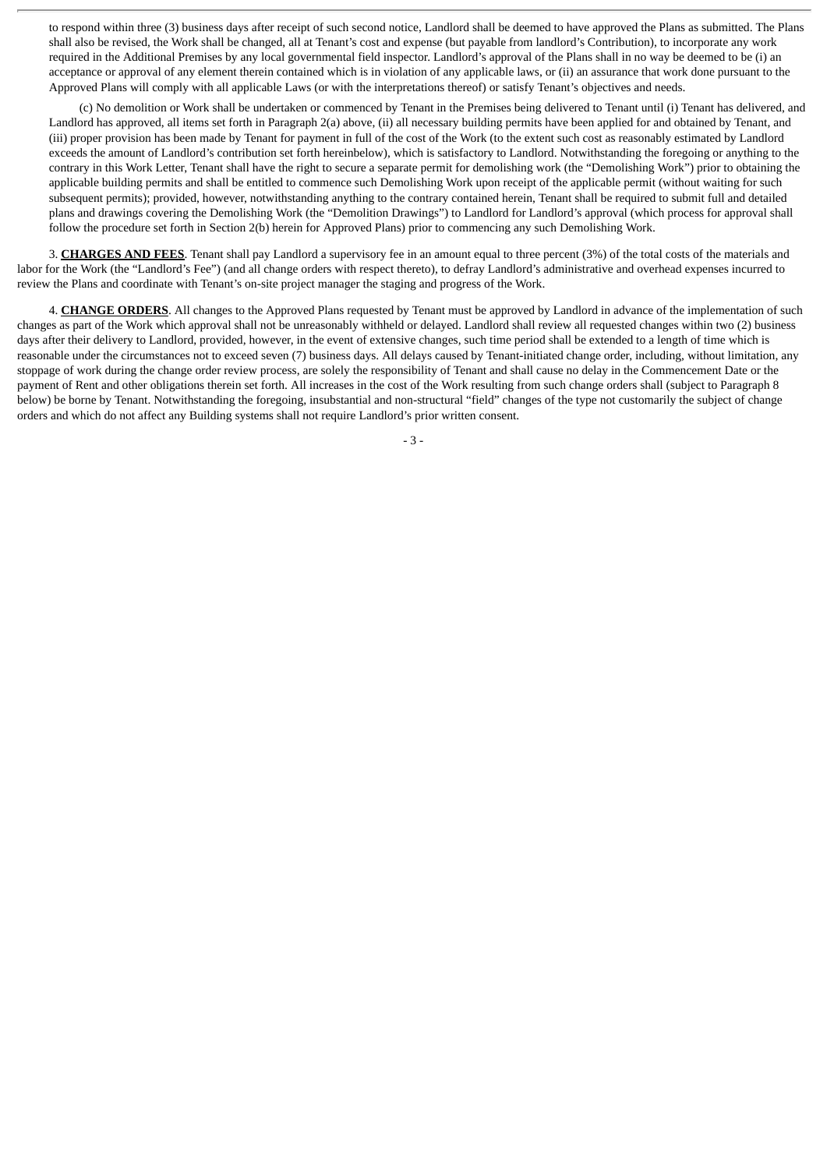to respond within three (3) business days after receipt of such second notice, Landlord shall be deemed to have approved the Plans as submitted. The Plans shall also be revised, the Work shall be changed, all at Tenant's cost and expense (but payable from landlord's Contribution), to incorporate any work required in the Additional Premises by any local governmental field inspector. Landlord's approval of the Plans shall in no way be deemed to be (i) an acceptance or approval of any element therein contained which is in violation of any applicable laws, or (ii) an assurance that work done pursuant to the Approved Plans will comply with all applicable Laws (or with the interpretations thereof) or satisfy Tenant's objectives and needs.

(c) No demolition or Work shall be undertaken or commenced by Tenant in the Premises being delivered to Tenant until (i) Tenant has delivered, and Landlord has approved, all items set forth in Paragraph 2(a) above, (ii) all necessary building permits have been applied for and obtained by Tenant, and (iii) proper provision has been made by Tenant for payment in full of the cost of the Work (to the extent such cost as reasonably estimated by Landlord exceeds the amount of Landlord's contribution set forth hereinbelow), which is satisfactory to Landlord. Notwithstanding the foregoing or anything to the contrary in this Work Letter, Tenant shall have the right to secure a separate permit for demolishing work (the "Demolishing Work") prior to obtaining the applicable building permits and shall be entitled to commence such Demolishing Work upon receipt of the applicable permit (without waiting for such subsequent permits); provided, however, notwithstanding anything to the contrary contained herein, Tenant shall be required to submit full and detailed plans and drawings covering the Demolishing Work (the "Demolition Drawings") to Landlord for Landlord's approval (which process for approval shall follow the procedure set forth in Section 2(b) herein for Approved Plans) prior to commencing any such Demolishing Work.

3. **CHARGES AND FEES**. Tenant shall pay Landlord a supervisory fee in an amount equal to three percent (3%) of the total costs of the materials and labor for the Work (the "Landlord's Fee") (and all change orders with respect thereto), to defray Landlord's administrative and overhead expenses incurred to review the Plans and coordinate with Tenant's on-site project manager the staging and progress of the Work.

4. **CHANGE ORDERS**. All changes to the Approved Plans requested by Tenant must be approved by Landlord in advance of the implementation of such changes as part of the Work which approval shall not be unreasonably withheld or delayed. Landlord shall review all requested changes within two (2) business days after their delivery to Landlord, provided, however, in the event of extensive changes, such time period shall be extended to a length of time which is reasonable under the circumstances not to exceed seven (7) business days. All delays caused by Tenant-initiated change order, including, without limitation, any stoppage of work during the change order review process, are solely the responsibility of Tenant and shall cause no delay in the Commencement Date or the payment of Rent and other obligations therein set forth. All increases in the cost of the Work resulting from such change orders shall (subject to Paragraph 8 below) be borne by Tenant. Notwithstanding the foregoing, insubstantial and non-structural "field" changes of the type not customarily the subject of change orders and which do not affect any Building systems shall not require Landlord's prior written consent.

- 3 -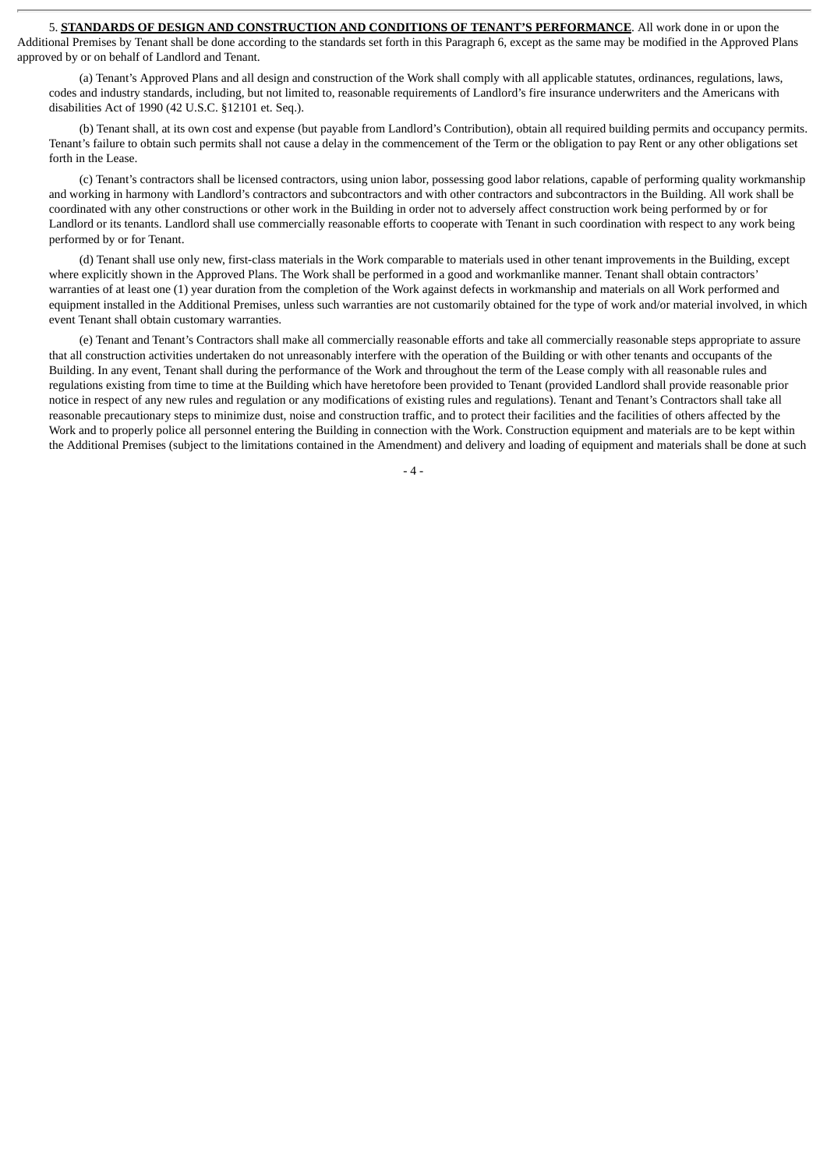5. **STANDARDS OF DESIGN AND CONSTRUCTION AND CONDITIONS OF TENANT'S PERFORMANCE**. All work done in or upon the Additional Premises by Tenant shall be done according to the standards set forth in this Paragraph 6, except as the same may be modified in the Approved Plans approved by or on behalf of Landlord and Tenant.

(a) Tenant's Approved Plans and all design and construction of the Work shall comply with all applicable statutes, ordinances, regulations, laws, codes and industry standards, including, but not limited to, reasonable requirements of Landlord's fire insurance underwriters and the Americans with disabilities Act of 1990 (42 U.S.C. §12101 et. Seq.).

(b) Tenant shall, at its own cost and expense (but payable from Landlord's Contribution), obtain all required building permits and occupancy permits. Tenant's failure to obtain such permits shall not cause a delay in the commencement of the Term or the obligation to pay Rent or any other obligations set forth in the Lease.

(c) Tenant's contractors shall be licensed contractors, using union labor, possessing good labor relations, capable of performing quality workmanship and working in harmony with Landlord's contractors and subcontractors and with other contractors and subcontractors in the Building. All work shall be coordinated with any other constructions or other work in the Building in order not to adversely affect construction work being performed by or for Landlord or its tenants. Landlord shall use commercially reasonable efforts to cooperate with Tenant in such coordination with respect to any work being performed by or for Tenant.

(d) Tenant shall use only new, first-class materials in the Work comparable to materials used in other tenant improvements in the Building, except where explicitly shown in the Approved Plans. The Work shall be performed in a good and workmanlike manner. Tenant shall obtain contractors' warranties of at least one (1) year duration from the completion of the Work against defects in workmanship and materials on all Work performed and equipment installed in the Additional Premises, unless such warranties are not customarily obtained for the type of work and/or material involved, in which event Tenant shall obtain customary warranties.

(e) Tenant and Tenant's Contractors shall make all commercially reasonable efforts and take all commercially reasonable steps appropriate to assure that all construction activities undertaken do not unreasonably interfere with the operation of the Building or with other tenants and occupants of the Building. In any event, Tenant shall during the performance of the Work and throughout the term of the Lease comply with all reasonable rules and regulations existing from time to time at the Building which have heretofore been provided to Tenant (provided Landlord shall provide reasonable prior notice in respect of any new rules and regulation or any modifications of existing rules and regulations). Tenant and Tenant's Contractors shall take all reasonable precautionary steps to minimize dust, noise and construction traffic, and to protect their facilities and the facilities of others affected by the Work and to properly police all personnel entering the Building in connection with the Work. Construction equipment and materials are to be kept within the Additional Premises (subject to the limitations contained in the Amendment) and delivery and loading of equipment and materials shall be done at such

 $-4-$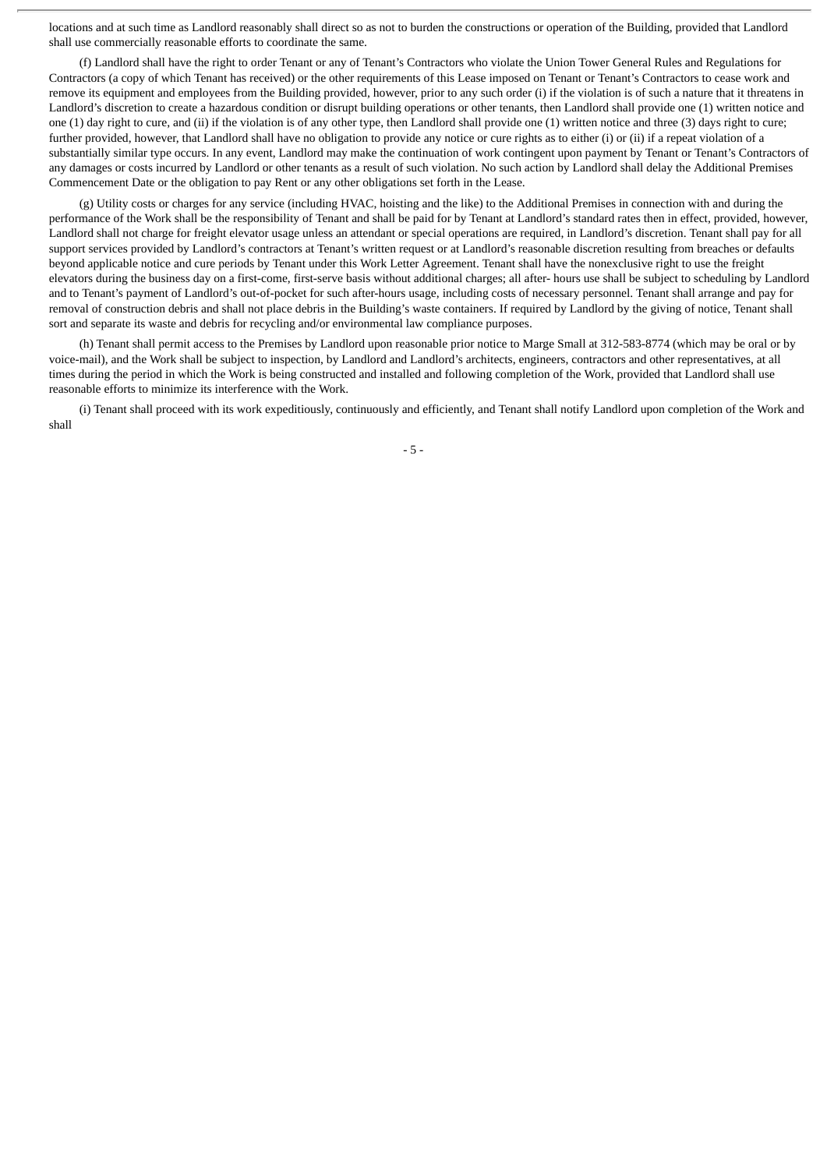locations and at such time as Landlord reasonably shall direct so as not to burden the constructions or operation of the Building, provided that Landlord shall use commercially reasonable efforts to coordinate the same.

(f) Landlord shall have the right to order Tenant or any of Tenant's Contractors who violate the Union Tower General Rules and Regulations for Contractors (a copy of which Tenant has received) or the other requirements of this Lease imposed on Tenant or Tenant's Contractors to cease work and remove its equipment and employees from the Building provided, however, prior to any such order (i) if the violation is of such a nature that it threatens in Landlord's discretion to create a hazardous condition or disrupt building operations or other tenants, then Landlord shall provide one (1) written notice and one (1) day right to cure, and (ii) if the violation is of any other type, then Landlord shall provide one (1) written notice and three (3) days right to cure; further provided, however, that Landlord shall have no obligation to provide any notice or cure rights as to either (i) or (ii) if a repeat violation of a substantially similar type occurs. In any event, Landlord may make the continuation of work contingent upon payment by Tenant or Tenant's Contractors of any damages or costs incurred by Landlord or other tenants as a result of such violation. No such action by Landlord shall delay the Additional Premises Commencement Date or the obligation to pay Rent or any other obligations set forth in the Lease.

(g) Utility costs or charges for any service (including HVAC, hoisting and the like) to the Additional Premises in connection with and during the performance of the Work shall be the responsibility of Tenant and shall be paid for by Tenant at Landlord's standard rates then in effect, provided, however, Landlord shall not charge for freight elevator usage unless an attendant or special operations are required, in Landlord's discretion. Tenant shall pay for all support services provided by Landlord's contractors at Tenant's written request or at Landlord's reasonable discretion resulting from breaches or defaults beyond applicable notice and cure periods by Tenant under this Work Letter Agreement. Tenant shall have the nonexclusive right to use the freight elevators during the business day on a first-come, first-serve basis without additional charges; all after- hours use shall be subject to scheduling by Landlord and to Tenant's payment of Landlord's out-of-pocket for such after-hours usage, including costs of necessary personnel. Tenant shall arrange and pay for removal of construction debris and shall not place debris in the Building's waste containers. If required by Landlord by the giving of notice, Tenant shall sort and separate its waste and debris for recycling and/or environmental law compliance purposes.

(h) Tenant shall permit access to the Premises by Landlord upon reasonable prior notice to Marge Small at 312-583-8774 (which may be oral or by voice-mail), and the Work shall be subject to inspection, by Landlord and Landlord's architects, engineers, contractors and other representatives, at all times during the period in which the Work is being constructed and installed and following completion of the Work, provided that Landlord shall use reasonable efforts to minimize its interference with the Work.

(i) Tenant shall proceed with its work expeditiously, continuously and efficiently, and Tenant shall notify Landlord upon completion of the Work and shall

- 5 -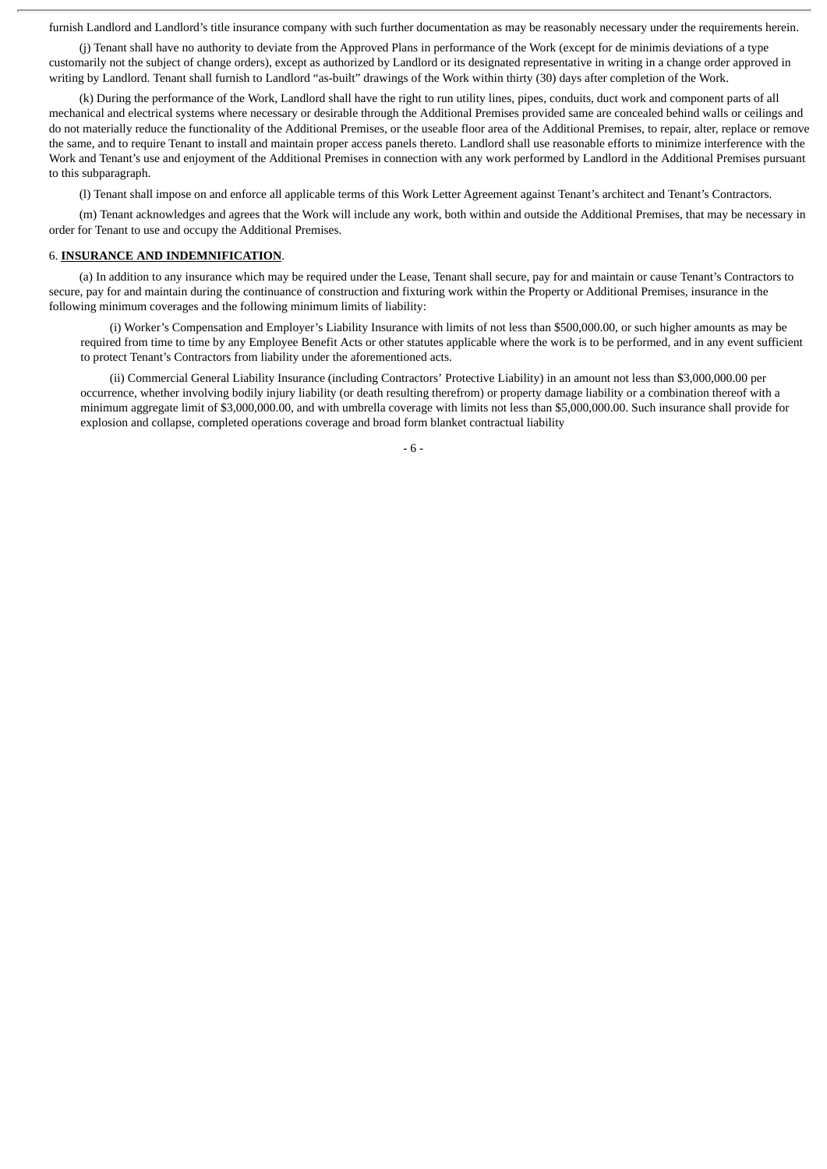furnish Landlord and Landlord's title insurance company with such further documentation as may be reasonably necessary under the requirements herein.

(j) Tenant shall have no authority to deviate from the Approved Plans in performance of the Work (except for de minimis deviations of a type customarily not the subject of change orders), except as authorized by Landlord or its designated representative in writing in a change order approved in writing by Landlord. Tenant shall furnish to Landlord "as-built" drawings of the Work within thirty (30) days after completion of the Work.

(k) During the performance of the Work, Landlord shall have the right to run utility lines, pipes, conduits, duct work and component parts of all mechanical and electrical systems where necessary or desirable through the Additional Premises provided same are concealed behind walls or ceilings and do not materially reduce the functionality of the Additional Premises, or the useable floor area of the Additional Premises, to repair, alter, replace or remove the same, and to require Tenant to install and maintain proper access panels thereto. Landlord shall use reasonable efforts to minimize interference with the Work and Tenant's use and enjoyment of the Additional Premises in connection with any work performed by Landlord in the Additional Premises pursuant to this subparagraph.

(l) Tenant shall impose on and enforce all applicable terms of this Work Letter Agreement against Tenant's architect and Tenant's Contractors.

(m) Tenant acknowledges and agrees that the Work will include any work, both within and outside the Additional Premises, that may be necessary in order for Tenant to use and occupy the Additional Premises.

#### 6. **INSURANCE AND INDEMNIFICATION**.

(a) In addition to any insurance which may be required under the Lease, Tenant shall secure, pay for and maintain or cause Tenant's Contractors to secure, pay for and maintain during the continuance of construction and fixturing work within the Property or Additional Premises, insurance in the following minimum coverages and the following minimum limits of liability:

(i) Worker's Compensation and Employer's Liability Insurance with limits of not less than \$500,000.00, or such higher amounts as may be required from time to time by any Employee Benefit Acts or other statutes applicable where the work is to be performed, and in any event sufficient to protect Tenant's Contractors from liability under the aforementioned acts.

(ii) Commercial General Liability Insurance (including Contractors' Protective Liability) in an amount not less than \$3,000,000.00 per occurrence, whether involving bodily injury liability (or death resulting therefrom) or property damage liability or a combination thereof with a minimum aggregate limit of \$3,000,000.00, and with umbrella coverage with limits not less than \$5,000,000.00. Such insurance shall provide for explosion and collapse, completed operations coverage and broad form blanket contractual liability

- 6 -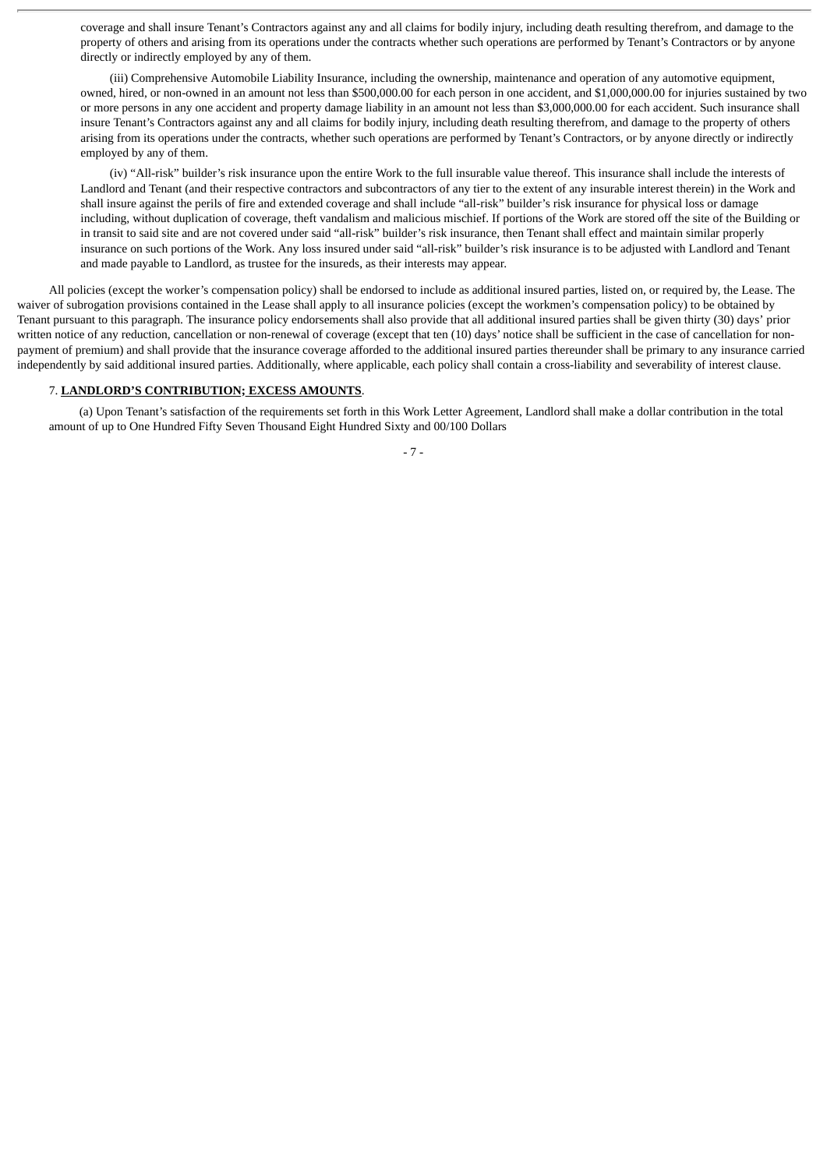coverage and shall insure Tenant's Contractors against any and all claims for bodily injury, including death resulting therefrom, and damage to the property of others and arising from its operations under the contracts whether such operations are performed by Tenant's Contractors or by anyone directly or indirectly employed by any of them.

(iii) Comprehensive Automobile Liability Insurance, including the ownership, maintenance and operation of any automotive equipment, owned, hired, or non-owned in an amount not less than \$500,000.00 for each person in one accident, and \$1,000,000.00 for injuries sustained by two or more persons in any one accident and property damage liability in an amount not less than \$3,000,000.00 for each accident. Such insurance shall insure Tenant's Contractors against any and all claims for bodily injury, including death resulting therefrom, and damage to the property of others arising from its operations under the contracts, whether such operations are performed by Tenant's Contractors, or by anyone directly or indirectly employed by any of them.

(iv) "All-risk" builder's risk insurance upon the entire Work to the full insurable value thereof. This insurance shall include the interests of Landlord and Tenant (and their respective contractors and subcontractors of any tier to the extent of any insurable interest therein) in the Work and shall insure against the perils of fire and extended coverage and shall include "all-risk" builder's risk insurance for physical loss or damage including, without duplication of coverage, theft vandalism and malicious mischief. If portions of the Work are stored off the site of the Building or in transit to said site and are not covered under said "all-risk" builder's risk insurance, then Tenant shall effect and maintain similar properly insurance on such portions of the Work. Any loss insured under said "all-risk" builder's risk insurance is to be adjusted with Landlord and Tenant and made payable to Landlord, as trustee for the insureds, as their interests may appear.

All policies (except the worker's compensation policy) shall be endorsed to include as additional insured parties, listed on, or required by, the Lease. The waiver of subrogation provisions contained in the Lease shall apply to all insurance policies (except the workmen's compensation policy) to be obtained by Tenant pursuant to this paragraph. The insurance policy endorsements shall also provide that all additional insured parties shall be given thirty (30) days' prior written notice of any reduction, cancellation or non-renewal of coverage (except that ten (10) days' notice shall be sufficient in the case of cancellation for nonpayment of premium) and shall provide that the insurance coverage afforded to the additional insured parties thereunder shall be primary to any insurance carried independently by said additional insured parties. Additionally, where applicable, each policy shall contain a cross-liability and severability of interest clause.

### 7. **LANDLORD'S CONTRIBUTION; EXCESS AMOUNTS**.

(a) Upon Tenant's satisfaction of the requirements set forth in this Work Letter Agreement, Landlord shall make a dollar contribution in the total amount of up to One Hundred Fifty Seven Thousand Eight Hundred Sixty and 00/100 Dollars

- 7 -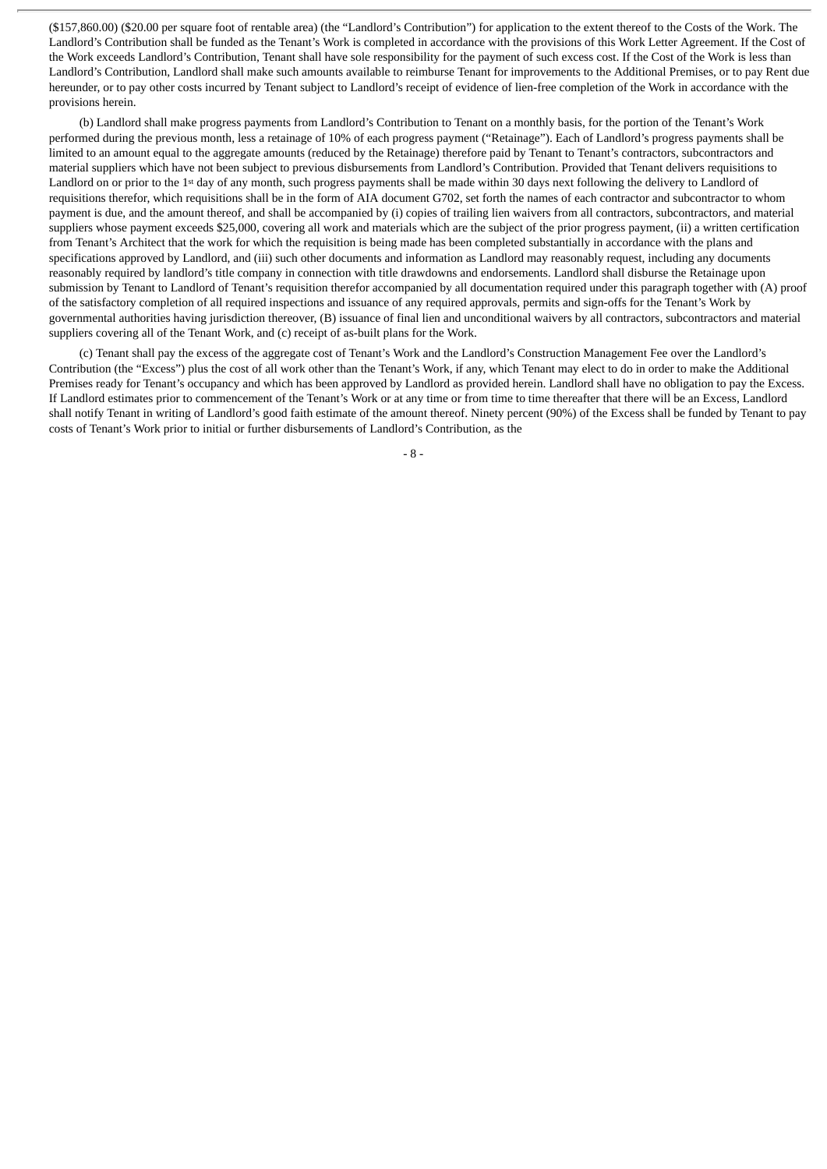(\$157,860.00) (\$20.00 per square foot of rentable area) (the "Landlord's Contribution") for application to the extent thereof to the Costs of the Work. The Landlord's Contribution shall be funded as the Tenant's Work is completed in accordance with the provisions of this Work Letter Agreement. If the Cost of the Work exceeds Landlord's Contribution, Tenant shall have sole responsibility for the payment of such excess cost. If the Cost of the Work is less than Landlord's Contribution, Landlord shall make such amounts available to reimburse Tenant for improvements to the Additional Premises, or to pay Rent due hereunder, or to pay other costs incurred by Tenant subject to Landlord's receipt of evidence of lien-free completion of the Work in accordance with the provisions herein.

(b) Landlord shall make progress payments from Landlord's Contribution to Tenant on a monthly basis, for the portion of the Tenant's Work performed during the previous month, less a retainage of 10% of each progress payment ("Retainage"). Each of Landlord's progress payments shall be limited to an amount equal to the aggregate amounts (reduced by the Retainage) therefore paid by Tenant to Tenant's contractors, subcontractors and material suppliers which have not been subject to previous disbursements from Landlord's Contribution. Provided that Tenant delivers requisitions to Landlord on or prior to the 1<sup>st</sup> day of any month, such progress payments shall be made within 30 days next following the delivery to Landlord of requisitions therefor, which requisitions shall be in the form of AIA document G702, set forth the names of each contractor and subcontractor to whom payment is due, and the amount thereof, and shall be accompanied by (i) copies of trailing lien waivers from all contractors, subcontractors, and material suppliers whose payment exceeds \$25,000, covering all work and materials which are the subject of the prior progress payment, (ii) a written certification from Tenant's Architect that the work for which the requisition is being made has been completed substantially in accordance with the plans and specifications approved by Landlord, and (iii) such other documents and information as Landlord may reasonably request, including any documents reasonably required by landlord's title company in connection with title drawdowns and endorsements. Landlord shall disburse the Retainage upon submission by Tenant to Landlord of Tenant's requisition therefor accompanied by all documentation required under this paragraph together with (A) proof of the satisfactory completion of all required inspections and issuance of any required approvals, permits and sign-offs for the Tenant's Work by governmental authorities having jurisdiction thereover, (B) issuance of final lien and unconditional waivers by all contractors, subcontractors and material suppliers covering all of the Tenant Work, and (c) receipt of as-built plans for the Work.

(c) Tenant shall pay the excess of the aggregate cost of Tenant's Work and the Landlord's Construction Management Fee over the Landlord's Contribution (the "Excess") plus the cost of all work other than the Tenant's Work, if any, which Tenant may elect to do in order to make the Additional Premises ready for Tenant's occupancy and which has been approved by Landlord as provided herein. Landlord shall have no obligation to pay the Excess. If Landlord estimates prior to commencement of the Tenant's Work or at any time or from time to time thereafter that there will be an Excess, Landlord shall notify Tenant in writing of Landlord's good faith estimate of the amount thereof. Ninety percent (90%) of the Excess shall be funded by Tenant to pay costs of Tenant's Work prior to initial or further disbursements of Landlord's Contribution, as the

 $- 8 -$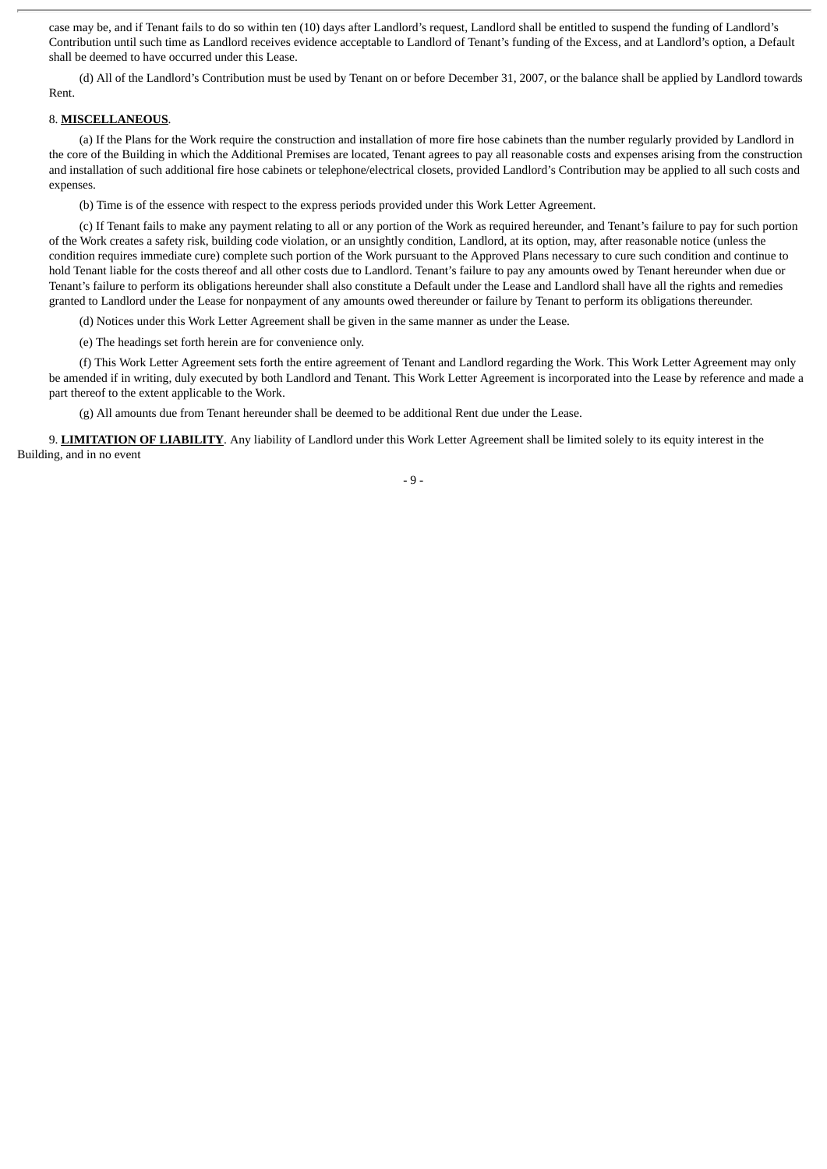case may be, and if Tenant fails to do so within ten (10) days after Landlord's request, Landlord shall be entitled to suspend the funding of Landlord's Contribution until such time as Landlord receives evidence acceptable to Landlord of Tenant's funding of the Excess, and at Landlord's option, a Default shall be deemed to have occurred under this Lease.

(d) All of the Landlord's Contribution must be used by Tenant on or before December 31, 2007, or the balance shall be applied by Landlord towards Rent.

### 8. **MISCELLANEOUS**.

(a) If the Plans for the Work require the construction and installation of more fire hose cabinets than the number regularly provided by Landlord in the core of the Building in which the Additional Premises are located, Tenant agrees to pay all reasonable costs and expenses arising from the construction and installation of such additional fire hose cabinets or telephone/electrical closets, provided Landlord's Contribution may be applied to all such costs and expenses.

(b) Time is of the essence with respect to the express periods provided under this Work Letter Agreement.

(c) If Tenant fails to make any payment relating to all or any portion of the Work as required hereunder, and Tenant's failure to pay for such portion of the Work creates a safety risk, building code violation, or an unsightly condition, Landlord, at its option, may, after reasonable notice (unless the condition requires immediate cure) complete such portion of the Work pursuant to the Approved Plans necessary to cure such condition and continue to hold Tenant liable for the costs thereof and all other costs due to Landlord. Tenant's failure to pay any amounts owed by Tenant hereunder when due or Tenant's failure to perform its obligations hereunder shall also constitute a Default under the Lease and Landlord shall have all the rights and remedies granted to Landlord under the Lease for nonpayment of any amounts owed thereunder or failure by Tenant to perform its obligations thereunder.

(d) Notices under this Work Letter Agreement shall be given in the same manner as under the Lease.

(e) The headings set forth herein are for convenience only.

(f) This Work Letter Agreement sets forth the entire agreement of Tenant and Landlord regarding the Work. This Work Letter Agreement may only be amended if in writing, duly executed by both Landlord and Tenant. This Work Letter Agreement is incorporated into the Lease by reference and made a part thereof to the extent applicable to the Work.

(g) All amounts due from Tenant hereunder shall be deemed to be additional Rent due under the Lease.

9. **LIMITATION OF LIABILITY**. Any liability of Landlord under this Work Letter Agreement shall be limited solely to its equity interest in the Building, and in no event

- 9 -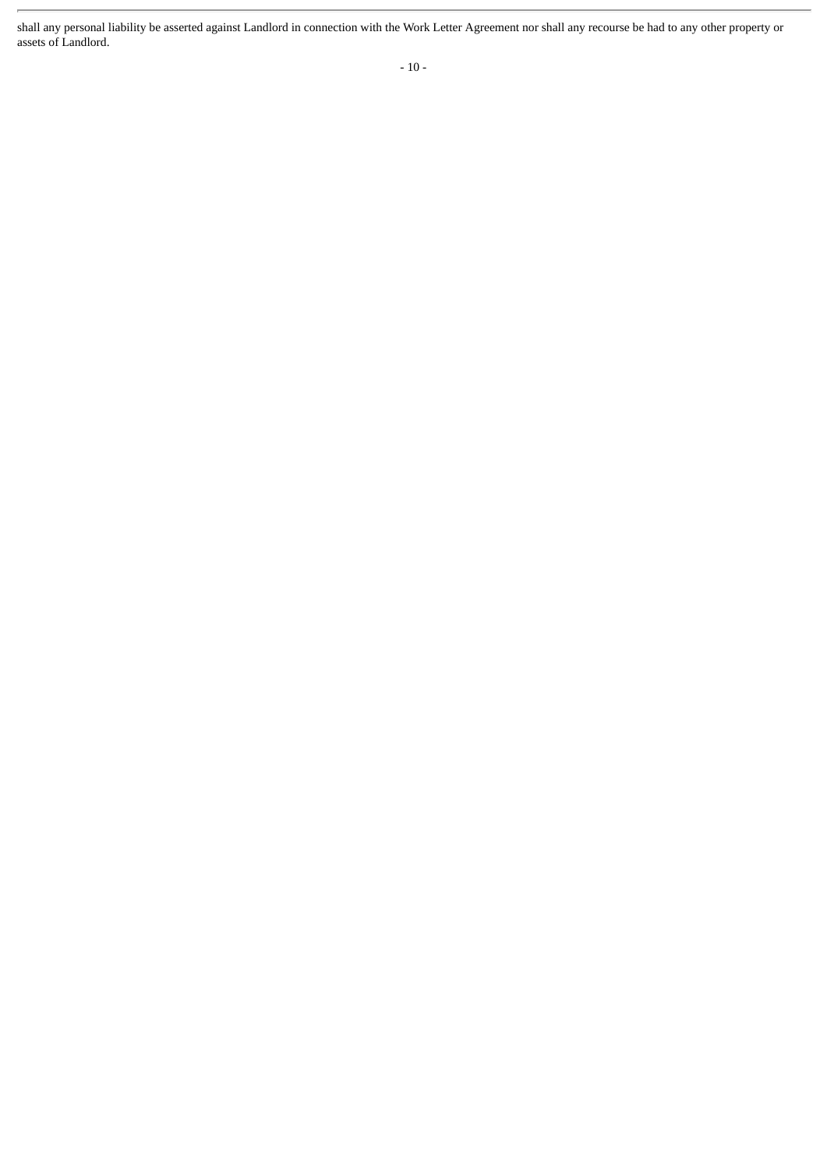shall any personal liability be asserted against Landlord in connection with the Work Letter Agreement nor shall any recourse be had to any other property or assets of Landlord.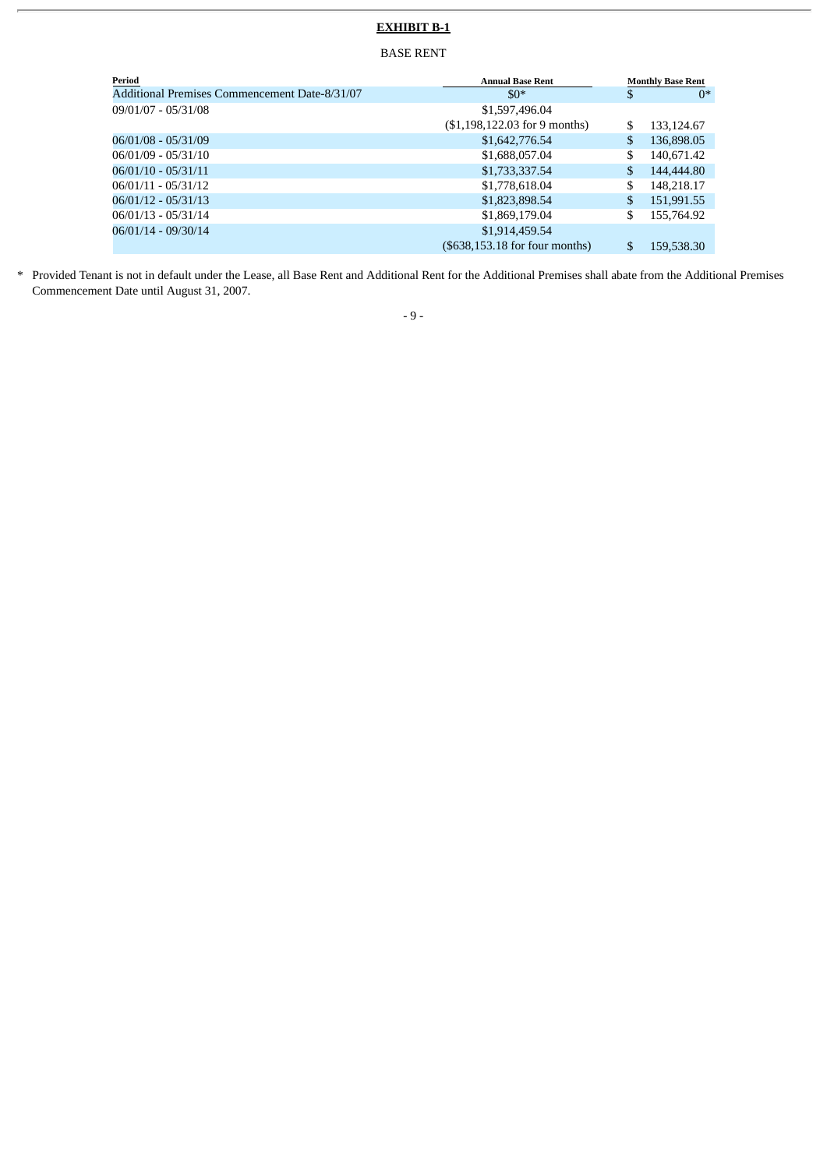# **EXHIBIT B-1**

# BASE RENT

| Period                                        | <b>Annual Base Rent</b>        | <b>Monthly Base Rent</b> |            |
|-----------------------------------------------|--------------------------------|--------------------------|------------|
| Additional Premises Commencement Date-8/31/07 | $$0*$                          | \$                       | $0*$       |
| 09/01/07 - 05/31/08                           | \$1,597,496.04                 |                          |            |
|                                               | $($1,198,122.03$ for 9 months) | \$                       | 133,124.67 |
| 06/01/08 - 05/31/09                           | \$1,642,776.54                 | \$                       | 136,898.05 |
| $06/01/09 - 05/31/10$                         | \$1,688,057.04                 | \$                       | 140,671.42 |
| 06/01/10 - 05/31/11                           | \$1,733,337.54                 | \$                       | 144,444.80 |
| 06/01/11 - 05/31/12                           | \$1,778,618.04                 | \$                       | 148,218.17 |
| 06/01/12 - 05/31/13                           | \$1,823,898.54                 | \$                       | 151,991.55 |
| 06/01/13 - 05/31/14                           | \$1,869,179.04                 | \$                       | 155,764.92 |
| 06/01/14 - 09/30/14                           | \$1,914,459.54                 |                          |            |
|                                               | (\$638,153.18 for four months) | \$                       | 159,538.30 |

\* Provided Tenant is not in default under the Lease, all Base Rent and Additional Rent for the Additional Premises shall abate from the Additional Premises Commencement Date until August 31, 2007.

# - 9 -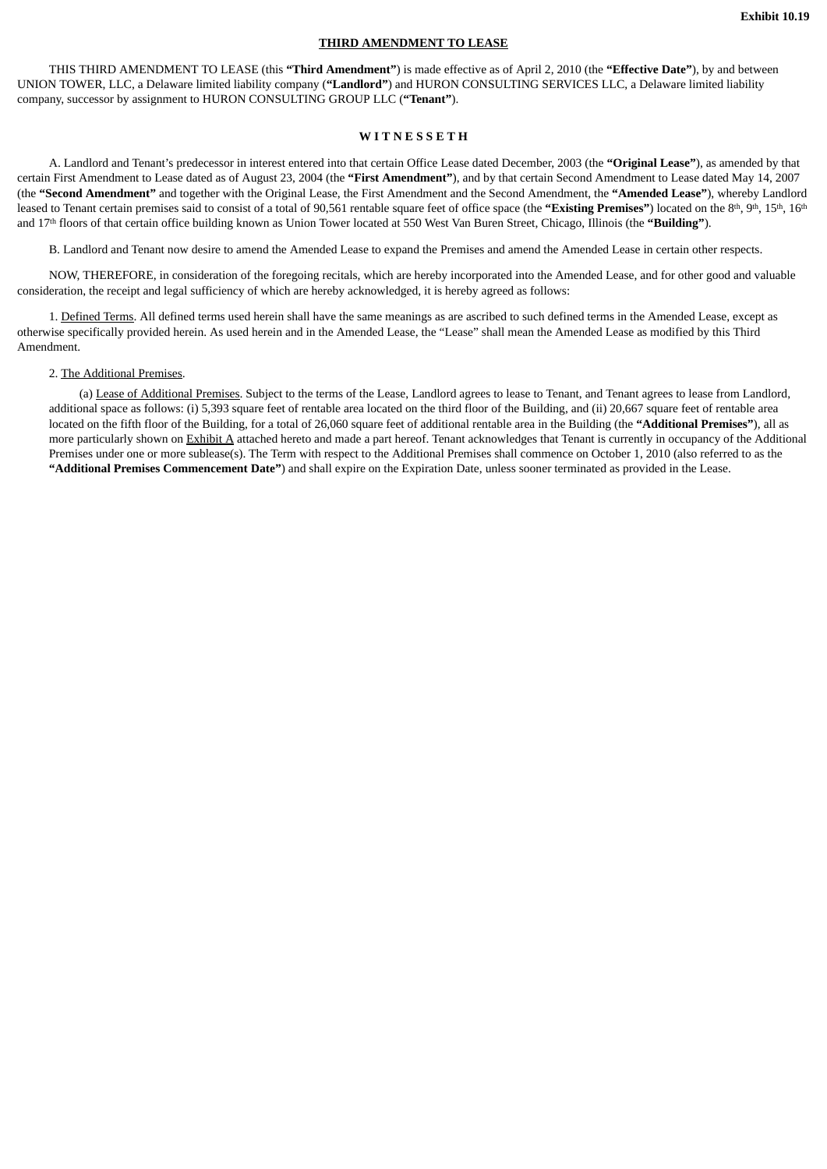## **THIRD AMENDMENT TO LEASE**

THIS THIRD AMENDMENT TO LEASE (this **"Third Amendment"**) is made effective as of April 2, 2010 (the **"Effective Date"**), by and between UNION TOWER, LLC, a Delaware limited liability company (**"Landlord"**) and HURON CONSULTING SERVICES LLC, a Delaware limited liability company, successor by assignment to HURON CONSULTING GROUP LLC (**"Tenant"**).

## **W I T N E S S E T H**

A. Landlord and Tenant's predecessor in interest entered into that certain Office Lease dated December, 2003 (the **"Original Lease"**), as amended by that certain First Amendment to Lease dated as of August 23, 2004 (the **"First Amendment"**), and by that certain Second Amendment to Lease dated May 14, 2007 (the **"Second Amendment"** and together with the Original Lease, the First Amendment and the Second Amendment, the **"Amended Lease"**), whereby Landlord leased to Tenant certain premises said to consist of a total of 90,561 rentable square feet of office space (the **"Existing Premises"**) located on the 8<sup>th</sup>, 9<sup>th</sup>, 15<sup>th</sup>, 15<sup>th</sup>, 16<sup>th</sup> and 17<sup>th</sup> floors of that certain office building known as Union Tower located at 550 West Van Buren Street, Chicago, Illinois (the "Building").

B. Landlord and Tenant now desire to amend the Amended Lease to expand the Premises and amend the Amended Lease in certain other respects.

NOW, THEREFORE, in consideration of the foregoing recitals, which are hereby incorporated into the Amended Lease, and for other good and valuable consideration, the receipt and legal sufficiency of which are hereby acknowledged, it is hereby agreed as follows:

1. Defined Terms. All defined terms used herein shall have the same meanings as are ascribed to such defined terms in the Amended Lease, except as otherwise specifically provided herein. As used herein and in the Amended Lease, the "Lease" shall mean the Amended Lease as modified by this Third Amendment.

#### 2. The Additional Premises.

(a) Lease of Additional Premises. Subject to the terms of the Lease, Landlord agrees to lease to Tenant, and Tenant agrees to lease from Landlord, additional space as follows: (i) 5,393 square feet of rentable area located on the third floor of the Building, and (ii) 20,667 square feet of rentable area located on the fifth floor of the Building, for a total of 26,060 square feet of additional rentable area in the Building (the **"Additional Premises"**), all as more particularly shown on Exhibit A attached hereto and made a part hereof. Tenant acknowledges that Tenant is currently in occupancy of the Additional Premises under one or more sublease(s). The Term with respect to the Additional Premises shall commence on October 1, 2010 (also referred to as the **"Additional Premises Commencement Date"**) and shall expire on the Expiration Date, unless sooner terminated as provided in the Lease.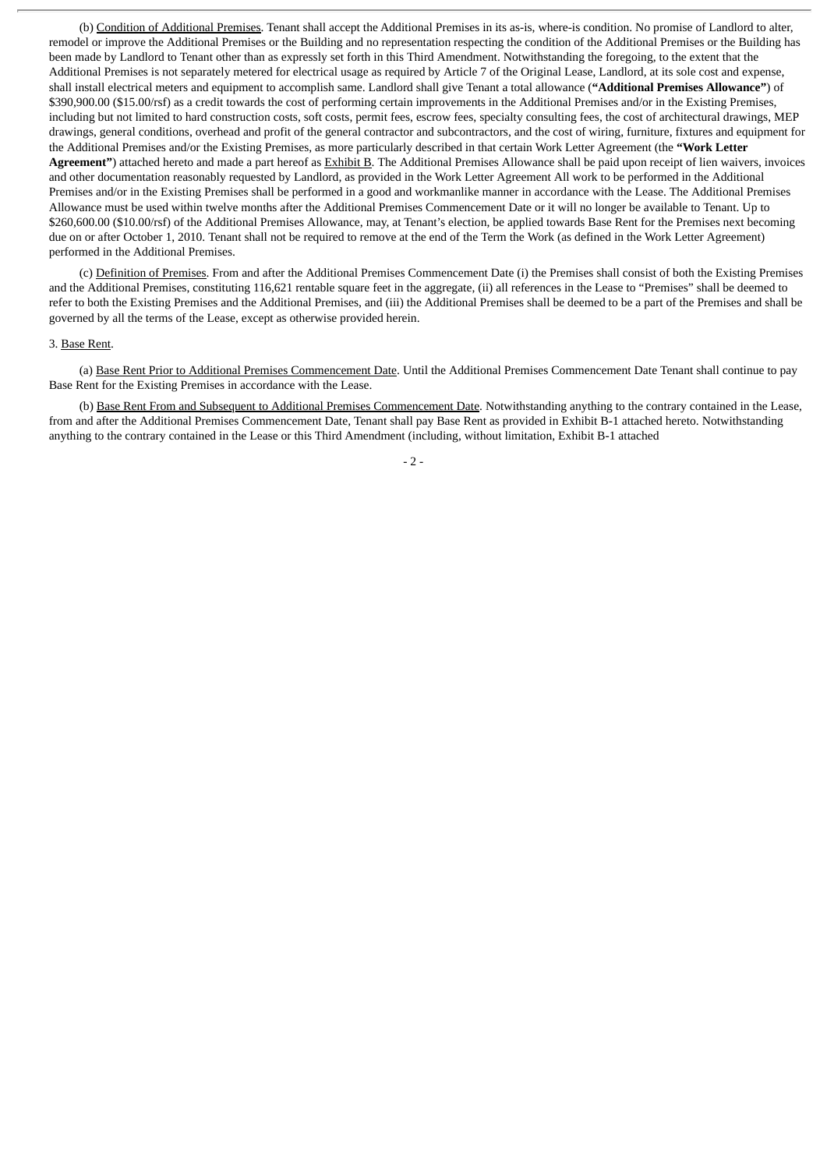(b) Condition of Additional Premises. Tenant shall accept the Additional Premises in its as-is, where-is condition. No promise of Landlord to alter, remodel or improve the Additional Premises or the Building and no representation respecting the condition of the Additional Premises or the Building has been made by Landlord to Tenant other than as expressly set forth in this Third Amendment. Notwithstanding the foregoing, to the extent that the Additional Premises is not separately metered for electrical usage as required by Article 7 of the Original Lease, Landlord, at its sole cost and expense, shall install electrical meters and equipment to accomplish same. Landlord shall give Tenant a total allowance (**"Additional Premises Allowance"**) of \$390,900.00 (\$15.00/rsf) as a credit towards the cost of performing certain improvements in the Additional Premises and/or in the Existing Premises, including but not limited to hard construction costs, soft costs, permit fees, escrow fees, specialty consulting fees, the cost of architectural drawings, MEP drawings, general conditions, overhead and profit of the general contractor and subcontractors, and the cost of wiring, furniture, fixtures and equipment for the Additional Premises and/or the Existing Premises, as more particularly described in that certain Work Letter Agreement (the **"Work Letter Agreement"**) attached hereto and made a part hereof as Exhibit B. The Additional Premises Allowance shall be paid upon receipt of lien waivers, invoices and other documentation reasonably requested by Landlord, as provided in the Work Letter Agreement All work to be performed in the Additional Premises and/or in the Existing Premises shall be performed in a good and workmanlike manner in accordance with the Lease. The Additional Premises Allowance must be used within twelve months after the Additional Premises Commencement Date or it will no longer be available to Tenant. Up to \$260,600.00 (\$10.00/rsf) of the Additional Premises Allowance, may, at Tenant's election, be applied towards Base Rent for the Premises next becoming due on or after October 1, 2010. Tenant shall not be required to remove at the end of the Term the Work (as defined in the Work Letter Agreement) performed in the Additional Premises.

(c) Definition of Premises. From and after the Additional Premises Commencement Date (i) the Premises shall consist of both the Existing Premises and the Additional Premises, constituting 116,621 rentable square feet in the aggregate, (ii) all references in the Lease to "Premises" shall be deemed to refer to both the Existing Premises and the Additional Premises, and (iii) the Additional Premises shall be deemed to be a part of the Premises and shall be governed by all the terms of the Lease, except as otherwise provided herein.

#### 3. Base Rent.

(a) Base Rent Prior to Additional Premises Commencement Date. Until the Additional Premises Commencement Date Tenant shall continue to pay Base Rent for the Existing Premises in accordance with the Lease.

(b) Base Rent From and Subsequent to Additional Premises Commencement Date. Notwithstanding anything to the contrary contained in the Lease, from and after the Additional Premises Commencement Date, Tenant shall pay Base Rent as provided in Exhibit B-1 attached hereto. Notwithstanding anything to the contrary contained in the Lease or this Third Amendment (including, without limitation, Exhibit B-1 attached

 $-2-$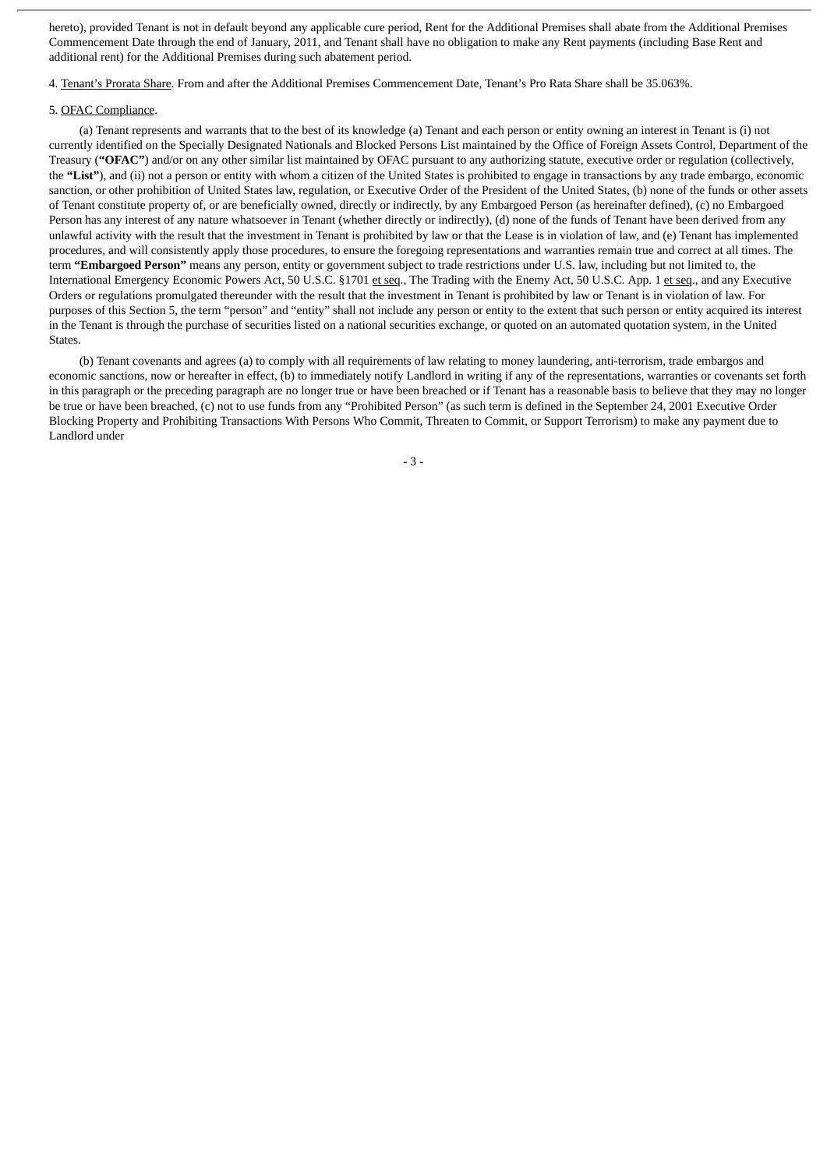hereto), provided Tenant is not in default beyond any applicable cure period, Rent for the Additional Premises shall abate from the Additional Premises Commencement Date through the end of January, 2011, and Tenant shall have no obligation to make any Rent payments (including Base Rent and additional rent) for the Additional Premises during such abatement period.

4. Tenant's Prorata Share. From and after the Additional Premises Commencement Date, Tenant's Pro Rata Share shall be 35.063%.

#### 5. OFAC Compliance.

(a) Tenant represents and warrants that to the best of its knowledge (a) Tenant and each person or entity owning an interest in Tenant is (i) not currently identified on the Specially Designated Nationals and Blocked Persons List maintained by the Office of Foreign Assets Control, Department of the Treasury (**"OFAC"**) and/or on any other similar list maintained by OFAC pursuant to any authorizing statute, executive order or regulation (collectively, the **"List"**), and (ii) not a person or entity with whom a citizen of the United States is prohibited to engage in transactions by any trade embargo, economic sanction, or other prohibition of United States law, regulation, or Executive Order of the President of the United States, (b) none of the funds or other assets of Tenant constitute property of, or are beneficially owned, directly or indirectly, by any Embargoed Person (as hereinafter defined), (c) no Embargoed Person has any interest of any nature whatsoever in Tenant (whether directly or indirectly), (d) none of the funds of Tenant have been derived from any unlawful activity with the result that the investment in Tenant is prohibited by law or that the Lease is in violation of law, and (e) Tenant has implemented procedures, and will consistently apply those procedures, to ensure the foregoing representations and warranties remain true and correct at all times. The term **"Embargoed Person"** means any person, entity or government subject to trade restrictions under U.S. law, including but not limited to, the International Emergency Economic Powers Act, 50 U.S.C. §1701 et seg., The Trading with the Enemy Act, 50 U.S.C. App. 1 et seg., and any Executive Orders or regulations promulgated thereunder with the result that the investment in Tenant is prohibited by law or Tenant is in violation of law. For purposes of this Section 5, the term "person" and "entity" shall not include any person or entity to the extent that such person or entity acquired its interest in the Tenant is through the purchase of securities listed on a national securities exchange, or quoted on an automated quotation system, in the United States.

(b) Tenant covenants and agrees (a) to comply with all requirements of law relating to money laundering, anti-terrorism, trade embargos and economic sanctions, now or hereafter in effect, (b) to immediately notify Landlord in writing if any of the representations, warranties or covenants set forth in this paragraph or the preceding paragraph are no longer true or have been breached or if Tenant has a reasonable basis to believe that they may no longer be true or have been breached, (c) not to use funds from any "Prohibited Person" (as such term is defined in the September 24, 2001 Executive Order Blocking Property and Prohibiting Transactions With Persons Who Commit, Threaten to Commit, or Support Terrorism) to make any payment due to Landlord under

- 3 -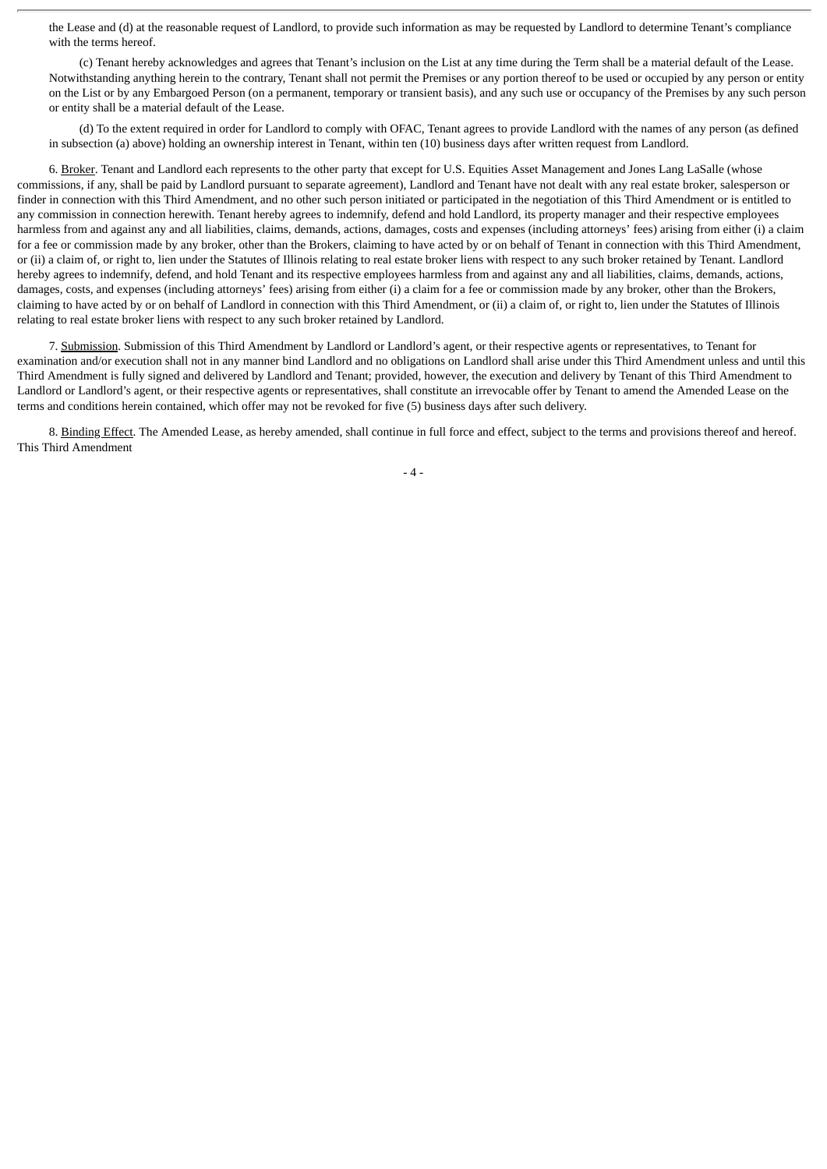the Lease and (d) at the reasonable request of Landlord, to provide such information as may be requested by Landlord to determine Tenant's compliance with the terms hereof.

(c) Tenant hereby acknowledges and agrees that Tenant's inclusion on the List at any time during the Term shall be a material default of the Lease. Notwithstanding anything herein to the contrary, Tenant shall not permit the Premises or any portion thereof to be used or occupied by any person or entity on the List or by any Embargoed Person (on a permanent, temporary or transient basis), and any such use or occupancy of the Premises by any such person or entity shall be a material default of the Lease.

(d) To the extent required in order for Landlord to comply with OFAC, Tenant agrees to provide Landlord with the names of any person (as defined in subsection (a) above) holding an ownership interest in Tenant, within ten (10) business days after written request from Landlord.

6. Broker. Tenant and Landlord each represents to the other party that except for U.S. Equities Asset Management and Jones Lang LaSalle (whose commissions, if any, shall be paid by Landlord pursuant to separate agreement), Landlord and Tenant have not dealt with any real estate broker, salesperson or finder in connection with this Third Amendment, and no other such person initiated or participated in the negotiation of this Third Amendment or is entitled to any commission in connection herewith. Tenant hereby agrees to indemnify, defend and hold Landlord, its property manager and their respective employees harmless from and against any and all liabilities, claims, demands, actions, damages, costs and expenses (including attorneys' fees) arising from either (i) a claim for a fee or commission made by any broker, other than the Brokers, claiming to have acted by or on behalf of Tenant in connection with this Third Amendment, or (ii) a claim of, or right to, lien under the Statutes of Illinois relating to real estate broker liens with respect to any such broker retained by Tenant. Landlord hereby agrees to indemnify, defend, and hold Tenant and its respective employees harmless from and against any and all liabilities, claims, demands, actions, damages, costs, and expenses (including attorneys' fees) arising from either (i) a claim for a fee or commission made by any broker, other than the Brokers, claiming to have acted by or on behalf of Landlord in connection with this Third Amendment, or (ii) a claim of, or right to, lien under the Statutes of Illinois relating to real estate broker liens with respect to any such broker retained by Landlord.

7. Submission. Submission of this Third Amendment by Landlord or Landlord's agent, or their respective agents or representatives, to Tenant for examination and/or execution shall not in any manner bind Landlord and no obligations on Landlord shall arise under this Third Amendment unless and until this Third Amendment is fully signed and delivered by Landlord and Tenant; provided, however, the execution and delivery by Tenant of this Third Amendment to Landlord or Landlord's agent, or their respective agents or representatives, shall constitute an irrevocable offer by Tenant to amend the Amended Lease on the terms and conditions herein contained, which offer may not be revoked for five (5) business days after such delivery.

8. Binding Effect. The Amended Lease, as hereby amended, shall continue in full force and effect, subject to the terms and provisions thereof and hereof. This Third Amendment

 $-4-$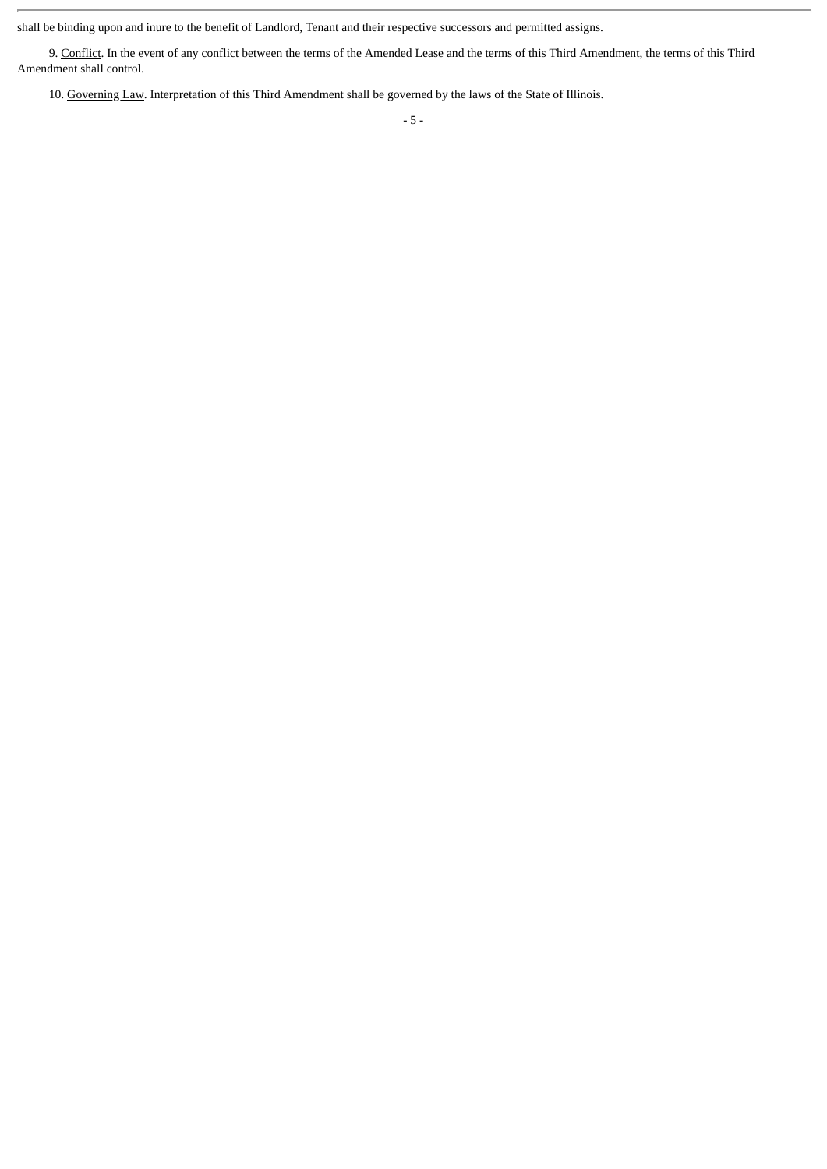shall be binding upon and inure to the benefit of Landlord, Tenant and their respective successors and permitted assigns.

9. Conflict. In the event of any conflict between the terms of the Amended Lease and the terms of this Third Amendment, the terms of this Third Amendment shall control.

10. Governing Law. Interpretation of this Third Amendment shall be governed by the laws of the State of Illinois.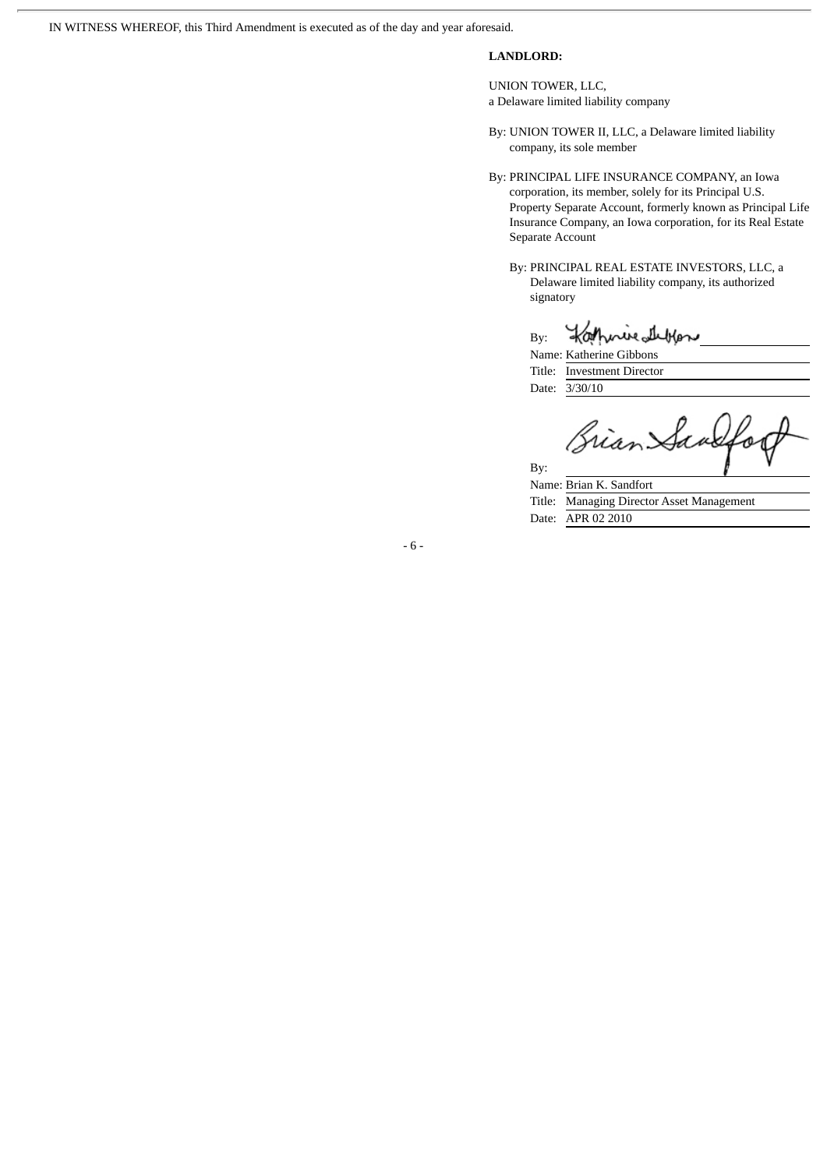IN WITNESS WHEREOF, this Third Amendment is executed as of the day and year aforesaid.

# **LANDLORD:**

UNION TOWER, LLC, a Delaware limited liability company

- By: UNION TOWER II, LLC, a Delaware limited liability company, its sole member
- By: PRINCIPAL LIFE INSURANCE COMPANY, an Iowa corporation, its member, solely for its Principal U.S. Property Separate Account, formerly known as Principal Life Insurance Company, an Iowa corporation, for its Real Estate Separate Account
	- By: PRINCIPAL REAL ESTATE INVESTORS, LLC, a Delaware limited liability company, its authorized signatory

wire Leblow By:

Name: Katherine Gibbons Title: Investment Director Date: 3/30/10

lo al

By:

Name: Brian K. Sandfort Title: Managing Director Asset Management Date: APR 02 2010

- 6 -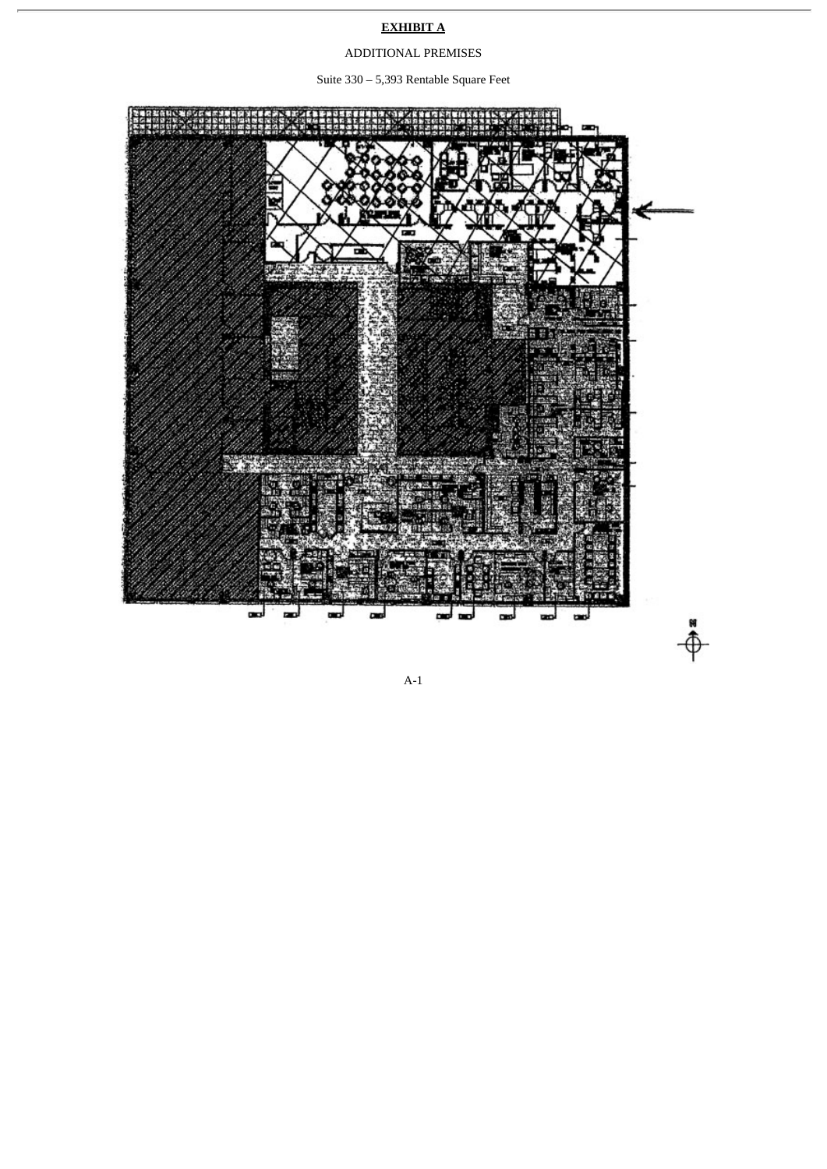# **EXHIBIT A**

# ADDITIONAL PREMISES

Suite 330 – 5,393 Rentable Square Feet



A-1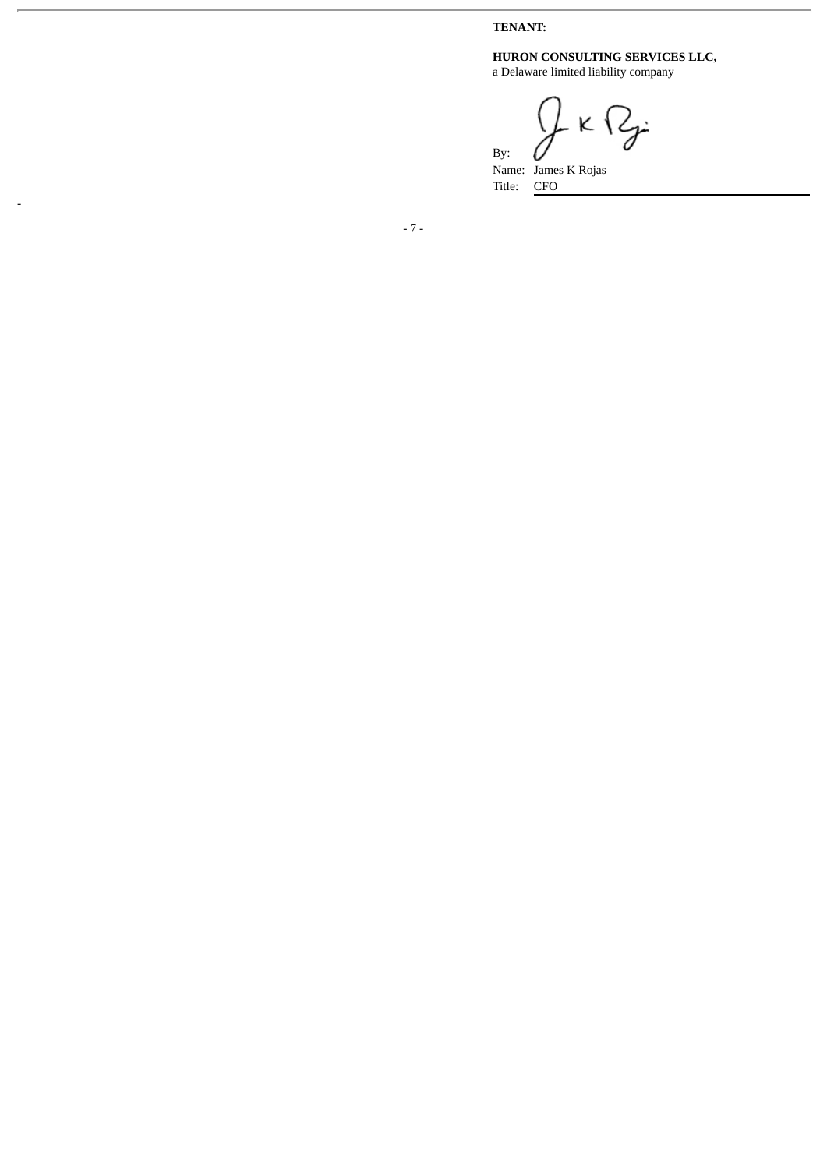# **TENANT:**

**HURON CONSULTING SERVICES LLC,** a Delaware limited liability company

К Lji

Name: James K Rojas

Title: CFO

By:

- 7 -

-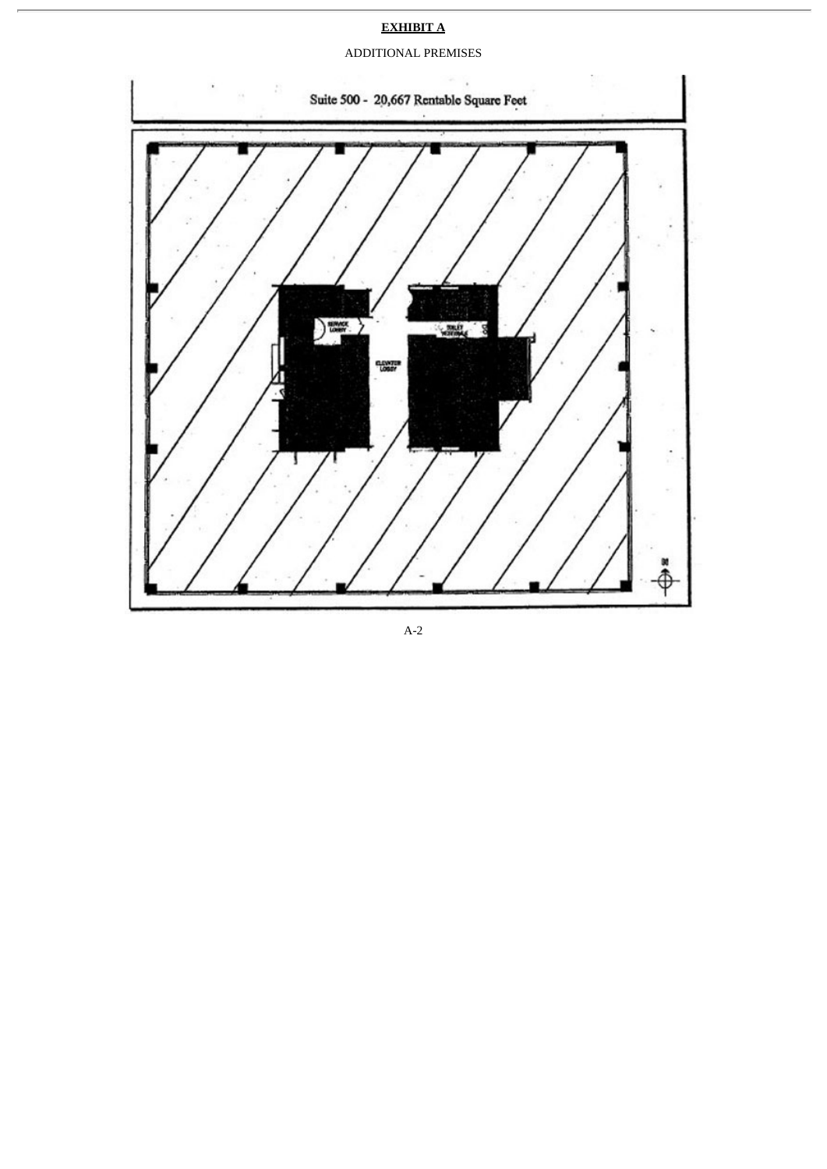# **EXHIBIT A**

# ADDITIONAL PREMISES



A-2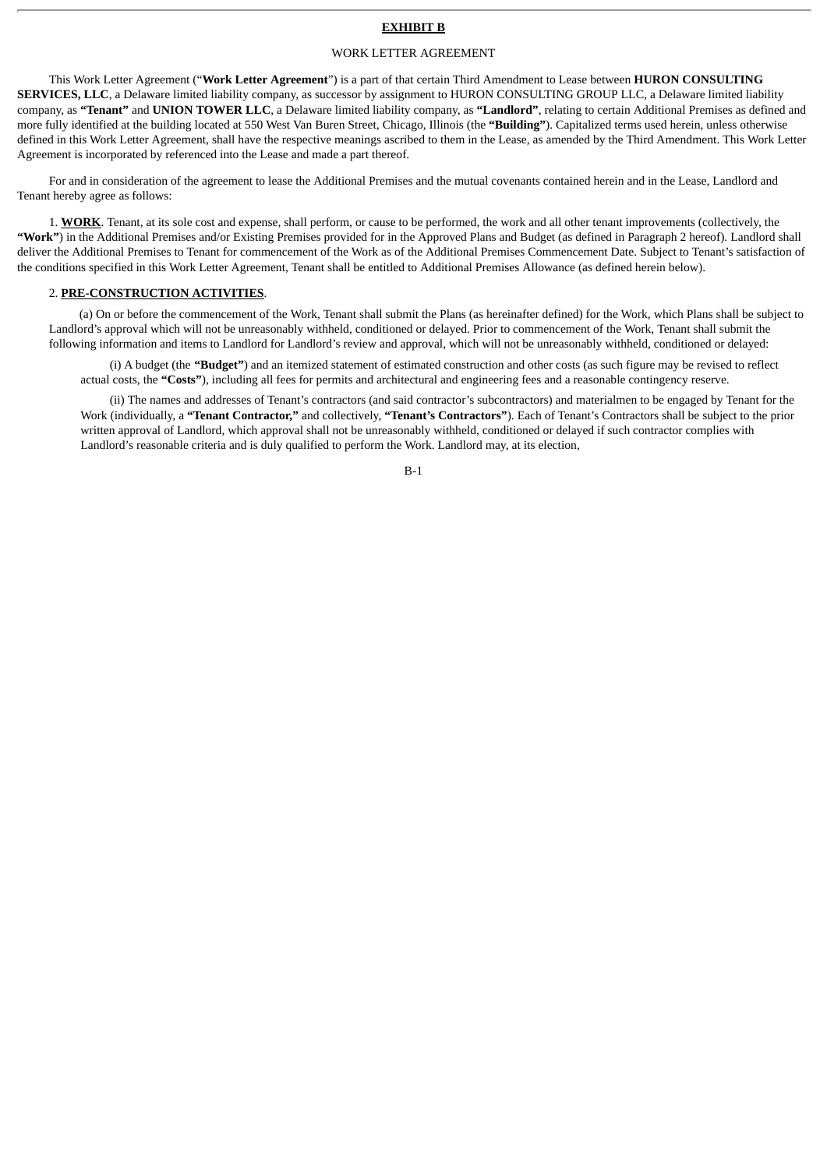### **EXHIBIT B**

## WORK LETTER AGREEMENT

This Work Letter Agreement ("**Work Letter Agreement**") is a part of that certain Third Amendment to Lease between **HURON CONSULTING SERVICES, LLC**, a Delaware limited liability company, as successor by assignment to HURON CONSULTING GROUP LLC, a Delaware limited liability company, as **"Tenant"** and **UNION TOWER LLC**, a Delaware limited liability company, as **"Landlord"**, relating to certain Additional Premises as defined and more fully identified at the building located at 550 West Van Buren Street, Chicago, Illinois (the **"Building"**). Capitalized terms used herein, unless otherwise defined in this Work Letter Agreement, shall have the respective meanings ascribed to them in the Lease, as amended by the Third Amendment. This Work Letter Agreement is incorporated by referenced into the Lease and made a part thereof.

For and in consideration of the agreement to lease the Additional Premises and the mutual covenants contained herein and in the Lease, Landlord and Tenant hereby agree as follows:

1. **WORK**. Tenant, at its sole cost and expense, shall perform, or cause to be performed, the work and all other tenant improvements (collectively, the **"Work"**) in the Additional Premises and/or Existing Premises provided for in the Approved Plans and Budget (as defined in Paragraph 2 hereof). Landlord shall deliver the Additional Premises to Tenant for commencement of the Work as of the Additional Premises Commencement Date. Subject to Tenant's satisfaction of the conditions specified in this Work Letter Agreement, Tenant shall be entitled to Additional Premises Allowance (as defined herein below).

## 2. **PRE-CONSTRUCTION ACTIVITIES**.

(a) On or before the commencement of the Work, Tenant shall submit the Plans (as hereinafter defined) for the Work, which Plans shall be subject to Landlord's approval which will not be unreasonably withheld, conditioned or delayed. Prior to commencement of the Work, Tenant shall submit the following information and items to Landlord for Landlord's review and approval, which will not be unreasonably withheld, conditioned or delayed:

(i) A budget (the **"Budget"**) and an itemized statement of estimated construction and other costs (as such figure may be revised to reflect actual costs, the **"Costs"**), including all fees for permits and architectural and engineering fees and a reasonable contingency reserve.

(ii) The names and addresses of Tenant's contractors (and said contractor's subcontractors) and materialmen to be engaged by Tenant for the Work (individually, a **"Tenant Contractor,"** and collectively, **"Tenant's Contractors"**). Each of Tenant's Contractors shall be subject to the prior written approval of Landlord, which approval shall not be unreasonably withheld, conditioned or delayed if such contractor complies with Landlord's reasonable criteria and is duly qualified to perform the Work. Landlord may, at its election,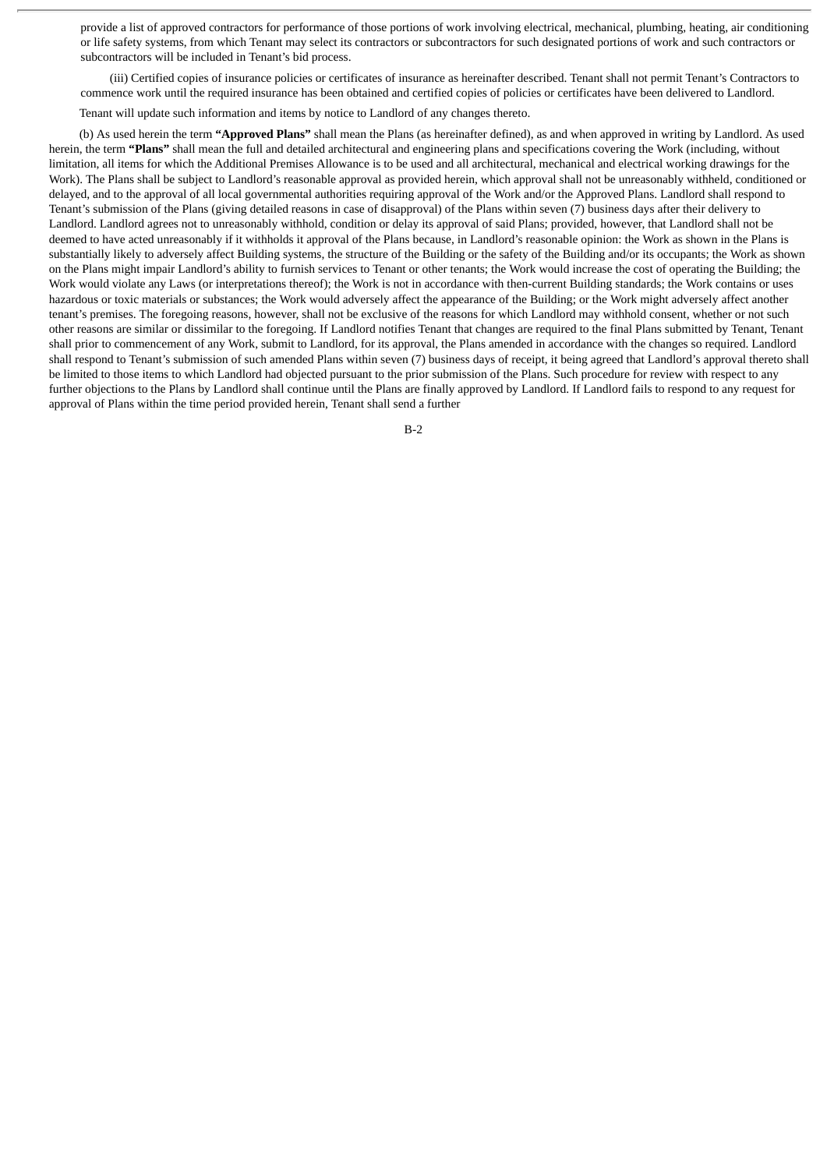provide a list of approved contractors for performance of those portions of work involving electrical, mechanical, plumbing, heating, air conditioning or life safety systems, from which Tenant may select its contractors or subcontractors for such designated portions of work and such contractors or subcontractors will be included in Tenant's bid process.

(iii) Certified copies of insurance policies or certificates of insurance as hereinafter described. Tenant shall not permit Tenant's Contractors to commence work until the required insurance has been obtained and certified copies of policies or certificates have been delivered to Landlord.

Tenant will update such information and items by notice to Landlord of any changes thereto.

(b) As used herein the term **"Approved Plans"** shall mean the Plans (as hereinafter defined), as and when approved in writing by Landlord. As used herein, the term **"Plans"** shall mean the full and detailed architectural and engineering plans and specifications covering the Work (including, without limitation, all items for which the Additional Premises Allowance is to be used and all architectural, mechanical and electrical working drawings for the Work). The Plans shall be subject to Landlord's reasonable approval as provided herein, which approval shall not be unreasonably withheld, conditioned or delayed, and to the approval of all local governmental authorities requiring approval of the Work and/or the Approved Plans. Landlord shall respond to Tenant's submission of the Plans (giving detailed reasons in case of disapproval) of the Plans within seven (7) business days after their delivery to Landlord. Landlord agrees not to unreasonably withhold, condition or delay its approval of said Plans; provided, however, that Landlord shall not be deemed to have acted unreasonably if it withholds it approval of the Plans because, in Landlord's reasonable opinion: the Work as shown in the Plans is substantially likely to adversely affect Building systems, the structure of the Building or the safety of the Building and/or its occupants; the Work as shown on the Plans might impair Landlord's ability to furnish services to Tenant or other tenants; the Work would increase the cost of operating the Building; the Work would violate any Laws (or interpretations thereof); the Work is not in accordance with then-current Building standards; the Work contains or uses hazardous or toxic materials or substances; the Work would adversely affect the appearance of the Building; or the Work might adversely affect another tenant's premises. The foregoing reasons, however, shall not be exclusive of the reasons for which Landlord may withhold consent, whether or not such other reasons are similar or dissimilar to the foregoing. If Landlord notifies Tenant that changes are required to the final Plans submitted by Tenant, Tenant shall prior to commencement of any Work, submit to Landlord, for its approval, the Plans amended in accordance with the changes so required. Landlord shall respond to Tenant's submission of such amended Plans within seven (7) business days of receipt, it being agreed that Landlord's approval thereto shall be limited to those items to which Landlord had objected pursuant to the prior submission of the Plans. Such procedure for review with respect to any further objections to the Plans by Landlord shall continue until the Plans are finally approved by Landlord. If Landlord fails to respond to any request for approval of Plans within the time period provided herein, Tenant shall send a further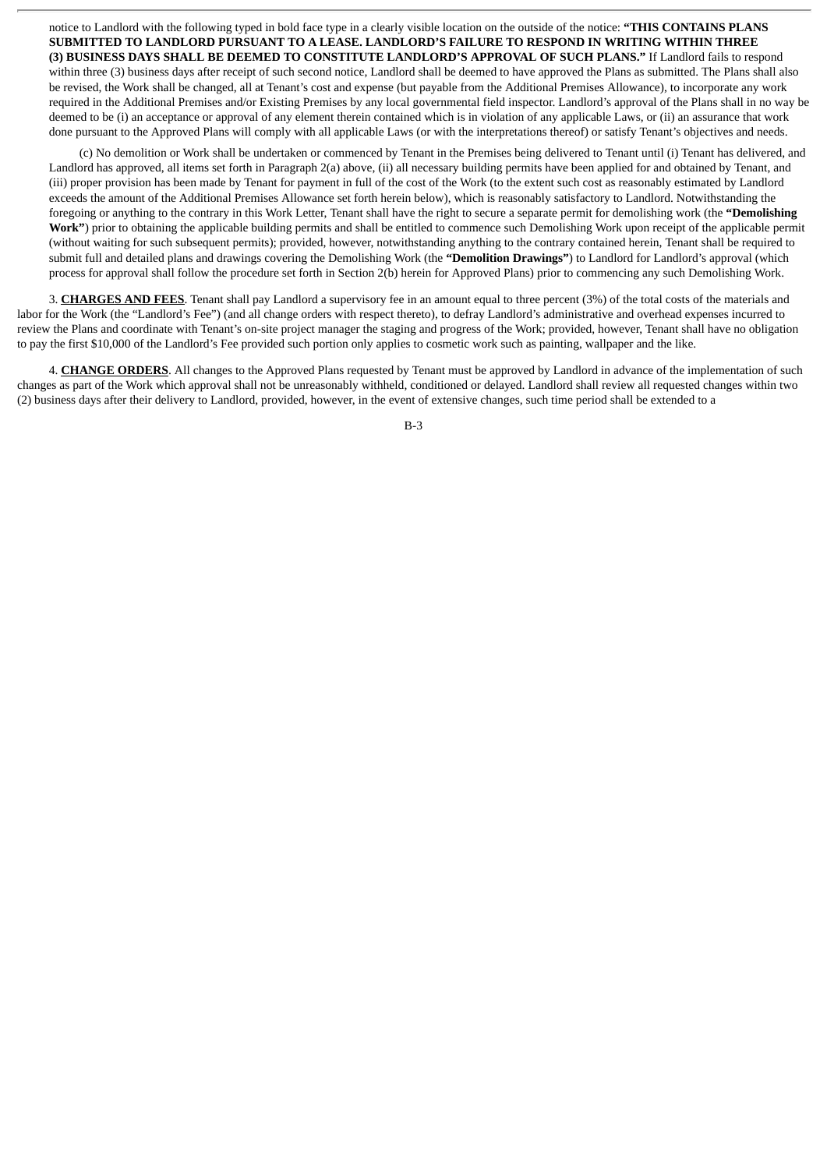notice to Landlord with the following typed in bold face type in a clearly visible location on the outside of the notice: **"THIS CONTAINS PLANS SUBMITTED TO LANDLORD PURSUANT TO A LEASE. LANDLORD'S FAILURE TO RESPOND IN WRITING WITHIN THREE (3) BUSINESS DAYS SHALL BE DEEMED TO CONSTITUTE LANDLORD'S APPROVAL OF SUCH PLANS."** If Landlord fails to respond within three (3) business days after receipt of such second notice, Landlord shall be deemed to have approved the Plans as submitted. The Plans shall also be revised, the Work shall be changed, all at Tenant's cost and expense (but payable from the Additional Premises Allowance), to incorporate any work required in the Additional Premises and/or Existing Premises by any local governmental field inspector. Landlord's approval of the Plans shall in no way be deemed to be (i) an acceptance or approval of any element therein contained which is in violation of any applicable Laws, or (ii) an assurance that work done pursuant to the Approved Plans will comply with all applicable Laws (or with the interpretations thereof) or satisfy Tenant's objectives and needs.

(c) No demolition or Work shall be undertaken or commenced by Tenant in the Premises being delivered to Tenant until (i) Tenant has delivered, and Landlord has approved, all items set forth in Paragraph 2(a) above, (ii) all necessary building permits have been applied for and obtained by Tenant, and (iii) proper provision has been made by Tenant for payment in full of the cost of the Work (to the extent such cost as reasonably estimated by Landlord exceeds the amount of the Additional Premises Allowance set forth herein below), which is reasonably satisfactory to Landlord. Notwithstanding the foregoing or anything to the contrary in this Work Letter, Tenant shall have the right to secure a separate permit for demolishing work (the **"Demolishing Work"**) prior to obtaining the applicable building permits and shall be entitled to commence such Demolishing Work upon receipt of the applicable permit (without waiting for such subsequent permits); provided, however, notwithstanding anything to the contrary contained herein, Tenant shall be required to submit full and detailed plans and drawings covering the Demolishing Work (the **"Demolition Drawings"**) to Landlord for Landlord's approval (which process for approval shall follow the procedure set forth in Section 2(b) herein for Approved Plans) prior to commencing any such Demolishing Work.

3. **CHARGES AND FEES**. Tenant shall pay Landlord a supervisory fee in an amount equal to three percent (3%) of the total costs of the materials and labor for the Work (the "Landlord's Fee") (and all change orders with respect thereto), to defray Landlord's administrative and overhead expenses incurred to review the Plans and coordinate with Tenant's on-site project manager the staging and progress of the Work; provided, however, Tenant shall have no obligation to pay the first \$10,000 of the Landlord's Fee provided such portion only applies to cosmetic work such as painting, wallpaper and the like.

4. **CHANGE ORDERS**. All changes to the Approved Plans requested by Tenant must be approved by Landlord in advance of the implementation of such changes as part of the Work which approval shall not be unreasonably withheld, conditioned or delayed. Landlord shall review all requested changes within two (2) business days after their delivery to Landlord, provided, however, in the event of extensive changes, such time period shall be extended to a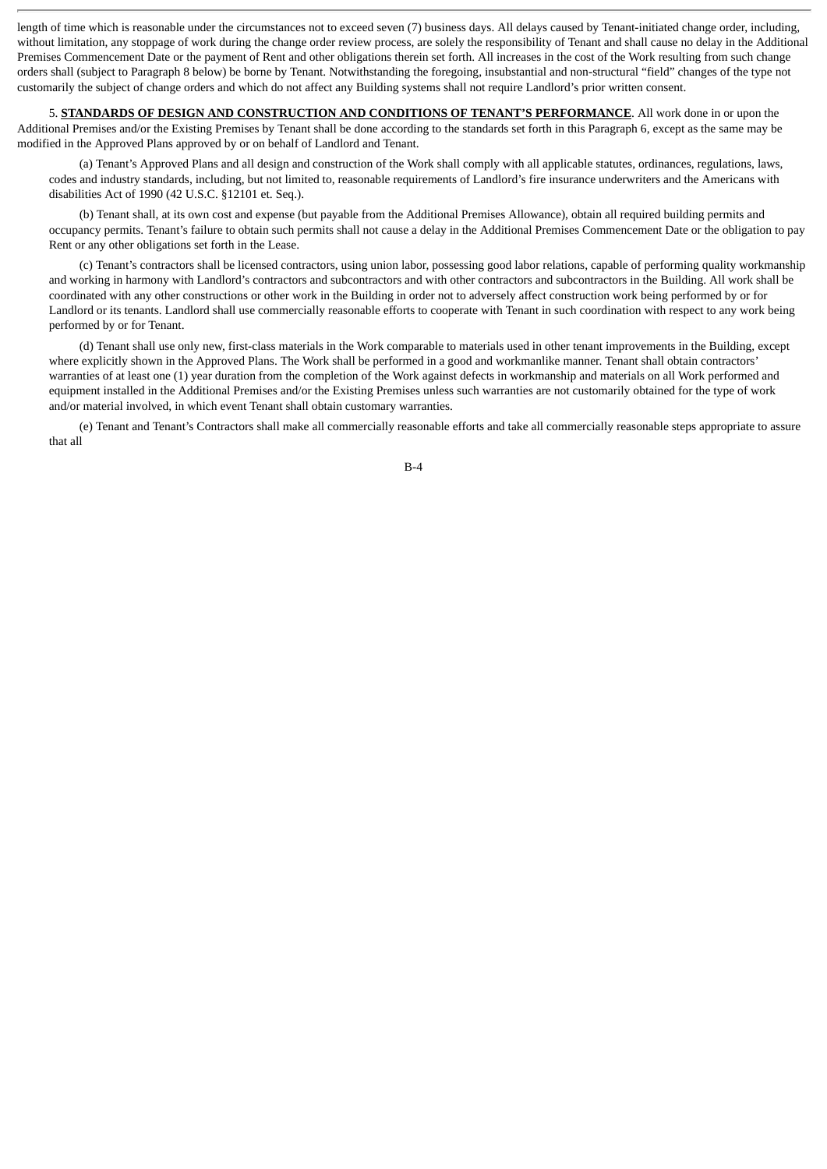length of time which is reasonable under the circumstances not to exceed seven (7) business days. All delays caused by Tenant-initiated change order, including, without limitation, any stoppage of work during the change order review process, are solely the responsibility of Tenant and shall cause no delay in the Additional Premises Commencement Date or the payment of Rent and other obligations therein set forth. All increases in the cost of the Work resulting from such change orders shall (subject to Paragraph 8 below) be borne by Tenant. Notwithstanding the foregoing, insubstantial and non-structural "field" changes of the type not customarily the subject of change orders and which do not affect any Building systems shall not require Landlord's prior written consent.

5. **STANDARDS OF DESIGN AND CONSTRUCTION AND CONDITIONS OF TENANT'S PERFORMANCE**. All work done in or upon the Additional Premises and/or the Existing Premises by Tenant shall be done according to the standards set forth in this Paragraph 6, except as the same may be modified in the Approved Plans approved by or on behalf of Landlord and Tenant.

(a) Tenant's Approved Plans and all design and construction of the Work shall comply with all applicable statutes, ordinances, regulations, laws, codes and industry standards, including, but not limited to, reasonable requirements of Landlord's fire insurance underwriters and the Americans with disabilities Act of 1990 (42 U.S.C. §12101 et. Seq.).

(b) Tenant shall, at its own cost and expense (but payable from the Additional Premises Allowance), obtain all required building permits and occupancy permits. Tenant's failure to obtain such permits shall not cause a delay in the Additional Premises Commencement Date or the obligation to pay Rent or any other obligations set forth in the Lease.

(c) Tenant's contractors shall be licensed contractors, using union labor, possessing good labor relations, capable of performing quality workmanship and working in harmony with Landlord's contractors and subcontractors and with other contractors and subcontractors in the Building. All work shall be coordinated with any other constructions or other work in the Building in order not to adversely affect construction work being performed by or for Landlord or its tenants. Landlord shall use commercially reasonable efforts to cooperate with Tenant in such coordination with respect to any work being performed by or for Tenant.

(d) Tenant shall use only new, first-class materials in the Work comparable to materials used in other tenant improvements in the Building, except where explicitly shown in the Approved Plans. The Work shall be performed in a good and workmanlike manner. Tenant shall obtain contractors' warranties of at least one (1) year duration from the completion of the Work against defects in workmanship and materials on all Work performed and equipment installed in the Additional Premises and/or the Existing Premises unless such warranties are not customarily obtained for the type of work and/or material involved, in which event Tenant shall obtain customary warranties.

(e) Tenant and Tenant's Contractors shall make all commercially reasonable efforts and take all commercially reasonable steps appropriate to assure that all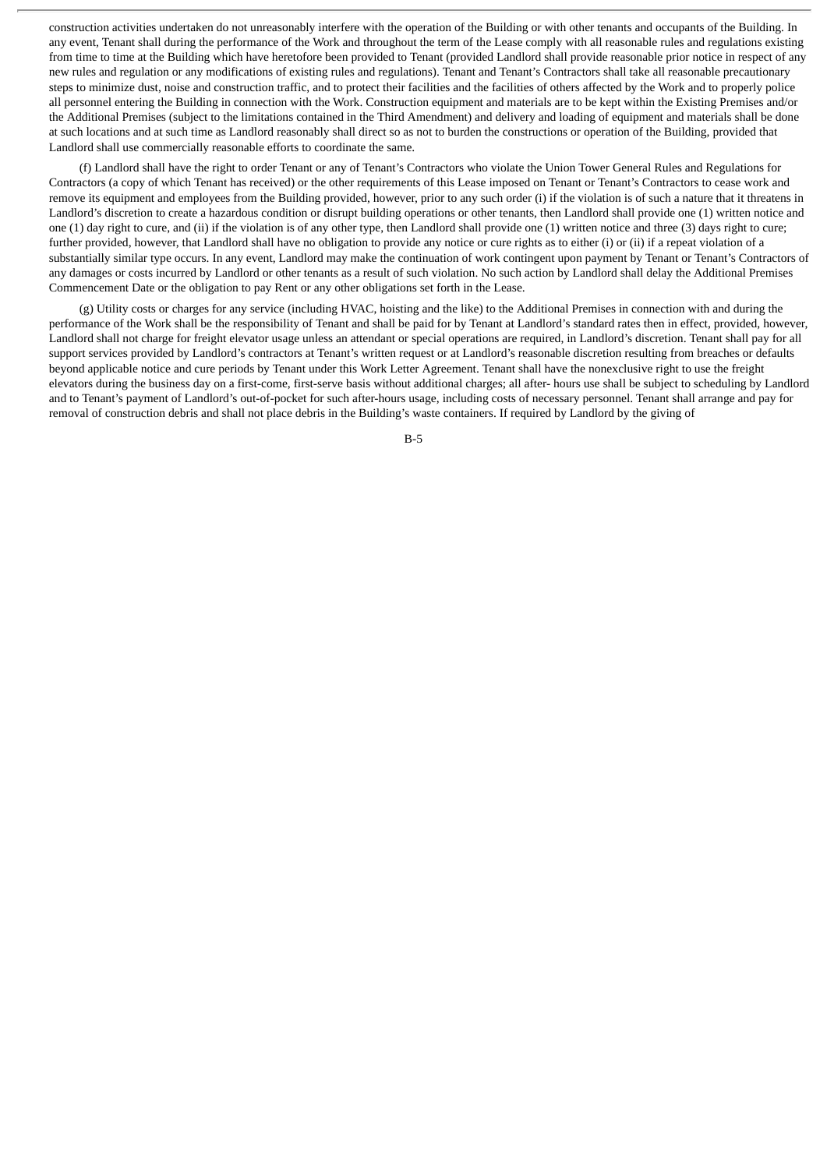construction activities undertaken do not unreasonably interfere with the operation of the Building or with other tenants and occupants of the Building. In any event, Tenant shall during the performance of the Work and throughout the term of the Lease comply with all reasonable rules and regulations existing from time to time at the Building which have heretofore been provided to Tenant (provided Landlord shall provide reasonable prior notice in respect of any new rules and regulation or any modifications of existing rules and regulations). Tenant and Tenant's Contractors shall take all reasonable precautionary steps to minimize dust, noise and construction traffic, and to protect their facilities and the facilities of others affected by the Work and to properly police all personnel entering the Building in connection with the Work. Construction equipment and materials are to be kept within the Existing Premises and/or the Additional Premises (subject to the limitations contained in the Third Amendment) and delivery and loading of equipment and materials shall be done at such locations and at such time as Landlord reasonably shall direct so as not to burden the constructions or operation of the Building, provided that Landlord shall use commercially reasonable efforts to coordinate the same.

(f) Landlord shall have the right to order Tenant or any of Tenant's Contractors who violate the Union Tower General Rules and Regulations for Contractors (a copy of which Tenant has received) or the other requirements of this Lease imposed on Tenant or Tenant's Contractors to cease work and remove its equipment and employees from the Building provided, however, prior to any such order (i) if the violation is of such a nature that it threatens in Landlord's discretion to create a hazardous condition or disrupt building operations or other tenants, then Landlord shall provide one (1) written notice and one (1) day right to cure, and (ii) if the violation is of any other type, then Landlord shall provide one (1) written notice and three (3) days right to cure; further provided, however, that Landlord shall have no obligation to provide any notice or cure rights as to either (i) or (ii) if a repeat violation of a substantially similar type occurs. In any event, Landlord may make the continuation of work contingent upon payment by Tenant or Tenant's Contractors of any damages or costs incurred by Landlord or other tenants as a result of such violation. No such action by Landlord shall delay the Additional Premises Commencement Date or the obligation to pay Rent or any other obligations set forth in the Lease.

(g) Utility costs or charges for any service (including HVAC, hoisting and the like) to the Additional Premises in connection with and during the performance of the Work shall be the responsibility of Tenant and shall be paid for by Tenant at Landlord's standard rates then in effect, provided, however, Landlord shall not charge for freight elevator usage unless an attendant or special operations are required, in Landlord's discretion. Tenant shall pay for all support services provided by Landlord's contractors at Tenant's written request or at Landlord's reasonable discretion resulting from breaches or defaults beyond applicable notice and cure periods by Tenant under this Work Letter Agreement. Tenant shall have the nonexclusive right to use the freight elevators during the business day on a first-come, first-serve basis without additional charges; all after- hours use shall be subject to scheduling by Landlord and to Tenant's payment of Landlord's out-of-pocket for such after-hours usage, including costs of necessary personnel. Tenant shall arrange and pay for removal of construction debris and shall not place debris in the Building's waste containers. If required by Landlord by the giving of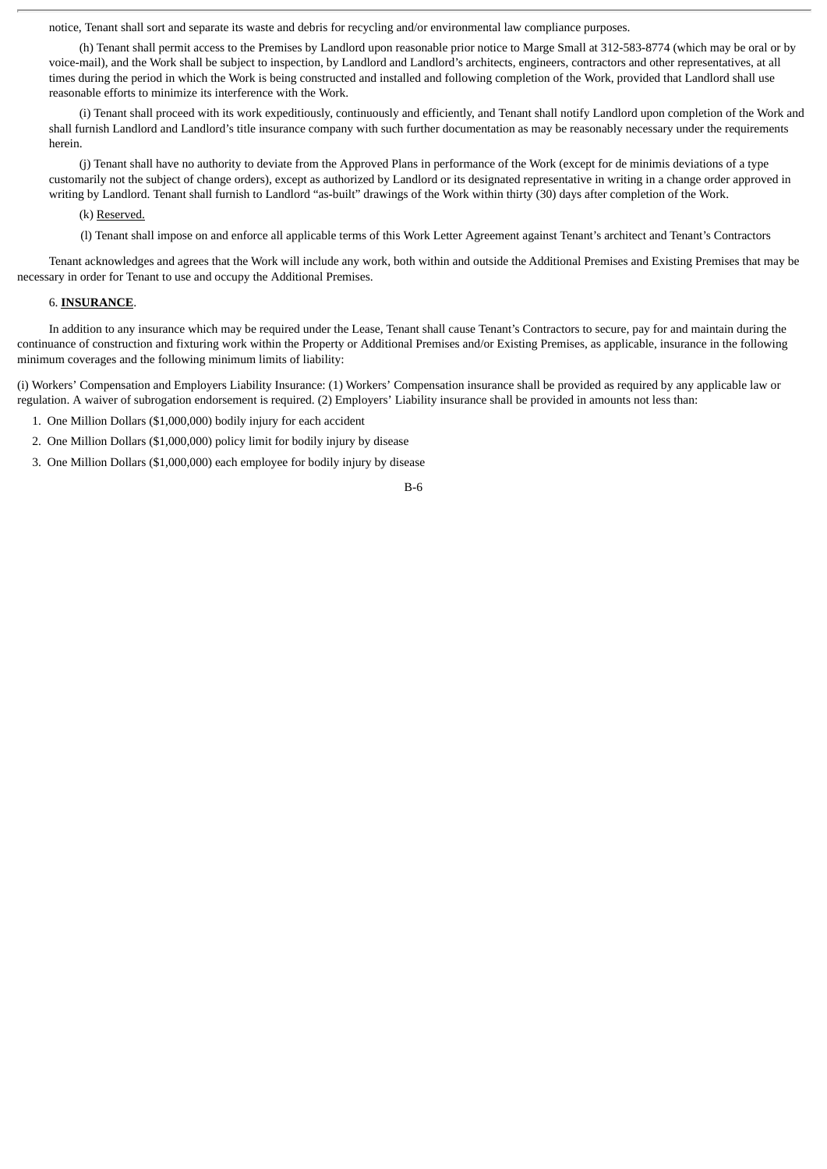notice, Tenant shall sort and separate its waste and debris for recycling and/or environmental law compliance purposes.

(h) Tenant shall permit access to the Premises by Landlord upon reasonable prior notice to Marge Small at 312-583-8774 (which may be oral or by voice-mail), and the Work shall be subject to inspection, by Landlord and Landlord's architects, engineers, contractors and other representatives, at all times during the period in which the Work is being constructed and installed and following completion of the Work, provided that Landlord shall use reasonable efforts to minimize its interference with the Work.

(i) Tenant shall proceed with its work expeditiously, continuously and efficiently, and Tenant shall notify Landlord upon completion of the Work and shall furnish Landlord and Landlord's title insurance company with such further documentation as may be reasonably necessary under the requirements herein.

(j) Tenant shall have no authority to deviate from the Approved Plans in performance of the Work (except for de minimis deviations of a type customarily not the subject of change orders), except as authorized by Landlord or its designated representative in writing in a change order approved in writing by Landlord. Tenant shall furnish to Landlord "as-built" drawings of the Work within thirty (30) days after completion of the Work.

## (k) Reserved.

(l) Tenant shall impose on and enforce all applicable terms of this Work Letter Agreement against Tenant's architect and Tenant's Contractors

Tenant acknowledges and agrees that the Work will include any work, both within and outside the Additional Premises and Existing Premises that may be necessary in order for Tenant to use and occupy the Additional Premises.

#### 6. **INSURANCE**.

In addition to any insurance which may be required under the Lease, Tenant shall cause Tenant's Contractors to secure, pay for and maintain during the continuance of construction and fixturing work within the Property or Additional Premises and/or Existing Premises, as applicable, insurance in the following minimum coverages and the following minimum limits of liability:

(i) Workers' Compensation and Employers Liability Insurance: (1) Workers' Compensation insurance shall be provided as required by any applicable law or regulation. A waiver of subrogation endorsement is required. (2) Employers' Liability insurance shall be provided in amounts not less than:

1. One Million Dollars (\$1,000,000) bodily injury for each accident

2. One Million Dollars (\$1,000,000) policy limit for bodily injury by disease

3. One Million Dollars (\$1,000,000) each employee for bodily injury by disease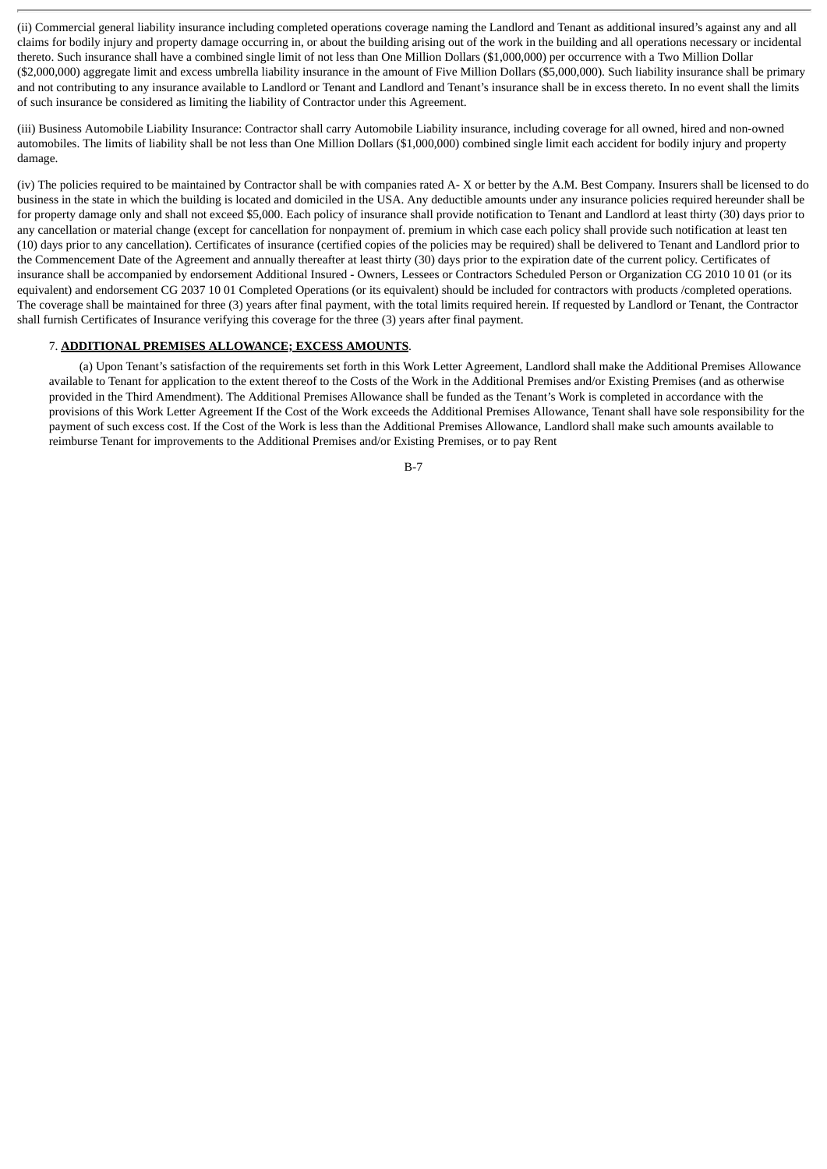(ii) Commercial general liability insurance including completed operations coverage naming the Landlord and Tenant as additional insured's against any and all claims for bodily injury and property damage occurring in, or about the building arising out of the work in the building and all operations necessary or incidental thereto. Such insurance shall have a combined single limit of not less than One Million Dollars (\$1,000,000) per occurrence with a Two Million Dollar (\$2,000,000) aggregate limit and excess umbrella liability insurance in the amount of Five Million Dollars (\$5,000,000). Such liability insurance shall be primary and not contributing to any insurance available to Landlord or Tenant and Landlord and Tenant's insurance shall be in excess thereto. In no event shall the limits of such insurance be considered as limiting the liability of Contractor under this Agreement.

(iii) Business Automobile Liability Insurance: Contractor shall carry Automobile Liability insurance, including coverage for all owned, hired and non-owned automobiles. The limits of liability shall be not less than One Million Dollars (\$1,000,000) combined single limit each accident for bodily injury and property damage.

(iv) The policies required to be maintained by Contractor shall be with companies rated A- X or better by the A.M. Best Company. Insurers shall be licensed to do business in the state in which the building is located and domiciled in the USA. Any deductible amounts under any insurance policies required hereunder shall be for property damage only and shall not exceed \$5,000. Each policy of insurance shall provide notification to Tenant and Landlord at least thirty (30) days prior to any cancellation or material change (except for cancellation for nonpayment of. premium in which case each policy shall provide such notification at least ten (10) days prior to any cancellation). Certificates of insurance (certified copies of the policies may be required) shall be delivered to Tenant and Landlord prior to the Commencement Date of the Agreement and annually thereafter at least thirty (30) days prior to the expiration date of the current policy. Certificates of insurance shall be accompanied by endorsement Additional Insured - Owners, Lessees or Contractors Scheduled Person or Organization CG 2010 10 01 (or its equivalent) and endorsement CG 2037 10 01 Completed Operations (or its equivalent) should be included for contractors with products /completed operations. The coverage shall be maintained for three (3) years after final payment, with the total limits required herein. If requested by Landlord or Tenant, the Contractor shall furnish Certificates of Insurance verifying this coverage for the three (3) years after final payment.

## 7. **ADDITIONAL PREMISES ALLOWANCE; EXCESS AMOUNTS**.

(a) Upon Tenant's satisfaction of the requirements set forth in this Work Letter Agreement, Landlord shall make the Additional Premises Allowance available to Tenant for application to the extent thereof to the Costs of the Work in the Additional Premises and/or Existing Premises (and as otherwise provided in the Third Amendment). The Additional Premises Allowance shall be funded as the Tenant's Work is completed in accordance with the provisions of this Work Letter Agreement If the Cost of the Work exceeds the Additional Premises Allowance, Tenant shall have sole responsibility for the payment of such excess cost. If the Cost of the Work is less than the Additional Premises Allowance, Landlord shall make such amounts available to reimburse Tenant for improvements to the Additional Premises and/or Existing Premises, or to pay Rent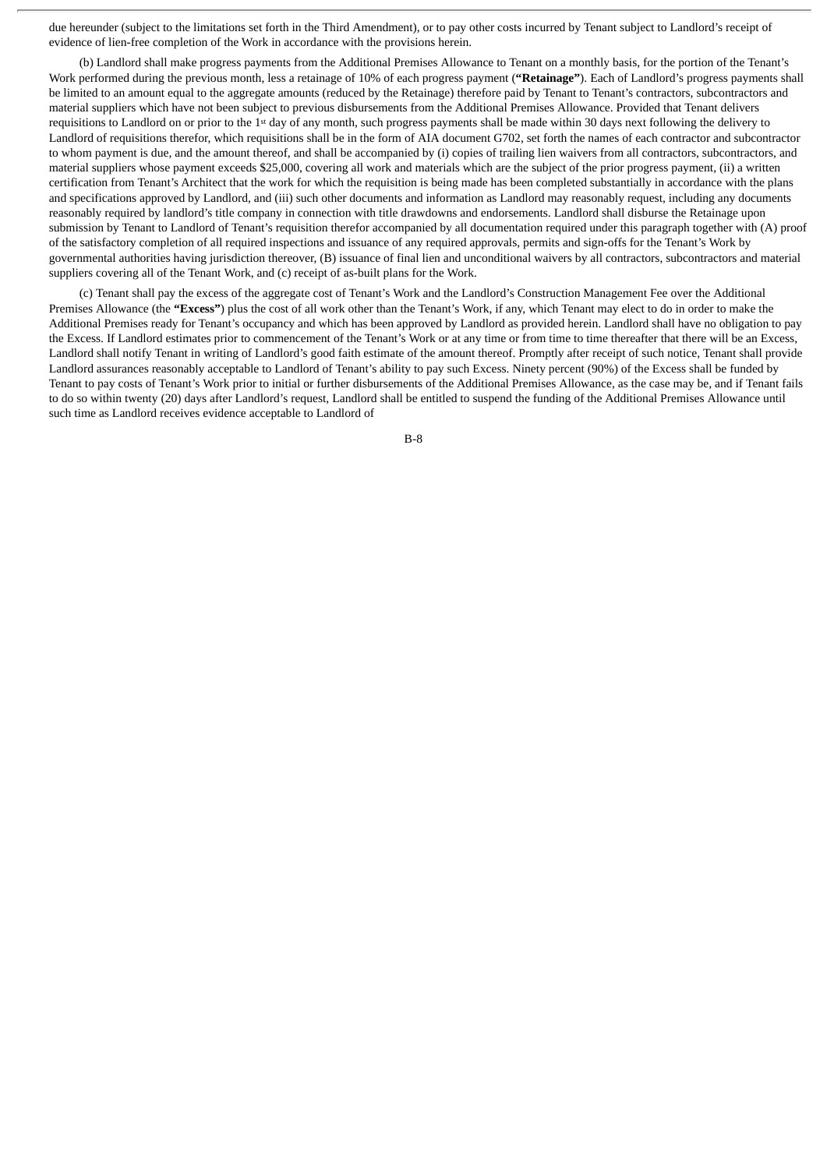due hereunder (subject to the limitations set forth in the Third Amendment), or to pay other costs incurred by Tenant subject to Landlord's receipt of evidence of lien-free completion of the Work in accordance with the provisions herein.

(b) Landlord shall make progress payments from the Additional Premises Allowance to Tenant on a monthly basis, for the portion of the Tenant's Work performed during the previous month, less a retainage of 10% of each progress payment (**"Retainage"**). Each of Landlord's progress payments shall be limited to an amount equal to the aggregate amounts (reduced by the Retainage) therefore paid by Tenant to Tenant's contractors, subcontractors and material suppliers which have not been subject to previous disbursements from the Additional Premises Allowance. Provided that Tenant delivers requisitions to Landlord on or prior to the  $1<sup>st</sup>$  day of any month, such progress payments shall be made within 30 days next following the delivery to Landlord of requisitions therefor, which requisitions shall be in the form of AIA document G702, set forth the names of each contractor and subcontractor to whom payment is due, and the amount thereof, and shall be accompanied by (i) copies of trailing lien waivers from all contractors, subcontractors, and material suppliers whose payment exceeds \$25,000, covering all work and materials which are the subject of the prior progress payment, (ii) a written certification from Tenant's Architect that the work for which the requisition is being made has been completed substantially in accordance with the plans and specifications approved by Landlord, and (iii) such other documents and information as Landlord may reasonably request, including any documents reasonably required by landlord's title company in connection with title drawdowns and endorsements. Landlord shall disburse the Retainage upon submission by Tenant to Landlord of Tenant's requisition therefor accompanied by all documentation required under this paragraph together with (A) proof of the satisfactory completion of all required inspections and issuance of any required approvals, permits and sign-offs for the Tenant's Work by governmental authorities having jurisdiction thereover, (B) issuance of final lien and unconditional waivers by all contractors, subcontractors and material suppliers covering all of the Tenant Work, and (c) receipt of as-built plans for the Work.

(c) Tenant shall pay the excess of the aggregate cost of Tenant's Work and the Landlord's Construction Management Fee over the Additional Premises Allowance (the **"Excess"**) plus the cost of all work other than the Tenant's Work, if any, which Tenant may elect to do in order to make the Additional Premises ready for Tenant's occupancy and which has been approved by Landlord as provided herein. Landlord shall have no obligation to pay the Excess. If Landlord estimates prior to commencement of the Tenant's Work or at any time or from time to time thereafter that there will be an Excess, Landlord shall notify Tenant in writing of Landlord's good faith estimate of the amount thereof. Promptly after receipt of such notice, Tenant shall provide Landlord assurances reasonably acceptable to Landlord of Tenant's ability to pay such Excess. Ninety percent (90%) of the Excess shall be funded by Tenant to pay costs of Tenant's Work prior to initial or further disbursements of the Additional Premises Allowance, as the case may be, and if Tenant fails to do so within twenty (20) days after Landlord's request, Landlord shall be entitled to suspend the funding of the Additional Premises Allowance until such time as Landlord receives evidence acceptable to Landlord of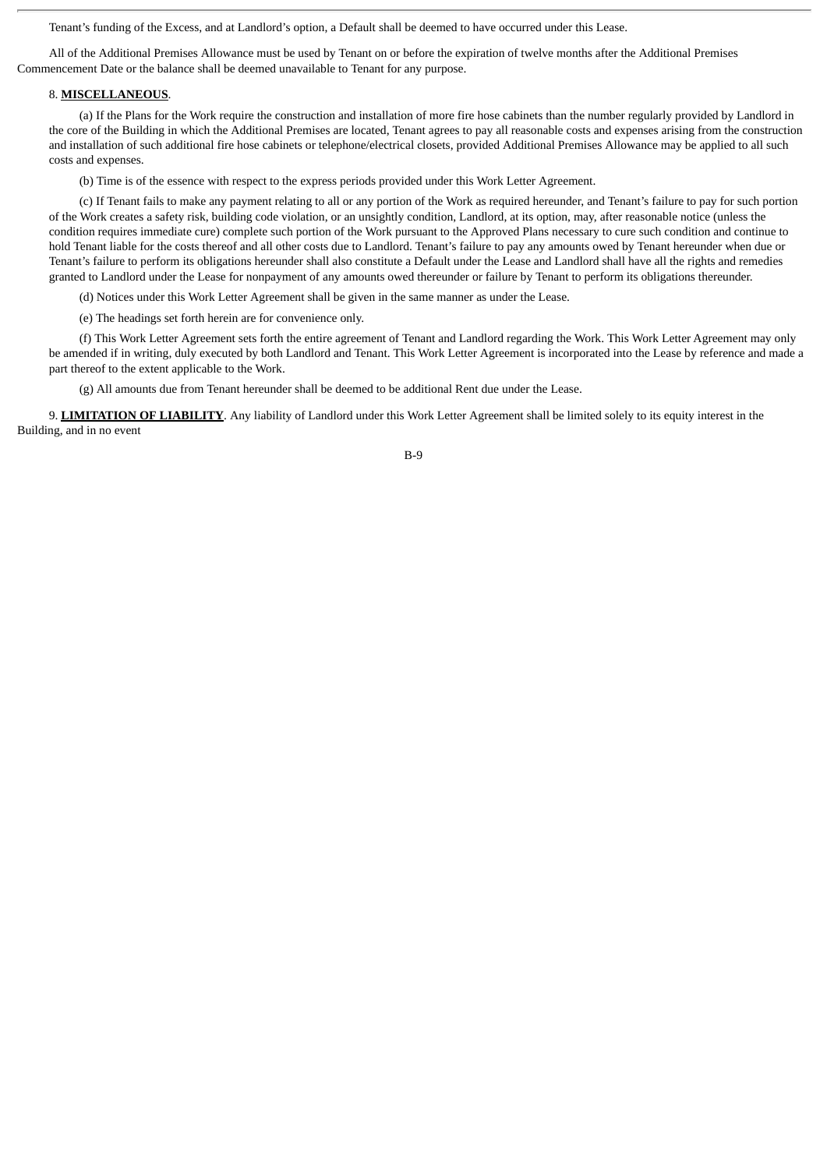Tenant's funding of the Excess, and at Landlord's option, a Default shall be deemed to have occurred under this Lease.

All of the Additional Premises Allowance must be used by Tenant on or before the expiration of twelve months after the Additional Premises Commencement Date or the balance shall be deemed unavailable to Tenant for any purpose.

#### 8. **MISCELLANEOUS**.

(a) If the Plans for the Work require the construction and installation of more fire hose cabinets than the number regularly provided by Landlord in the core of the Building in which the Additional Premises are located, Tenant agrees to pay all reasonable costs and expenses arising from the construction and installation of such additional fire hose cabinets or telephone/electrical closets, provided Additional Premises Allowance may be applied to all such costs and expenses.

(b) Time is of the essence with respect to the express periods provided under this Work Letter Agreement.

(c) If Tenant fails to make any payment relating to all or any portion of the Work as required hereunder, and Tenant's failure to pay for such portion of the Work creates a safety risk, building code violation, or an unsightly condition, Landlord, at its option, may, after reasonable notice (unless the condition requires immediate cure) complete such portion of the Work pursuant to the Approved Plans necessary to cure such condition and continue to hold Tenant liable for the costs thereof and all other costs due to Landlord. Tenant's failure to pay any amounts owed by Tenant hereunder when due or Tenant's failure to perform its obligations hereunder shall also constitute a Default under the Lease and Landlord shall have all the rights and remedies granted to Landlord under the Lease for nonpayment of any amounts owed thereunder or failure by Tenant to perform its obligations thereunder.

(d) Notices under this Work Letter Agreement shall be given in the same manner as under the Lease.

(e) The headings set forth herein are for convenience only.

(f) This Work Letter Agreement sets forth the entire agreement of Tenant and Landlord regarding the Work. This Work Letter Agreement may only be amended if in writing, duly executed by both Landlord and Tenant. This Work Letter Agreement is incorporated into the Lease by reference and made a part thereof to the extent applicable to the Work.

(g) All amounts due from Tenant hereunder shall be deemed to be additional Rent due under the Lease.

9. **LIMITATION OF LIABILITY**. Any liability of Landlord under this Work Letter Agreement shall be limited solely to its equity interest in the Building, and in no event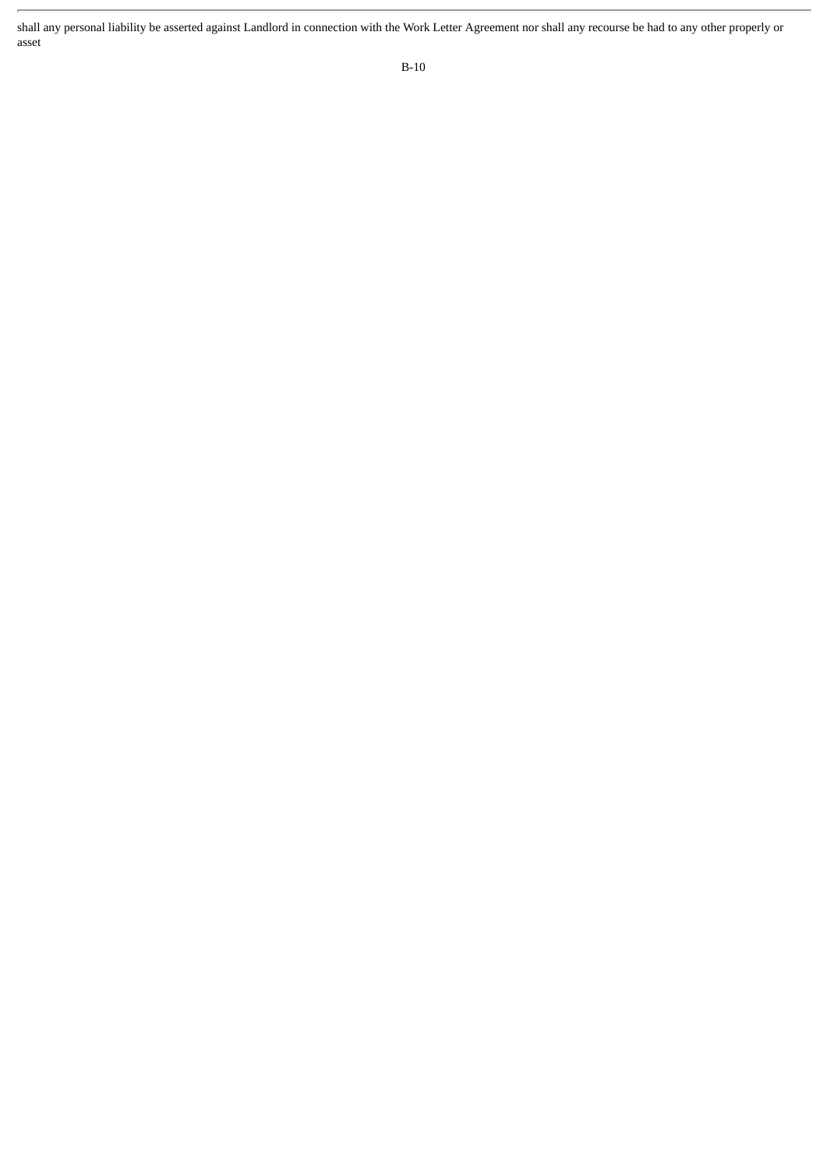shall any personal liability be asserted against Landlord in connection with the Work Letter Agreement nor shall any recourse be had to any other properly or asset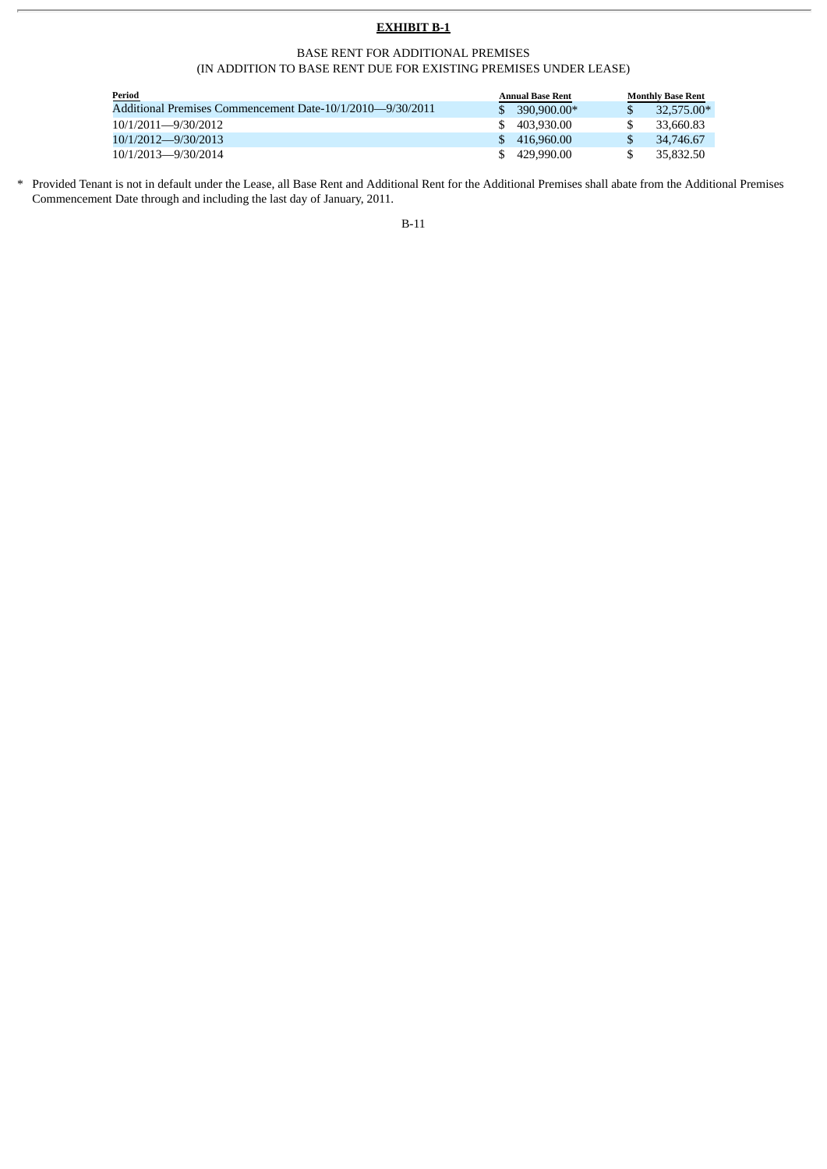# **EXHIBIT B-1**

# BASE RENT FOR ADDITIONAL PREMISES (IN ADDITION TO BASE RENT DUE FOR EXISTING PREMISES UNDER LEASE)

| <b>Period</b>                                             | Annual Base Rent |  | <b>Monthly Base Rent</b> |  |
|-----------------------------------------------------------|------------------|--|--------------------------|--|
| Additional Premises Commencement Date-10/1/2010-9/30/2011 | 390,900.00*      |  | 32,575.00*               |  |
| 10/1/2011-9/30/2012                                       | 403.930.00       |  | 33.660.83                |  |
| 10/1/2012-9/30/2013                                       | 416,960,00       |  | 34,746.67                |  |
| 10/1/2013-9/30/2014                                       | 429.990.00       |  | 35.832.50                |  |

\* Provided Tenant is not in default under the Lease, all Base Rent and Additional Rent for the Additional Premises shall abate from the Additional Premises Commencement Date through and including the last day of January, 2011.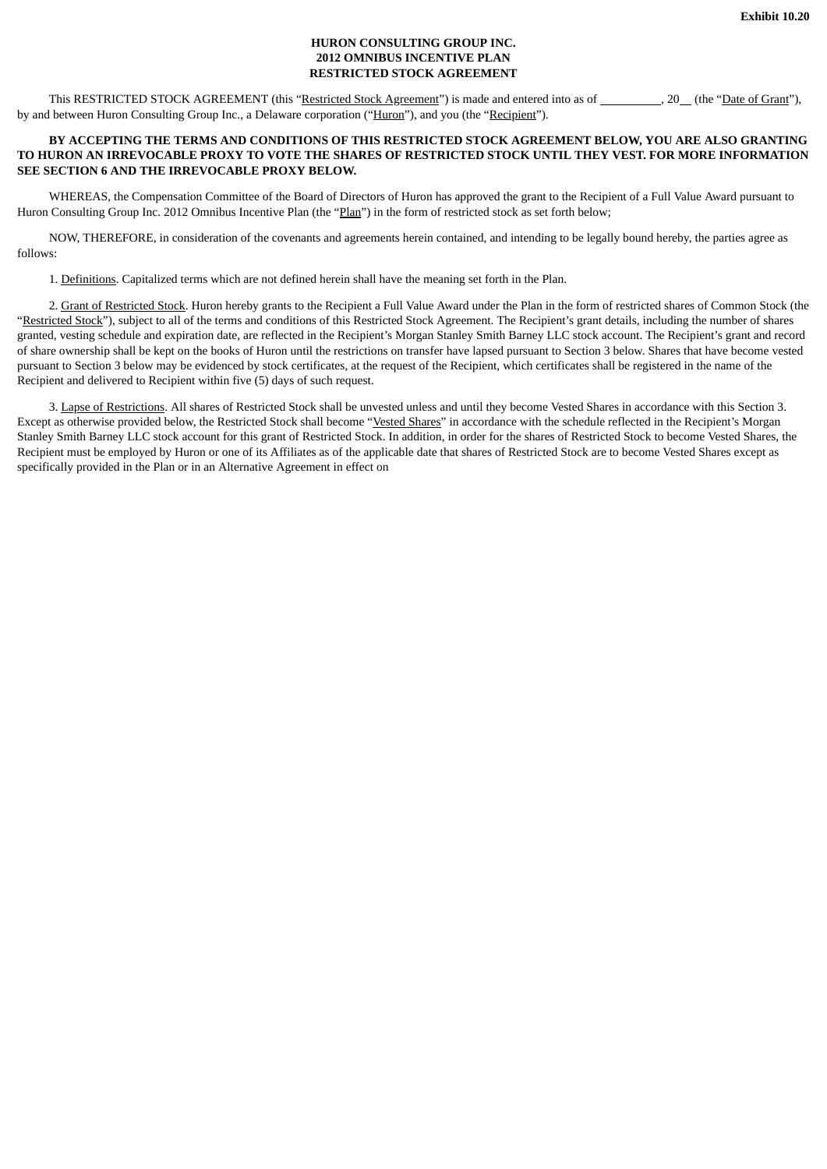## **HURON CONSULTING GROUP INC. 2012 OMNIBUS INCENTIVE PLAN RESTRICTED STOCK AGREEMENT**

This RESTRICTED STOCK AGREEMENT (this "Restricted Stock Agreement") is made and entered into as of \_\_\_\_\_\_\_\_\_\_, 20 \_\_ (the "Date of Grant"), by and between Huron Consulting Group Inc., a Delaware corporation ("Huron"), and you (the "Recipient").

# **BY ACCEPTING THE TERMS AND CONDITIONS OF THIS RESTRICTED STOCK AGREEMENT BELOW, YOU ARE ALSO GRANTING TO HURON AN IRREVOCABLE PROXY TO VOTE THE SHARES OF RESTRICTED STOCK UNTIL THEY VEST. FOR MORE INFORMATION SEE SECTION 6 AND THE IRREVOCABLE PROXY BELOW.**

WHEREAS, the Compensation Committee of the Board of Directors of Huron has approved the grant to the Recipient of a Full Value Award pursuant to Huron Consulting Group Inc. 2012 Omnibus Incentive Plan (the "Plan") in the form of restricted stock as set forth below;

NOW, THEREFORE, in consideration of the covenants and agreements herein contained, and intending to be legally bound hereby, the parties agree as follows:

1. Definitions. Capitalized terms which are not defined herein shall have the meaning set forth in the Plan.

2. Grant of Restricted Stock. Huron hereby grants to the Recipient a Full Value Award under the Plan in the form of restricted shares of Common Stock (the "Restricted Stock"), subject to all of the terms and conditions of this Restricted Stock Agreement. The Recipient's grant details, including the number of shares granted, vesting schedule and expiration date, are reflected in the Recipient's Morgan Stanley Smith Barney LLC stock account. The Recipient's grant and record of share ownership shall be kept on the books of Huron until the restrictions on transfer have lapsed pursuant to Section 3 below. Shares that have become vested pursuant to Section 3 below may be evidenced by stock certificates, at the request of the Recipient, which certificates shall be registered in the name of the Recipient and delivered to Recipient within five (5) days of such request.

3. Lapse of Restrictions. All shares of Restricted Stock shall be unvested unless and until they become Vested Shares in accordance with this Section 3. Except as otherwise provided below, the Restricted Stock shall become "Vested Shares" in accordance with the schedule reflected in the Recipient's Morgan Stanley Smith Barney LLC stock account for this grant of Restricted Stock. In addition, in order for the shares of Restricted Stock to become Vested Shares, the Recipient must be employed by Huron or one of its Affiliates as of the applicable date that shares of Restricted Stock are to become Vested Shares except as specifically provided in the Plan or in an Alternative Agreement in effect on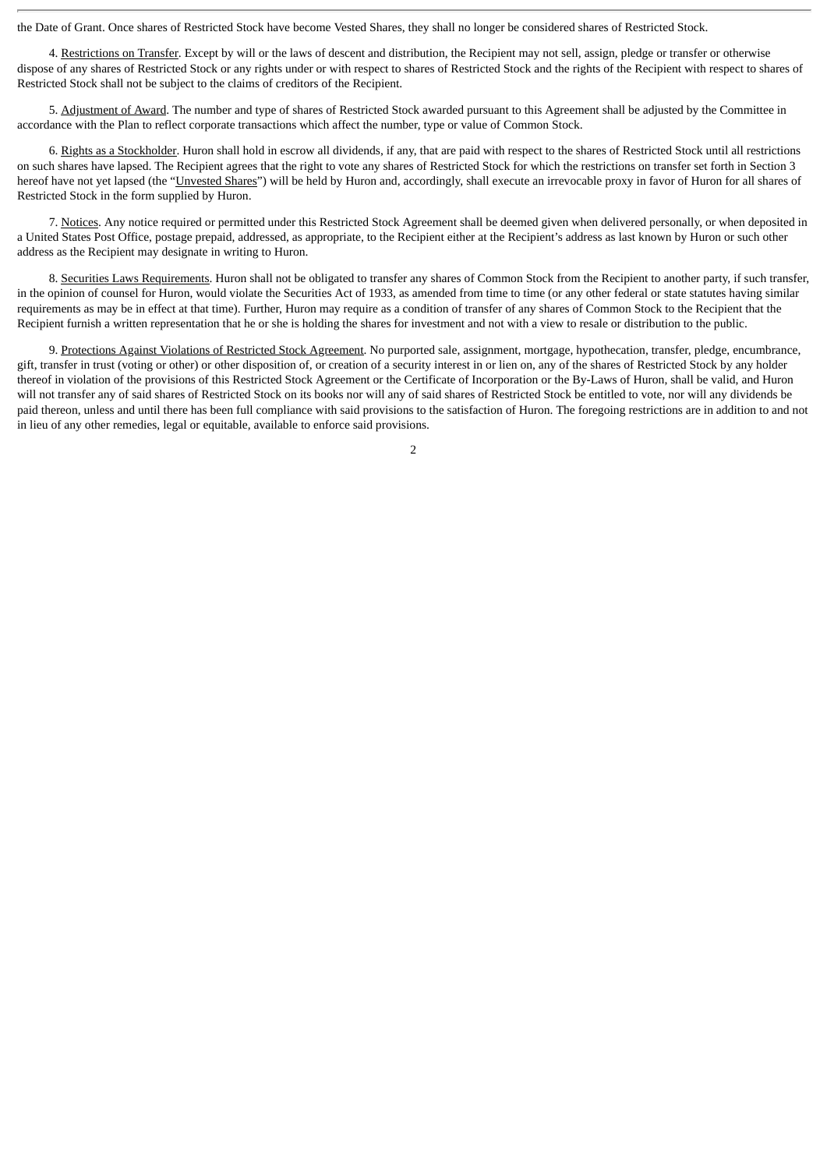the Date of Grant. Once shares of Restricted Stock have become Vested Shares, they shall no longer be considered shares of Restricted Stock.

4. Restrictions on Transfer. Except by will or the laws of descent and distribution, the Recipient may not sell, assign, pledge or transfer or otherwise dispose of any shares of Restricted Stock or any rights under or with respect to shares of Restricted Stock and the rights of the Recipient with respect to shares of Restricted Stock shall not be subject to the claims of creditors of the Recipient.

5. Adjustment of Award. The number and type of shares of Restricted Stock awarded pursuant to this Agreement shall be adjusted by the Committee in accordance with the Plan to reflect corporate transactions which affect the number, type or value of Common Stock.

6. Rights as a Stockholder. Huron shall hold in escrow all dividends, if any, that are paid with respect to the shares of Restricted Stock until all restrictions on such shares have lapsed. The Recipient agrees that the right to vote any shares of Restricted Stock for which the restrictions on transfer set forth in Section 3 hereof have not yet lapsed (the "Unvested Shares") will be held by Huron and, accordingly, shall execute an irrevocable proxy in favor of Huron for all shares of Restricted Stock in the form supplied by Huron.

7. Notices. Any notice required or permitted under this Restricted Stock Agreement shall be deemed given when delivered personally, or when deposited in a United States Post Office, postage prepaid, addressed, as appropriate, to the Recipient either at the Recipient's address as last known by Huron or such other address as the Recipient may designate in writing to Huron.

8. Securities Laws Requirements. Huron shall not be obligated to transfer any shares of Common Stock from the Recipient to another party, if such transfer, in the opinion of counsel for Huron, would violate the Securities Act of 1933, as amended from time to time (or any other federal or state statutes having similar requirements as may be in effect at that time). Further, Huron may require as a condition of transfer of any shares of Common Stock to the Recipient that the Recipient furnish a written representation that he or she is holding the shares for investment and not with a view to resale or distribution to the public.

9. Protections Against Violations of Restricted Stock Agreement. No purported sale, assignment, mortgage, hypothecation, transfer, pledge, encumbrance, gift, transfer in trust (voting or other) or other disposition of, or creation of a security interest in or lien on, any of the shares of Restricted Stock by any holder thereof in violation of the provisions of this Restricted Stock Agreement or the Certificate of Incorporation or the By-Laws of Huron, shall be valid, and Huron will not transfer any of said shares of Restricted Stock on its books nor will any of said shares of Restricted Stock be entitled to vote, nor will any dividends be paid thereon, unless and until there has been full compliance with said provisions to the satisfaction of Huron. The foregoing restrictions are in addition to and not in lieu of any other remedies, legal or equitable, available to enforce said provisions.

 $\overline{2}$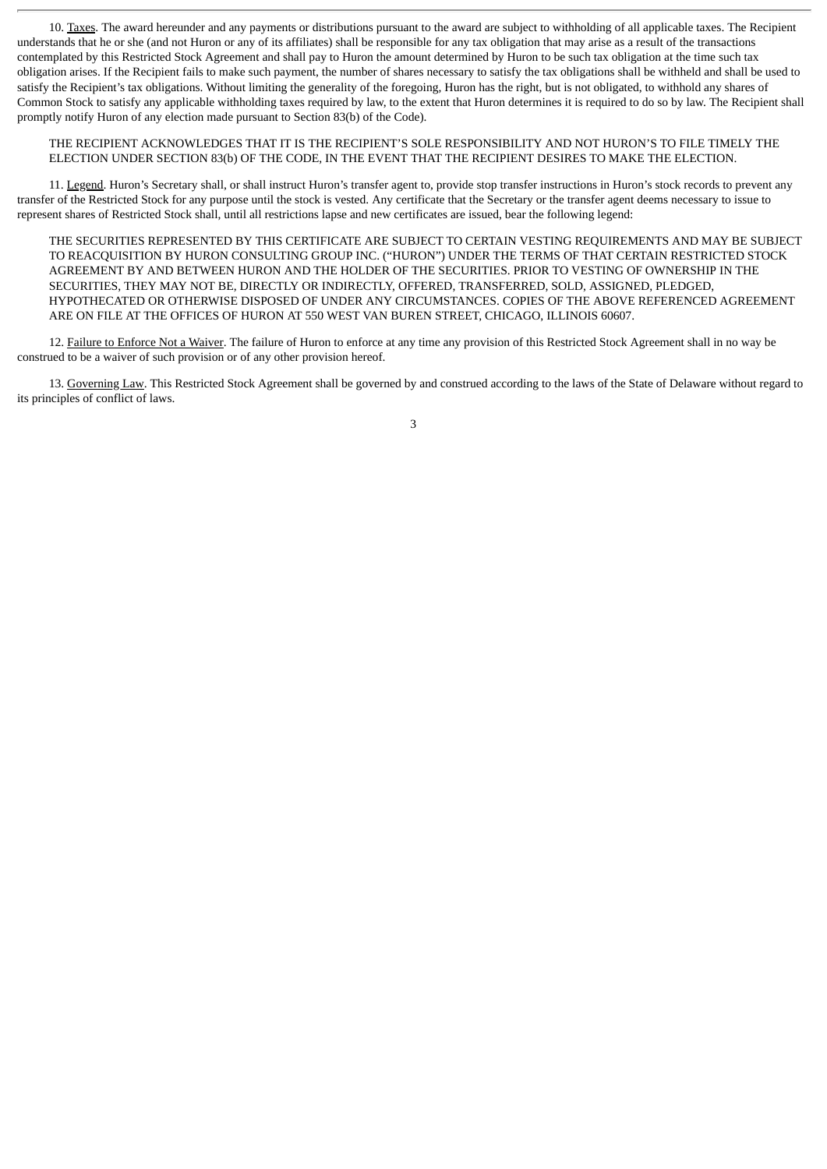10. Taxes. The award hereunder and any payments or distributions pursuant to the award are subject to withholding of all applicable taxes. The Recipient understands that he or she (and not Huron or any of its affiliates) shall be responsible for any tax obligation that may arise as a result of the transactions contemplated by this Restricted Stock Agreement and shall pay to Huron the amount determined by Huron to be such tax obligation at the time such tax obligation arises. If the Recipient fails to make such payment, the number of shares necessary to satisfy the tax obligations shall be withheld and shall be used to satisfy the Recipient's tax obligations. Without limiting the generality of the foregoing, Huron has the right, but is not obligated, to withhold any shares of Common Stock to satisfy any applicable withholding taxes required by law, to the extent that Huron determines it is required to do so by law. The Recipient shall promptly notify Huron of any election made pursuant to Section 83(b) of the Code).

## THE RECIPIENT ACKNOWLEDGES THAT IT IS THE RECIPIENT'S SOLE RESPONSIBILITY AND NOT HURON'S TO FILE TIMELY THE ELECTION UNDER SECTION 83(b) OF THE CODE, IN THE EVENT THAT THE RECIPIENT DESIRES TO MAKE THE ELECTION.

11. Legend. Huron's Secretary shall, or shall instruct Huron's transfer agent to, provide stop transfer instructions in Huron's stock records to prevent any transfer of the Restricted Stock for any purpose until the stock is vested. Any certificate that the Secretary or the transfer agent deems necessary to issue to represent shares of Restricted Stock shall, until all restrictions lapse and new certificates are issued, bear the following legend:

THE SECURITIES REPRESENTED BY THIS CERTIFICATE ARE SUBJECT TO CERTAIN VESTING REQUIREMENTS AND MAY BE SUBJECT TO REACQUISITION BY HURON CONSULTING GROUP INC. ("HURON") UNDER THE TERMS OF THAT CERTAIN RESTRICTED STOCK AGREEMENT BY AND BETWEEN HURON AND THE HOLDER OF THE SECURITIES. PRIOR TO VESTING OF OWNERSHIP IN THE SECURITIES, THEY MAY NOT BE, DIRECTLY OR INDIRECTLY, OFFERED, TRANSFERRED, SOLD, ASSIGNED, PLEDGED, HYPOTHECATED OR OTHERWISE DISPOSED OF UNDER ANY CIRCUMSTANCES. COPIES OF THE ABOVE REFERENCED AGREEMENT ARE ON FILE AT THE OFFICES OF HURON AT 550 WEST VAN BUREN STREET, CHICAGO, ILLINOIS 60607.

12. Failure to Enforce Not a Waiver. The failure of Huron to enforce at any time any provision of this Restricted Stock Agreement shall in no way be construed to be a waiver of such provision or of any other provision hereof.

13. Governing Law. This Restricted Stock Agreement shall be governed by and construed according to the laws of the State of Delaware without regard to its principles of conflict of laws.

3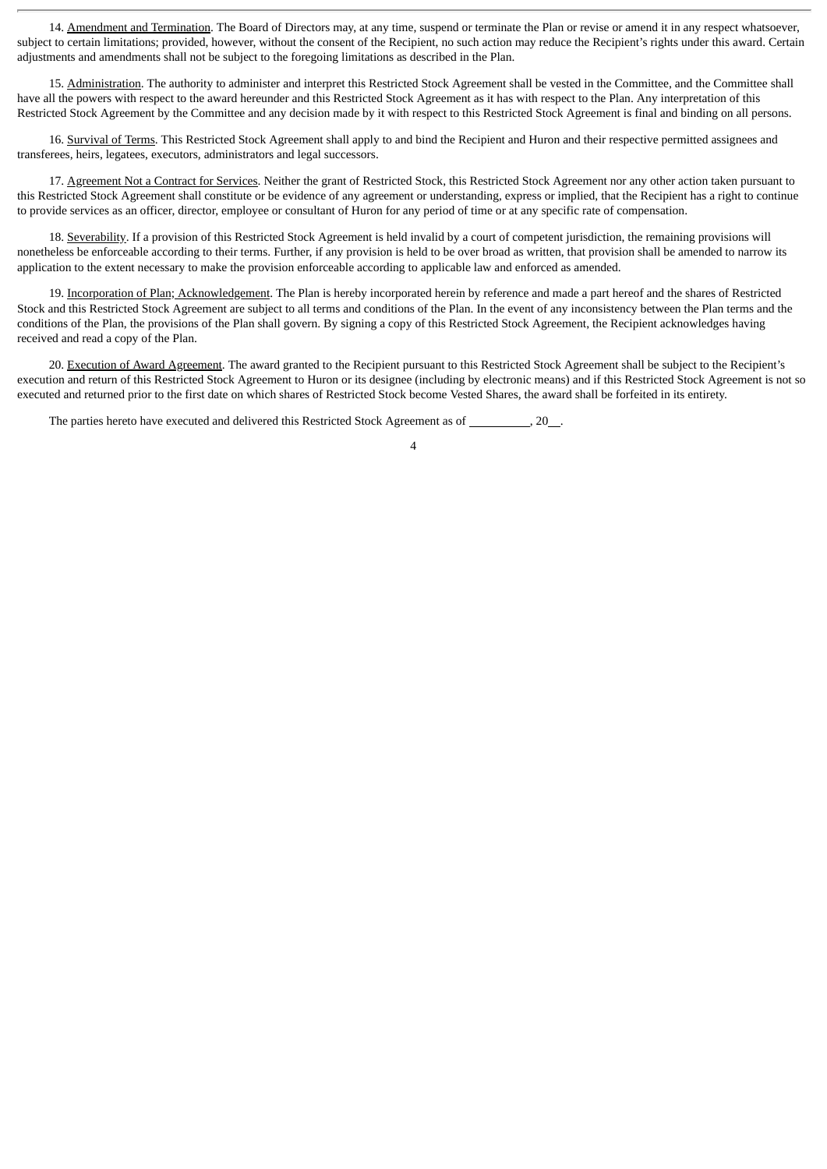14. Amendment and Termination. The Board of Directors may, at any time, suspend or terminate the Plan or revise or amend it in any respect whatsoever, subject to certain limitations; provided, however, without the consent of the Recipient, no such action may reduce the Recipient's rights under this award. Certain adjustments and amendments shall not be subject to the foregoing limitations as described in the Plan.

15. Administration. The authority to administer and interpret this Restricted Stock Agreement shall be vested in the Committee, and the Committee shall have all the powers with respect to the award hereunder and this Restricted Stock Agreement as it has with respect to the Plan. Any interpretation of this Restricted Stock Agreement by the Committee and any decision made by it with respect to this Restricted Stock Agreement is final and binding on all persons.

16. Survival of Terms. This Restricted Stock Agreement shall apply to and bind the Recipient and Huron and their respective permitted assignees and transferees, heirs, legatees, executors, administrators and legal successors.

17. Agreement Not a Contract for Services. Neither the grant of Restricted Stock, this Restricted Stock Agreement nor any other action taken pursuant to this Restricted Stock Agreement shall constitute or be evidence of any agreement or understanding, express or implied, that the Recipient has a right to continue to provide services as an officer, director, employee or consultant of Huron for any period of time or at any specific rate of compensation.

18. Severability. If a provision of this Restricted Stock Agreement is held invalid by a court of competent jurisdiction, the remaining provisions will nonetheless be enforceable according to their terms. Further, if any provision is held to be over broad as written, that provision shall be amended to narrow its application to the extent necessary to make the provision enforceable according to applicable law and enforced as amended.

19. Incorporation of Plan; Acknowledgement. The Plan is hereby incorporated herein by reference and made a part hereof and the shares of Restricted Stock and this Restricted Stock Agreement are subject to all terms and conditions of the Plan. In the event of any inconsistency between the Plan terms and the conditions of the Plan, the provisions of the Plan shall govern. By signing a copy of this Restricted Stock Agreement, the Recipient acknowledges having received and read a copy of the Plan.

20. Execution of Award Agreement. The award granted to the Recipient pursuant to this Restricted Stock Agreement shall be subject to the Recipient's execution and return of this Restricted Stock Agreement to Huron or its designee (including by electronic means) and if this Restricted Stock Agreement is not so executed and returned prior to the first date on which shares of Restricted Stock become Vested Shares, the award shall be forfeited in its entirety.

The parties hereto have executed and delivered this Restricted Stock Agreement as of  $\qquad \qquad .20$ .

4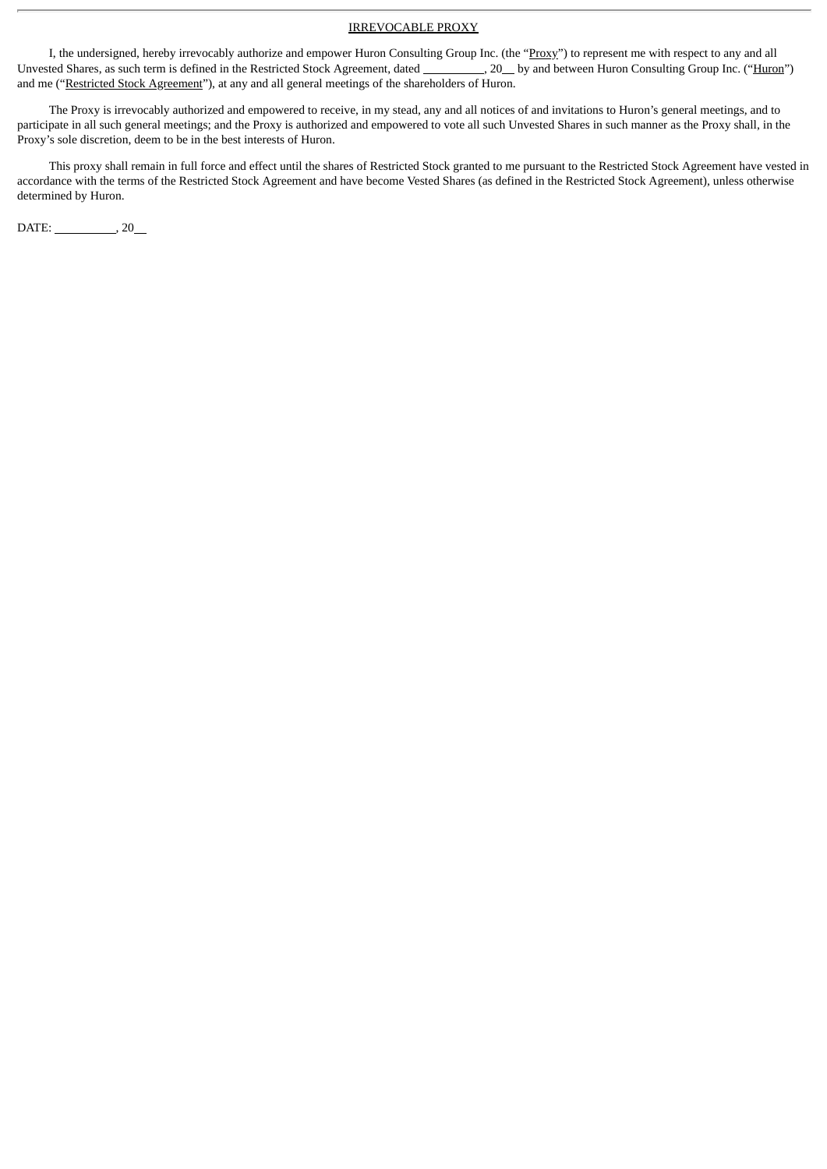#### IRREVOCABLE PROXY

I, the undersigned, hereby irrevocably authorize and empower Huron Consulting Group Inc. (the "Proxy") to represent me with respect to any and all Unvested Shares, as such term is defined in the Restricted Stock Agreement, dated \_\_\_\_\_\_\_\_\_, 20\_\_ by and between Huron Consulting Group Inc. ("Huron") and me ("Restricted Stock Agreement"), at any and all general meetings of the shareholders of Huron.

The Proxy is irrevocably authorized and empowered to receive, in my stead, any and all notices of and invitations to Huron's general meetings, and to participate in all such general meetings; and the Proxy is authorized and empowered to vote all such Unvested Shares in such manner as the Proxy shall, in the Proxy's sole discretion, deem to be in the best interests of Huron.

This proxy shall remain in full force and effect until the shares of Restricted Stock granted to me pursuant to the Restricted Stock Agreement have vested in accordance with the terms of the Restricted Stock Agreement and have become Vested Shares (as defined in the Restricted Stock Agreement), unless otherwise determined by Huron.

 $DATE:$   $\frac{1}{20}$  , 20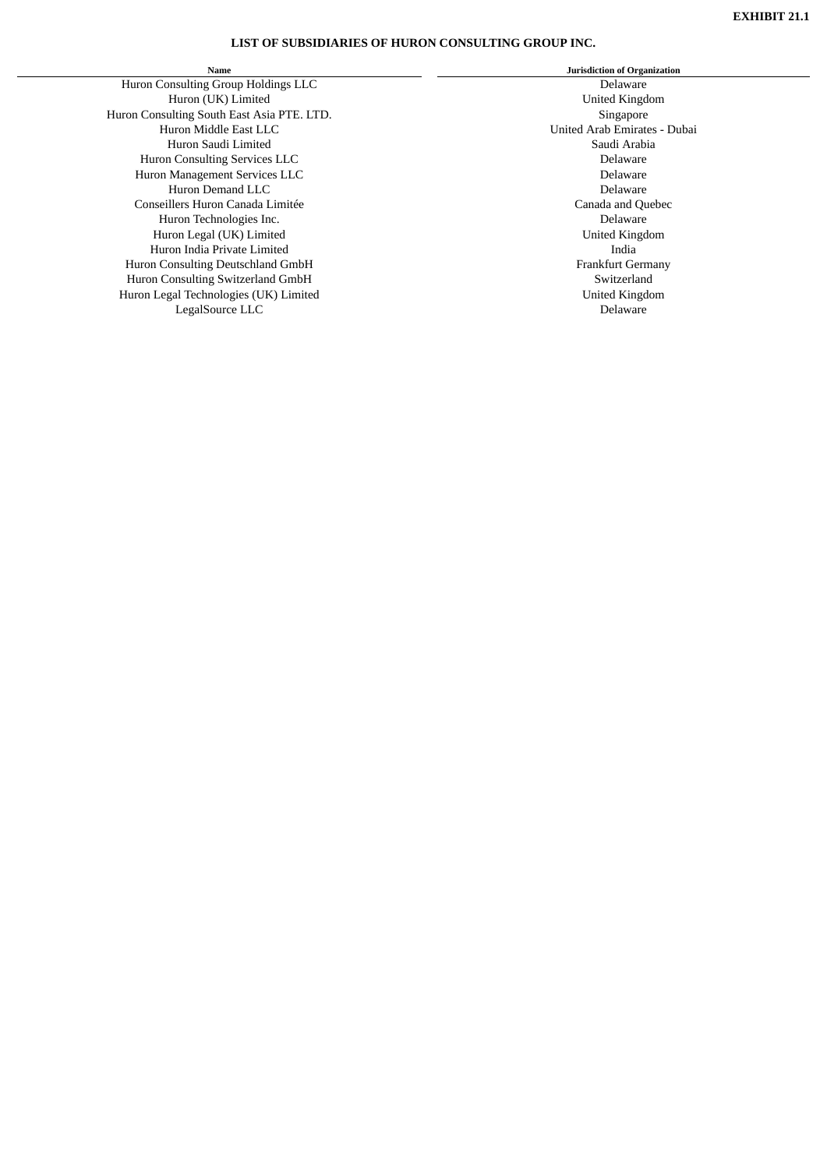# **LIST OF SUBSIDIARIES OF HURON CONSULTING GROUP INC.**

| Name                                       | Jurisdiction of Organization |
|--------------------------------------------|------------------------------|
| Huron Consulting Group Holdings LLC        | Delaware                     |
| Huron (UK) Limited                         | United Kingdom               |
| Huron Consulting South East Asia PTE. LTD. | Singapore                    |
| Huron Middle East LLC                      | United Arab Emirates - Dubai |
| Huron Saudi Limited                        | Saudi Arabia                 |
| Huron Consulting Services LLC              | Delaware                     |
| Huron Management Services LLC              | Delaware                     |
| Huron Demand LLC                           | Delaware                     |
| Conseillers Huron Canada Limitée           | Canada and Quebec            |
| Huron Technologies Inc.                    | Delaware                     |
| Huron Legal (UK) Limited                   | United Kingdom               |
| Huron India Private Limited                | India                        |
| Huron Consulting Deutschland GmbH          | Frankfurt Germany            |
| Huron Consulting Switzerland GmbH          | Switzerland                  |
| Huron Legal Technologies (UK) Limited      | United Kingdom               |
| LegalSource LLC                            | Delaware                     |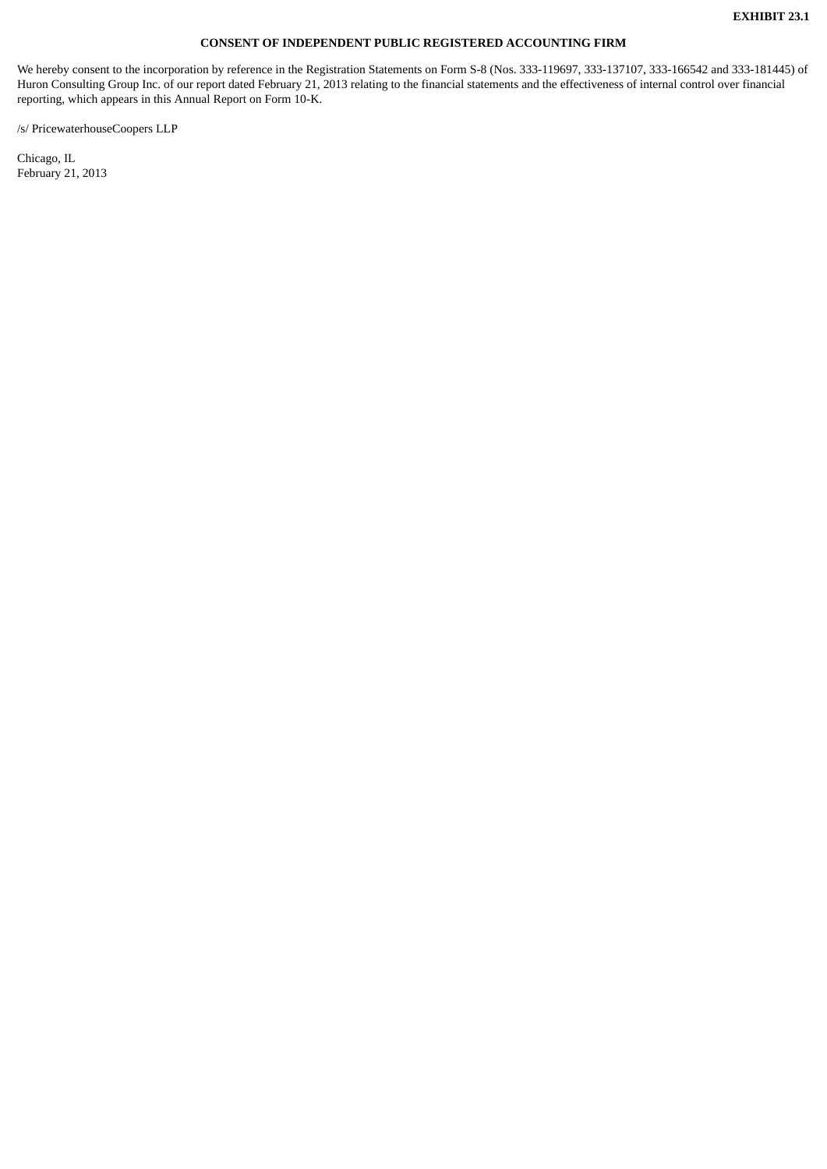### **CONSENT OF INDEPENDENT PUBLIC REGISTERED ACCOUNTING FIRM**

We hereby consent to the incorporation by reference in the Registration Statements on Form S-8 (Nos. 333-119697, 333-137107, 333-166542 and 333-181445) of Huron Consulting Group Inc. of our report dated February 21, 2013 relating to the financial statements and the effectiveness of internal control over financial reporting, which appears in this Annual Report on Form 10-K.

/s/ PricewaterhouseCoopers LLP

Chicago, IL February 21, 2013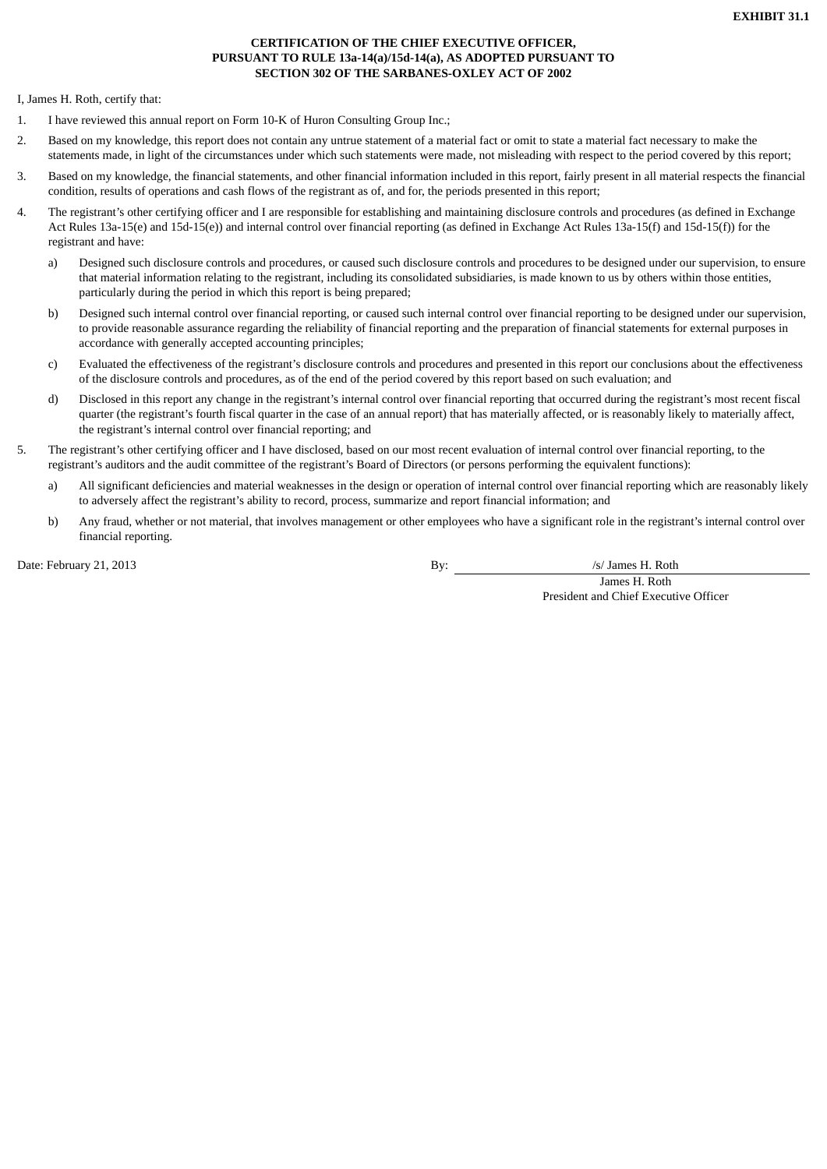#### **CERTIFICATION OF THE CHIEF EXECUTIVE OFFICER, PURSUANT TO RULE 13a-14(a)/15d-14(a), AS ADOPTED PURSUANT TO SECTION 302 OF THE SARBANES-OXLEY ACT OF 2002**

I, James H. Roth, certify that:

- 1. I have reviewed this annual report on Form 10-K of Huron Consulting Group Inc.;
- 2. Based on my knowledge, this report does not contain any untrue statement of a material fact or omit to state a material fact necessary to make the statements made, in light of the circumstances under which such statements were made, not misleading with respect to the period covered by this report;
- 3. Based on my knowledge, the financial statements, and other financial information included in this report, fairly present in all material respects the financial condition, results of operations and cash flows of the registrant as of, and for, the periods presented in this report;
- 4. The registrant's other certifying officer and I are responsible for establishing and maintaining disclosure controls and procedures (as defined in Exchange Act Rules 13a-15(e) and 15d-15(e)) and internal control over financial reporting (as defined in Exchange Act Rules 13a-15(f) and 15d-15(f)) for the registrant and have:
	- a) Designed such disclosure controls and procedures, or caused such disclosure controls and procedures to be designed under our supervision, to ensure that material information relating to the registrant, including its consolidated subsidiaries, is made known to us by others within those entities, particularly during the period in which this report is being prepared;
	- b) Designed such internal control over financial reporting, or caused such internal control over financial reporting to be designed under our supervision, to provide reasonable assurance regarding the reliability of financial reporting and the preparation of financial statements for external purposes in accordance with generally accepted accounting principles;
	- c) Evaluated the effectiveness of the registrant's disclosure controls and procedures and presented in this report our conclusions about the effectiveness of the disclosure controls and procedures, as of the end of the period covered by this report based on such evaluation; and
	- d) Disclosed in this report any change in the registrant's internal control over financial reporting that occurred during the registrant's most recent fiscal quarter (the registrant's fourth fiscal quarter in the case of an annual report) that has materially affected, or is reasonably likely to materially affect, the registrant's internal control over financial reporting; and
- 5. The registrant's other certifying officer and I have disclosed, based on our most recent evaluation of internal control over financial reporting, to the registrant's auditors and the audit committee of the registrant's Board of Directors (or persons performing the equivalent functions):
	- a) All significant deficiencies and material weaknesses in the design or operation of internal control over financial reporting which are reasonably likely to adversely affect the registrant's ability to record, process, summarize and report financial information; and
	- b) Any fraud, whether or not material, that involves management or other employees who have a significant role in the registrant's internal control over financial reporting.

Date: February 21, 2013 **By:** *S/S/James H. Roth* By: */s/James H. Roth* 

James H. Roth President and Chief Executive Officer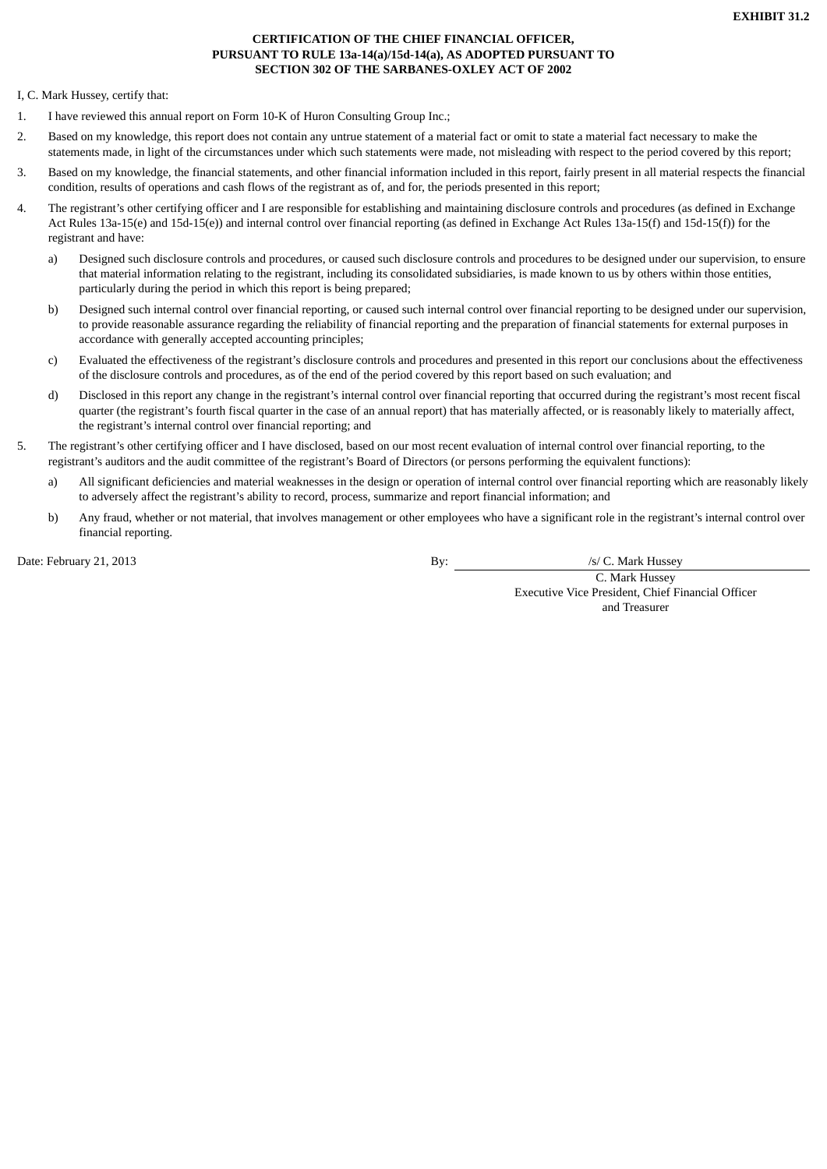## **CERTIFICATION OF THE CHIEF FINANCIAL OFFICER, PURSUANT TO RULE 13a-14(a)/15d-14(a), AS ADOPTED PURSUANT TO SECTION 302 OF THE SARBANES-OXLEY ACT OF 2002**

I, C. Mark Hussey, certify that:

- 1. I have reviewed this annual report on Form 10-K of Huron Consulting Group Inc.;
- 2. Based on my knowledge, this report does not contain any untrue statement of a material fact or omit to state a material fact necessary to make the statements made, in light of the circumstances under which such statements were made, not misleading with respect to the period covered by this report;
- 3. Based on my knowledge, the financial statements, and other financial information included in this report, fairly present in all material respects the financial condition, results of operations and cash flows of the registrant as of, and for, the periods presented in this report;
- 4. The registrant's other certifying officer and I are responsible for establishing and maintaining disclosure controls and procedures (as defined in Exchange Act Rules 13a-15(e) and 15d-15(e)) and internal control over financial reporting (as defined in Exchange Act Rules 13a-15(f) and 15d-15(f)) for the registrant and have:
	- a) Designed such disclosure controls and procedures, or caused such disclosure controls and procedures to be designed under our supervision, to ensure that material information relating to the registrant, including its consolidated subsidiaries, is made known to us by others within those entities, particularly during the period in which this report is being prepared;
	- b) Designed such internal control over financial reporting, or caused such internal control over financial reporting to be designed under our supervision, to provide reasonable assurance regarding the reliability of financial reporting and the preparation of financial statements for external purposes in accordance with generally accepted accounting principles;
	- c) Evaluated the effectiveness of the registrant's disclosure controls and procedures and presented in this report our conclusions about the effectiveness of the disclosure controls and procedures, as of the end of the period covered by this report based on such evaluation; and
	- d) Disclosed in this report any change in the registrant's internal control over financial reporting that occurred during the registrant's most recent fiscal quarter (the registrant's fourth fiscal quarter in the case of an annual report) that has materially affected, or is reasonably likely to materially affect, the registrant's internal control over financial reporting; and
- 5. The registrant's other certifying officer and I have disclosed, based on our most recent evaluation of internal control over financial reporting, to the registrant's auditors and the audit committee of the registrant's Board of Directors (or persons performing the equivalent functions):
	- a) All significant deficiencies and material weaknesses in the design or operation of internal control over financial reporting which are reasonably likely to adversely affect the registrant's ability to record, process, summarize and report financial information; and
	- b) Any fraud, whether or not material, that involves management or other employees who have a significant role in the registrant's internal control over financial reporting.

Date: February 21, 2013 **By:** *Si* C. Mark Hussey

C. Mark Hussey Executive Vice President, Chief Financial Officer and Treasurer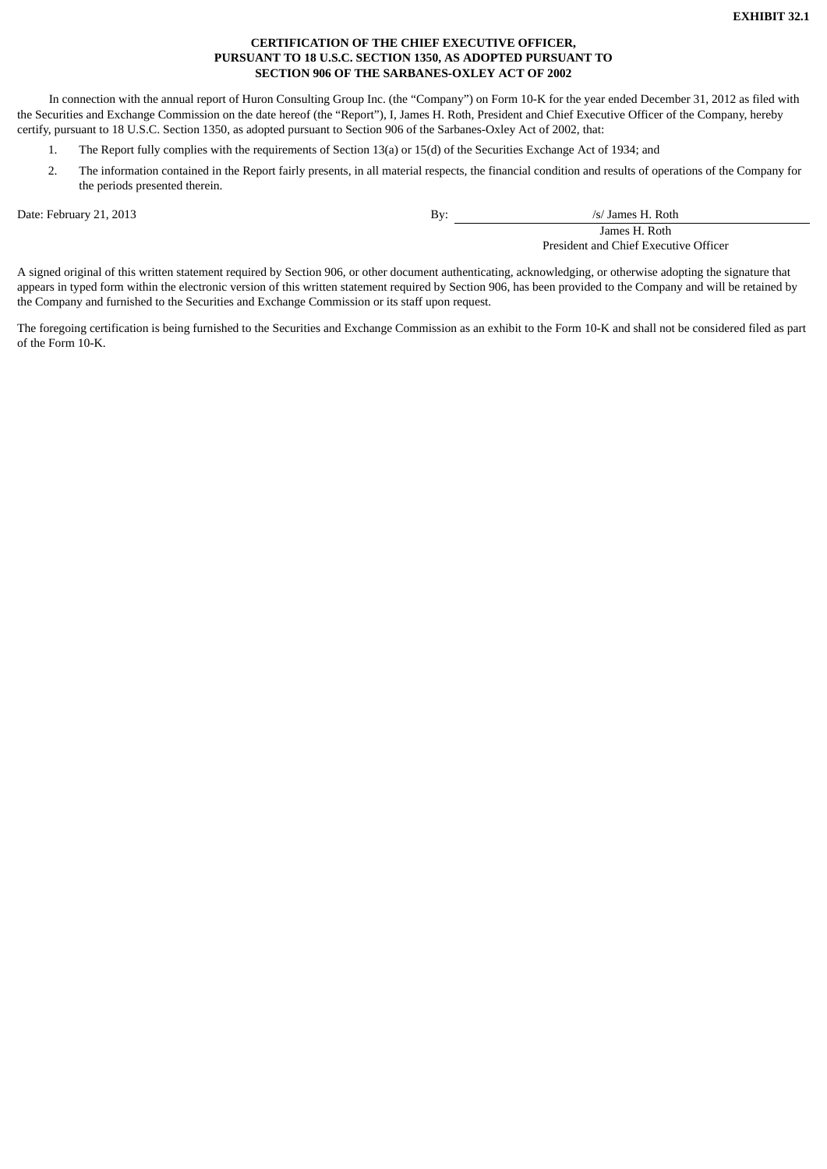#### **CERTIFICATION OF THE CHIEF EXECUTIVE OFFICER, PURSUANT TO 18 U.S.C. SECTION 1350, AS ADOPTED PURSUANT TO SECTION 906 OF THE SARBANES-OXLEY ACT OF 2002**

In connection with the annual report of Huron Consulting Group Inc. (the "Company") on Form 10-K for the year ended December 31, 2012 as filed with the Securities and Exchange Commission on the date hereof (the "Report"), I, James H. Roth, President and Chief Executive Officer of the Company, hereby certify, pursuant to 18 U.S.C. Section 1350, as adopted pursuant to Section 906 of the Sarbanes-Oxley Act of 2002, that:

- 1. The Report fully complies with the requirements of Section 13(a) or 15(d) of the Securities Exchange Act of 1934; and
- 2. The information contained in the Report fairly presents, in all material respects, the financial condition and results of operations of the Company for the periods presented therein.

Date: February 21, 2013 **By:** *S/ James H. Roth* **By:** *S/ James H. Roth* 

James H. Roth

President and Chief Executive Officer

A signed original of this written statement required by Section 906, or other document authenticating, acknowledging, or otherwise adopting the signature that appears in typed form within the electronic version of this written statement required by Section 906, has been provided to the Company and will be retained by the Company and furnished to the Securities and Exchange Commission or its staff upon request.

The foregoing certification is being furnished to the Securities and Exchange Commission as an exhibit to the Form 10-K and shall not be considered filed as part of the Form 10-K.